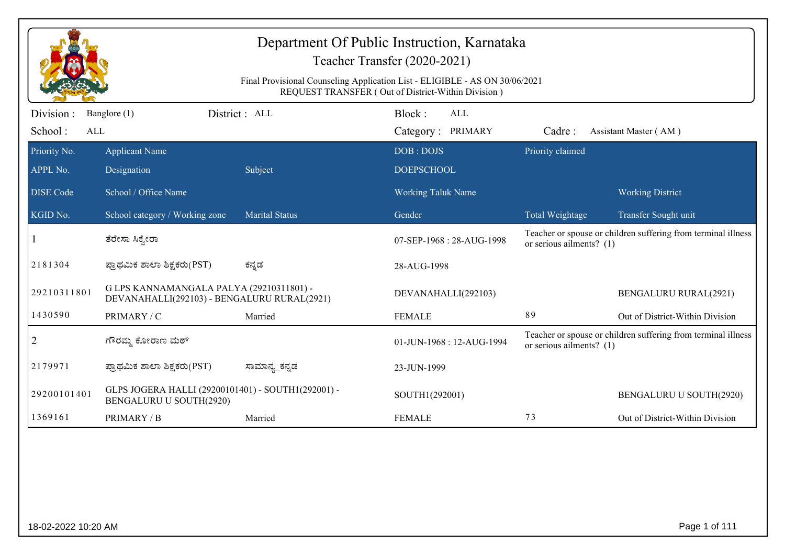| Department Of Public Instruction, Karnataka<br>Teacher Transfer (2020-2021)<br>Final Provisional Counseling Application List - ELIGIBLE - AS ON 30/06/2021<br>REQUEST TRANSFER (Out of District-Within Division) |                                                                                         |                       |                           |                            |                                                               |  |  |
|------------------------------------------------------------------------------------------------------------------------------------------------------------------------------------------------------------------|-----------------------------------------------------------------------------------------|-----------------------|---------------------------|----------------------------|---------------------------------------------------------------|--|--|
| Division:                                                                                                                                                                                                        | Banglore (1)                                                                            | District: ALL         | Block:<br>ALL             |                            |                                                               |  |  |
| School:                                                                                                                                                                                                          | ALL                                                                                     |                       | Category: PRIMARY         | Cadre:                     | Assistant Master (AM)                                         |  |  |
| Priority No.                                                                                                                                                                                                     | <b>Applicant Name</b>                                                                   |                       | DOB: DOJS                 | Priority claimed           |                                                               |  |  |
| APPL No.                                                                                                                                                                                                         | Designation                                                                             | Subject               | <b>DOEPSCHOOL</b>         |                            |                                                               |  |  |
| <b>DISE Code</b>                                                                                                                                                                                                 | School / Office Name                                                                    |                       | <b>Working Taluk Name</b> |                            | <b>Working District</b>                                       |  |  |
| KGID No.                                                                                                                                                                                                         | School category / Working zone                                                          | <b>Marital Status</b> | Gender                    | Total Weightage            | Transfer Sought unit                                          |  |  |
|                                                                                                                                                                                                                  | ತೆರೇಸಾ ಸಿಕ್ವೇರಾ                                                                         |                       | 07-SEP-1968: 28-AUG-1998  | or serious ailments? $(1)$ | Teacher or spouse or children suffering from terminal illness |  |  |
| 2181304                                                                                                                                                                                                          | ಪ್ರಾಥಮಿಕ ಶಾಲಾ ಶಿಕ್ಷಕರು(PST)                                                             | ಕನ್ನಡ                 | 28-AUG-1998               |                            |                                                               |  |  |
| 29210311801                                                                                                                                                                                                      | G LPS KANNAMANGALA PALYA (29210311801) -<br>DEVANAHALLI(292103) - BENGALURU RURAL(2921) |                       | DEVANAHALLI(292103)       |                            | <b>BENGALURU RURAL(2921)</b>                                  |  |  |
| 1430590                                                                                                                                                                                                          | PRIMARY / C                                                                             | Married               | <b>FEMALE</b>             | 89                         | Out of District-Within Division                               |  |  |
| $\overline{2}$                                                                                                                                                                                                   | ಗೌರಮ್ಮ ಕೋರಾಣ ಮಠ್                                                                        |                       | 01-JUN-1968: 12-AUG-1994  | or serious ailments? $(1)$ | Teacher or spouse or children suffering from terminal illness |  |  |
| 2179971                                                                                                                                                                                                          | ಪ್ರಾಥಮಿಕ ಶಾಲಾ ಶಿಕ್ಷಕರು(PST)                                                             | ಸಾಮಾನ್ಯ_ಕನ್ನಡ         | 23-JUN-1999               |                            |                                                               |  |  |
| 29200101401                                                                                                                                                                                                      | GLPS JOGERA HALLI (29200101401) - SOUTH1(292001) -<br>BENGALURU U SOUTH(2920)           |                       | SOUTH1(292001)            |                            | BENGALURU U SOUTH(2920)                                       |  |  |
| 1369161                                                                                                                                                                                                          | PRIMARY / B                                                                             | Married               | <b>FEMALE</b>             | 73                         | Out of District-Within Division                               |  |  |
|                                                                                                                                                                                                                  |                                                                                         |                       |                           |                            |                                                               |  |  |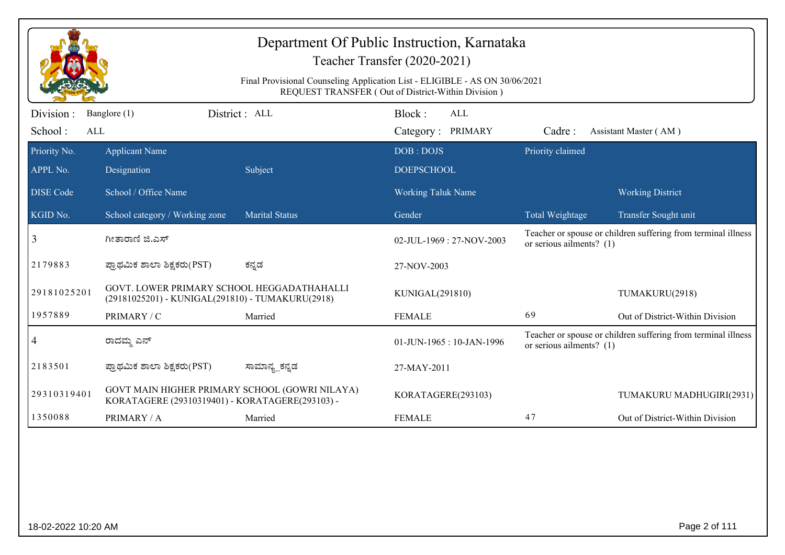| Department Of Public Instruction, Karnataka<br>Teacher Transfer (2020-2021)<br>Final Provisional Counseling Application List - ELIGIBLE - AS ON 30/06/2021<br>REQUEST TRANSFER (Out of District-Within Division) |                                                                                                   |                       |                              |                            |                                                               |  |  |
|------------------------------------------------------------------------------------------------------------------------------------------------------------------------------------------------------------------|---------------------------------------------------------------------------------------------------|-----------------------|------------------------------|----------------------------|---------------------------------------------------------------|--|--|
| Division :                                                                                                                                                                                                       | Banglore (1)                                                                                      | District: ALL         | Block:<br>ALL                |                            |                                                               |  |  |
| School:<br>ALL                                                                                                                                                                                                   |                                                                                                   |                       | Category: PRIMARY            | Cadre:                     | Assistant Master (AM)                                         |  |  |
| Priority No.                                                                                                                                                                                                     | <b>Applicant Name</b>                                                                             |                       | DOB: DOJS                    | Priority claimed           |                                                               |  |  |
| APPL No.                                                                                                                                                                                                         | Designation                                                                                       | Subject               | <b>DOEPSCHOOL</b>            |                            |                                                               |  |  |
| <b>DISE</b> Code                                                                                                                                                                                                 | School / Office Name                                                                              |                       | <b>Working Taluk Name</b>    |                            | <b>Working District</b>                                       |  |  |
| KGID No.                                                                                                                                                                                                         | School category / Working zone                                                                    | <b>Marital Status</b> | Gender                       | Total Weightage            | Transfer Sought unit                                          |  |  |
| 3                                                                                                                                                                                                                | ಗೀತಾರಾಣಿ ಜಿ.ಎಸ್                                                                                   |                       | $02$ -JUL-1969 : 27-NOV-2003 | or serious ailments? $(1)$ | Teacher or spouse or children suffering from terminal illness |  |  |
| 2179883                                                                                                                                                                                                          | ಪ್ರಾಥಮಿಕ ಶಾಲಾ ಶಿಕ್ಷಕರು(PST)                                                                       | ಕನ್ನಡ                 | 27-NOV-2003                  |                            |                                                               |  |  |
| 29181025201                                                                                                                                                                                                      | GOVT. LOWER PRIMARY SCHOOL HEGGADATHAHALLI<br>(29181025201) - KUNIGAL(291810) - TUMAKURU(2918)    |                       | KUNIGAL(291810)              |                            | TUMAKURU(2918)                                                |  |  |
| 1957889                                                                                                                                                                                                          | PRIMARY / C                                                                                       | Married               | <b>FEMALE</b>                | 69                         | Out of District-Within Division                               |  |  |
| 4                                                                                                                                                                                                                | ರಾದಮ್ಮ ಎನ್                                                                                        |                       | 01-JUN-1965: 10-JAN-1996     | or serious ailments? $(1)$ | Teacher or spouse or children suffering from terminal illness |  |  |
| 2183501                                                                                                                                                                                                          | ಪ್ರಾಥಮಿಕ ಶಾಲಾ ಶಿಕ್ಷಕರು(PST)                                                                       | ಸಾಮಾನ್ಯ_ಕನ್ನಡ         | 27-MAY-2011                  |                            |                                                               |  |  |
| 29310319401                                                                                                                                                                                                      | GOVT MAIN HIGHER PRIMARY SCHOOL (GOWRI NILAYA)<br>KORATAGERE (29310319401) - KORATAGERE(293103) - |                       | KORATAGERE(293103)           |                            | TUMAKURU MADHUGIRI(2931)                                      |  |  |
| 1350088                                                                                                                                                                                                          | PRIMARY / A                                                                                       | Married               | <b>FEMALE</b>                | 47                         | Out of District-Within Division                               |  |  |
|                                                                                                                                                                                                                  |                                                                                                   |                       |                              |                            |                                                               |  |  |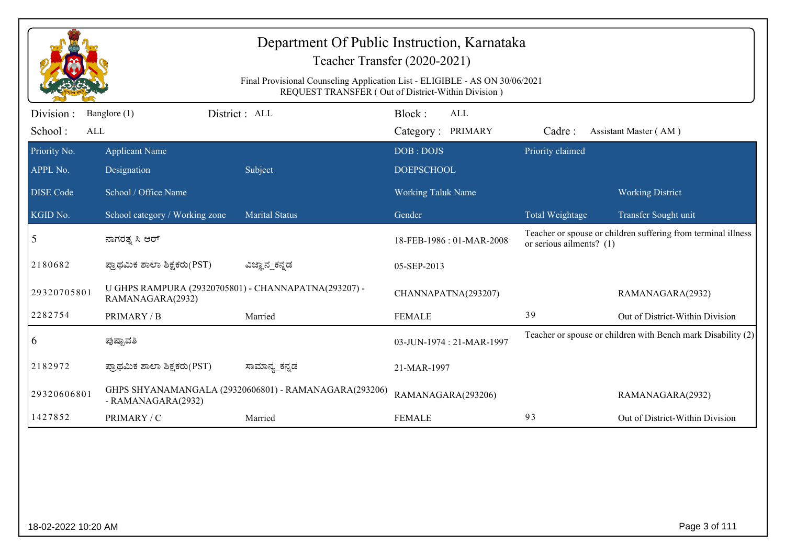| Department Of Public Instruction, Karnataka<br>Teacher Transfer (2020-2021) |                                                                                                                                   |                                                       |                                    |                            |                                                               |  |  |  |  |
|-----------------------------------------------------------------------------|-----------------------------------------------------------------------------------------------------------------------------------|-------------------------------------------------------|------------------------------------|----------------------------|---------------------------------------------------------------|--|--|--|--|
|                                                                             | Final Provisional Counseling Application List - ELIGIBLE - AS ON 30/06/2021<br>REQUEST TRANSFER (Out of District-Within Division) |                                                       |                                    |                            |                                                               |  |  |  |  |
| Division :<br>School:<br>ALL                                                | Banglore (1)                                                                                                                      | District : ALL                                        | Block:<br>ALL<br>Category: PRIMARY | Cadre:                     | Assistant Master (AM)                                         |  |  |  |  |
| Priority No.<br>APPL No.                                                    | <b>Applicant Name</b><br>Designation                                                                                              | Subject                                               | DOB: DOJS<br><b>DOEPSCHOOL</b>     | Priority claimed           |                                                               |  |  |  |  |
| <b>DISE</b> Code                                                            | School / Office Name                                                                                                              |                                                       | <b>Working Taluk Name</b>          |                            | <b>Working District</b>                                       |  |  |  |  |
| KGID No.                                                                    | School category / Working zone                                                                                                    | <b>Marital Status</b>                                 | Gender                             | Total Weightage            | Transfer Sought unit                                          |  |  |  |  |
| 5                                                                           | ನಾಗರತ್ನ ಸಿ ಆರ್                                                                                                                    |                                                       | 18-FEB-1986 : 01-MAR-2008          | or serious ailments? $(1)$ | Teacher or spouse or children suffering from terminal illness |  |  |  |  |
| 2180682                                                                     | ಪ್ರಾಥಮಿಕ ಶಾಲಾ ಶಿಕ್ಷಕರು(PST)                                                                                                       | ವಿಜ್ಞಾನ_ಕನ್ನಡ                                         | 05-SEP-2013                        |                            |                                                               |  |  |  |  |
| 29320705801                                                                 | U GHPS RAMPURA (29320705801) - CHANNAPATNA(293207) -<br>RAMANAGARA(2932)                                                          |                                                       | CHANNAPATNA(293207)                |                            | RAMANAGARA(2932)                                              |  |  |  |  |
| 2282754                                                                     | PRIMARY / B                                                                                                                       | Married                                               | <b>FEMALE</b>                      | 39                         | Out of District-Within Division                               |  |  |  |  |
| 6                                                                           | ಪುಷ್ಪಾವತಿ                                                                                                                         |                                                       | 03-JUN-1974 : 21-MAR-1997          |                            | Teacher or spouse or children with Bench mark Disability (2)  |  |  |  |  |
| 2182972                                                                     | ಪ್ರಾಥಮಿಕ ಶಾಲಾ ಶಿಕ್ಷಕರು(PST)                                                                                                       | ಸಾಮಾನ್ಯ_ಕನ್ನಡ                                         | 21-MAR-1997                        |                            |                                                               |  |  |  |  |
| 29320606801                                                                 | - RAMANAGARA(2932)                                                                                                                | GHPS SHYANAMANGALA (29320606801) - RAMANAGARA(293206) | RAMANAGARA(293206)                 |                            | RAMANAGARA(2932)                                              |  |  |  |  |
| 1427852                                                                     | PRIMARY / C                                                                                                                       | Married                                               | <b>FEMALE</b>                      | 93                         | Out of District-Within Division                               |  |  |  |  |
|                                                                             |                                                                                                                                   |                                                       |                                    |                            |                                                               |  |  |  |  |
| 18-02-2022 10:20 AM                                                         |                                                                                                                                   |                                                       |                                    |                            | Page 3 of 111                                                 |  |  |  |  |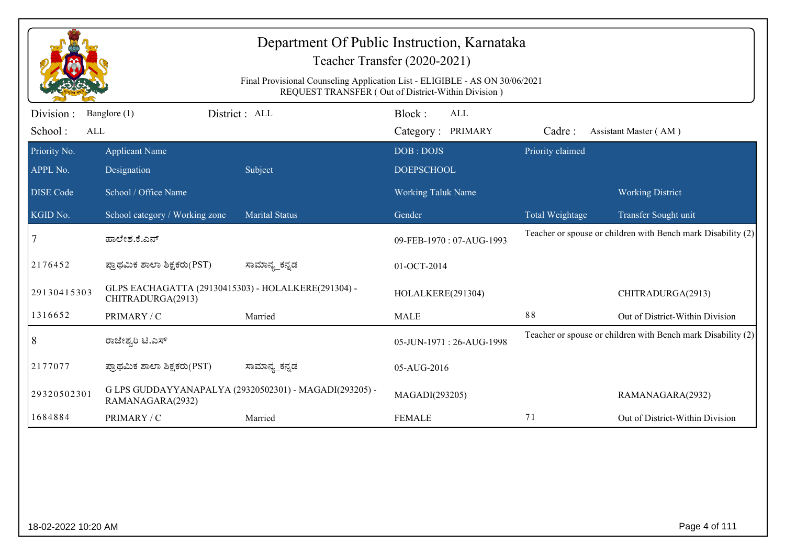| Department Of Public Instruction, Karnataka<br>Teacher Transfer (2020-2021)<br>Final Provisional Counseling Application List - ELIGIBLE - AS ON 30/06/2021<br>REQUEST TRANSFER (Out of District-Within Division) |                                                                          |                                                        |                                           |                  |                                                              |  |  |
|------------------------------------------------------------------------------------------------------------------------------------------------------------------------------------------------------------------|--------------------------------------------------------------------------|--------------------------------------------------------|-------------------------------------------|------------------|--------------------------------------------------------------|--|--|
| Division :<br>School:<br>ALL                                                                                                                                                                                     | Banglore (1)                                                             | District: ALL                                          | Block:<br><b>ALL</b><br>Category: PRIMARY | Cadre:           | Assistant Master (AM)                                        |  |  |
| Priority No.<br>APPL No.                                                                                                                                                                                         | <b>Applicant Name</b><br>Designation                                     | Subject                                                | DOB: DOJS<br><b>DOEPSCHOOL</b>            | Priority claimed |                                                              |  |  |
| <b>DISE Code</b>                                                                                                                                                                                                 | School / Office Name                                                     |                                                        | <b>Working Taluk Name</b>                 |                  | <b>Working District</b>                                      |  |  |
| KGID No.                                                                                                                                                                                                         | School category / Working zone                                           | <b>Marital Status</b>                                  | Gender                                    | Total Weightage  | Transfer Sought unit                                         |  |  |
| 7                                                                                                                                                                                                                | ಹಾಲೇಶ.ಕೆ.ಎನ್                                                             |                                                        | 09-FEB-1970: 07-AUG-1993                  |                  | Teacher or spouse or children with Bench mark Disability (2) |  |  |
| 2176452                                                                                                                                                                                                          | ಪ್ರಾಥಮಿಕ ಶಾಲಾ ಶಿಕ್ಷಕರು(PST)                                              | ಸಾಮಾನ್ಯ_ಕನ್ನಡ                                          | 01-OCT-2014                               |                  |                                                              |  |  |
| 29130415303                                                                                                                                                                                                      | GLPS EACHAGATTA (29130415303) - HOLALKERE(291304) -<br>CHITRADURGA(2913) |                                                        | HOLALKERE(291304)                         |                  | CHITRADURGA(2913)                                            |  |  |
| 1316652                                                                                                                                                                                                          | PRIMARY / C                                                              | Married                                                | <b>MALE</b>                               | 88               | Out of District-Within Division                              |  |  |
| 8                                                                                                                                                                                                                | ರಾಜೇಶ್ವರಿ ಟಿ.ಎಸ್                                                         |                                                        | 05-JUN-1971: 26-AUG-1998                  |                  | Teacher or spouse or children with Bench mark Disability (2) |  |  |
| 2177077                                                                                                                                                                                                          | ಪ್ರಾಥಮಿಕ ಶಾಲಾ ಶಿಕ್ಷಕರು(PST)                                              | ಸಾಮಾನ್ಯ_ಕನ್ನಡ                                          | 05-AUG-2016                               |                  |                                                              |  |  |
| 29320502301                                                                                                                                                                                                      | RAMANAGARA(2932)                                                         | G LPS GUDDAYYANAPALYA (29320502301) - MAGADI(293205) - | MAGADI(293205)                            |                  | RAMANAGARA(2932)                                             |  |  |
| 1684884                                                                                                                                                                                                          | PRIMARY / C                                                              | Married                                                | <b>FEMALE</b>                             | 71               | Out of District-Within Division                              |  |  |
|                                                                                                                                                                                                                  |                                                                          |                                                        |                                           |                  |                                                              |  |  |
| 18-02-2022 10:20 AM                                                                                                                                                                                              |                                                                          |                                                        |                                           |                  | Page 4 of 111                                                |  |  |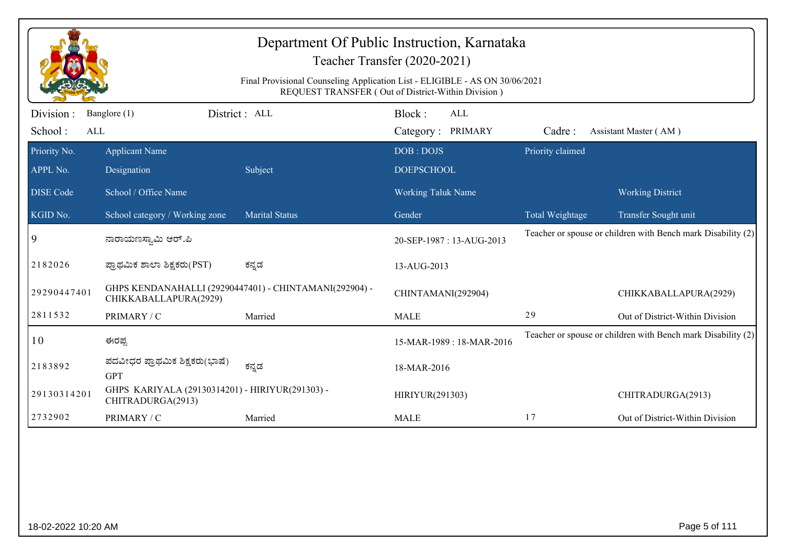|                  | Department Of Public Instruction, Karnataka<br>Teacher Transfer (2020-2021)<br>Final Provisional Counseling Application List - ELIGIBLE - AS ON 30/06/2021<br>REQUEST TRANSFER (Out of District-Within Division) |                       |                           |                  |                                                              |  |  |  |
|------------------|------------------------------------------------------------------------------------------------------------------------------------------------------------------------------------------------------------------|-----------------------|---------------------------|------------------|--------------------------------------------------------------|--|--|--|
| Division :       | District: ALL<br>Banglore (1)                                                                                                                                                                                    |                       | Block:<br><b>ALL</b>      |                  |                                                              |  |  |  |
| School:<br>ALL   |                                                                                                                                                                                                                  |                       | Category: PRIMARY         | Cadre:           | Assistant Master (AM)                                        |  |  |  |
| Priority No.     | <b>Applicant Name</b>                                                                                                                                                                                            |                       | DOB: DOJS                 | Priority claimed |                                                              |  |  |  |
| APPL No.         | Designation                                                                                                                                                                                                      | Subject               | <b>DOEPSCHOOL</b>         |                  |                                                              |  |  |  |
| <b>DISE Code</b> | School / Office Name                                                                                                                                                                                             |                       | <b>Working Taluk Name</b> |                  | <b>Working District</b>                                      |  |  |  |
| KGID No.         | School category / Working zone                                                                                                                                                                                   | <b>Marital Status</b> | Gender                    | Total Weightage  | Transfer Sought unit                                         |  |  |  |
| 9                | ನಾರಾಯಣಸ್ವಾಮಿ ಆರ್.ಪಿ                                                                                                                                                                                              |                       | 20-SEP-1987: 13-AUG-2013  |                  | Teacher or spouse or children with Bench mark Disability (2) |  |  |  |
| 2182026          | ಪ್ರಾಥಮಿಕ ಶಾಲಾ ಶಿಕ್ಷಕರು(PST)                                                                                                                                                                                      | ಕನ್ನಡ                 | 13-AUG-2013               |                  |                                                              |  |  |  |
| 29290447401      | GHPS KENDANAHALLI (29290447401) - CHINTAMANI(292904) -<br>CHIKKABALLAPURA(2929)                                                                                                                                  |                       | CHINTAMANI(292904)        |                  | CHIKKABALLAPURA(2929)                                        |  |  |  |
| 2811532          | PRIMARY / C                                                                                                                                                                                                      | Married               | <b>MALE</b>               | 29               | Out of District-Within Division                              |  |  |  |
| 10               | ಈರಪ್ಪ                                                                                                                                                                                                            |                       | 15-MAR-1989: 18-MAR-2016  |                  | Teacher or spouse or children with Bench mark Disability (2) |  |  |  |
| 2183892          | ಪದವೀಧರ ಪ್ರಾಥಮಿಕ ಶಿಕ್ಷಕರು(ಭಾಷೆ)<br><b>GPT</b>                                                                                                                                                                     | ಕನ್ನಡ                 | 18-MAR-2016               |                  |                                                              |  |  |  |
| 29130314201      | GHPS KARIYALA (29130314201) - HIRIYUR(291303) -<br>CHITRADURGA(2913)                                                                                                                                             |                       | HIRIYUR(291303)           |                  | CHITRADURGA(2913)                                            |  |  |  |
| 2732902          | PRIMARY / C                                                                                                                                                                                                      | Married               | <b>MALE</b>               | 17               | Out of District-Within Division                              |  |  |  |
|                  |                                                                                                                                                                                                                  |                       |                           |                  |                                                              |  |  |  |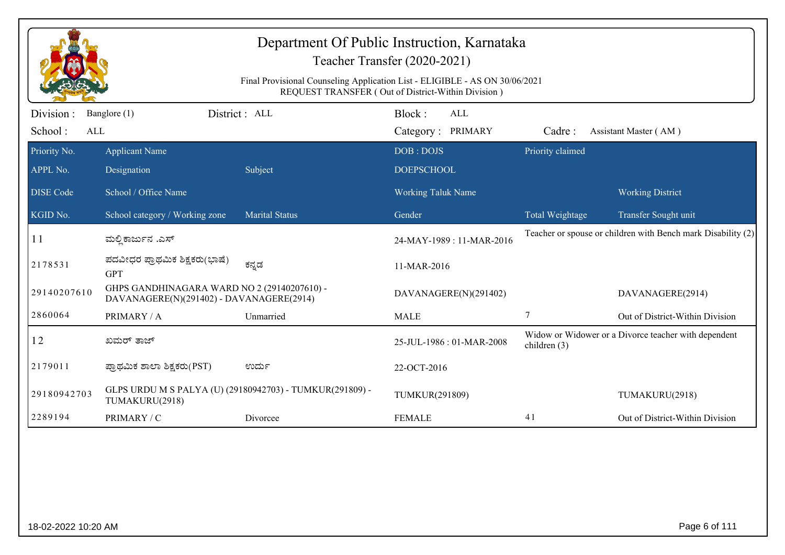| Department Of Public Instruction, Karnataka<br>Teacher Transfer (2020-2021)<br>Final Provisional Counseling Application List - ELIGIBLE - AS ON 30/06/2021<br>REQUEST TRANSFER (Out of District-Within Division) |                                                                                         |                                                          |                                           |                  |                                                              |  |  |
|------------------------------------------------------------------------------------------------------------------------------------------------------------------------------------------------------------------|-----------------------------------------------------------------------------------------|----------------------------------------------------------|-------------------------------------------|------------------|--------------------------------------------------------------|--|--|
| Division:<br>School:<br>ALL                                                                                                                                                                                      | Banglore (1)                                                                            | District : ALL                                           | Block:<br><b>ALL</b><br>Category: PRIMARY | Cadre:           | Assistant Master (AM)                                        |  |  |
| Priority No.<br>APPL No.                                                                                                                                                                                         | <b>Applicant Name</b><br>Designation                                                    | Subject                                                  | DOB: DOJS<br><b>DOEPSCHOOL</b>            | Priority claimed |                                                              |  |  |
| <b>DISE Code</b>                                                                                                                                                                                                 | School / Office Name                                                                    |                                                          | <b>Working Taluk Name</b>                 |                  | <b>Working District</b>                                      |  |  |
| KGID No.                                                                                                                                                                                                         | School category / Working zone                                                          | <b>Marital Status</b>                                    | Gender                                    | Total Weightage  | Transfer Sought unit                                         |  |  |
| 11                                                                                                                                                                                                               | ಮಲ್ಲಿ ಕಾರ್ಜುನ .ಎಸ್                                                                      |                                                          | 24-MAY-1989: 11-MAR-2016                  |                  | Teacher or spouse or children with Bench mark Disability (2) |  |  |
| 2178531                                                                                                                                                                                                          | ಪದವೀಧರ ಪ್ರಾಥಮಿಕ ಶಿಕ್ಷಕರು(ಭಾಷೆ)<br><b>GPT</b>                                            | ಕನ್ನಡ                                                    | 11-MAR-2016                               |                  |                                                              |  |  |
| 29140207610                                                                                                                                                                                                      | GHPS GANDHINAGARA WARD NO 2 (29140207610) -<br>DAVANAGERE(N)(291402) - DAVANAGERE(2914) |                                                          | DAVANAGERE(N)(291402)                     |                  | DAVANAGERE(2914)                                             |  |  |
| 2860064                                                                                                                                                                                                          | PRIMARY / A                                                                             | Unmarried                                                | <b>MALE</b>                               | 7                | Out of District-Within Division                              |  |  |
| 12                                                                                                                                                                                                               | ಖಮರ್ ತಾಜ್                                                                               |                                                          | 25-JUL-1986: 01-MAR-2008                  | children $(3)$   | Widow or Widower or a Divorce teacher with dependent         |  |  |
| 2179011                                                                                                                                                                                                          | ಪ್ರಾಥಮಿಕ ಶಾಲಾ ಶಿಕ್ಷಕರು(PST)                                                             | ಉರ್ದು                                                    | 22-OCT-2016                               |                  |                                                              |  |  |
| 29180942703                                                                                                                                                                                                      | TUMAKURU(2918)                                                                          | GLPS URDU M S PALYA (U) (29180942703) - TUMKUR(291809) - | TUMKUR(291809)                            |                  | TUMAKURU(2918)                                               |  |  |
| 2289194                                                                                                                                                                                                          | PRIMARY / C                                                                             | Divorcee                                                 | <b>FEMALE</b>                             | 41               | Out of District-Within Division                              |  |  |
|                                                                                                                                                                                                                  |                                                                                         |                                                          |                                           |                  |                                                              |  |  |
| 18-02-2022 10:20 AM                                                                                                                                                                                              |                                                                                         |                                                          |                                           |                  | Page 6 of 111                                                |  |  |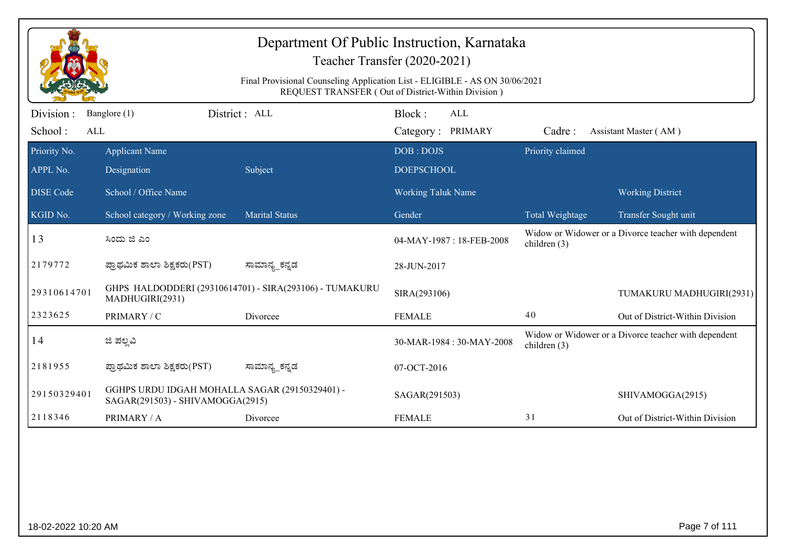| Department Of Public Instruction, Karnataka<br>Teacher Transfer (2020-2021) |                                                                                                                                   |                                                         |                                    |                  |                                                      |  |  |  |
|-----------------------------------------------------------------------------|-----------------------------------------------------------------------------------------------------------------------------------|---------------------------------------------------------|------------------------------------|------------------|------------------------------------------------------|--|--|--|
|                                                                             | Final Provisional Counseling Application List - ELIGIBLE - AS ON 30/06/2021<br>REQUEST TRANSFER (Out of District-Within Division) |                                                         |                                    |                  |                                                      |  |  |  |
| Division :<br>School:<br>ALL                                                | Banglore (1)                                                                                                                      | District : ALL                                          | Block:<br>ALL<br>Category: PRIMARY | Cadre:           | Assistant Master (AM)                                |  |  |  |
| Priority No.<br>APPL No.                                                    | <b>Applicant Name</b><br>Designation                                                                                              | Subject                                                 | DOB: DOJS<br><b>DOEPSCHOOL</b>     | Priority claimed |                                                      |  |  |  |
| <b>DISE</b> Code                                                            | School / Office Name                                                                                                              |                                                         | <b>Working Taluk Name</b>          |                  | <b>Working District</b>                              |  |  |  |
| KGID No.                                                                    | School category / Working zone                                                                                                    | <b>Marital Status</b>                                   | Gender                             | Total Weightage  | Transfer Sought unit                                 |  |  |  |
| 13                                                                          | ಸಿಂದು ಜಿ ಎಂ                                                                                                                       |                                                         | 04-MAY-1987: 18-FEB-2008           | children $(3)$   | Widow or Widower or a Divorce teacher with dependent |  |  |  |
| 2179772                                                                     | ಪ್ರಾಥಮಿಕ ಶಾಲಾ ಶಿಕ್ಷಕರು(PST)                                                                                                       | ಸಾಮಾನ್ಯ_ಕನ್ನಡ                                           | 28-JUN-2017                        |                  |                                                      |  |  |  |
| 29310614701                                                                 | MADHUGIRI(2931)                                                                                                                   | GHPS HALDODDERI (29310614701) - SIRA(293106) - TUMAKURU | SIRA(293106)                       |                  | TUMAKURU MADHUGIRI(2931)                             |  |  |  |
| 2323625                                                                     | PRIMARY / C                                                                                                                       | Divorcee                                                | <b>FEMALE</b>                      | 40               | Out of District-Within Division                      |  |  |  |
| 14                                                                          | ಜಿ ಪಲ್ಲವಿ                                                                                                                         |                                                         | 30-MAR-1984: 30-MAY-2008           | children $(3)$   | Widow or Widower or a Divorce teacher with dependent |  |  |  |
| 2181955                                                                     | ಪ್ರಾಥಮಿಕ ಶಾಲಾ ಶಿಕ್ಷಕರು(PST)                                                                                                       | ಸಾಮಾನ್ಯ_ಕನ್ನಡ                                           | 07-OCT-2016                        |                  |                                                      |  |  |  |
| 29150329401                                                                 | GGHPS URDU IDGAH MOHALLA SAGAR (29150329401) -<br>SAGAR(291503) - SHIVAMOGGA(2915)                                                |                                                         | SAGAR(291503)                      |                  | SHIVAMOGGA(2915)                                     |  |  |  |
| 2118346                                                                     | PRIMARY / A                                                                                                                       | Divorcee                                                | <b>FEMALE</b>                      | 31               | Out of District-Within Division                      |  |  |  |
|                                                                             |                                                                                                                                   |                                                         |                                    |                  |                                                      |  |  |  |
| 18-02-2022 10:20 AM                                                         |                                                                                                                                   |                                                         |                                    |                  | Page 7 of 111                                        |  |  |  |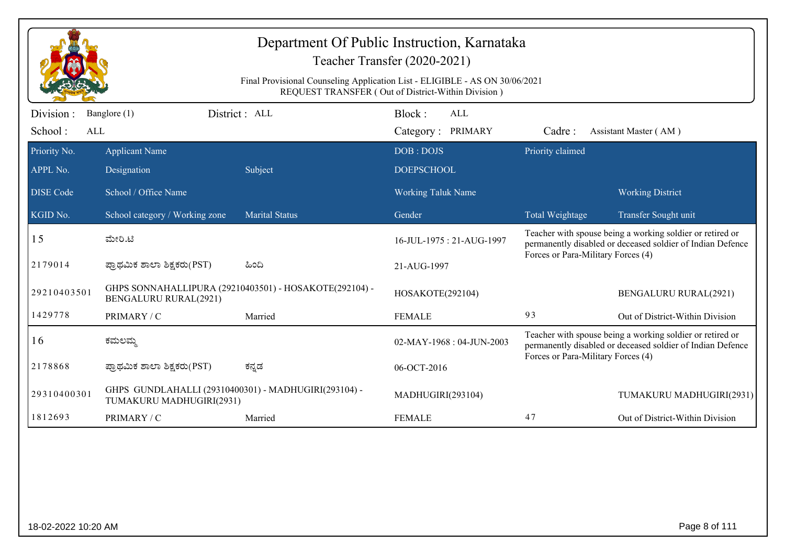|                  | Department Of Public Instruction, Karnataka<br>Teacher Transfer (2020-2021)<br>Final Provisional Counseling Application List - ELIGIBLE - AS ON 30/06/2021<br>REQUEST TRANSFER (Out of District-Within Division) |                                                        |                           |                                    |                                                                                                                         |  |  |  |
|------------------|------------------------------------------------------------------------------------------------------------------------------------------------------------------------------------------------------------------|--------------------------------------------------------|---------------------------|------------------------------------|-------------------------------------------------------------------------------------------------------------------------|--|--|--|
| Division:        | Banglore (1)                                                                                                                                                                                                     | District: ALL                                          | Block:<br>$\mbox{ALL}$    |                                    |                                                                                                                         |  |  |  |
| School:<br>ALL   |                                                                                                                                                                                                                  |                                                        | Category: PRIMARY         | Cadre:                             | Assistant Master (AM)                                                                                                   |  |  |  |
| Priority No.     | <b>Applicant Name</b>                                                                                                                                                                                            |                                                        | DOB: DOJS                 | Priority claimed                   |                                                                                                                         |  |  |  |
| APPL No.         | Designation                                                                                                                                                                                                      | Subject                                                | <b>DOEPSCHOOL</b>         |                                    |                                                                                                                         |  |  |  |
| <b>DISE Code</b> | School / Office Name                                                                                                                                                                                             |                                                        | <b>Working Taluk Name</b> |                                    | <b>Working District</b>                                                                                                 |  |  |  |
| KGID No.         | School category / Working zone                                                                                                                                                                                   | <b>Marital Status</b>                                  | Gender                    | Total Weightage                    | Transfer Sought unit                                                                                                    |  |  |  |
| 15               | ಮೇರಿ.ಟಿ                                                                                                                                                                                                          |                                                        | 16-JUL-1975: 21-AUG-1997  | Forces or Para-Military Forces (4) | Teacher with spouse being a working soldier or retired or<br>permanently disabled or deceased soldier of Indian Defence |  |  |  |
| 2179014          | ಪ್ರಾಥಮಿಕ ಶಾಲಾ ಶಿಕ್ಷಕರು(PST)                                                                                                                                                                                      | ಹಿಂದಿ                                                  | 21-AUG-1997               |                                    |                                                                                                                         |  |  |  |
| 29210403501      | <b>BENGALURU RURAL(2921)</b>                                                                                                                                                                                     | GHPS SONNAHALLIPURA (29210403501) - HOSAKOTE(292104) - | HOSAKOTE(292104)          |                                    | <b>BENGALURU RURAL(2921)</b>                                                                                            |  |  |  |
| 1429778          | PRIMARY / C                                                                                                                                                                                                      | Married                                                | <b>FEMALE</b>             | 93                                 | Out of District-Within Division                                                                                         |  |  |  |
| 16               | ಕಮಲಮ                                                                                                                                                                                                             |                                                        | 02-MAY-1968: 04-JUN-2003  | Forces or Para-Military Forces (4) | Teacher with spouse being a working soldier or retired or<br>permanently disabled or deceased soldier of Indian Defence |  |  |  |
| 2178868          | ಪ್ರಾಥಮಿಕ ಶಾಲಾ ಶಿಕ್ಷಕರು(PST)                                                                                                                                                                                      | ಕನ್ನಡ                                                  | 06-OCT-2016               |                                    |                                                                                                                         |  |  |  |
| 29310400301      | GHPS GUNDLAHALLI (29310400301) - MADHUGIRI(293104) -<br>TUMAKURU MADHUGIRI(2931)                                                                                                                                 |                                                        | MADHUGIRI(293104)         |                                    | TUMAKURU MADHUGIRI(2931)                                                                                                |  |  |  |
| 1812693          | PRIMARY / C                                                                                                                                                                                                      | Married                                                | <b>FEMALE</b>             | 47                                 | Out of District-Within Division                                                                                         |  |  |  |
|                  |                                                                                                                                                                                                                  |                                                        |                           |                                    |                                                                                                                         |  |  |  |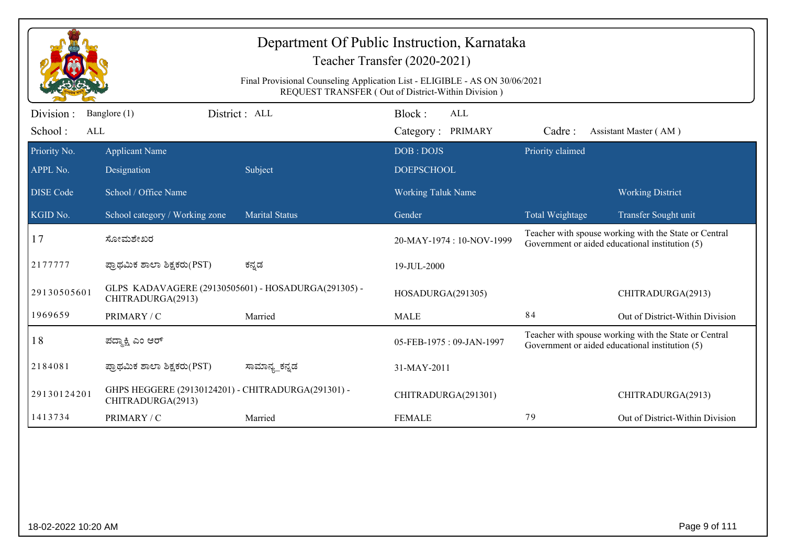| Department Of Public Instruction, Karnataka<br>Teacher Transfer (2020-2021)<br>Final Provisional Counseling Application List - ELIGIBLE - AS ON 30/06/2021<br>REQUEST TRANSFER (Out of District-Within Division) |                                                                          |                       |                           |                  |                                                                                                          |  |  |
|------------------------------------------------------------------------------------------------------------------------------------------------------------------------------------------------------------------|--------------------------------------------------------------------------|-----------------------|---------------------------|------------------|----------------------------------------------------------------------------------------------------------|--|--|
| Division:                                                                                                                                                                                                        | Banglore (1)                                                             | District: ALL         | Block:<br><b>ALL</b>      |                  |                                                                                                          |  |  |
| School:<br>ALL                                                                                                                                                                                                   |                                                                          |                       | Category: PRIMARY         | Cadre:           | Assistant Master (AM)                                                                                    |  |  |
| Priority No.                                                                                                                                                                                                     | <b>Applicant Name</b>                                                    |                       | DOB: DOJS                 | Priority claimed |                                                                                                          |  |  |
| APPL No.                                                                                                                                                                                                         | Designation                                                              | Subject               | <b>DOEPSCHOOL</b>         |                  |                                                                                                          |  |  |
| <b>DISE</b> Code                                                                                                                                                                                                 | School / Office Name                                                     |                       | <b>Working Taluk Name</b> |                  | <b>Working District</b>                                                                                  |  |  |
| KGID No.                                                                                                                                                                                                         | School category / Working zone                                           | <b>Marital Status</b> | Gender                    | Total Weightage  | Transfer Sought unit                                                                                     |  |  |
| 17                                                                                                                                                                                                               | ಸೋಮಶೇಖರ                                                                  |                       | 20-MAY-1974: 10-NOV-1999  |                  | Teacher with spouse working with the State or Central<br>Government or aided educational institution (5) |  |  |
| 2177777                                                                                                                                                                                                          | ಪ್ರಾಥಮಿಕ ಶಾಲಾ ಶಿಕ್ಷಕರು(PST)                                              | ಕನ್ನಡ                 | 19-JUL-2000               |                  |                                                                                                          |  |  |
| 29130505601                                                                                                                                                                                                      | GLPS KADAVAGERE (29130505601) - HOSADURGA(291305) -<br>CHITRADURGA(2913) |                       | HOSADURGA(291305)         |                  | CHITRADURGA(2913)                                                                                        |  |  |
| 1969659                                                                                                                                                                                                          | PRIMARY / C                                                              | Married               | <b>MALE</b>               | 84               | Out of District-Within Division                                                                          |  |  |
| 18                                                                                                                                                                                                               | ಪದ್ಮಾಕ್ಷಿ ಎಂ ಆರ್                                                         |                       | 05-FEB-1975: 09-JAN-1997  |                  | Teacher with spouse working with the State or Central<br>Government or aided educational institution (5) |  |  |
| 2184081                                                                                                                                                                                                          | ಪ್ರಾಥಮಿಕ ಶಾಲಾ ಶಿಕ್ಷಕರು(PST)                                              | ಸಾಮಾನ್ಯ_ಕನ್ನಡ         | 31-MAY-2011               |                  |                                                                                                          |  |  |
| 29130124201                                                                                                                                                                                                      | GHPS HEGGERE (29130124201) - CHITRADURGA(291301) -<br>CHITRADURGA(2913)  |                       | CHITRADURGA(291301)       |                  | CHITRADURGA(2913)                                                                                        |  |  |
| 1413734                                                                                                                                                                                                          | PRIMARY / C                                                              | Married               | <b>FEMALE</b>             | 79               | Out of District-Within Division                                                                          |  |  |
|                                                                                                                                                                                                                  |                                                                          |                       |                           |                  |                                                                                                          |  |  |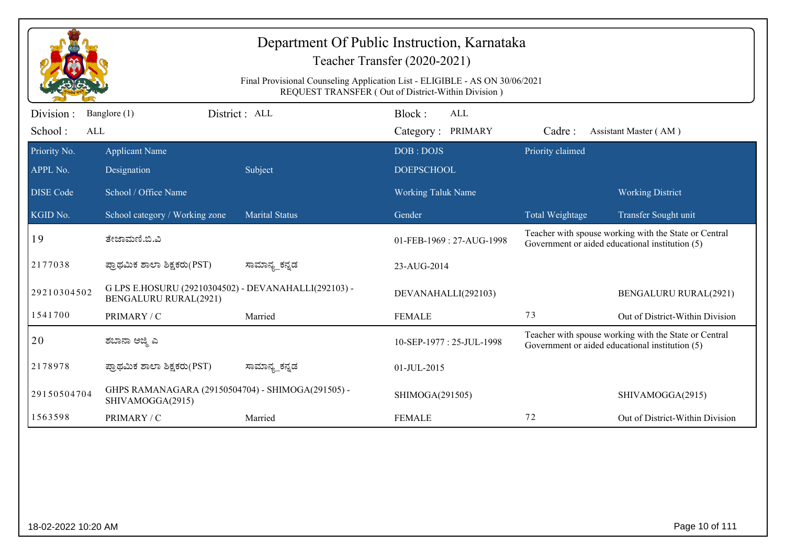| Department Of Public Instruction, Karnataka<br>Teacher Transfer (2020-2021)                                                       |                                                                                      |                       |                                           |                  |                                                                                                          |  |  |
|-----------------------------------------------------------------------------------------------------------------------------------|--------------------------------------------------------------------------------------|-----------------------|-------------------------------------------|------------------|----------------------------------------------------------------------------------------------------------|--|--|
| Final Provisional Counseling Application List - ELIGIBLE - AS ON 30/06/2021<br>REQUEST TRANSFER (Out of District-Within Division) |                                                                                      |                       |                                           |                  |                                                                                                          |  |  |
| Division :<br>School:<br>ALL                                                                                                      | Banglore (1)                                                                         | District : ALL        | Block:<br><b>ALL</b><br>Category: PRIMARY | Cadre:           | Assistant Master (AM)                                                                                    |  |  |
| Priority No.                                                                                                                      | <b>Applicant Name</b>                                                                |                       | DOB: DOJS                                 | Priority claimed |                                                                                                          |  |  |
| APPL No.                                                                                                                          | Designation                                                                          | Subject               | <b>DOEPSCHOOL</b>                         |                  |                                                                                                          |  |  |
| <b>DISE</b> Code                                                                                                                  | School / Office Name                                                                 |                       | <b>Working Taluk Name</b>                 |                  | <b>Working District</b>                                                                                  |  |  |
| KGID No.                                                                                                                          | School category / Working zone                                                       | <b>Marital Status</b> | Gender                                    | Total Weightage  | Transfer Sought unit                                                                                     |  |  |
| 19                                                                                                                                | ತೇಜಾಮಣಿ.ಬಿ.ವಿ                                                                        |                       | 01-FEB-1969: 27-AUG-1998                  |                  | Teacher with spouse working with the State or Central<br>Government or aided educational institution (5) |  |  |
| 2177038                                                                                                                           | ಪ್ರಾಥಮಿಕ ಶಾಲಾ ಶಿಕ್ಷಕರು(PST)                                                          | ಸಾಮಾನ್ಯ_ಕನ್ನಡ         | 23-AUG-2014                               |                  |                                                                                                          |  |  |
| 29210304502                                                                                                                       | G LPS E.HOSURU (29210304502) - DEVANAHALLI(292103) -<br><b>BENGALURU RURAL(2921)</b> |                       | DEVANAHALLI(292103)                       |                  | <b>BENGALURU RURAL(2921)</b>                                                                             |  |  |
| 1541700                                                                                                                           | PRIMARY / C                                                                          | Married               | <b>FEMALE</b>                             | 73               | Out of District-Within Division                                                                          |  |  |
| 20                                                                                                                                | ಶಬಾನಾ ಅಜ್ಮಿ ಎ                                                                        |                       | 10-SEP-1977: 25-JUL-1998                  |                  | Teacher with spouse working with the State or Central<br>Government or aided educational institution (5) |  |  |
| 2178978                                                                                                                           | ಪ್ರಾಥಮಿಕ ಶಾಲಾ ಶಿಕ್ಷಕರು(PST)                                                          | ಸಾಮಾನ್ಯ_ಕನ್ನಡ         | 01-JUL-2015                               |                  |                                                                                                          |  |  |
| 29150504704                                                                                                                       | GHPS RAMANAGARA (29150504704) - SHIMOGA(291505) -<br>SHIVAMOGGA(2915)                |                       | SHIMOGA(291505)                           |                  | SHIVAMOGGA(2915)                                                                                         |  |  |
| 1563598                                                                                                                           | PRIMARY / C                                                                          | Married               | <b>FEMALE</b>                             | 72               | Out of District-Within Division                                                                          |  |  |
|                                                                                                                                   |                                                                                      |                       |                                           |                  |                                                                                                          |  |  |
|                                                                                                                                   |                                                                                      |                       |                                           |                  |                                                                                                          |  |  |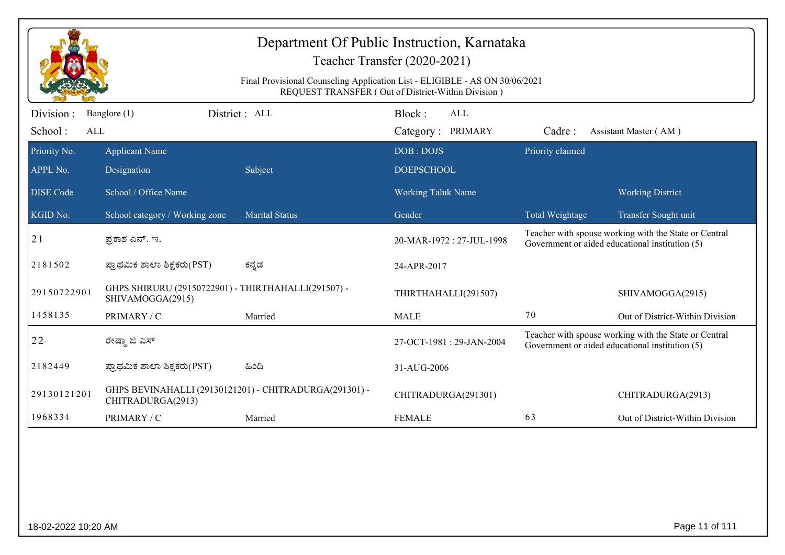| Department Of Public Instruction, Karnataka<br>Teacher Transfer (2020-2021)<br>Final Provisional Counseling Application List - ELIGIBLE - AS ON 30/06/2021<br>REQUEST TRANSFER (Out of District-Within Division) |                                                                         |                                                        |                                    |                  |                                                                                                          |  |  |
|------------------------------------------------------------------------------------------------------------------------------------------------------------------------------------------------------------------|-------------------------------------------------------------------------|--------------------------------------------------------|------------------------------------|------------------|----------------------------------------------------------------------------------------------------------|--|--|
| Division :<br>School:<br>ALL                                                                                                                                                                                     | Banglore (1)                                                            | District: ALL                                          | Block:<br>ALL<br>Category: PRIMARY | Cadre:           | Assistant Master (AM)                                                                                    |  |  |
| Priority No.<br>APPL No.                                                                                                                                                                                         | <b>Applicant Name</b><br>Designation                                    | Subject                                                | DOB: DOJS<br><b>DOEPSCHOOL</b>     | Priority claimed |                                                                                                          |  |  |
| <b>DISE</b> Code                                                                                                                                                                                                 | School / Office Name                                                    |                                                        | <b>Working Taluk Name</b>          |                  | <b>Working District</b>                                                                                  |  |  |
| KGID No.                                                                                                                                                                                                         | School category / Working zone                                          | <b>Marital Status</b>                                  | Gender                             | Total Weightage  | Transfer Sought unit                                                                                     |  |  |
| 21                                                                                                                                                                                                               | ಪ್ರಕಾಶ ಎನ್. ಇ.                                                          |                                                        | 20-MAR-1972 : 27-JUL-1998          |                  | Teacher with spouse working with the State or Central<br>Government or aided educational institution (5) |  |  |
| 2181502                                                                                                                                                                                                          | ಪ್ರಾಥಮಿಕ ಶಾಲಾ ಶಿಕ್ಷಕರು(PST)                                             | ಕನ್ನಡ                                                  | 24-APR-2017                        |                  |                                                                                                          |  |  |
| 29150722901                                                                                                                                                                                                      | GHPS SHIRURU (29150722901) - THIRTHAHALLI(291507) -<br>SHIVAMOGGA(2915) |                                                        | THIRTHAHALLI(291507)               |                  | SHIVAMOGGA(2915)                                                                                         |  |  |
| 1458135                                                                                                                                                                                                          | PRIMARY / C                                                             | Married                                                | <b>MALE</b>                        | 70               | Out of District-Within Division                                                                          |  |  |
| 22                                                                                                                                                                                                               | ರೇಷ್ಮಾ ಜಿ ಎಸ್                                                           |                                                        | 27-OCT-1981: 29-JAN-2004           |                  | Teacher with spouse working with the State or Central<br>Government or aided educational institution (5) |  |  |
| 2182449                                                                                                                                                                                                          | ಪ್ರಾಥಮಿಕ ಶಾಲಾ ಶಿಕ್ಷಕರು(PST)                                             | ಹಿಂದಿ                                                  | 31-AUG-2006                        |                  |                                                                                                          |  |  |
| 29130121201                                                                                                                                                                                                      | CHITRADURGA(2913)                                                       | GHPS BEVINAHALLI (29130121201) - CHITRADURGA(291301) - | CHITRADURGA(291301)                |                  | CHITRADURGA(2913)                                                                                        |  |  |
| 1968334                                                                                                                                                                                                          | PRIMARY / C                                                             | Married                                                | <b>FEMALE</b>                      | 63               | Out of District-Within Division                                                                          |  |  |
|                                                                                                                                                                                                                  |                                                                         |                                                        |                                    |                  |                                                                                                          |  |  |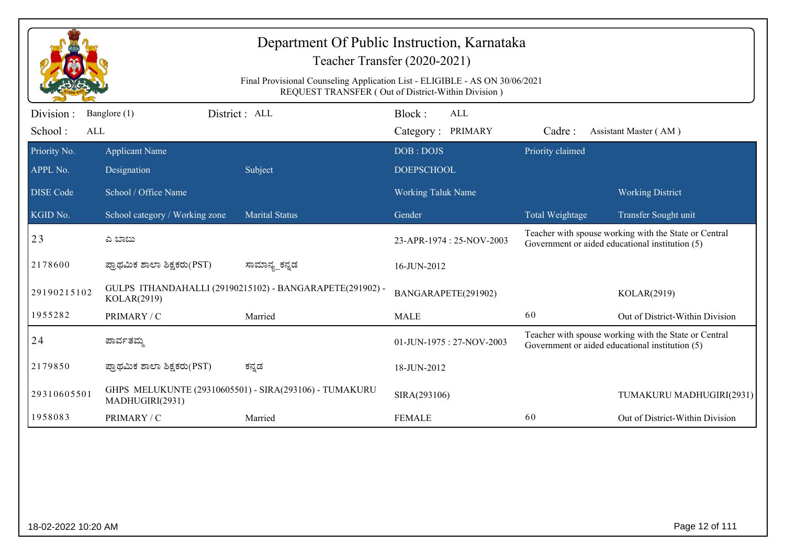| Department Of Public Instruction, Karnataka<br>Teacher Transfer (2020-2021)<br>Final Provisional Counseling Application List - ELIGIBLE - AS ON 30/06/2021<br>REQUEST TRANSFER (Out of District-Within Division) |                                      |                                                          |                                |     |                  |                                                                                                          |  |
|------------------------------------------------------------------------------------------------------------------------------------------------------------------------------------------------------------------|--------------------------------------|----------------------------------------------------------|--------------------------------|-----|------------------|----------------------------------------------------------------------------------------------------------|--|
| Division:<br>School:<br>ALL                                                                                                                                                                                      | Banglore (1)                         | District : ALL                                           | Block:<br>Category: PRIMARY    | ALL | Cadre:           | Assistant Master (AM)                                                                                    |  |
| Priority No.<br>APPL No.                                                                                                                                                                                         | <b>Applicant Name</b><br>Designation | Subject                                                  | DOB: DOJS<br><b>DOEPSCHOOL</b> |     | Priority claimed |                                                                                                          |  |
| <b>DISE</b> Code                                                                                                                                                                                                 | School / Office Name                 |                                                          | <b>Working Taluk Name</b>      |     |                  | <b>Working District</b>                                                                                  |  |
| KGID No.                                                                                                                                                                                                         | School category / Working zone       | <b>Marital Status</b>                                    | Gender                         |     | Total Weightage  | Transfer Sought unit                                                                                     |  |
| 23                                                                                                                                                                                                               | ಎ ಬಾಬು                               |                                                          | 23-APR-1974 : 25-NOV-2003      |     |                  | Teacher with spouse working with the State or Central<br>Government or aided educational institution (5) |  |
| 2178600                                                                                                                                                                                                          | ಪ್ರಾಥಮಿಕ ಶಾಲಾ ಶಿಕ್ಷಕರು(PST)          | ಸಾಮಾನ್ಯ_ಕನ್ನಡ                                            | 16-JUN-2012                    |     |                  |                                                                                                          |  |
| 29190215102                                                                                                                                                                                                      | KOLAR(2919)                          | GULPS ITHANDAHALLI (29190215102) - BANGARAPETE(291902) - | BANGARAPETE(291902)            |     |                  | KOLAR(2919)                                                                                              |  |
| 1955282                                                                                                                                                                                                          | PRIMARY / C                          | Married                                                  | <b>MALE</b>                    |     | 60               | Out of District-Within Division                                                                          |  |
| 24                                                                                                                                                                                                               | ಪಾರ್ವತಮ                              |                                                          | $01$ -JUN-1975 : 27-NOV-2003   |     |                  | Teacher with spouse working with the State or Central<br>Government or aided educational institution (5) |  |
| 2179850                                                                                                                                                                                                          | ಪ್ರಾಥಮಿಕ ಶಾಲಾ ಶಿಕ್ಷಕರು(PST)          | ಕನ್ನಡ                                                    | 18-JUN-2012                    |     |                  |                                                                                                          |  |
| 29310605501                                                                                                                                                                                                      | MADHUGIRI(2931)                      | GHPS MELUKUNTE (29310605501) - SIRA(293106) - TUMAKURU   | SIRA(293106)                   |     |                  | TUMAKURU MADHUGIRI(2931)                                                                                 |  |
| 1958083                                                                                                                                                                                                          | PRIMARY / C                          | Married                                                  | <b>FEMALE</b>                  |     | 60               | Out of District-Within Division                                                                          |  |
|                                                                                                                                                                                                                  |                                      |                                                          |                                |     |                  |                                                                                                          |  |
| 18-02-2022 10:20 AM                                                                                                                                                                                              |                                      |                                                          |                                |     |                  | Page 12 of 111                                                                                           |  |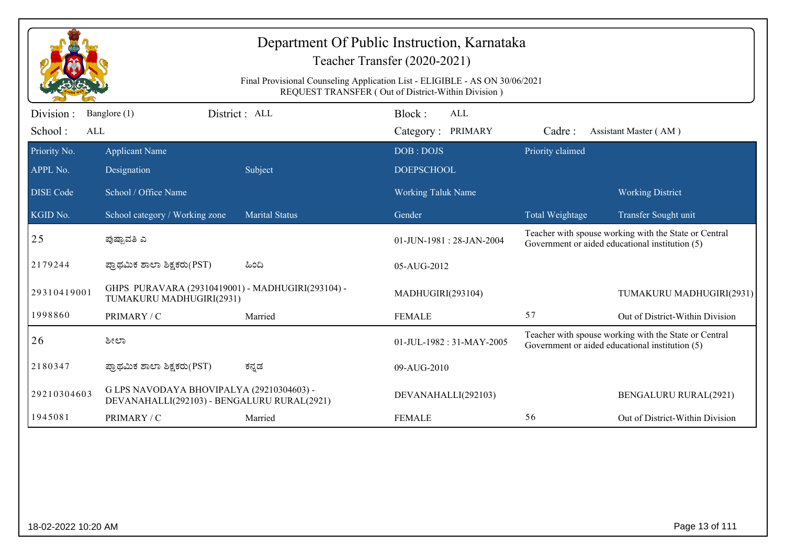|                  |                                                                                          |                       | Department Of Public Instruction, Karnataka<br>Teacher Transfer (2020-2021)<br>Final Provisional Counseling Application List - ELIGIBLE - AS ON 30/06/2021<br>REQUEST TRANSFER (Out of District-Within Division) |                  |                                                                                                          |
|------------------|------------------------------------------------------------------------------------------|-----------------------|------------------------------------------------------------------------------------------------------------------------------------------------------------------------------------------------------------------|------------------|----------------------------------------------------------------------------------------------------------|
| Division :       | Banglore (1)                                                                             | District: ALL         | Block:<br>ALL                                                                                                                                                                                                    |                  |                                                                                                          |
| School:<br>ALL   |                                                                                          |                       | Category: PRIMARY                                                                                                                                                                                                | Cadre:           | Assistant Master (AM)                                                                                    |
| Priority No.     | <b>Applicant Name</b>                                                                    |                       | DOB: DOJS                                                                                                                                                                                                        | Priority claimed |                                                                                                          |
| APPL No.         | Designation                                                                              | Subject               | <b>DOEPSCHOOL</b>                                                                                                                                                                                                |                  |                                                                                                          |
| <b>DISE</b> Code | School / Office Name                                                                     |                       | <b>Working Taluk Name</b>                                                                                                                                                                                        |                  | <b>Working District</b>                                                                                  |
| KGID No.         | School category / Working zone                                                           | <b>Marital Status</b> | Gender                                                                                                                                                                                                           | Total Weightage  | Transfer Sought unit                                                                                     |
| 25               | ಪುಷ್ಪಾವತಿ ಎ                                                                              |                       | $01$ -JUN-1981 : 28-JAN-2004                                                                                                                                                                                     |                  | Teacher with spouse working with the State or Central<br>Government or aided educational institution (5) |
| 2179244          | ಪ್ರಾಥಮಿಕ ಶಾಲಾ ಶಿಕ್ಷಕರು(PST)                                                              | ಹಿಂದಿ                 | 05-AUG-2012                                                                                                                                                                                                      |                  |                                                                                                          |
| 29310419001      | GHPS PURAVARA (29310419001) - MADHUGIRI(293104) -<br>TUMAKURU MADHUGIRI(2931)            |                       | MADHUGIRI(293104)                                                                                                                                                                                                |                  | TUMAKURU MADHUGIRI(2931)                                                                                 |
| 1998860          | PRIMARY / C                                                                              | Married               | <b>FEMALE</b>                                                                                                                                                                                                    | 57               | Out of District-Within Division                                                                          |
| 26               | ಶೀಲಾ                                                                                     |                       | 01-JUL-1982: 31-MAY-2005                                                                                                                                                                                         |                  | Teacher with spouse working with the State or Central<br>Government or aided educational institution (5) |
| 2180347          | ಪ್ರಾಥಮಿಕ ಶಾಲಾ ಶಿಕ್ಷಕರು(PST)                                                              | ಕನ್ನಡ                 | 09-AUG-2010                                                                                                                                                                                                      |                  |                                                                                                          |
| 29210304603      | G LPS NAVODAYA BHOVIPALYA (29210304603) -<br>DEVANAHALLI(292103) - BENGALURU RURAL(2921) |                       | DEVANAHALLI(292103)                                                                                                                                                                                              |                  | <b>BENGALURU RURAL(2921)</b>                                                                             |
| 1945081          | PRIMARY / C                                                                              | Married               | <b>FEMALE</b>                                                                                                                                                                                                    | 56               | Out of District-Within Division                                                                          |
|                  |                                                                                          |                       |                                                                                                                                                                                                                  |                  |                                                                                                          |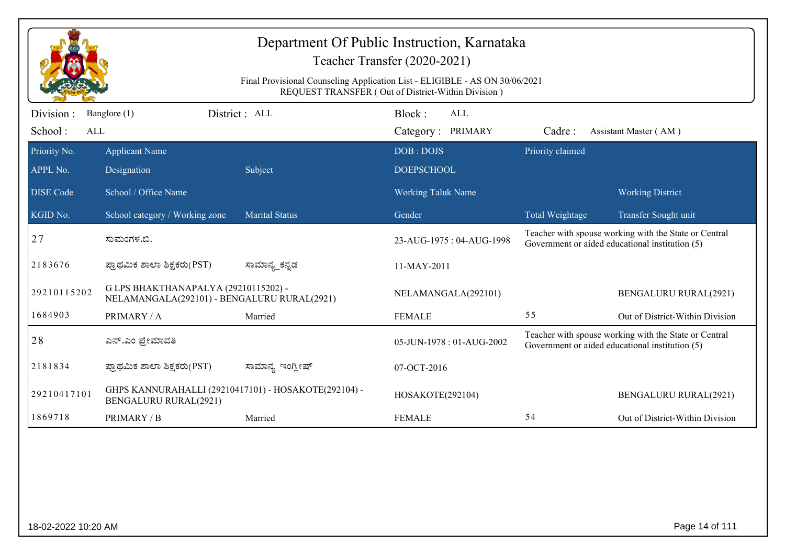|                             |                                                                                      | Final Provisional Counseling Application List - ELIGIBLE - AS ON 30/06/2021 | Department Of Public Instruction, Karnataka<br>Teacher Transfer (2020-2021)<br>REQUEST TRANSFER (Out of District-Within Division) |                  |                                                                                                          |
|-----------------------------|--------------------------------------------------------------------------------------|-----------------------------------------------------------------------------|-----------------------------------------------------------------------------------------------------------------------------------|------------------|----------------------------------------------------------------------------------------------------------|
| Division:<br>School:<br>ALL | Banglore (1)                                                                         | District: ALL                                                               | Block:<br>ALL<br>Category: PRIMARY                                                                                                | Cadre:           | Assistant Master (AM)                                                                                    |
| Priority No.<br>APPL No.    | <b>Applicant Name</b><br>Designation                                                 | Subject                                                                     | DOB: DOJS<br><b>DOEPSCHOOL</b>                                                                                                    | Priority claimed |                                                                                                          |
| <b>DISE</b> Code            | School / Office Name                                                                 |                                                                             | <b>Working Taluk Name</b>                                                                                                         |                  | <b>Working District</b>                                                                                  |
| KGID No.                    | School category / Working zone                                                       | <b>Marital Status</b>                                                       | Gender                                                                                                                            | Total Weightage  | Transfer Sought unit                                                                                     |
| 27                          | ಸುಮಂಗಳ.ಬಿ.                                                                           |                                                                             | 23-AUG-1975: 04-AUG-1998                                                                                                          |                  | Teacher with spouse working with the State or Central<br>Government or aided educational institution (5) |
| 2183676                     | ಪ್ರಾಥಮಿಕ ಶಾಲಾ ಶಿಕ್ಷಕರು(PST)                                                          | ಸಾಮಾನ್ಯ_ಕನ್ನಡ                                                               | 11-MAY-2011                                                                                                                       |                  |                                                                                                          |
| 29210115202                 | G LPS BHAKTHANAPALYA (29210115202) -<br>NELAMANGALA(292101) - BENGALURU RURAL(2921)  |                                                                             | NELAMANGALA(292101)                                                                                                               |                  | <b>BENGALURU RURAL(2921)</b>                                                                             |
| 1684903                     | PRIMARY / A                                                                          | Married                                                                     | <b>FEMALE</b>                                                                                                                     | 55               | Out of District-Within Division                                                                          |
| 28                          | ಎನ್.ಎಂ ಪ್ರೇಮಾವತಿ                                                                     |                                                                             | 05-JUN-1978: 01-AUG-2002                                                                                                          |                  | Teacher with spouse working with the State or Central<br>Government or aided educational institution (5) |
| 2181834                     | ಪ್ರಾಥಮಿಕ ಶಾಲಾ ಶಿಕ್ಷಕರು(PST)                                                          | ಸಾಮಾನ್ಯ_ಇಂಗ್ಲೀಷ್                                                            | 07-OCT-2016                                                                                                                       |                  |                                                                                                          |
| 29210417101                 | GHPS KANNURAHALLI (29210417101) - HOSAKOTE(292104) -<br><b>BENGALURU RURAL(2921)</b> |                                                                             | HOSAKOTE(292104)                                                                                                                  |                  | <b>BENGALURU RURAL(2921)</b>                                                                             |
| 1869718                     | PRIMARY / B                                                                          | Married                                                                     | <b>FEMALE</b>                                                                                                                     | 54               | Out of District-Within Division                                                                          |
|                             |                                                                                      |                                                                             |                                                                                                                                   |                  |                                                                                                          |
| 18-02-2022 10:20 AM         |                                                                                      |                                                                             |                                                                                                                                   |                  | Page 14 of 111                                                                                           |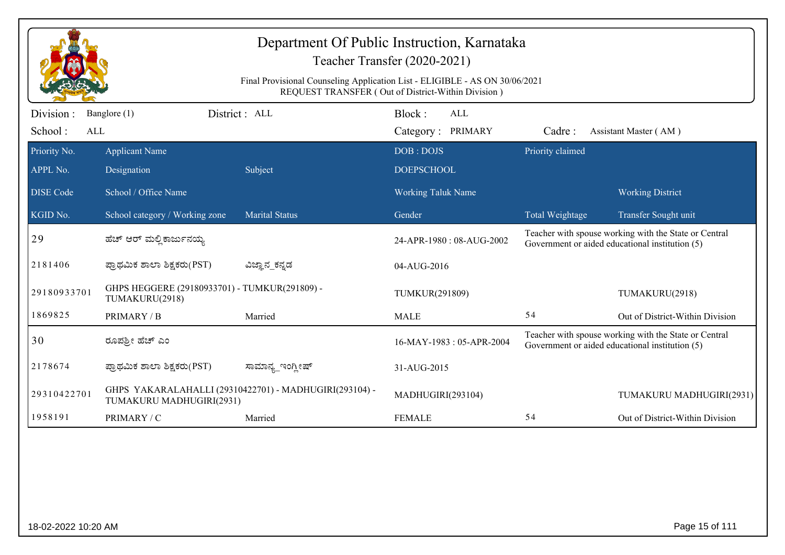|                  |                                                                 | Final Provisional Counseling Application List - ELIGIBLE - AS ON 30/06/2021 | Department Of Public Instruction, Karnataka<br>Teacher Transfer (2020-2021)<br>REQUEST TRANSFER (Out of District-Within Division) |                  |                                                                                                          |
|------------------|-----------------------------------------------------------------|-----------------------------------------------------------------------------|-----------------------------------------------------------------------------------------------------------------------------------|------------------|----------------------------------------------------------------------------------------------------------|
| Division:        | Banglore (1)                                                    | District: ALL                                                               | Block:<br><b>ALL</b>                                                                                                              |                  |                                                                                                          |
| School:<br>ALL   |                                                                 |                                                                             | Category: PRIMARY                                                                                                                 | Cadre:           | Assistant Master (AM)                                                                                    |
| Priority No.     | <b>Applicant Name</b>                                           |                                                                             | DOB: DOJS                                                                                                                         | Priority claimed |                                                                                                          |
| APPL No.         | Designation                                                     | Subject                                                                     | <b>DOEPSCHOOL</b>                                                                                                                 |                  |                                                                                                          |
| <b>DISE Code</b> | School / Office Name                                            |                                                                             | <b>Working Taluk Name</b>                                                                                                         |                  | <b>Working District</b>                                                                                  |
| KGID No.         | School category / Working zone                                  | <b>Marital Status</b>                                                       | Gender                                                                                                                            | Total Weightage  | Transfer Sought unit                                                                                     |
| 29               | ಹೆಚ್ ಆರ್ ಮಲ್ಲಿ ಕಾರ್ಜುನಯ್ಯ                                       |                                                                             | 24-APR-1980: 08-AUG-2002                                                                                                          |                  | Teacher with spouse working with the State or Central<br>Government or aided educational institution (5) |
| 2181406          | ಪ್ರಾಥಮಿಕ ಶಾಲಾ ಶಿಕ್ಷಕರು(PST)                                     | ವಿಜ್ಞಾನ_ಕನ್ನಡ                                                               | 04-AUG-2016                                                                                                                       |                  |                                                                                                          |
| 29180933701      | GHPS HEGGERE (29180933701) - TUMKUR(291809) -<br>TUMAKURU(2918) |                                                                             | TUMKUR(291809)                                                                                                                    |                  | TUMAKURU(2918)                                                                                           |
| 1869825          | PRIMARY / B                                                     | Married                                                                     | <b>MALE</b>                                                                                                                       | 54               | Out of District-Within Division                                                                          |
| 30               | ರೂಪಶ್ರೀ ಹೆಚ್ ಎಂ                                                 |                                                                             | 16-MAY-1983: 05-APR-2004                                                                                                          |                  | Teacher with spouse working with the State or Central<br>Government or aided educational institution (5) |
| 2178674          | ಪ್ರಾಥಮಿಕ ಶಾಲಾ ಶಿಕ್ಷಕರು(PST)                                     | ಸಾಮಾನ್ಯ ಇಂಗ್ತೀಷ್                                                            | 31-AUG-2015                                                                                                                       |                  |                                                                                                          |
| 29310422701      | TUMAKURU MADHUGIRI(2931)                                        | GHPS YAKARALAHALLI (29310422701) - MADHUGIRI(293104) -                      | MADHUGIRI(293104)                                                                                                                 |                  | TUMAKURU MADHUGIRI(2931)                                                                                 |
| 1958191          | PRIMARY / C                                                     | Married                                                                     | <b>FEMALE</b>                                                                                                                     | 54               | Out of District-Within Division                                                                          |
|                  |                                                                 |                                                                             |                                                                                                                                   |                  |                                                                                                          |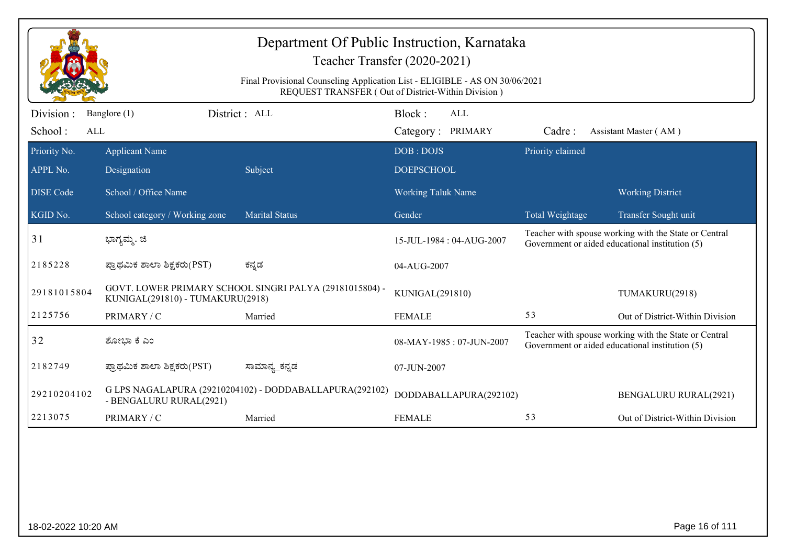|                              |                                      | Department Of Public Instruction, Karnataka                                 | Teacher Transfer (2020-2021)                       |                  |                                                                                                          |
|------------------------------|--------------------------------------|-----------------------------------------------------------------------------|----------------------------------------------------|------------------|----------------------------------------------------------------------------------------------------------|
|                              |                                      | Final Provisional Counseling Application List - ELIGIBLE - AS ON 30/06/2021 | REQUEST TRANSFER (Out of District-Within Division) |                  |                                                                                                          |
| Division :<br>School:<br>ALL | Banglore (1)                         | District : ALL                                                              | Block:<br>ALL<br>Category: PRIMARY                 | Cadre:           | Assistant Master (AM)                                                                                    |
| Priority No.<br>APPL No.     | <b>Applicant Name</b><br>Designation | Subject                                                                     | DOB: DOJS<br><b>DOEPSCHOOL</b>                     | Priority claimed |                                                                                                          |
| <b>DISE Code</b>             | School / Office Name                 |                                                                             | <b>Working Taluk Name</b>                          |                  | <b>Working District</b>                                                                                  |
| KGID No.                     | School category / Working zone       | <b>Marital Status</b>                                                       | Gender                                             | Total Weightage  | Transfer Sought unit                                                                                     |
| 31                           | ಭಾಗ್ಯಮ್ಮ. ಜಿ                         |                                                                             | 15-JUL-1984 : 04-AUG-2007                          |                  | Teacher with spouse working with the State or Central<br>Government or aided educational institution (5) |
| 2185228                      | ಪ್ರಾಥಮಿಕ ಶಾಲಾ ಶಿಕ್ಷಕರು(PST)          | ಕನ್ನಡ                                                                       | 04-AUG-2007                                        |                  |                                                                                                          |
| 29181015804                  | KUNIGAL(291810) - TUMAKURU(2918)     | GOVT. LOWER PRIMARY SCHOOL SINGRI PALYA (29181015804) -                     | KUNIGAL(291810)                                    |                  | TUMAKURU(2918)                                                                                           |
| 2125756                      | PRIMARY / C                          | Married                                                                     | <b>FEMALE</b>                                      | 53               | Out of District-Within Division                                                                          |
| 32                           | ಶೋಭಾ ಕೆ ಎಂ                           |                                                                             | 08-MAY-1985: 07-JUN-2007                           |                  | Teacher with spouse working with the State or Central<br>Government or aided educational institution (5) |
| 2182749                      | ಪ್ರಾಥಮಿಕ ಶಾಲಾ ಶಿಕ್ಷಕರು(PST)          | ಸಾಮಾನ್ಯ_ಕನ್ನಡ                                                               | 07-JUN-2007                                        |                  |                                                                                                          |
| 29210204102                  | - BENGALURU RURAL(2921)              | G LPS NAGALAPURA (29210204102) - DODDABALLAPURA(292102)                     | DODDABALLAPURA(292102)                             |                  | <b>BENGALURU RURAL(2921)</b>                                                                             |
| 2213075                      | PRIMARY / C                          | Married                                                                     | <b>FEMALE</b>                                      | 53               | Out of District-Within Division                                                                          |
|                              |                                      |                                                                             |                                                    |                  |                                                                                                          |
| 18-02-2022 10:20 AM          |                                      |                                                                             |                                                    |                  | Page 16 of 111                                                                                           |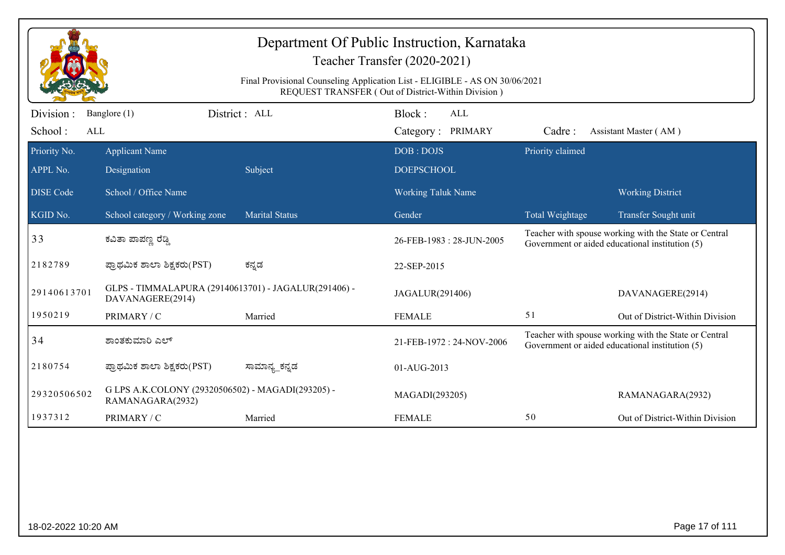|                       |                                                                          |                       | Department Of Public Instruction, Karnataka<br>Teacher Transfer (2020-2021)                                                       |                  |                                                                                                          |
|-----------------------|--------------------------------------------------------------------------|-----------------------|-----------------------------------------------------------------------------------------------------------------------------------|------------------|----------------------------------------------------------------------------------------------------------|
|                       |                                                                          |                       | Final Provisional Counseling Application List - ELIGIBLE - AS ON 30/06/2021<br>REQUEST TRANSFER (Out of District-Within Division) |                  |                                                                                                          |
| Division:             | Banglore (1)                                                             | District: ALL         | Block:<br>$\mbox{ALL}$                                                                                                            |                  |                                                                                                          |
| School:<br><b>ALL</b> |                                                                          |                       | Category: PRIMARY                                                                                                                 | Cadre:           | Assistant Master (AM)                                                                                    |
| Priority No.          | <b>Applicant Name</b>                                                    |                       | DOB: DOJS                                                                                                                         | Priority claimed |                                                                                                          |
| APPL No.              | Designation                                                              | Subject               | <b>DOEPSCHOOL</b>                                                                                                                 |                  |                                                                                                          |
| <b>DISE Code</b>      | School / Office Name                                                     |                       | Working Taluk Name                                                                                                                |                  | <b>Working District</b>                                                                                  |
| KGID No.              | School category / Working zone                                           | <b>Marital Status</b> | Gender                                                                                                                            | Total Weightage  | Transfer Sought unit                                                                                     |
| 33                    | ಕವಿತಾ ಪಾಪಣ್ಣ ರೆಡ್ಡಿ                                                      |                       | 26-FEB-1983: 28-JUN-2005                                                                                                          |                  | Teacher with spouse working with the State or Central<br>Government or aided educational institution (5) |
| 2182789               | ಪ್ರಾಥಮಿಕ ಶಾಲಾ ಶಿಕ್ಷಕರು(PST)                                              | ಕನ್ನಡ                 | 22-SEP-2015                                                                                                                       |                  |                                                                                                          |
| 29140613701           | GLPS - TIMMALAPURA (29140613701) - JAGALUR(291406) -<br>DAVANAGERE(2914) |                       | JAGALUR(291406)                                                                                                                   |                  | DAVANAGERE(2914)                                                                                         |
| 1950219               | PRIMARY / C                                                              | Married               | <b>FEMALE</b>                                                                                                                     | 51               | Out of District-Within Division                                                                          |
| 34                    | ಶಾಂತಕುಮಾರಿ ಎಲ್                                                           |                       | 21-FEB-1972: 24-NOV-2006                                                                                                          |                  | Teacher with spouse working with the State or Central<br>Government or aided educational institution (5) |
| 2180754               | ಪ್ರಾಥಮಿಕ ಶಾಲಾ ಶಿಕ್ಷಕರು(PST)                                              | ಸಾಮಾನ್ಯ ಕನ್ನಡ         | 01-AUG-2013                                                                                                                       |                  |                                                                                                          |
| 29320506502           | G LPS A.K.COLONY (29320506502) - MAGADI(293205) -<br>RAMANAGARA(2932)    |                       | MAGADI(293205)                                                                                                                    |                  | RAMANAGARA(2932)                                                                                         |
| 1937312               | PRIMARY / C                                                              | Married               | <b>FEMALE</b>                                                                                                                     | 50               | Out of District-Within Division                                                                          |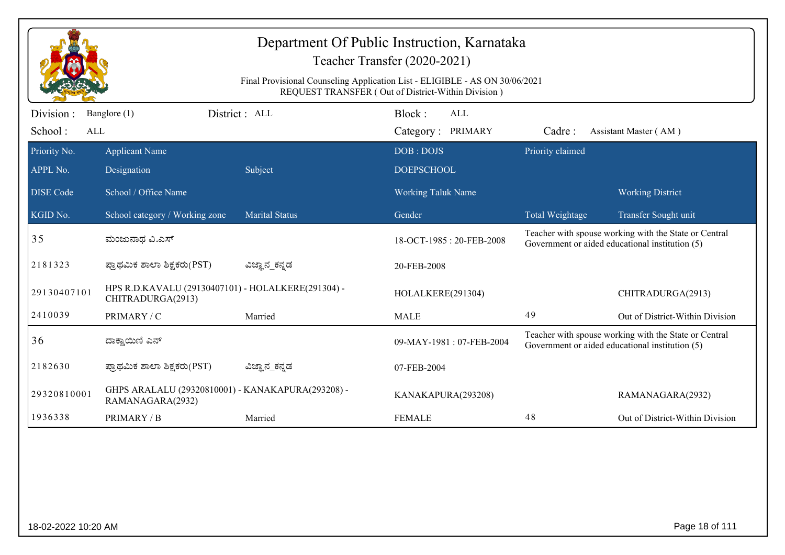| Division:<br>Banglore (1) |                                                                         | Final Provisional Counseling Application List - ELIGIBLE - AS ON 30/06/2021<br>REQUEST TRANSFER (Out of District-Within Division) |                          |                  |                                                                                                          |
|---------------------------|-------------------------------------------------------------------------|-----------------------------------------------------------------------------------------------------------------------------------|--------------------------|------------------|----------------------------------------------------------------------------------------------------------|
|                           |                                                                         |                                                                                                                                   |                          |                  |                                                                                                          |
|                           | District: ALL                                                           |                                                                                                                                   | Block:<br><b>ALL</b>     |                  |                                                                                                          |
| School:<br><b>ALL</b>     |                                                                         |                                                                                                                                   | Category: PRIMARY        | Cadre:           | Assistant Master (AM)                                                                                    |
| Priority No.              | <b>Applicant Name</b>                                                   |                                                                                                                                   | DOB: DOJS                | Priority claimed |                                                                                                          |
| APPL No.                  | Designation                                                             | Subject                                                                                                                           | <b>DOEPSCHOOL</b>        |                  |                                                                                                          |
| <b>DISE</b> Code          | School / Office Name                                                    |                                                                                                                                   | Working Taluk Name       |                  | <b>Working District</b>                                                                                  |
| KGID No.                  | School category / Working zone                                          | <b>Marital Status</b>                                                                                                             | Gender                   | Total Weightage  | Transfer Sought unit                                                                                     |
| 35                        | ಮಂಜುನಾಥ ವಿ.ಎಸ್                                                          |                                                                                                                                   | 18-OCT-1985: 20-FEB-2008 |                  | Teacher with spouse working with the State or Central<br>Government or aided educational institution (5) |
| 2181323                   | ಪ್ರಾಥಮಿಕ ಶಾಲಾ ಶಿಕ್ಷಕರು(PST)                                             | ವಿಜ್ಞಾನ_ಕನ್ನಡ                                                                                                                     | 20-FEB-2008              |                  |                                                                                                          |
| 29130407101               | HPS R.D.KAVALU (29130407101) - HOLALKERE(291304) -<br>CHITRADURGA(2913) |                                                                                                                                   | HOLALKERE(291304)        |                  | CHITRADURGA(2913)                                                                                        |
| 2410039                   | PRIMARY / C                                                             | Married                                                                                                                           | <b>MALE</b>              | 49               | Out of District-Within Division                                                                          |
| 36                        | ದಾಕ್ಷಾಯಿಣಿ ಎನ್                                                          |                                                                                                                                   | 09-MAY-1981: 07-FEB-2004 |                  | Teacher with spouse working with the State or Central<br>Government or aided educational institution (5) |
| 2182630                   | ಪ್ರಾಥಮಿಕ ಶಾಲಾ ಶಿಕ್ಷಕರು(PST)                                             | ವಿಜ್ಞಾನ_ಕನ್ನಡ                                                                                                                     | 07-FEB-2004              |                  |                                                                                                          |
| 29320810001               | GHPS ARALALU (29320810001) - KANAKAPURA(293208) -<br>RAMANAGARA(2932)   |                                                                                                                                   | KANAKAPURA(293208)       |                  | RAMANAGARA(2932)                                                                                         |
| 1936338                   | PRIMARY / B                                                             | Married                                                                                                                           | <b>FEMALE</b>            | $4\,8$           | Out of District-Within Division                                                                          |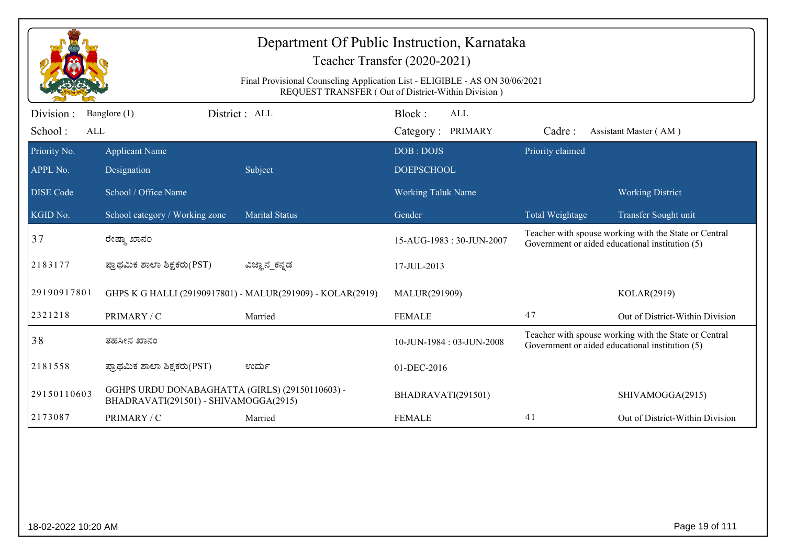|                  |                                                                                          | Department Of Public Instruction, Karnataka                                 | Teacher Transfer (2020-2021)                       |                  |                                                                                                          |
|------------------|------------------------------------------------------------------------------------------|-----------------------------------------------------------------------------|----------------------------------------------------|------------------|----------------------------------------------------------------------------------------------------------|
|                  |                                                                                          | Final Provisional Counseling Application List - ELIGIBLE - AS ON 30/06/2021 | REQUEST TRANSFER (Out of District-Within Division) |                  |                                                                                                          |
| Division:        | Banglore (1)                                                                             | District : ALL                                                              | Block:<br>ALL                                      |                  |                                                                                                          |
| School:<br>ALL   |                                                                                          |                                                                             | Category: PRIMARY                                  | Cadre:           | Assistant Master (AM)                                                                                    |
| Priority No.     | <b>Applicant Name</b>                                                                    |                                                                             | DOB: DOJS                                          | Priority claimed |                                                                                                          |
| APPL No.         | Designation                                                                              | Subject                                                                     | <b>DOEPSCHOOL</b>                                  |                  |                                                                                                          |
| <b>DISE</b> Code | School / Office Name                                                                     |                                                                             | <b>Working Taluk Name</b>                          |                  | <b>Working District</b>                                                                                  |
| KGID No.         | School category / Working zone                                                           | <b>Marital Status</b>                                                       | Gender                                             | Total Weightage  | Transfer Sought unit                                                                                     |
| 37               | ರೇಷ್ಮಾ ಖಾನಂ                                                                              |                                                                             | 15-AUG-1983: 30-JUN-2007                           |                  | Teacher with spouse working with the State or Central<br>Government or aided educational institution (5) |
| 2183177          | ಪ್ರಾಥಮಿಕ ಶಾಲಾ ಶಿಕ್ಷಕರು(PST)                                                              | ವಿಜ್ಞಾನ_ಕನ್ನಡ                                                               | 17-JUL-2013                                        |                  |                                                                                                          |
| 29190917801      |                                                                                          | GHPS K G HALLI (29190917801) - MALUR(291909) - KOLAR(2919)                  | MALUR(291909)                                      |                  | KOLAR(2919)                                                                                              |
| 2321218          | PRIMARY / C                                                                              | Married                                                                     | <b>FEMALE</b>                                      | 47               | Out of District-Within Division                                                                          |
| 38               | ತಹಸೀನ ಖಾನಂ                                                                               |                                                                             | 10-JUN-1984: 03-JUN-2008                           |                  | Teacher with spouse working with the State or Central<br>Government or aided educational institution (5) |
| 2181558          | ಪ್ರಾಥಮಿಕ ಶಾಲಾ ಶಿಕ್ಷಕರು(PST)                                                              | ಉರ್ದು                                                                       | 01-DEC-2016                                        |                  |                                                                                                          |
| 29150110603      | GGHPS URDU DONABAGHATTA (GIRLS) (29150110603) -<br>BHADRAVATI(291501) - SHIVAMOGGA(2915) |                                                                             | BHADRAVATI(291501)                                 |                  | SHIVAMOGGA(2915)                                                                                         |
| 2173087          | PRIMARY / C                                                                              | Married                                                                     | <b>FEMALE</b>                                      | 41               | Out of District-Within Division                                                                          |
|                  |                                                                                          |                                                                             |                                                    |                  |                                                                                                          |
|                  |                                                                                          |                                                                             |                                                    |                  |                                                                                                          |
|                  |                                                                                          |                                                                             |                                                    |                  |                                                                                                          |
|                  |                                                                                          |                                                                             |                                                    |                  |                                                                                                          |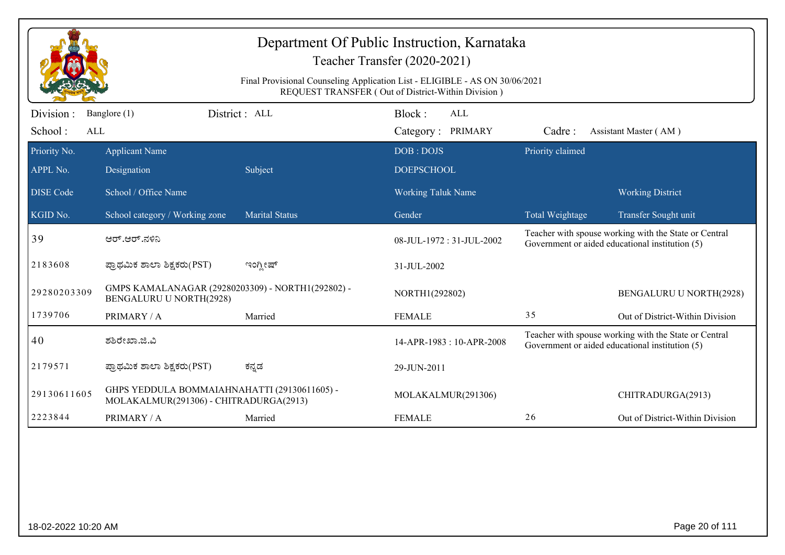|                       |                                                                                        | Final Provisional Counseling Application List - ELIGIBLE - AS ON 30/06/2021 | Department Of Public Instruction, Karnataka<br>Teacher Transfer (2020-2021)<br>REQUEST TRANSFER (Out of District-Within Division) |                  |                                                                                                          |
|-----------------------|----------------------------------------------------------------------------------------|-----------------------------------------------------------------------------|-----------------------------------------------------------------------------------------------------------------------------------|------------------|----------------------------------------------------------------------------------------------------------|
| Division:             | Banglore (1)                                                                           | District: ALL                                                               | Block:<br><b>ALL</b>                                                                                                              |                  |                                                                                                          |
| School:<br><b>ALL</b> |                                                                                        |                                                                             | Category: PRIMARY                                                                                                                 | Cadre:           | Assistant Master (AM)                                                                                    |
| Priority No.          | <b>Applicant Name</b>                                                                  |                                                                             | DOB: DOJS                                                                                                                         | Priority claimed |                                                                                                          |
| APPL No.              | Designation                                                                            | Subject                                                                     | <b>DOEPSCHOOL</b>                                                                                                                 |                  |                                                                                                          |
| <b>DISE Code</b>      | School / Office Name                                                                   |                                                                             | <b>Working Taluk Name</b>                                                                                                         |                  | <b>Working District</b>                                                                                  |
| KGID No.              | School category / Working zone                                                         | <b>Marital Status</b>                                                       | Gender                                                                                                                            | Total Weightage  | Transfer Sought unit                                                                                     |
| 39                    | ಆರ್.ಆರ್.ನಳಿನಿ                                                                          |                                                                             | 08-JUL-1972: 31-JUL-2002                                                                                                          |                  | Teacher with spouse working with the State or Central<br>Government or aided educational institution (5) |
| 2183608               | ಪ್ರಾಥಮಿಕ ಶಾಲಾ ಶಿಕ್ಷಕರು(PST)                                                            | ಇಂಗ್ಲೀಷ್                                                                    | 31-JUL-2002                                                                                                                       |                  |                                                                                                          |
| 29280203309           | GMPS KAMALANAGAR (29280203309) - NORTH1(292802) -<br><b>BENGALURU U NORTH(2928)</b>    |                                                                             | NORTH1(292802)                                                                                                                    |                  | <b>BENGALURU U NORTH(2928)</b>                                                                           |
| 1739706               | PRIMARY / A                                                                            | Married                                                                     | <b>FEMALE</b>                                                                                                                     | 35               | Out of District-Within Division                                                                          |
| 40                    | ಶಶಿರೇಖಾ.ಜಿ.ವಿ                                                                          |                                                                             | 14-APR-1983: 10-APR-2008                                                                                                          |                  | Teacher with spouse working with the State or Central<br>Government or aided educational institution (5) |
| 2179571               | ಪ್ರಾಥಮಿಕ ಶಾಲಾ ಶಿಕ್ಷಕರು(PST)                                                            | ಕನ್ನಡ                                                                       | 29-JUN-2011                                                                                                                       |                  |                                                                                                          |
| 29130611605           | GHPS YEDDULA BOMMAIAHNAHATTI (29130611605) -<br>MOLAKALMUR(291306) - CHITRADURGA(2913) |                                                                             | MOLAKALMUR(291306)                                                                                                                |                  | CHITRADURGA(2913)                                                                                        |
| 2223844               | PRIMARY / A                                                                            | Married                                                                     | <b>FEMALE</b>                                                                                                                     | 26               | Out of District-Within Division                                                                          |

18-02-2022 10:20 AM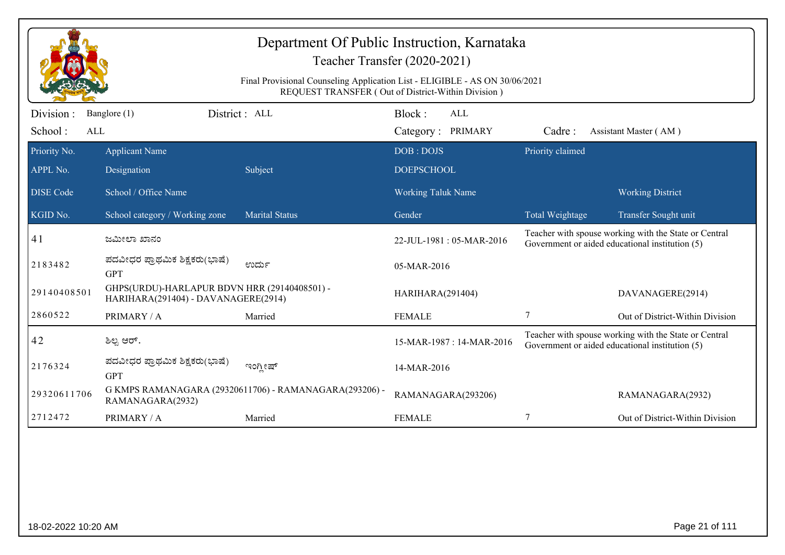|                  |                                                                                     | Department Of Public Instruction, Karnataka<br>Final Provisional Counseling Application List - ELIGIBLE - AS ON 30/06/2021 | Teacher Transfer (2020-2021)<br>REQUEST TRANSFER (Out of District-Within Division) |                  |                                                                                                          |
|------------------|-------------------------------------------------------------------------------------|----------------------------------------------------------------------------------------------------------------------------|------------------------------------------------------------------------------------|------------------|----------------------------------------------------------------------------------------------------------|
| Division:        | Banglore (1)                                                                        | District: ALL                                                                                                              | Block:<br><b>ALL</b>                                                               |                  |                                                                                                          |
| School:<br>ALL   |                                                                                     |                                                                                                                            | Category: PRIMARY                                                                  | Cadre:           | Assistant Master (AM)                                                                                    |
| Priority No.     | <b>Applicant Name</b>                                                               |                                                                                                                            | DOB: DOJS                                                                          | Priority claimed |                                                                                                          |
| APPL No.         | Designation                                                                         | Subject                                                                                                                    | <b>DOEPSCHOOL</b>                                                                  |                  |                                                                                                          |
| <b>DISE Code</b> | School / Office Name                                                                |                                                                                                                            | <b>Working Taluk Name</b>                                                          |                  | <b>Working District</b>                                                                                  |
| KGID No.         | School category / Working zone                                                      | <b>Marital Status</b>                                                                                                      | Gender                                                                             | Total Weightage  | Transfer Sought unit                                                                                     |
| 41               | ಜಮೀಲಾ ಖಾನಂ                                                                          |                                                                                                                            | 22-JUL-1981: 05-MAR-2016                                                           |                  | Teacher with spouse working with the State or Central<br>Government or aided educational institution (5) |
| 2183482          | ಪದವೀಧರ ಪ್ರಾಥಮಿಕ ಶಿಕ್ಷಕರು(ಭಾಷೆ)<br><b>GPT</b>                                        | ಉರ್ದು                                                                                                                      | 05-MAR-2016                                                                        |                  |                                                                                                          |
| 29140408501      | GHPS(URDU)-HARLAPUR BDVN HRR (29140408501) -<br>HARIHARA(291404) - DAVANAGERE(2914) |                                                                                                                            | HARIHARA(291404)                                                                   |                  | DAVANAGERE(2914)                                                                                         |
| 2860522          | PRIMARY / A                                                                         | Married                                                                                                                    | <b>FEMALE</b>                                                                      | $\tau$           | Out of District-Within Division                                                                          |
| 42               | ಶಿಲ್ಪ ಆರ್.                                                                          |                                                                                                                            | 15-MAR-1987: 14-MAR-2016                                                           |                  | Teacher with spouse working with the State or Central<br>Government or aided educational institution (5) |
| 2176324          | ಪದವೀಧರ ಪ್ರಾಥಮಿಕ ಶಿಕ್ಷಕರು(ಭಾಷೆ)<br><b>GPT</b>                                        | ಇಂಗ್ಲೀಷ್                                                                                                                   | 14-MAR-2016                                                                        |                  |                                                                                                          |
| 29320611706      | RAMANAGARA(2932)                                                                    | G KMPS RAMANAGARA (29320611706) - RAMANAGARA(293206) -                                                                     | RAMANAGARA(293206)                                                                 |                  | RAMANAGARA(2932)                                                                                         |
| 2712472          | PRIMARY / A                                                                         | Married                                                                                                                    | <b>FEMALE</b>                                                                      | 7                | Out of District-Within Division                                                                          |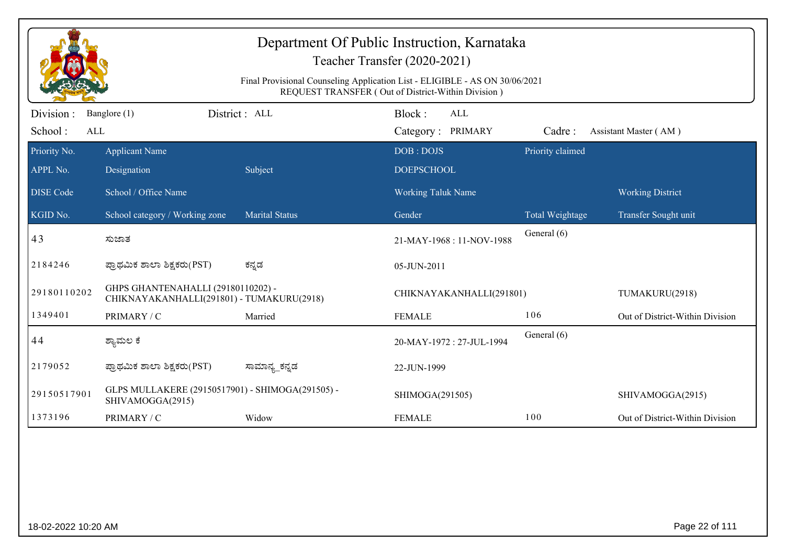|                              |                                                                                 | Final Provisional Counseling Application List - ELIGIBLE - AS ON 30/06/2021 | Department Of Public Instruction, Karnataka<br>Teacher Transfer (2020-2021)<br>REQUEST TRANSFER (Out of District-Within Division) |                  |                                 |
|------------------------------|---------------------------------------------------------------------------------|-----------------------------------------------------------------------------|-----------------------------------------------------------------------------------------------------------------------------------|------------------|---------------------------------|
| Division :<br>School:<br>ALL | Banglore (1)                                                                    | District : ALL                                                              | Block:<br><b>ALL</b><br>Category: PRIMARY                                                                                         | Cadre:           | Assistant Master (AM)           |
| Priority No.<br>APPL No.     | <b>Applicant Name</b><br>Designation                                            | Subject                                                                     | DOB: DOJS<br><b>DOEPSCHOOL</b>                                                                                                    | Priority claimed |                                 |
| <b>DISE Code</b>             | School / Office Name                                                            |                                                                             | <b>Working Taluk Name</b>                                                                                                         |                  | <b>Working District</b>         |
| KGID No.                     | School category / Working zone                                                  | <b>Marital Status</b>                                                       | Gender                                                                                                                            | Total Weightage  | Transfer Sought unit            |
| 43                           | ಸುಜಾತ                                                                           |                                                                             | 21-MAY-1968: 11-NOV-1988                                                                                                          | General (6)      |                                 |
| 2184246                      | ಪ್ರಾಥಮಿಕ ಶಾಲಾ ಶಿಕ್ಷಕರು(PST)                                                     | ಕನ್ನಡ                                                                       | 05-JUN-2011                                                                                                                       |                  |                                 |
| 29180110202                  | GHPS GHANTENAHALLI (29180110202) -<br>CHIKNAYAKANHALLI(291801) - TUMAKURU(2918) |                                                                             | CHIKNAYAKANHALLI(291801)                                                                                                          |                  | TUMAKURU(2918)                  |
| 1349401                      | PRIMARY / C                                                                     | Married                                                                     | <b>FEMALE</b>                                                                                                                     | 106              | Out of District-Within Division |
| 44                           | ಶ್ಯಾಮಲ ಕೆ                                                                       |                                                                             | 20-MAY-1972: 27-JUL-1994                                                                                                          | General (6)      |                                 |
| 2179052                      | ಪ್ರಾಥಮಿಕ ಶಾಲಾ ಶಿಕ್ಷಕರು(PST)                                                     | ಸಾಮಾನ್ಯ_ಕನ್ನಡ                                                               | 22-JUN-1999                                                                                                                       |                  |                                 |
| 29150517901                  | GLPS MULLAKERE (29150517901) - SHIMOGA(291505) -<br>SHIVAMOGGA(2915)            |                                                                             | SHIMOGA(291505)                                                                                                                   |                  | SHIVAMOGGA(2915)                |
| 1373196                      | PRIMARY / C                                                                     | Widow                                                                       | <b>FEMALE</b>                                                                                                                     | 100              | Out of District-Within Division |
|                              |                                                                                 |                                                                             |                                                                                                                                   |                  |                                 |
| 18-02-2022 10:20 AM          |                                                                                 |                                                                             |                                                                                                                                   |                  | Page 22 of 111                  |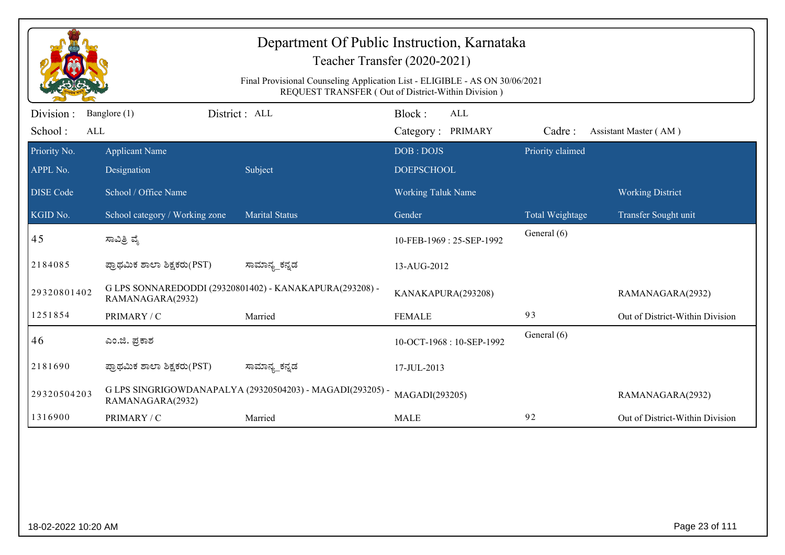|                              |                                      | Department Of Public Instruction, Karnataka                                 | Teacher Transfer (2020-2021)                       |                        |                                 |
|------------------------------|--------------------------------------|-----------------------------------------------------------------------------|----------------------------------------------------|------------------------|---------------------------------|
|                              |                                      | Final Provisional Counseling Application List - ELIGIBLE - AS ON 30/06/2021 | REQUEST TRANSFER (Out of District-Within Division) |                        |                                 |
| Division :<br>School:<br>ALL | Banglore (1)                         | District : ALL                                                              | Block:<br>ALL<br>Category: PRIMARY                 | Cadre:                 | Assistant Master (AM)           |
| Priority No.<br>APPL No.     | <b>Applicant Name</b><br>Designation | Subject                                                                     | DOB: DOJS<br><b>DOEPSCHOOL</b>                     | Priority claimed       |                                 |
| <b>DISE</b> Code             | School / Office Name                 |                                                                             | Working Taluk Name                                 |                        | <b>Working District</b>         |
| KGID No.                     | School category / Working zone       | <b>Marital Status</b>                                                       | Gender                                             | <b>Total Weightage</b> | Transfer Sought unit            |
| 45                           | ಸಾವಿತ್ರಿ ವೈ                          |                                                                             | 10-FEB-1969: 25-SEP-1992                           | General (6)            |                                 |
| 2184085                      | ಪ್ರಾಥಮಿಕ ಶಾಲಾ ಶಿಕ್ಷಕರು(PST)          | ಸಾಮಾನ್ಯ_ಕನ್ನಡ                                                               | 13-AUG-2012                                        |                        |                                 |
| 29320801402                  | RAMANAGARA(2932)                     | G LPS SONNAREDODDI (29320801402) - KANAKAPURA(293208) -                     | KANAKAPURA(293208)                                 |                        | RAMANAGARA(2932)                |
| 1251854                      | PRIMARY / C                          | Married                                                                     | <b>FEMALE</b>                                      | 93                     | Out of District-Within Division |
| 46                           | ಎಂ.ಜಿ. ಪ್ರಕಾಶ                        |                                                                             | 10-OCT-1968: 10-SEP-1992                           | General (6)            |                                 |
| 2181690                      | ಪ್ರಾಥಮಿಕ ಶಾಲಾ ಶಿಕ್ಷಕರು(PST)          | ಸಾಮಾನ್ಯ_ಕನ್ನಡ                                                               | 17-JUL-2013                                        |                        |                                 |
| 29320504203                  | RAMANAGARA(2932)                     | G LPS SINGRIGOWDANAPALYA (29320504203) - MAGADI(293205) -                   | MAGADI(293205)                                     |                        | RAMANAGARA(2932)                |
| 1316900                      | PRIMARY / C                          | Married                                                                     | <b>MALE</b>                                        | 92                     | Out of District-Within Division |
|                              |                                      |                                                                             |                                                    |                        |                                 |
| 18-02-2022 10:20 AM          |                                      |                                                                             |                                                    |                        | Page 23 of 111                  |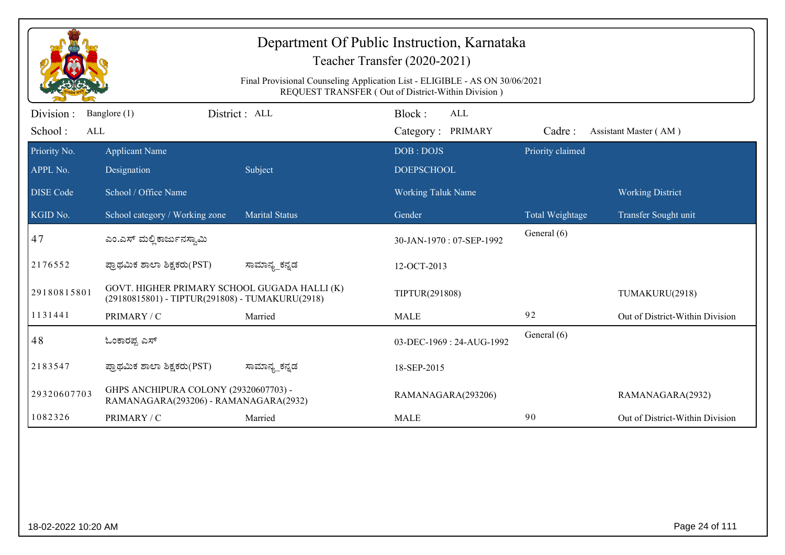|                                      |                                                                                                 |                       | Department Of Public Instruction, Karnataka<br>Teacher Transfer (2020-2021)<br>Final Provisional Counseling Application List - ELIGIBLE - AS ON 30/06/2021<br>REQUEST TRANSFER (Out of District-Within Division) |                  |                                 |
|--------------------------------------|-------------------------------------------------------------------------------------------------|-----------------------|------------------------------------------------------------------------------------------------------------------------------------------------------------------------------------------------------------------|------------------|---------------------------------|
| Division:<br>School:<br>$\mbox{ALL}$ | Banglore (1)                                                                                    | District: ALL         | Block:<br><b>ALL</b><br>Category: PRIMARY                                                                                                                                                                        | Cadre:           | Assistant Master (AM)           |
| Priority No.<br>APPL No.             | <b>Applicant Name</b><br>Designation                                                            | Subject               | DOB: DOJS<br><b>DOEPSCHOOL</b>                                                                                                                                                                                   | Priority claimed |                                 |
| <b>DISE</b> Code                     | School / Office Name                                                                            |                       | Working Taluk Name                                                                                                                                                                                               |                  | <b>Working District</b>         |
| KGID No.                             | School category / Working zone                                                                  | <b>Marital Status</b> | Gender                                                                                                                                                                                                           | Total Weightage  | Transfer Sought unit            |
| 47                                   | ಎಂ.ಎಸ್ ಮಲ್ಲಿ ಕಾರ್ಜುನಸ್ವಾಮಿ                                                                      |                       | 30-JAN-1970: 07-SEP-1992                                                                                                                                                                                         | General (6)      |                                 |
| 2176552                              | ಪ್ರಾಥಮಿಕ ಶಾಲಾ ಶಿಕ್ಷಕರು(PST)                                                                     | ಸಾಮಾನ್ಯ_ಕನ್ನಡ         | 12-OCT-2013                                                                                                                                                                                                      |                  |                                 |
| 29180815801                          | GOVT. HIGHER PRIMARY SCHOOL GUGADA HALLI (K)<br>(29180815801) - TIPTUR(291808) - TUMAKURU(2918) |                       | TIPTUR(291808)                                                                                                                                                                                                   |                  | TUMAKURU(2918)                  |
| 1131441                              | PRIMARY / C                                                                                     | Married               | <b>MALE</b>                                                                                                                                                                                                      | 92               | Out of District-Within Division |
| 48                                   | ಓಂಕಾರಪ್ಪ ಎಸ್                                                                                    |                       | 03-DEC-1969: 24-AUG-1992                                                                                                                                                                                         | General (6)      |                                 |
| 2183547                              | ಪ್ರಾಥಮಿಕ ಶಾಲಾ ಶಿಕ್ಷಕರು(PST)                                                                     | ಸಾಮಾನ್ಯ_ಕನ್ನಡ         | 18-SEP-2015                                                                                                                                                                                                      |                  |                                 |
| 29320607703                          | GHPS ANCHIPURA COLONY (29320607703) -<br>RAMANAGARA(293206) - RAMANAGARA(2932)                  |                       | RAMANAGARA(293206)                                                                                                                                                                                               |                  | RAMANAGARA(2932)                |
| 1082326                              | PRIMARY / C                                                                                     | Married               | <b>MALE</b>                                                                                                                                                                                                      | 90               | Out of District-Within Division |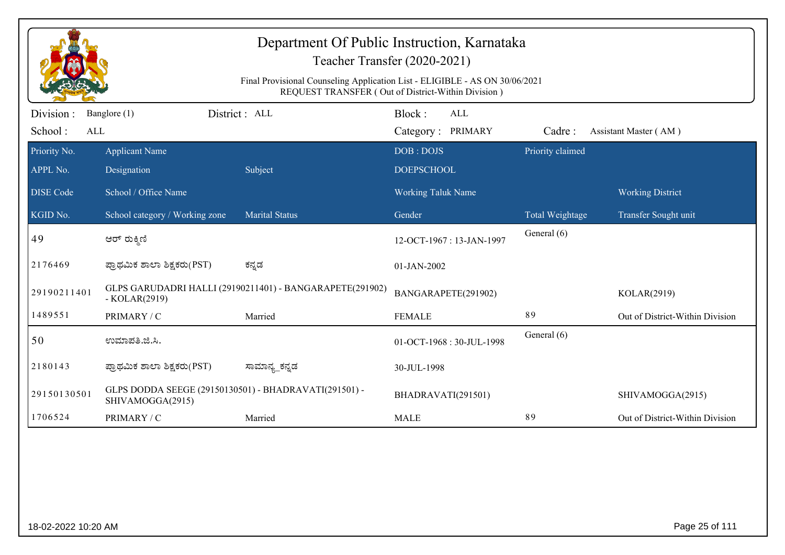| Department Of Public Instruction, Karnataka<br>Teacher Transfer (2020-2021)<br>Final Provisional Counseling Application List - ELIGIBLE - AS ON 30/06/2021 |                                                                           |                                                          |                                    |                  |                                 |  |  |  |
|------------------------------------------------------------------------------------------------------------------------------------------------------------|---------------------------------------------------------------------------|----------------------------------------------------------|------------------------------------|------------------|---------------------------------|--|--|--|
|                                                                                                                                                            | REQUEST TRANSFER (Out of District-Within Division)                        |                                                          |                                    |                  |                                 |  |  |  |
| Division :<br>School:<br>ALL                                                                                                                               | Banglore (1)                                                              | District : ALL                                           | Block:<br>ALL<br>Category: PRIMARY | Cadre:           | Assistant Master (AM)           |  |  |  |
| Priority No.<br>APPL No.                                                                                                                                   | <b>Applicant Name</b><br>Designation                                      | Subject                                                  | DOB: DOJS<br><b>DOEPSCHOOL</b>     | Priority claimed |                                 |  |  |  |
| <b>DISE</b> Code                                                                                                                                           | School / Office Name                                                      |                                                          | Working Taluk Name                 |                  | <b>Working District</b>         |  |  |  |
| KGID No.                                                                                                                                                   | School category / Working zone                                            | <b>Marital Status</b>                                    | Gender                             | Total Weightage  | Transfer Sought unit            |  |  |  |
| 49                                                                                                                                                         | ಆರ್ ರುಕ್ಕಿಣಿ                                                              |                                                          | 12-OCT-1967: 13-JAN-1997           | General (6)      |                                 |  |  |  |
| 2176469                                                                                                                                                    | ಪ್ರಾಥಮಿಕ ಶಾಲಾ ಶಿಕ್ಷಕರು(PST)                                               | ಕನ್ನಡ                                                    | 01-JAN-2002                        |                  |                                 |  |  |  |
| 29190211401                                                                                                                                                | $-KOLAR(2919)$                                                            | GLPS GARUDADRI HALLI (29190211401) - BANGARAPETE(291902) | BANGARAPETE(291902)                |                  | KOLAR(2919)                     |  |  |  |
| 1489551                                                                                                                                                    | PRIMARY / C                                                               | Married                                                  | <b>FEMALE</b>                      | 89               | Out of District-Within Division |  |  |  |
| 50                                                                                                                                                         | ಉಮಾಪತಿ.ಜಿ.ಸಿ.                                                             |                                                          | 01-OCT-1968: 30-JUL-1998           | General (6)      |                                 |  |  |  |
| 2180143                                                                                                                                                    | ಪ್ರಾಥಮಿಕ ಶಾಲಾ ಶಿಕ್ಷಕರು(PST)                                               | ಸಾಮಾನ್ಯ_ಕನ್ನಡ                                            | 30-JUL-1998                        |                  |                                 |  |  |  |
| 29150130501                                                                                                                                                | GLPS DODDA SEEGE (29150130501) - BHADRAVATI(291501) -<br>SHIVAMOGGA(2915) |                                                          | BHADRAVATI(291501)                 |                  | SHIVAMOGGA(2915)                |  |  |  |
| 1706524                                                                                                                                                    | PRIMARY / C                                                               | Married                                                  | <b>MALE</b>                        | 89               | Out of District-Within Division |  |  |  |
|                                                                                                                                                            |                                                                           |                                                          |                                    |                  |                                 |  |  |  |
| 18-02-2022 10:20 AM                                                                                                                                        |                                                                           |                                                          |                                    |                  | Page 25 of 111                  |  |  |  |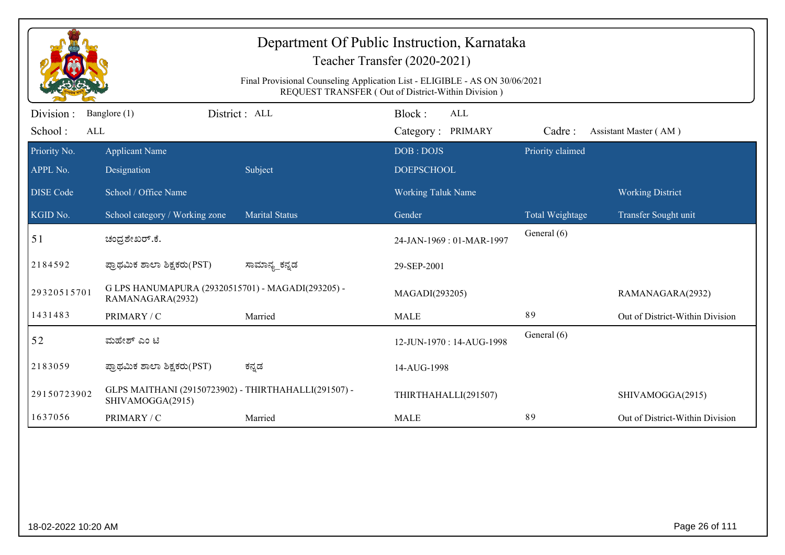| Department Of Public Instruction, Karnataka<br>Teacher Transfer (2020-2021)<br>Final Provisional Counseling Application List - ELIGIBLE - AS ON 30/06/2021<br>REQUEST TRANSFER (Out of District-Within Division) |                                                                          |                       |                                           |                  |                                 |  |  |
|------------------------------------------------------------------------------------------------------------------------------------------------------------------------------------------------------------------|--------------------------------------------------------------------------|-----------------------|-------------------------------------------|------------------|---------------------------------|--|--|
| Division :<br>School:<br>ALL                                                                                                                                                                                     | Banglore (1)                                                             | District : ALL        | Block:<br><b>ALL</b><br>Category: PRIMARY | Cadre:           | Assistant Master (AM)           |  |  |
| Priority No.<br>APPL No.                                                                                                                                                                                         | <b>Applicant Name</b><br>Designation                                     | Subject               | DOB: DOJS<br><b>DOEPSCHOOL</b>            | Priority claimed |                                 |  |  |
| <b>DISE</b> Code                                                                                                                                                                                                 | School / Office Name                                                     |                       | <b>Working Taluk Name</b>                 |                  | <b>Working District</b>         |  |  |
| $\overline{\text{KGID No.}}$                                                                                                                                                                                     | School category / Working zone                                           | <b>Marital Status</b> | Gender                                    | Total Weightage  | Transfer Sought unit            |  |  |
| 51                                                                                                                                                                                                               | ಚಂದ್ರಶೇಖರ್.ಕೆ.                                                           |                       | 24-JAN-1969: 01-MAR-1997                  | General (6)      |                                 |  |  |
| 2184592                                                                                                                                                                                                          | ಪ್ರಾಥಮಿಕ ಶಾಲಾ ಶಿಕ್ಷಕರು(PST)                                              | ಸಾಮಾನ್ಯ_ಕನ್ನಡ         | 29-SEP-2001                               |                  |                                 |  |  |
| 29320515701                                                                                                                                                                                                      | G LPS HANUMAPURA (29320515701) - MAGADI(293205) -<br>RAMANAGARA(2932)    |                       | MAGADI(293205)                            |                  | RAMANAGARA(2932)                |  |  |
| 1431483                                                                                                                                                                                                          | PRIMARY / C                                                              | Married               | <b>MALE</b>                               | 89               | Out of District-Within Division |  |  |
| 52                                                                                                                                                                                                               | ಮಹೇಶ್ ಎಂ ಟಿ                                                              |                       | 12-JUN-1970: 14-AUG-1998                  | General (6)      |                                 |  |  |
| 2183059                                                                                                                                                                                                          | ಪ್ರಾಥಮಿಕ ಶಾಲಾ ಶಿಕ್ಷಕರು(PST)                                              | ಕನ್ನಡ                 | 14-AUG-1998                               |                  |                                 |  |  |
| 29150723902                                                                                                                                                                                                      | GLPS MAITHANI (29150723902) - THIRTHAHALLI(291507) -<br>SHIVAMOGGA(2915) |                       | THIRTHAHALLI(291507)                      |                  | SHIVAMOGGA(2915)                |  |  |
| 1637056                                                                                                                                                                                                          | PRIMARY / C                                                              | Married               | <b>MALE</b>                               | 89               | Out of District-Within Division |  |  |
|                                                                                                                                                                                                                  |                                                                          |                       |                                           |                  |                                 |  |  |
| 18-02-2022 10:20 AM                                                                                                                                                                                              |                                                                          |                       |                                           |                  | Page 26 of 111                  |  |  |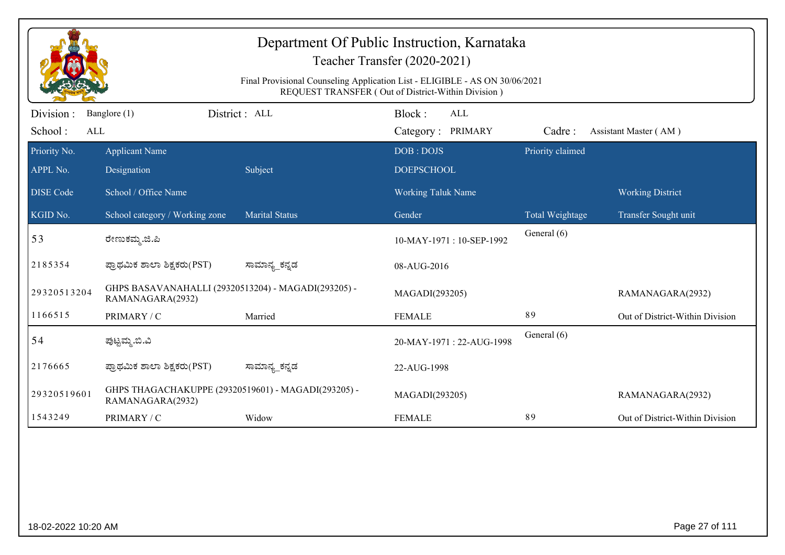| Department Of Public Instruction, Karnataka<br>Teacher Transfer (2020-2021)<br>Final Provisional Counseling Application List - ELIGIBLE - AS ON 30/06/2021<br>REQUEST TRANSFER (Out of District-Within Division) |                                                                         |                       |                                           |                  |                                 |  |  |
|------------------------------------------------------------------------------------------------------------------------------------------------------------------------------------------------------------------|-------------------------------------------------------------------------|-----------------------|-------------------------------------------|------------------|---------------------------------|--|--|
| Division:<br>School:<br>ALL                                                                                                                                                                                      | Banglore (1)                                                            | District : ALL        | Block:<br><b>ALL</b><br>Category: PRIMARY | Cadre:           | Assistant Master (AM)           |  |  |
| Priority No.<br>APPL No.                                                                                                                                                                                         | <b>Applicant Name</b><br>Designation                                    | Subject               | DOB: DOJS<br><b>DOEPSCHOOL</b>            | Priority claimed |                                 |  |  |
| <b>DISE Code</b>                                                                                                                                                                                                 | School / Office Name                                                    |                       | <b>Working Taluk Name</b>                 |                  | <b>Working District</b>         |  |  |
| KGID No.                                                                                                                                                                                                         | School category / Working zone                                          | <b>Marital Status</b> | Gender                                    | Total Weightage  | Transfer Sought unit            |  |  |
| 53                                                                                                                                                                                                               | ರೇಣುಕಮ್ಮ.ಜಿ.ಪಿ                                                          |                       | 10-MAY-1971: 10-SEP-1992                  | General (6)      |                                 |  |  |
| 2185354                                                                                                                                                                                                          | ಪ್ರಾಥಮಿಕ ಶಾಲಾ ಶಿಕ್ಷಕರು(PST)                                             | ಸಾಮಾನ್ಯ_ಕನ್ನಡ         | 08-AUG-2016                               |                  |                                 |  |  |
| 29320513204                                                                                                                                                                                                      | GHPS BASAVANAHALLI (29320513204) - MAGADI(293205) -<br>RAMANAGARA(2932) |                       | MAGADI(293205)                            |                  | RAMANAGARA(2932)                |  |  |
| 1166515                                                                                                                                                                                                          | PRIMARY / C                                                             | Married               | <b>FEMALE</b>                             | 89               | Out of District-Within Division |  |  |
| 54                                                                                                                                                                                                               | ಪುಟ್ಟಮ್ಮ.ಬಿ.ವಿ                                                          |                       | 20-MAY-1971: 22-AUG-1998                  | General (6)      |                                 |  |  |
| 2176665                                                                                                                                                                                                          | ಪ್ರಾಥಮಿಕ ಶಾಲಾ ಶಿಕ್ಷಕರು(PST)                                             | ಸಾಮಾನ್ಯ_ಕನ್ನಡ         | 22-AUG-1998                               |                  |                                 |  |  |
| 29320519601                                                                                                                                                                                                      | GHPS THAGACHAKUPPE (29320519601) - MAGADI(293205) -<br>RAMANAGARA(2932) |                       | MAGADI(293205)                            |                  | RAMANAGARA(2932)                |  |  |
| 1543249                                                                                                                                                                                                          | PRIMARY / C                                                             | Widow                 | <b>FEMALE</b>                             | 89               | Out of District-Within Division |  |  |
|                                                                                                                                                                                                                  |                                                                         |                       |                                           |                  |                                 |  |  |
| 18-02-2022 10:20 AM                                                                                                                                                                                              |                                                                         |                       |                                           |                  | Page 27 of 111                  |  |  |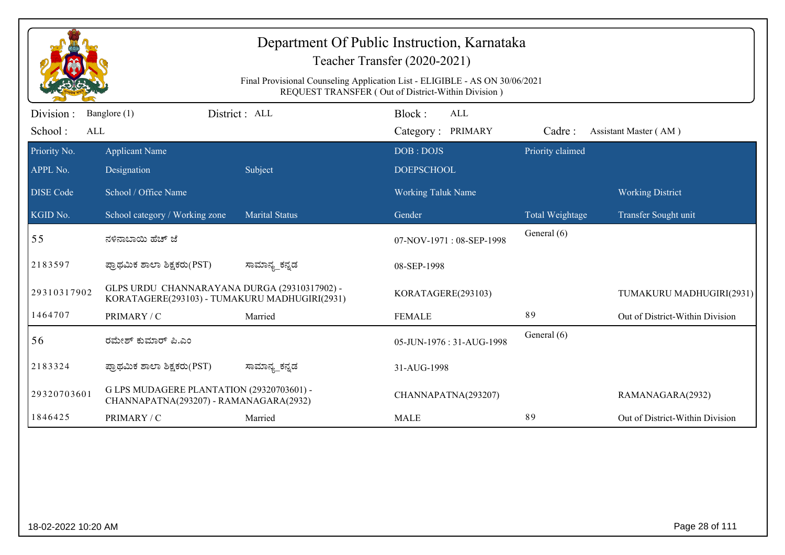|                         | Department Of Public Instruction, Karnataka<br>Teacher Transfer (2020-2021)                                                       |                       |                           |                  |                                 |  |  |
|-------------------------|-----------------------------------------------------------------------------------------------------------------------------------|-----------------------|---------------------------|------------------|---------------------------------|--|--|
|                         | Final Provisional Counseling Application List - ELIGIBLE - AS ON 30/06/2021<br>REQUEST TRANSFER (Out of District-Within Division) |                       |                           |                  |                                 |  |  |
| Division:               | Banglore (1)                                                                                                                      | District: ALL         | Block:<br><b>ALL</b>      |                  |                                 |  |  |
| School:<br>$\mbox{ALL}$ |                                                                                                                                   |                       | Category: PRIMARY         | Cadre:           | Assistant Master (AM)           |  |  |
| Priority No.            | <b>Applicant Name</b>                                                                                                             |                       | DOB: DOJS                 | Priority claimed |                                 |  |  |
| APPL No.                | Designation                                                                                                                       | Subject               | <b>DOEPSCHOOL</b>         |                  |                                 |  |  |
| <b>DISE Code</b>        | School / Office Name                                                                                                              |                       | <b>Working Taluk Name</b> |                  | <b>Working District</b>         |  |  |
| KGID No.                | School category / Working zone                                                                                                    | <b>Marital Status</b> | Gender                    | Total Weightage  | Transfer Sought unit            |  |  |
| 55                      | ನಳಿನಾಬಾಯಿ ಹೆಚ್ ಜೆ                                                                                                                 |                       | 07-NOV-1971: 08-SEP-1998  | General (6)      |                                 |  |  |
| 2183597                 | ಪ್ರಾಥಮಿಕ ಶಾಲಾ ಶಿಕ್ಷಕರು(PST)                                                                                                       | ಸಾಮಾನ್ಯ ಕನ್ನಡ         | 08-SEP-1998               |                  |                                 |  |  |
| 29310317902             | GLPS URDU CHANNARAYANA DURGA (29310317902) -<br>KORATAGERE(293103) - TUMAKURU MADHUGIRI(2931)                                     |                       | KORATAGERE(293103)        |                  | TUMAKURU MADHUGIRI(2931)        |  |  |
| 1464707                 | PRIMARY / C                                                                                                                       | Married               | <b>FEMALE</b>             | 89               | Out of District-Within Division |  |  |
| 56                      | ರಮೇಶ್ ಕುಮಾರ್ ಪಿ.ಎಂ                                                                                                                |                       | 05-JUN-1976: 31-AUG-1998  | General (6)      |                                 |  |  |
| 2183324                 | ಪ್ರಾಥಮಿಕ ಶಾಲಾ ಶಿಕ್ಷಕರು(PST)                                                                                                       | ಸಾಮಾನ್ಯ_ಕನ್ನಡ         | 31-AUG-1998               |                  |                                 |  |  |
| 29320703601             | G LPS MUDAGERE PLANTATION (29320703601) -<br>CHANNAPATNA(293207) - RAMANAGARA(2932)                                               |                       | CHANNAPATNA(293207)       |                  | RAMANAGARA(2932)                |  |  |
| 1846425                 | PRIMARY / C                                                                                                                       | Married               | <b>MALE</b>               | 89               | Out of District-Within Division |  |  |
|                         |                                                                                                                                   |                       |                           |                  |                                 |  |  |
|                         |                                                                                                                                   |                       |                           |                  |                                 |  |  |
|                         |                                                                                                                                   |                       |                           |                  |                                 |  |  |
|                         |                                                                                                                                   |                       |                           |                  |                                 |  |  |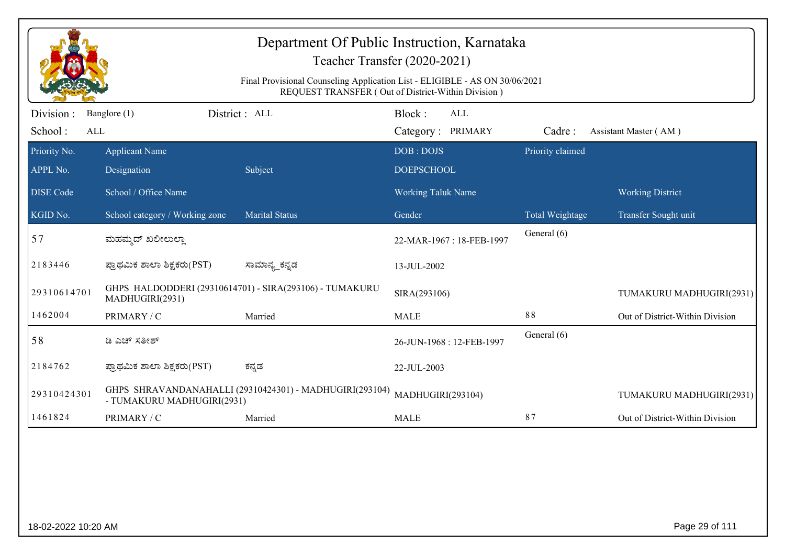| Department Of Public Instruction, Karnataka<br>Teacher Transfer (2020-2021) |                                                                                                                                   |                                                         |                                    |                  |                                 |  |  |  |
|-----------------------------------------------------------------------------|-----------------------------------------------------------------------------------------------------------------------------------|---------------------------------------------------------|------------------------------------|------------------|---------------------------------|--|--|--|
|                                                                             | Final Provisional Counseling Application List - ELIGIBLE - AS ON 30/06/2021<br>REQUEST TRANSFER (Out of District-Within Division) |                                                         |                                    |                  |                                 |  |  |  |
| Division :<br>School:<br>ALL                                                | Banglore (1)                                                                                                                      | District : ALL                                          | Block:<br>ALL<br>Category: PRIMARY | Cadre:           | Assistant Master (AM)           |  |  |  |
| Priority No.<br>APPL No.                                                    | <b>Applicant Name</b><br>Designation                                                                                              | Subject                                                 | DOB: DOJS<br><b>DOEPSCHOOL</b>     | Priority claimed |                                 |  |  |  |
| <b>DISE</b> Code                                                            | School / Office Name                                                                                                              |                                                         | <b>Working Taluk Name</b>          |                  | <b>Working District</b>         |  |  |  |
| KGID No.                                                                    | School category / Working zone                                                                                                    | <b>Marital Status</b>                                   | Gender                             | Total Weightage  | Transfer Sought unit            |  |  |  |
| 57                                                                          | ಮಹಮ್ಮದ್ ಖಲೀಲುಲ್ಲಾ                                                                                                                 |                                                         | 22-MAR-1967: 18-FEB-1997           | General (6)      |                                 |  |  |  |
| 2183446                                                                     | ಪ್ರಾಥಮಿಕ ಶಾಲಾ ಶಿಕ್ಷಕರು(PST)                                                                                                       | ಸಾಮಾನ್ಯ_ಕನ್ನಡ                                           | 13-JUL-2002                        |                  |                                 |  |  |  |
| 29310614701                                                                 | MADHUGIRI(2931)                                                                                                                   | GHPS HALDODDERI (29310614701) - SIRA(293106) - TUMAKURU | SIRA(293106)                       |                  | TUMAKURU MADHUGIRI(2931)        |  |  |  |
| 1462004                                                                     | PRIMARY / C                                                                                                                       | Married                                                 | <b>MALE</b>                        | 88               | Out of District-Within Division |  |  |  |
| 58                                                                          | ಡಿ ಎಚ್ ಸತೀಶ್                                                                                                                      |                                                         | 26-JUN-1968: 12-FEB-1997           | General (6)      |                                 |  |  |  |
| 2184762                                                                     | ಪ್ರಾಥಮಿಕ ಶಾಲಾ ಶಿಕ್ಷಕರು(PST)                                                                                                       | ಕನ್ನಡ                                                   | 22-JUL-2003                        |                  |                                 |  |  |  |
| 29310424301                                                                 | - TUMAKURU MADHUGIRI(2931)                                                                                                        | GHPS SHRAVANDANAHALLI (29310424301) - MADHUGIRI(293104) | MADHUGIRI(293104)                  |                  | TUMAKURU MADHUGIRI(2931)        |  |  |  |
| 1461824                                                                     | PRIMARY / C                                                                                                                       | Married                                                 | <b>MALE</b>                        | 87               | Out of District-Within Division |  |  |  |
|                                                                             |                                                                                                                                   |                                                         |                                    |                  |                                 |  |  |  |
| 18-02-2022 10:20 AM                                                         |                                                                                                                                   |                                                         |                                    |                  | Page 29 of 111                  |  |  |  |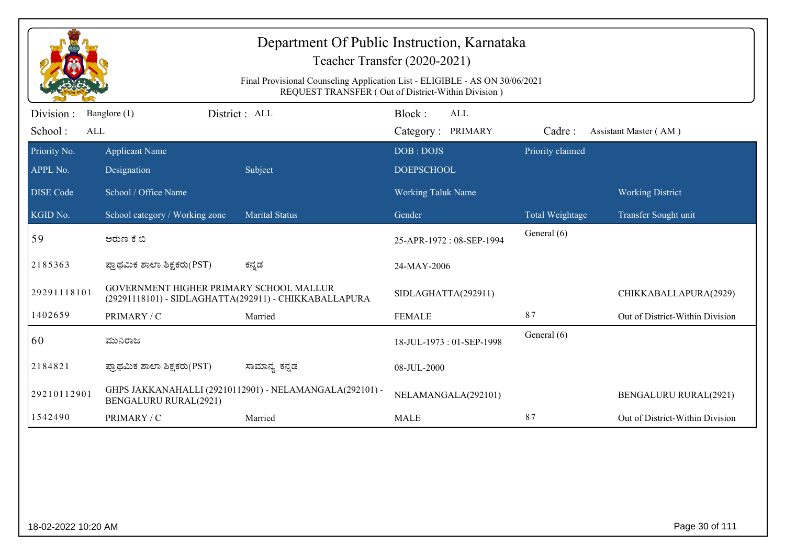| Department Of Public Instruction, Karnataka<br>Teacher Transfer (2020-2021)<br>Final Provisional Counseling Application List - ELIGIBLE - AS ON 30/06/2021<br>REQUEST TRANSFER (Out of District-Within Division) |                                         |                                                         |                                           |                  |                                 |  |
|------------------------------------------------------------------------------------------------------------------------------------------------------------------------------------------------------------------|-----------------------------------------|---------------------------------------------------------|-------------------------------------------|------------------|---------------------------------|--|
| Division :<br>School:<br>ALL                                                                                                                                                                                     | Banglore (1)                            | District: ALL                                           | Block:<br><b>ALL</b><br>Category: PRIMARY | Cadre:           | Assistant Master (AM)           |  |
| Priority No.<br>APPL No.                                                                                                                                                                                         | <b>Applicant Name</b><br>Designation    | Subject                                                 | DOB: DOJS<br><b>DOEPSCHOOL</b>            | Priority claimed |                                 |  |
| <b>DISE Code</b>                                                                                                                                                                                                 | School / Office Name                    |                                                         | <b>Working Taluk Name</b>                 |                  | <b>Working District</b>         |  |
| KGID No.                                                                                                                                                                                                         | School category / Working zone          | <b>Marital Status</b>                                   | Gender                                    | Total Weightage  | Transfer Sought unit            |  |
| 59                                                                                                                                                                                                               | ಅರುಣ ಕೆ ಬಿ                              |                                                         | 25-APR-1972: 08-SEP-1994                  | General (6)      |                                 |  |
| 2185363                                                                                                                                                                                                          | ಪ್ರಾಥಮಿಕ ಶಾಲಾ ಶಿಕ್ಷಕರು(PST)             | ಕನ್ನಡ                                                   | 24-MAY-2006                               |                  |                                 |  |
| 29291118101                                                                                                                                                                                                      | GOVERNMENT HIGHER PRIMARY SCHOOL MALLUR | (29291118101) - SIDLAGHATTA(292911) - CHIKKABALLAPURA   | SIDLAGHATTA(292911)                       |                  | CHIKKABALLAPURA(2929)           |  |
| 1402659                                                                                                                                                                                                          | PRIMARY / C                             | Married                                                 | <b>FEMALE</b>                             | 87               | Out of District-Within Division |  |
| 60                                                                                                                                                                                                               | ಮುನಿರಾಜ                                 |                                                         | 18-JUL-1973: 01-SEP-1998                  | General (6)      |                                 |  |
| 2184821                                                                                                                                                                                                          | ಪ್ರಾಥಮಿಕ ಶಾಲಾ ಶಿಕ್ಷಕರು(PST)             | ಸಾಮಾನ್ಯ_ಕನ್ನಡ                                           | 08-JUL-2000                               |                  |                                 |  |
| 29210112901                                                                                                                                                                                                      | BENGALURU RURAL(2921)                   | GHPS JAKKANAHALLI (29210112901) - NELAMANGALA(292101) - | NELAMANGALA(292101)                       |                  | <b>BENGALURU RURAL(2921)</b>    |  |
| 1542490                                                                                                                                                                                                          | PRIMARY / C                             | Married                                                 | <b>MALE</b>                               | 87               | Out of District-Within Division |  |
|                                                                                                                                                                                                                  |                                         |                                                         |                                           |                  |                                 |  |
|                                                                                                                                                                                                                  | Page 30 of 111<br>18-02-2022 10:20 AM   |                                                         |                                           |                  |                                 |  |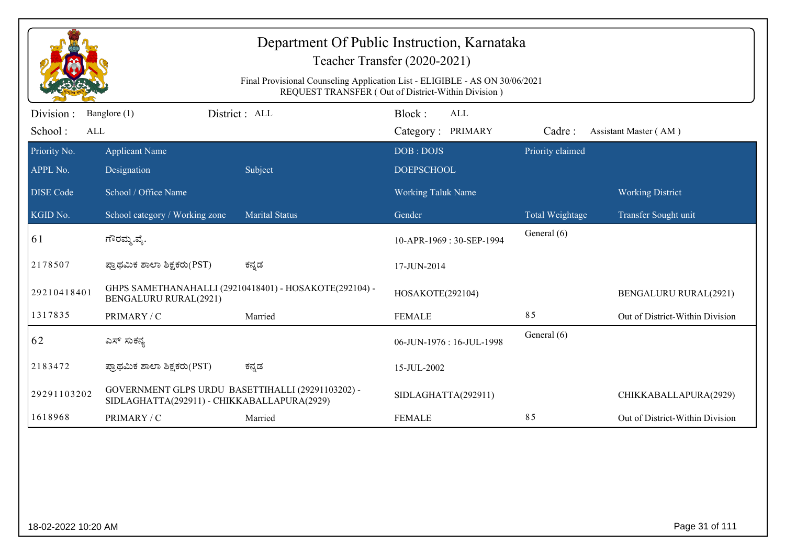| Department Of Public Instruction, Karnataka<br>Teacher Transfer (2020-2021)<br>Final Provisional Counseling Application List - ELIGIBLE - AS ON 30/06/2021<br>REQUEST TRANSFER (Out of District-Within Division) |                                                                                                  |                                                        |                                           |                                |                                 |  |  |
|------------------------------------------------------------------------------------------------------------------------------------------------------------------------------------------------------------------|--------------------------------------------------------------------------------------------------|--------------------------------------------------------|-------------------------------------------|--------------------------------|---------------------------------|--|--|
| Division :<br>School:<br><b>ALL</b>                                                                                                                                                                              | Banglore (1)                                                                                     | District : ALL                                         | Block:<br><b>ALL</b><br>Category: PRIMARY | Cadre:                         | Assistant Master (AM)           |  |  |
| Priority No.<br>APPL No.                                                                                                                                                                                         | <b>Applicant Name</b><br>Designation                                                             | Subject                                                | DOB: DOJS<br><b>DOEPSCHOOL</b>            | Priority claimed               |                                 |  |  |
| <b>DISE Code</b>                                                                                                                                                                                                 | School / Office Name                                                                             |                                                        | <b>Working Taluk Name</b>                 |                                | <b>Working District</b>         |  |  |
| KGID No.                                                                                                                                                                                                         | School category / Working zone                                                                   | <b>Marital Status</b>                                  | Gender                                    | Total Weightage<br>General (6) | Transfer Sought unit            |  |  |
| 61                                                                                                                                                                                                               | ಗೌರಮ್ಮ.ವೈ.                                                                                       |                                                        | 10-APR-1969: 30-SEP-1994                  |                                |                                 |  |  |
| 2178507                                                                                                                                                                                                          | ಪ್ರಾಥಮಿಕ ಶಾಲಾ ಶಿಕ್ಷಕರು(PST)                                                                      | ಕನ್ನಡ                                                  | 17-JUN-2014                               |                                |                                 |  |  |
| 29210418401                                                                                                                                                                                                      | <b>BENGALURU RURAL(2921)</b>                                                                     | GHPS SAMETHANAHALLI (29210418401) - HOSAKOTE(292104) - | HOSAKOTE(292104)                          |                                | <b>BENGALURU RURAL(2921)</b>    |  |  |
| 1317835                                                                                                                                                                                                          | PRIMARY / C                                                                                      | Married                                                | <b>FEMALE</b>                             | 85                             | Out of District-Within Division |  |  |
| 62                                                                                                                                                                                                               | ಎಸ್ ಸುಕನ್ಯ                                                                                       |                                                        | 06-JUN-1976: 16-JUL-1998                  | General (6)                    |                                 |  |  |
| 2183472                                                                                                                                                                                                          | ಪ್ರಾಥಮಿಕ ಶಾಲಾ ಶಿಕ್ಷಕರು(PST)                                                                      | ಕನ್ನಡ                                                  | 15-JUL-2002                               |                                |                                 |  |  |
| 29291103202                                                                                                                                                                                                      | GOVERNMENT GLPS URDU BASETTIHALLI (29291103202) -<br>SIDLAGHATTA(292911) - CHIKKABALLAPURA(2929) |                                                        | SIDLAGHATTA(292911)                       |                                | CHIKKABALLAPURA(2929)           |  |  |
| 1618968                                                                                                                                                                                                          | PRIMARY / C                                                                                      | Married                                                | <b>FEMALE</b>                             | 85                             | Out of District-Within Division |  |  |
|                                                                                                                                                                                                                  |                                                                                                  |                                                        |                                           |                                |                                 |  |  |
| 18-02-2022 10:20 AM                                                                                                                                                                                              |                                                                                                  |                                                        |                                           |                                | Page 31 of 111                  |  |  |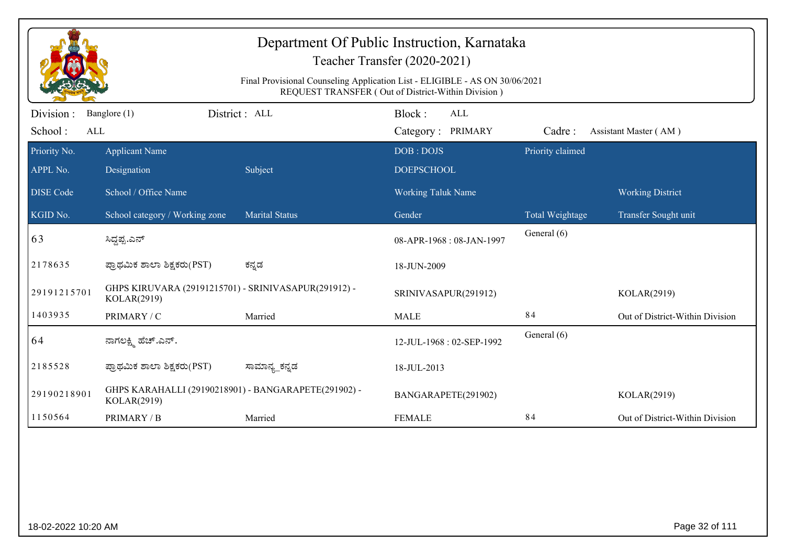| Department Of Public Instruction, Karnataka<br>Teacher Transfer (2020-2021)<br>Final Provisional Counseling Application List - ELIGIBLE - AS ON 30/06/2021<br>REQUEST TRANSFER (Out of District-Within Division) |                                                                     |                       |                                           |                  |                                 |  |  |
|------------------------------------------------------------------------------------------------------------------------------------------------------------------------------------------------------------------|---------------------------------------------------------------------|-----------------------|-------------------------------------------|------------------|---------------------------------|--|--|
| Division:<br>School:<br>ALL                                                                                                                                                                                      | Banglore (1)                                                        | District: ALL         | Block:<br><b>ALL</b><br>Category: PRIMARY | Cadre:           | Assistant Master (AM)           |  |  |
| Priority No.<br>APPL No.                                                                                                                                                                                         | <b>Applicant Name</b><br>Designation                                | Subject               | DOB: DOJS<br><b>DOEPSCHOOL</b>            | Priority claimed |                                 |  |  |
| <b>DISE Code</b>                                                                                                                                                                                                 | School / Office Name                                                |                       | <b>Working Taluk Name</b>                 |                  | <b>Working District</b>         |  |  |
| KGID No.                                                                                                                                                                                                         | School category / Working zone                                      | <b>Marital Status</b> | Gender                                    | Total Weightage  | Transfer Sought unit            |  |  |
| 63                                                                                                                                                                                                               | ಸಿದ್ದಪ್ಪ.ಎನ್                                                        |                       | 08-APR-1968: 08-JAN-1997                  | General (6)      |                                 |  |  |
| 2178635                                                                                                                                                                                                          | ಪ್ರಾಥಮಿಕ ಶಾಲಾ ಶಿಕ್ಷಕರು(PST)                                         | ಕನ್ನಡ                 | 18-JUN-2009                               |                  |                                 |  |  |
| 29191215701                                                                                                                                                                                                      | GHPS KIRUVARA (29191215701) - SRINIVASAPUR(291912) -<br>KOLAR(2919) |                       | SRINIVASAPUR(291912)                      |                  | KOLAR(2919)                     |  |  |
| 1403935                                                                                                                                                                                                          | PRIMARY / C                                                         | Married               | <b>MALE</b>                               | 84               | Out of District-Within Division |  |  |
| 64                                                                                                                                                                                                               | ನಾಗಲಕ್ಷ್ಮಿ ಹೆಚ್.ಎನ್.                                                |                       | 12-JUL-1968: 02-SEP-1992                  | General (6)      |                                 |  |  |
| 2185528                                                                                                                                                                                                          | ಪ್ರಾಥಮಿಕ ಶಾಲಾ ಶಿಕ್ಷಕರು(PST)                                         | ಸಾಮಾನ್ಯ_ಕನ್ನಡ         | 18-JUL-2013                               |                  |                                 |  |  |
| 29190218901                                                                                                                                                                                                      | GHPS KARAHALLI (29190218901) - BANGARAPETE(291902) -<br>KOLAR(2919) |                       | BANGARAPETE(291902)                       |                  | KOLAR(2919)                     |  |  |
| 1150564                                                                                                                                                                                                          | PRIMARY / B                                                         | Married               | <b>FEMALE</b>                             | 84               | Out of District-Within Division |  |  |
|                                                                                                                                                                                                                  |                                                                     |                       |                                           |                  |                                 |  |  |
| 18-02-2022 10:20 AM                                                                                                                                                                                              |                                                                     |                       |                                           |                  | Page 32 of 111                  |  |  |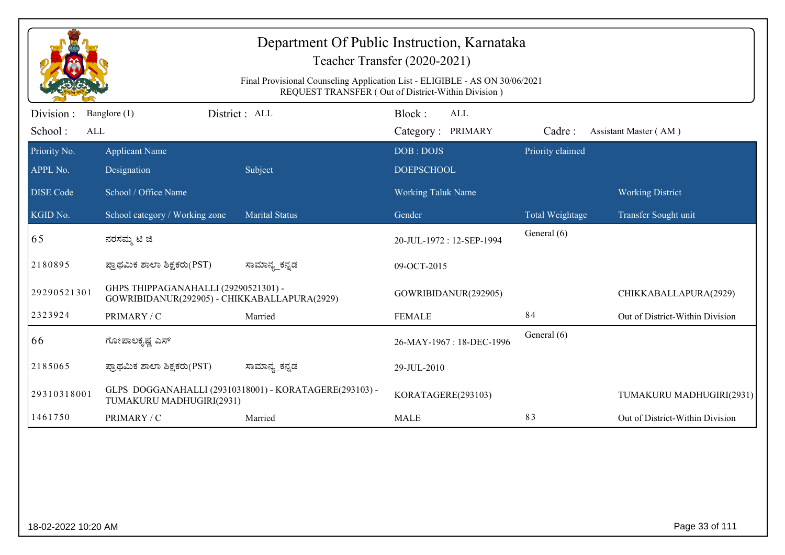|                             | Department Of Public Instruction, Karnataka<br>Teacher Transfer (2020-2021)<br>Final Provisional Counseling Application List - ELIGIBLE - AS ON 30/06/2021<br>REQUEST TRANSFER (Out of District-Within Division) |                                                        |                                           |                  |                                 |  |  |
|-----------------------------|------------------------------------------------------------------------------------------------------------------------------------------------------------------------------------------------------------------|--------------------------------------------------------|-------------------------------------------|------------------|---------------------------------|--|--|
| Division:<br>School:<br>ALL | Banglore (1)                                                                                                                                                                                                     | District : ALL                                         | Block:<br><b>ALL</b><br>Category: PRIMARY | Cadre:           | Assistant Master (AM)           |  |  |
| Priority No.<br>APPL No.    | <b>Applicant Name</b><br>Designation                                                                                                                                                                             | Subject                                                | DOB: DOJS<br><b>DOEPSCHOOL</b>            | Priority claimed |                                 |  |  |
| <b>DISE Code</b>            | School / Office Name                                                                                                                                                                                             |                                                        | <b>Working Taluk Name</b>                 |                  | <b>Working District</b>         |  |  |
| KGID No.                    | School category / Working zone                                                                                                                                                                                   | <b>Marital Status</b>                                  | Gender                                    | Total Weightage  | Transfer Sought unit            |  |  |
| 65                          | ನರಸಮ್ಮ ಟಿ ಜಿ                                                                                                                                                                                                     |                                                        | 20-JUL-1972: 12-SEP-1994                  | General (6)      |                                 |  |  |
| 2180895                     | ಪ್ರಾಥಮಿಕ ಶಾಲಾ ಶಿಕ್ಷಕರು(PST)                                                                                                                                                                                      | ಸಾಮಾನ್ಯ_ಕನ್ನಡ                                          | 09-OCT-2015                               |                  |                                 |  |  |
| 29290521301                 | GHPS THIPPAGANAHALLI (29290521301) -<br>GOWRIBIDANUR(292905) - CHIKKABALLAPURA(2929)                                                                                                                             |                                                        | GOWRIBIDANUR(292905)                      |                  | CHIKKABALLAPURA(2929)           |  |  |
| 2323924                     | PRIMARY / C                                                                                                                                                                                                      | Married                                                | <b>FEMALE</b>                             | 84               | Out of District-Within Division |  |  |
| 66                          | ಗೋಪಾಲಕೃಷ್ಣ ಎಸ್                                                                                                                                                                                                   |                                                        | 26-MAY-1967: 18-DEC-1996                  | General (6)      |                                 |  |  |
| 2185065                     | ಪ್ರಾಥಮಿಕ ಶಾಲಾ ಶಿಕ್ಷಕರು(PST)                                                                                                                                                                                      | ಸಾಮಾನ್ಯ_ಕನ್ನಡ                                          | 29-JUL-2010                               |                  |                                 |  |  |
| 29310318001                 | TUMAKURU MADHUGIRI(2931)                                                                                                                                                                                         | GLPS DOGGANAHALLI (29310318001) - KORATAGERE(293103) - | KORATAGERE(293103)                        |                  | TUMAKURU MADHUGIRI(2931)        |  |  |
| 1461750                     | PRIMARY / C                                                                                                                                                                                                      | Married                                                | <b>MALE</b>                               | 83               | Out of District-Within Division |  |  |
|                             |                                                                                                                                                                                                                  |                                                        |                                           |                  |                                 |  |  |
| 18-02-2022 10:20 AM         |                                                                                                                                                                                                                  |                                                        |                                           |                  | Page 33 of 111                  |  |  |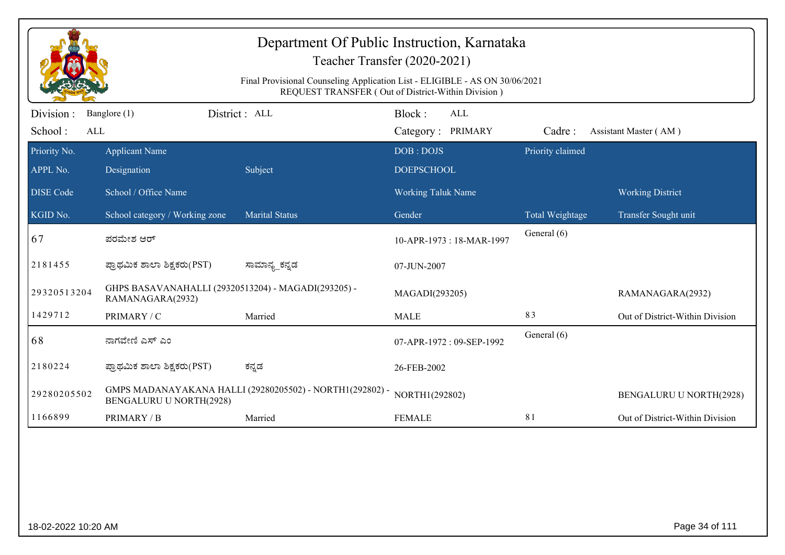| Department Of Public Instruction, Karnataka<br>Teacher Transfer (2020-2021)<br>Final Provisional Counseling Application List - ELIGIBLE - AS ON 30/06/2021<br>REQUEST TRANSFER (Out of District-Within Division) |                                                                         |                                                          |                                           |                  |                                 |  |  |
|------------------------------------------------------------------------------------------------------------------------------------------------------------------------------------------------------------------|-------------------------------------------------------------------------|----------------------------------------------------------|-------------------------------------------|------------------|---------------------------------|--|--|
| Division :<br>School:<br>ALL                                                                                                                                                                                     | Banglore (1)                                                            | District : ALL                                           | Block:<br><b>ALL</b><br>Category: PRIMARY | Cadre:           | Assistant Master (AM)           |  |  |
| Priority No.<br>APPL No.                                                                                                                                                                                         | <b>Applicant Name</b><br>Designation                                    | Subject                                                  | DOB: DOJS<br><b>DOEPSCHOOL</b>            | Priority claimed |                                 |  |  |
| <b>DISE</b> Code                                                                                                                                                                                                 | School / Office Name                                                    |                                                          | <b>Working Taluk Name</b>                 |                  | <b>Working District</b>         |  |  |
| KGID No.                                                                                                                                                                                                         | School category / Working zone                                          | <b>Marital Status</b>                                    | Gender                                    | Total Weightage  | Transfer Sought unit            |  |  |
| 67                                                                                                                                                                                                               | ಪರಮೇಶ ಆರ್                                                               |                                                          | 10-APR-1973: 18-MAR-1997                  | General (6)      |                                 |  |  |
| 2181455                                                                                                                                                                                                          | ಪ್ರಾಥಮಿಕ ಶಾಲಾ ಶಿಕ್ಷಕರು(PST)                                             | ಸಾಮಾನ್ಯ ಕನ್ನಡ                                            | 07-JUN-2007                               |                  |                                 |  |  |
| 29320513204                                                                                                                                                                                                      | GHPS BASAVANAHALLI (29320513204) - MAGADI(293205) -<br>RAMANAGARA(2932) |                                                          | MAGADI(293205)                            |                  | RAMANAGARA(2932)                |  |  |
| 1429712                                                                                                                                                                                                          | PRIMARY / C                                                             | Married                                                  | <b>MALE</b>                               | 83               | Out of District-Within Division |  |  |
| 68                                                                                                                                                                                                               | ನಾಗವೇಣಿ ಎಸ್ ಎಂ                                                          |                                                          | 07-APR-1972: 09-SEP-1992                  | General (6)      |                                 |  |  |
| 2180224                                                                                                                                                                                                          | ಪ್ರಾಥಮಿಕ ಶಾಲಾ ಶಿಕ್ಷಕರು(PST)                                             | ಕನ್ನಡ                                                    | 26-FEB-2002                               |                  |                                 |  |  |
| 29280205502                                                                                                                                                                                                      | <b>BENGALURU U NORTH(2928)</b>                                          | GMPS MADANAYAKANA HALLI (29280205502) - NORTH1(292802) - | NORTH1(292802)                            |                  | <b>BENGALURU U NORTH(2928)</b>  |  |  |
| 1166899                                                                                                                                                                                                          | PRIMARY / B                                                             | Married                                                  | <b>FEMALE</b>                             | 81               | Out of District-Within Division |  |  |
|                                                                                                                                                                                                                  |                                                                         |                                                          |                                           |                  |                                 |  |  |
| 18-02-2022 10:20 AM                                                                                                                                                                                              |                                                                         |                                                          |                                           |                  | Page 34 of 111                  |  |  |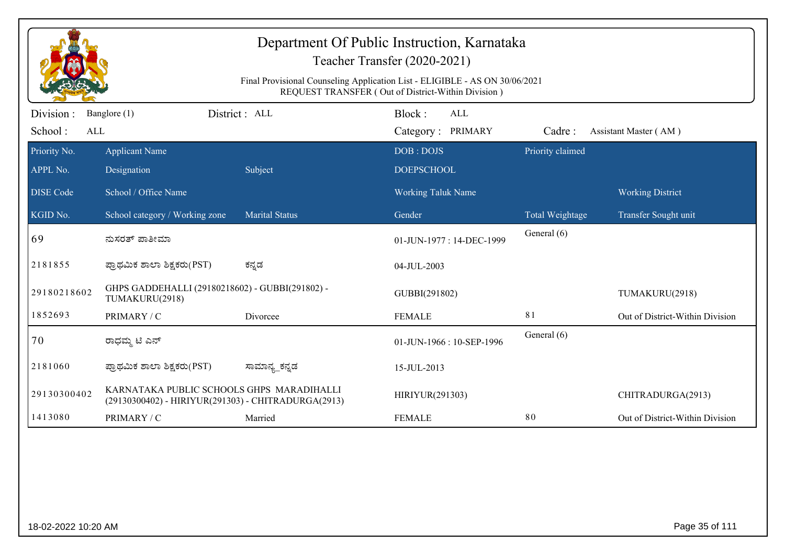| Department Of Public Instruction, Karnataka<br>Teacher Transfer (2020-2021)<br>Final Provisional Counseling Application List - ELIGIBLE - AS ON 30/06/2021<br>REQUEST TRANSFER (Out of District-Within Division) |                                                                                                  |                       |                                    |                  |                                 |  |  |
|------------------------------------------------------------------------------------------------------------------------------------------------------------------------------------------------------------------|--------------------------------------------------------------------------------------------------|-----------------------|------------------------------------|------------------|---------------------------------|--|--|
| Division:<br>School:<br>ALL                                                                                                                                                                                      | Banglore (1)                                                                                     | District: ALL         | Block:<br>ALL<br>Category: PRIMARY | Cadre:           | Assistant Master (AM)           |  |  |
| Priority No.                                                                                                                                                                                                     | <b>Applicant Name</b>                                                                            |                       | DOB: DOJS                          | Priority claimed |                                 |  |  |
| APPL No.                                                                                                                                                                                                         | Designation                                                                                      | Subject               | <b>DOEPSCHOOL</b>                  |                  |                                 |  |  |
| <b>DISE Code</b>                                                                                                                                                                                                 | School / Office Name                                                                             |                       | Working Taluk Name                 |                  | <b>Working District</b>         |  |  |
| KGID No.                                                                                                                                                                                                         | School category / Working zone                                                                   | <b>Marital Status</b> | Gender                             | Total Weightage  | Transfer Sought unit            |  |  |
| 69                                                                                                                                                                                                               | ನುಸರತ್ ಪಾತೀಮಾ                                                                                    |                       | 01-JUN-1977: 14-DEC-1999           | General (6)      |                                 |  |  |
| 2181855                                                                                                                                                                                                          | ಪ್ರಾಥಮಿಕ ಶಾಲಾ ಶಿಕ್ಷಕರು(PST)                                                                      | ಕನ್ನಡ                 | 04-JUL-2003                        |                  |                                 |  |  |
| 29180218602                                                                                                                                                                                                      | GHPS GADDEHALLI (29180218602) - GUBBI(291802) -<br>TUMAKURU(2918)                                |                       | GUBBI(291802)                      |                  | TUMAKURU(2918)                  |  |  |
| 1852693                                                                                                                                                                                                          | PRIMARY / C                                                                                      | Divorcee              | <b>FEMALE</b>                      | 81               | Out of District-Within Division |  |  |
| 70                                                                                                                                                                                                               | ರಾಧಮ್ಮ ಟಿ ಎನ್                                                                                    |                       | 01-JUN-1966: 10-SEP-1996           | General (6)      |                                 |  |  |
| 2181060                                                                                                                                                                                                          | ಪ್ರಾಥಮಿಕ ಶಾಲಾ ಶಿಕ್ಷಕರು(PST)                                                                      | ಸಾಮಾನ್ಯ_ಕನ್ನಡ         | 15-JUL-2013                        |                  |                                 |  |  |
| 29130300402                                                                                                                                                                                                      | KARNATAKA PUBLIC SCHOOLS GHPS MARADIHALLI<br>(29130300402) - HIRIYUR(291303) - CHITRADURGA(2913) |                       | HIRIYUR(291303)                    |                  | CHITRADURGA(2913)               |  |  |
| 1413080                                                                                                                                                                                                          | PRIMARY / C                                                                                      | Married               | <b>FEMALE</b>                      | 80               | Out of District-Within Division |  |  |
|                                                                                                                                                                                                                  |                                                                                                  |                       |                                    |                  |                                 |  |  |
| 18-02-2022 10:20 AM                                                                                                                                                                                              |                                                                                                  |                       |                                    |                  | Page 35 of 111                  |  |  |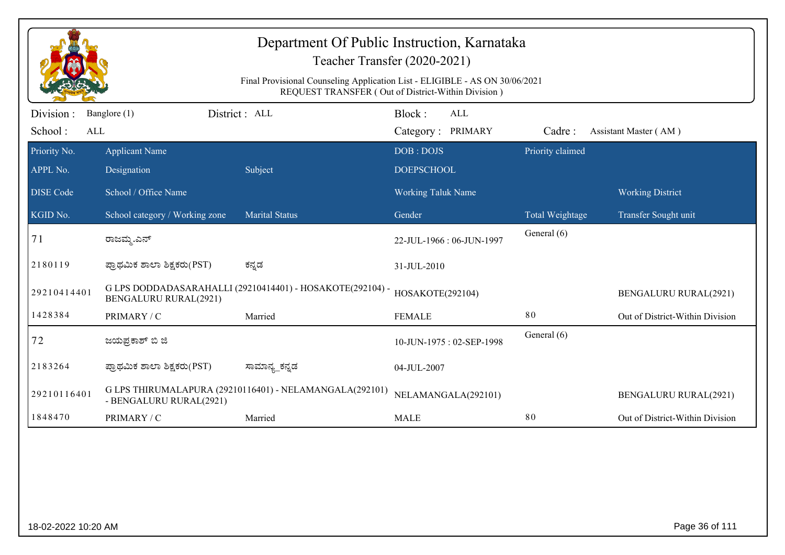| Department Of Public Instruction, Karnataka<br>Teacher Transfer (2020-2021) |                                                                                                                                   |                                                           |                                    |                  |                                 |  |  |  |
|-----------------------------------------------------------------------------|-----------------------------------------------------------------------------------------------------------------------------------|-----------------------------------------------------------|------------------------------------|------------------|---------------------------------|--|--|--|
|                                                                             | Final Provisional Counseling Application List - ELIGIBLE - AS ON 30/06/2021<br>REQUEST TRANSFER (Out of District-Within Division) |                                                           |                                    |                  |                                 |  |  |  |
| Division:<br>School:<br>ALL                                                 | Banglore (1)                                                                                                                      | District: ALL                                             | Block:<br>ALL<br>Category: PRIMARY | Cadre:           | Assistant Master (AM)           |  |  |  |
| Priority No.<br>APPL No.                                                    | <b>Applicant Name</b><br>Designation                                                                                              | Subject                                                   | DOB: DOJS<br><b>DOEPSCHOOL</b>     | Priority claimed |                                 |  |  |  |
| <b>DISE</b> Code                                                            | School / Office Name                                                                                                              |                                                           | <b>Working Taluk Name</b>          |                  | <b>Working District</b>         |  |  |  |
| KGID No.                                                                    | School category / Working zone                                                                                                    | <b>Marital Status</b>                                     | Gender                             | Total Weightage  | Transfer Sought unit            |  |  |  |
| 71                                                                          | ರಾಜಮ್ಮ.ಎನ್                                                                                                                        |                                                           | 22-JUL-1966: 06-JUN-1997           | General (6)      |                                 |  |  |  |
| 2180119                                                                     | ಪ್ರಾಥಮಿಕ ಶಾಲಾ ಶಿಕ್ಷಕರು(PST)                                                                                                       | ಕನ್ನಡ                                                     | 31-JUL-2010                        |                  |                                 |  |  |  |
| 29210414401                                                                 | <b>BENGALURU RURAL(2921)</b>                                                                                                      | G LPS DODDADASARAHALLI (29210414401) - HOSAKOTE(292104) - | HOSAKOTE(292104)                   |                  | <b>BENGALURU RURAL(2921)</b>    |  |  |  |
| 1428384                                                                     | PRIMARY / C                                                                                                                       | Married                                                   | <b>FEMALE</b>                      | 80               | Out of District-Within Division |  |  |  |
| 72                                                                          | ಜಯಪ್ರಕಾಶ್ ಬಿ ಜಿ                                                                                                                   |                                                           | 10-JUN-1975: 02-SEP-1998           | General (6)      |                                 |  |  |  |
| 2183264                                                                     | ಪ್ರಾಥಮಿಕ ಶಾಲಾ ಶಿಕ್ಷಕರು(PST)                                                                                                       | ಸಾಮಾನ್ಯ_ಕನ್ನಡ                                             | 04-JUL-2007                        |                  |                                 |  |  |  |
| 29210116401                                                                 | - BENGALURU RURAL(2921)                                                                                                           | G LPS THIRUMALAPURA (29210116401) - NELAMANGALA(292101)   | NELAMANGALA(292101)                |                  | <b>BENGALURU RURAL(2921)</b>    |  |  |  |
| 1848470                                                                     | PRIMARY / C                                                                                                                       | Married                                                   | <b>MALE</b>                        | 80               | Out of District-Within Division |  |  |  |
|                                                                             |                                                                                                                                   |                                                           |                                    |                  |                                 |  |  |  |
| 18-02-2022 10:20 AM                                                         |                                                                                                                                   |                                                           |                                    |                  | Page 36 of 111                  |  |  |  |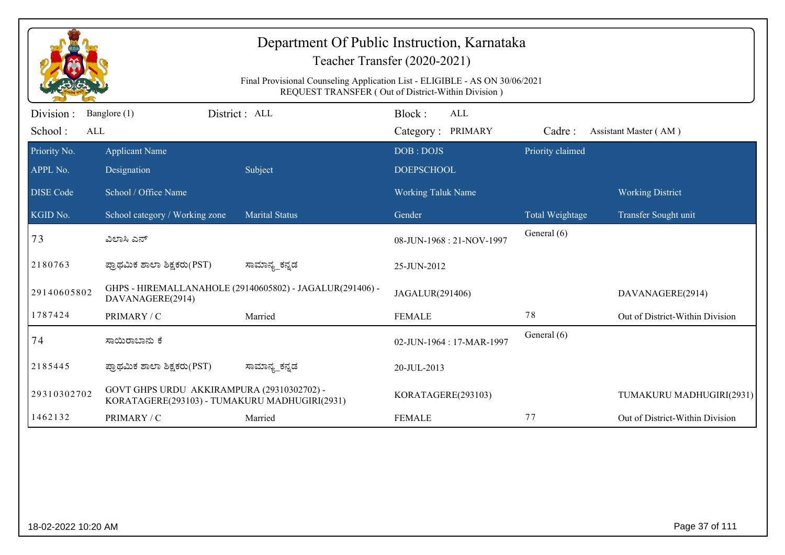|                             | Department Of Public Instruction, Karnataka<br>Teacher Transfer (2020-2021)<br>Final Provisional Counseling Application List - ELIGIBLE - AS ON 30/06/2021<br>REQUEST TRANSFER (Out of District-Within Division) |                                                          |                                           |                  |                                 |  |  |
|-----------------------------|------------------------------------------------------------------------------------------------------------------------------------------------------------------------------------------------------------------|----------------------------------------------------------|-------------------------------------------|------------------|---------------------------------|--|--|
| Division:<br>School:<br>ALL | Banglore (1)                                                                                                                                                                                                     | District: ALL                                            | Block:<br><b>ALL</b><br>Category: PRIMARY | Cadre:           | Assistant Master (AM)           |  |  |
| Priority No.<br>APPL No.    | <b>Applicant Name</b><br>Designation                                                                                                                                                                             | Subject                                                  | DOB: DOJS<br><b>DOEPSCHOOL</b>            | Priority claimed |                                 |  |  |
| <b>DISE Code</b>            | School / Office Name                                                                                                                                                                                             |                                                          | <b>Working Taluk Name</b>                 |                  | <b>Working District</b>         |  |  |
| KGID No.                    | School category / Working zone                                                                                                                                                                                   | <b>Marital Status</b>                                    | Gender                                    | Total Weightage  | Transfer Sought unit            |  |  |
| 73                          | ವಿಲಾಸಿ ಎನ್                                                                                                                                                                                                       |                                                          | 08-JUN-1968: 21-NOV-1997                  | General (6)      |                                 |  |  |
| 2180763                     | ಪ್ರಾಥಮಿಕ ಶಾಲಾ ಶಿಕ್ಷಕರು(PST)                                                                                                                                                                                      | ಸಾಮಾನ್ಯ_ಕನ್ನಡ                                            | 25-JUN-2012                               |                  |                                 |  |  |
| 29140605802                 | DAVANAGERE(2914)                                                                                                                                                                                                 | GHPS - HIREMALLANAHOLE (29140605802) - JAGALUR(291406) - | JAGALUR(291406)                           |                  | DAVANAGERE(2914)                |  |  |
| 1787424                     | PRIMARY / C                                                                                                                                                                                                      | Married                                                  | <b>FEMALE</b>                             | 78               | Out of District-Within Division |  |  |
| 74                          | ಸಾಯಿರಾಬಾನು ಕೆ                                                                                                                                                                                                    |                                                          | 02-JUN-1964: 17-MAR-1997                  | General (6)      |                                 |  |  |
| 2185445                     | ಪ್ರಾಥಮಿಕ ಶಾಲಾ ಶಿಕ್ಷಕರು(PST)                                                                                                                                                                                      | ಸಾಮಾನ್ಯ_ಕನ್ನಡ                                            | 20-JUL-2013                               |                  |                                 |  |  |
| 29310302702                 | GOVT GHPS URDU AKKIRAMPURA (29310302702) -<br>KORATAGERE(293103) - TUMAKURU MADHUGIRI(2931)                                                                                                                      |                                                          | KORATAGERE(293103)                        |                  | TUMAKURU MADHUGIRI(2931)        |  |  |
| 1462132                     | PRIMARY / C                                                                                                                                                                                                      | Married                                                  | <b>FEMALE</b>                             | 77               | Out of District-Within Division |  |  |
|                             |                                                                                                                                                                                                                  |                                                          |                                           |                  |                                 |  |  |
| 18-02-2022 10:20 AM         |                                                                                                                                                                                                                  |                                                          |                                           |                  | Page 37 of 111                  |  |  |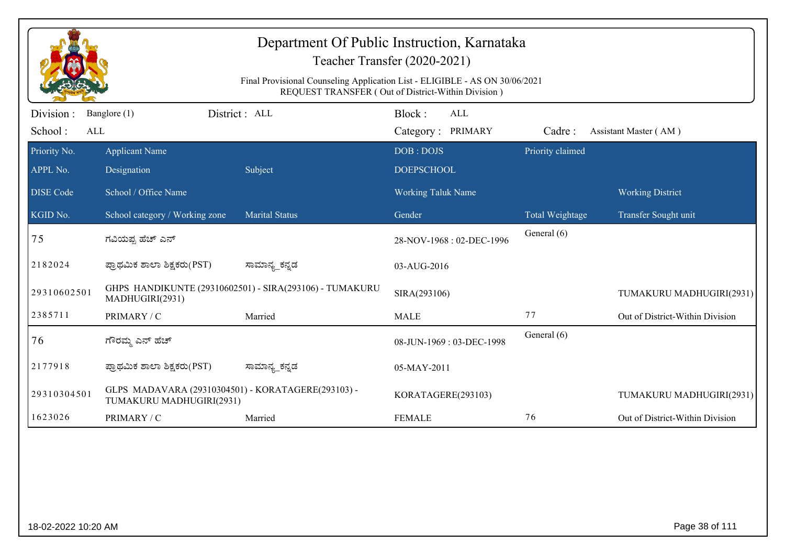|                             | Department Of Public Instruction, Karnataka<br>Teacher Transfer (2020-2021)<br>Final Provisional Counseling Application List - ELIGIBLE - AS ON 30/06/2021<br>REQUEST TRANSFER (Out of District-Within Division) |                                                         |                                    |                  |                                 |  |  |  |
|-----------------------------|------------------------------------------------------------------------------------------------------------------------------------------------------------------------------------------------------------------|---------------------------------------------------------|------------------------------------|------------------|---------------------------------|--|--|--|
|                             |                                                                                                                                                                                                                  |                                                         |                                    |                  |                                 |  |  |  |
| Division:<br>School:<br>ALL | Banglore (1)                                                                                                                                                                                                     | District: ALL                                           | Block:<br>ALL<br>Category: PRIMARY | Cadre:           | Assistant Master (AM)           |  |  |  |
| Priority No.                | <b>Applicant Name</b>                                                                                                                                                                                            |                                                         | DOB: DOJS                          | Priority claimed |                                 |  |  |  |
| APPL No.                    | Designation                                                                                                                                                                                                      | Subject                                                 | <b>DOEPSCHOOL</b>                  |                  |                                 |  |  |  |
| <b>DISE Code</b>            | School / Office Name                                                                                                                                                                                             |                                                         | Working Taluk Name                 |                  | <b>Working District</b>         |  |  |  |
| KGID No.                    | School category / Working zone                                                                                                                                                                                   | <b>Marital Status</b>                                   | Gender                             | Total Weightage  | Transfer Sought unit            |  |  |  |
| 75                          | ಗವಿಯಪ್ಪ ಹೆಚ್ ಎನ್                                                                                                                                                                                                 |                                                         | 28-NOV-1968: 02-DEC-1996           | General (6)      |                                 |  |  |  |
| 2182024                     | ಪ್ರಾಥಮಿಕ ಶಾಲಾ ಶಿಕ್ಷಕರು(PST)                                                                                                                                                                                      | ಸಾಮಾನ್ಯ_ಕನ್ನಡ                                           | 03-AUG-2016                        |                  |                                 |  |  |  |
| 29310602501                 | MADHUGIRI(2931)                                                                                                                                                                                                  | GHPS HANDIKUNTE (29310602501) - SIRA(293106) - TUMAKURU | SIRA(293106)                       |                  | TUMAKURU MADHUGIRI(2931)        |  |  |  |
| 2385711                     | PRIMARY / C                                                                                                                                                                                                      | Married                                                 | <b>MALE</b>                        | 77               | Out of District-Within Division |  |  |  |
| 76                          | ಗೌರಮ್ತ ಎನ್ ಹೆಚ್                                                                                                                                                                                                  |                                                         | 08-JUN-1969: 03-DEC-1998           | General (6)      |                                 |  |  |  |
| 2177918                     | ಪ್ರಾಥಮಿಕ ಶಾಲಾ ಶಿಕ್ಷಕರು(PST)                                                                                                                                                                                      | ಸಾಮಾನ್ಯ_ಕನ್ನಡ                                           | 05-MAY-2011                        |                  |                                 |  |  |  |
| 29310304501                 | GLPS MADAVARA (29310304501) - KORATAGERE(293103) -<br>TUMAKURU MADHUGIRI(2931)                                                                                                                                   |                                                         | KORATAGERE(293103)                 |                  | TUMAKURU MADHUGIRI(2931)        |  |  |  |
| 1623026                     | PRIMARY / C                                                                                                                                                                                                      | Married                                                 | <b>FEMALE</b>                      | 76               | Out of District-Within Division |  |  |  |
|                             |                                                                                                                                                                                                                  |                                                         |                                    |                  |                                 |  |  |  |
| 18-02-2022 10:20 AM         |                                                                                                                                                                                                                  |                                                         |                                    |                  | Page 38 of 111                  |  |  |  |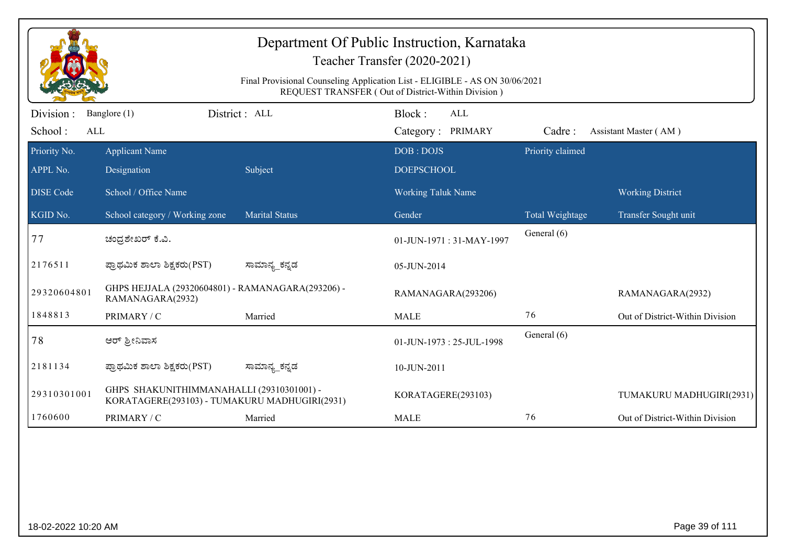|                             | Department Of Public Instruction, Karnataka<br>Teacher Transfer (2020-2021)<br>Final Provisional Counseling Application List - ELIGIBLE - AS ON 30/06/2021<br>REQUEST TRANSFER (Out of District-Within Division) |                       |                                           |                  |                                 |  |  |  |
|-----------------------------|------------------------------------------------------------------------------------------------------------------------------------------------------------------------------------------------------------------|-----------------------|-------------------------------------------|------------------|---------------------------------|--|--|--|
| Division:<br>School:<br>ALL | Banglore (1)                                                                                                                                                                                                     | District: ALL         | Block:<br><b>ALL</b><br>Category: PRIMARY | Cadre:           | Assistant Master (AM)           |  |  |  |
| Priority No.<br>APPL No.    | <b>Applicant Name</b><br>Designation                                                                                                                                                                             | Subject               | DOB: DOJS<br><b>DOEPSCHOOL</b>            | Priority claimed |                                 |  |  |  |
| <b>DISE Code</b>            | School / Office Name                                                                                                                                                                                             |                       | <b>Working Taluk Name</b>                 |                  | <b>Working District</b>         |  |  |  |
| KGID No.                    | School category / Working zone                                                                                                                                                                                   | <b>Marital Status</b> | Gender                                    | Total Weightage  | Transfer Sought unit            |  |  |  |
| 77                          | ಚಂದ್ರಶೇಖರ್ ಕೆ.ವಿ.                                                                                                                                                                                                |                       | 01-JUN-1971: 31-MAY-1997                  | General (6)      |                                 |  |  |  |
| 2176511                     | ಪ್ರಾಥಮಿಕ ಶಾಲಾ ಶಿಕ್ಷಕರು(PST)                                                                                                                                                                                      | ಸಾಮಾನ್ಯ_ಕನ್ನಡ         | 05-JUN-2014                               |                  |                                 |  |  |  |
| 29320604801                 | GHPS HEJJALA (29320604801) - RAMANAGARA(293206) -<br>RAMANAGARA(2932)                                                                                                                                            |                       | RAMANAGARA(293206)                        |                  | RAMANAGARA(2932)                |  |  |  |
| 1848813                     | PRIMARY / C                                                                                                                                                                                                      | Married               | <b>MALE</b>                               | 76               | Out of District-Within Division |  |  |  |
| 78                          | ಆರ್ ಶ್ರೀನಿವಾಸ                                                                                                                                                                                                    |                       | 01-JUN-1973: 25-JUL-1998                  | General (6)      |                                 |  |  |  |
| 2181134                     | ಪ್ರಾಥಮಿಕ ಶಾಲಾ ಶಿಕ್ಷಕರು(PST)                                                                                                                                                                                      | ಸಾಮಾನ್ಯ_ಕನ್ನಡ         | 10-JUN-2011                               |                  |                                 |  |  |  |
| 29310301001                 | GHPS SHAKUNITHIMMANAHALLI (29310301001) -<br>KORATAGERE(293103) - TUMAKURU MADHUGIRI(2931)                                                                                                                       |                       | KORATAGERE(293103)                        |                  | TUMAKURU MADHUGIRI(2931)        |  |  |  |
| 1760600                     | PRIMARY / C                                                                                                                                                                                                      | Married               | <b>MALE</b>                               | 76               | Out of District-Within Division |  |  |  |
|                             |                                                                                                                                                                                                                  |                       |                                           |                  |                                 |  |  |  |
| 18-02-2022 10:20 AM         |                                                                                                                                                                                                                  |                       |                                           |                  | Page 39 of 111                  |  |  |  |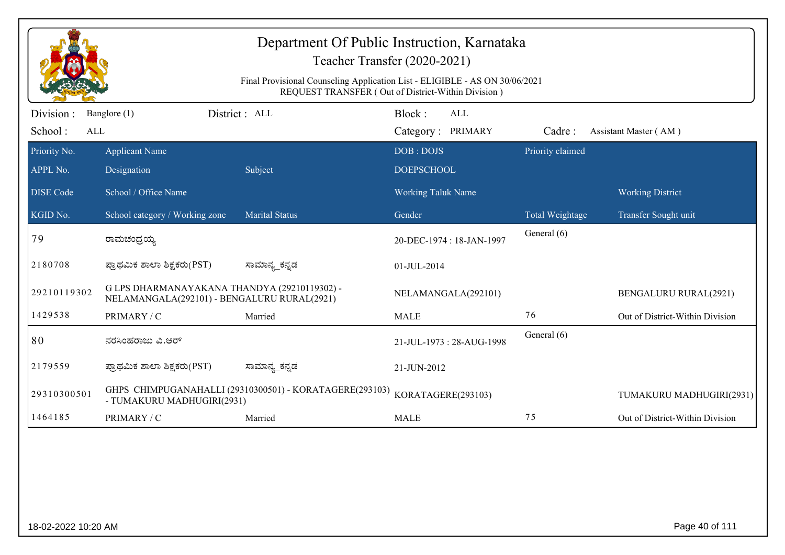| Department Of Public Instruction, Karnataka<br>Teacher Transfer (2020-2021) |                                                                                                                                   |                                                         |                                    |                  |                                 |  |  |  |
|-----------------------------------------------------------------------------|-----------------------------------------------------------------------------------------------------------------------------------|---------------------------------------------------------|------------------------------------|------------------|---------------------------------|--|--|--|
|                                                                             | Final Provisional Counseling Application List - ELIGIBLE - AS ON 30/06/2021<br>REQUEST TRANSFER (Out of District-Within Division) |                                                         |                                    |                  |                                 |  |  |  |
| Division :<br>School:<br>ALL                                                | Banglore (1)                                                                                                                      | District: ALL                                           | Block:<br>ALL<br>Category: PRIMARY | Cadre:           | Assistant Master (AM)           |  |  |  |
| Priority No.<br>APPL No.                                                    | <b>Applicant Name</b><br>Designation                                                                                              | Subject                                                 | DOB: DOJS<br><b>DOEPSCHOOL</b>     | Priority claimed |                                 |  |  |  |
| <b>DISE</b> Code                                                            | School / Office Name                                                                                                              |                                                         | <b>Working Taluk Name</b>          |                  | <b>Working District</b>         |  |  |  |
| KGID No.                                                                    | School category / Working zone                                                                                                    | <b>Marital Status</b>                                   | Gender                             | Total Weightage  | Transfer Sought unit            |  |  |  |
| 79                                                                          | ರಾಮಚಂದ್ರಯ್ಯ                                                                                                                       |                                                         | 20-DEC-1974 : 18-JAN-1997          | General (6)      |                                 |  |  |  |
| 2180708                                                                     | ಪ್ರಾಥಮಿಕ ಶಾಲಾ ಶಿಕ್ಷಕರು(PST)                                                                                                       | ಸಾಮಾನ್ಯ_ಕನ್ನಡ                                           | 01-JUL-2014                        |                  |                                 |  |  |  |
| 29210119302                                                                 | G LPS DHARMANAYAKANA THANDYA (29210119302) -<br>NELAMANGALA(292101) - BENGALURU RURAL(2921)                                       |                                                         | NELAMANGALA(292101)                |                  | <b>BENGALURU RURAL(2921)</b>    |  |  |  |
| 1429538                                                                     | PRIMARY / C                                                                                                                       | Married                                                 | <b>MALE</b>                        | 76               | Out of District-Within Division |  |  |  |
| 80                                                                          | ನರಸಿಂಹರಾಜು ವಿ.ಆರ್                                                                                                                 |                                                         | 21-JUL-1973: 28-AUG-1998           | General (6)      |                                 |  |  |  |
| 2179559                                                                     | ಪ್ರಾಥಮಿಕ ಶಾಲಾ ಶಿಕ್ಷಕರು(PST)                                                                                                       | ಸಾಮಾನ್ಯ_ಕನ್ನಡ                                           | 21-JUN-2012                        |                  |                                 |  |  |  |
| 29310300501                                                                 | - TUMAKURU MADHUGIRI(2931)                                                                                                        | GHPS CHIMPUGANAHALLI (29310300501) - KORATAGERE(293103) | KORATAGERE(293103)                 |                  | TUMAKURU MADHUGIRI(2931)        |  |  |  |
| 1464185                                                                     | PRIMARY / C                                                                                                                       | Married                                                 | <b>MALE</b>                        | 75               | Out of District-Within Division |  |  |  |
|                                                                             |                                                                                                                                   |                                                         |                                    |                  |                                 |  |  |  |
| 18-02-2022 10:20 AM                                                         |                                                                                                                                   |                                                         |                                    |                  | Page 40 of 111                  |  |  |  |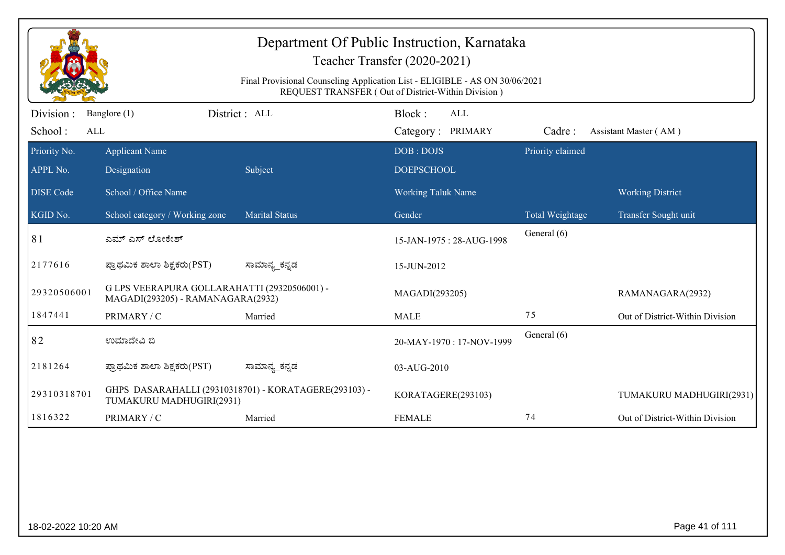|                             | Department Of Public Instruction, Karnataka<br>Teacher Transfer (2020-2021)<br>Final Provisional Counseling Application List - ELIGIBLE - AS ON 30/06/2021<br>REQUEST TRANSFER (Out of District-Within Division) |                                                       |                                           |                  |                                 |  |  |
|-----------------------------|------------------------------------------------------------------------------------------------------------------------------------------------------------------------------------------------------------------|-------------------------------------------------------|-------------------------------------------|------------------|---------------------------------|--|--|
| Division:<br>School:<br>ALL | Banglore (1)                                                                                                                                                                                                     | District : ALL                                        | Block:<br><b>ALL</b><br>Category: PRIMARY | Cadre:           | Assistant Master (AM)           |  |  |
| Priority No.<br>APPL No.    | <b>Applicant Name</b><br>Designation                                                                                                                                                                             | Subject                                               | DOB: DOJS<br><b>DOEPSCHOOL</b>            | Priority claimed |                                 |  |  |
| <b>DISE</b> Code            | School / Office Name                                                                                                                                                                                             |                                                       | <b>Working Taluk Name</b>                 |                  | <b>Working District</b>         |  |  |
| KGID No.                    | School category / Working zone                                                                                                                                                                                   | <b>Marital Status</b>                                 | Gender                                    | Total Weightage  | Transfer Sought unit            |  |  |
| 81                          | ಎಮ್ ಎಸ್ ಲೋಕೇಶ್                                                                                                                                                                                                   |                                                       | 15-JAN-1975: 28-AUG-1998                  | General (6)      |                                 |  |  |
| 2177616                     | ಪ್ರಾಥಮಿಕ ಶಾಲಾ ಶಿಕ್ಷಕರು(PST)                                                                                                                                                                                      | ಸಾಮಾನ್ಯ_ಕನ್ನಡ                                         | 15-JUN-2012                               |                  |                                 |  |  |
| 29320506001                 | G LPS VEERAPURA GOLLARAHATTI (29320506001) -<br>MAGADI(293205) - RAMANAGARA(2932)                                                                                                                                |                                                       | MAGADI(293205)                            |                  | RAMANAGARA(2932)                |  |  |
| 1847441                     | PRIMARY / C                                                                                                                                                                                                      | Married                                               | <b>MALE</b>                               | 75               | Out of District-Within Division |  |  |
| 82                          | ಉಮಾದೇವಿ ಬಿ                                                                                                                                                                                                       |                                                       | 20-MAY-1970: 17-NOV-1999                  | General (6)      |                                 |  |  |
| 2181264                     | ಪ್ರಾಥಮಿಕ ಶಾಲಾ ಶಿಕ್ಷಕರು(PST)                                                                                                                                                                                      | ಸಾಮಾನ್ಯ_ಕನ್ನಡ                                         | 03-AUG-2010                               |                  |                                 |  |  |
| 29310318701                 | TUMAKURU MADHUGIRI(2931)                                                                                                                                                                                         | GHPS DASARAHALLI (29310318701) - KORATAGERE(293103) - | KORATAGERE(293103)                        |                  | TUMAKURU MADHUGIRI(2931)        |  |  |
| 1816322                     | PRIMARY / C                                                                                                                                                                                                      | Married                                               | <b>FEMALE</b>                             | 74               | Out of District-Within Division |  |  |
|                             |                                                                                                                                                                                                                  |                                                       |                                           |                  |                                 |  |  |
| 18-02-2022 10:20 AM         |                                                                                                                                                                                                                  |                                                       |                                           |                  | Page 41 of 111                  |  |  |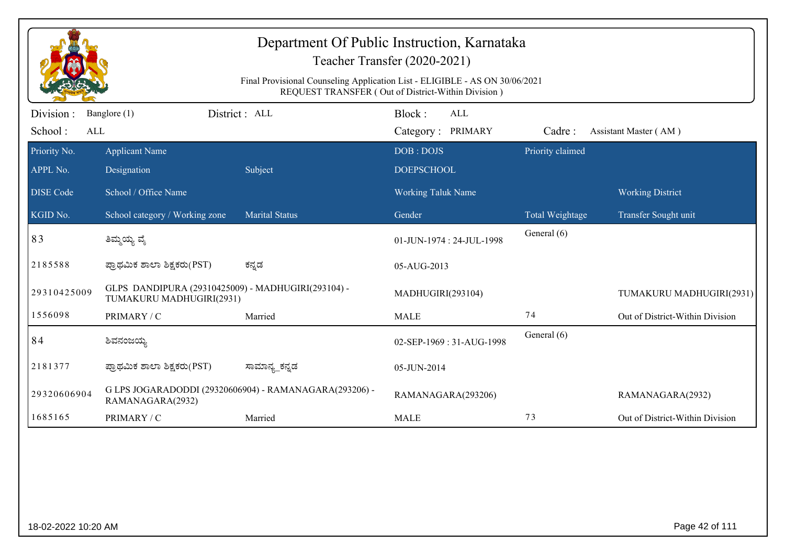| Department Of Public Instruction, Karnataka<br>Teacher Transfer (2020-2021) |                                                                                                                                   |                                                        |                                    |                  |                                 |  |  |  |
|-----------------------------------------------------------------------------|-----------------------------------------------------------------------------------------------------------------------------------|--------------------------------------------------------|------------------------------------|------------------|---------------------------------|--|--|--|
|                                                                             | Final Provisional Counseling Application List - ELIGIBLE - AS ON 30/06/2021<br>REQUEST TRANSFER (Out of District-Within Division) |                                                        |                                    |                  |                                 |  |  |  |
| Division :<br>School:<br>ALL                                                | Banglore (1)                                                                                                                      | District: ALL                                          | Block:<br>ALL<br>Category: PRIMARY | Cadre:           | Assistant Master (AM)           |  |  |  |
| Priority No.<br>APPL No.                                                    | <b>Applicant Name</b><br>Designation                                                                                              | Subject                                                | DOB: DOJS<br><b>DOEPSCHOOL</b>     | Priority claimed |                                 |  |  |  |
| <b>DISE</b> Code                                                            | School / Office Name                                                                                                              |                                                        | Working Taluk Name                 |                  | <b>Working District</b>         |  |  |  |
| KGID No.                                                                    | School category / Working zone                                                                                                    | <b>Marital Status</b>                                  | Gender                             | Total Weightage  | Transfer Sought unit            |  |  |  |
| 83                                                                          | ತಿಮ್ಮಯ್ಯ ವೈ                                                                                                                       |                                                        | 01-JUN-1974 : 24-JUL-1998          | General (6)      |                                 |  |  |  |
| 2185588                                                                     | ಪ್ರಾಥಮಿಕ ಶಾಲಾ ಶಿಕ್ಷಕರು(PST)                                                                                                       | ಕನ್ನಡ                                                  | 05-AUG-2013                        |                  |                                 |  |  |  |
| 29310425009                                                                 | GLPS DANDIPURA (29310425009) - MADHUGIRI(293104) -<br>TUMAKURU MADHUGIRI(2931)                                                    |                                                        | MADHUGIRI(293104)                  |                  | TUMAKURU MADHUGIRI(2931)        |  |  |  |
| 1556098                                                                     | PRIMARY / C                                                                                                                       | Married                                                | <b>MALE</b>                        | 74               | Out of District-Within Division |  |  |  |
| 84                                                                          | ಶಿವನಂಜಯ್ಯ                                                                                                                         |                                                        | 02-SEP-1969: 31-AUG-1998           | General (6)      |                                 |  |  |  |
| 2181377                                                                     | ಪ್ರಾಥಮಿಕ ಶಾಲಾ ಶಿಕ್ಷಕರು(PST)                                                                                                       | ಸಾಮಾನ್ಯ_ಕನ್ನಡ                                          | 05-JUN-2014                        |                  |                                 |  |  |  |
| 29320606904                                                                 | RAMANAGARA(2932)                                                                                                                  | G LPS JOGARADODDI (29320606904) - RAMANAGARA(293206) - | RAMANAGARA(293206)                 |                  | RAMANAGARA(2932)                |  |  |  |
| 1685165                                                                     | PRIMARY / C                                                                                                                       | Married                                                | <b>MALE</b>                        | 73               | Out of District-Within Division |  |  |  |
|                                                                             |                                                                                                                                   |                                                        |                                    |                  |                                 |  |  |  |
| 18-02-2022 10:20 AM                                                         |                                                                                                                                   |                                                        |                                    |                  | Page 42 of 111                  |  |  |  |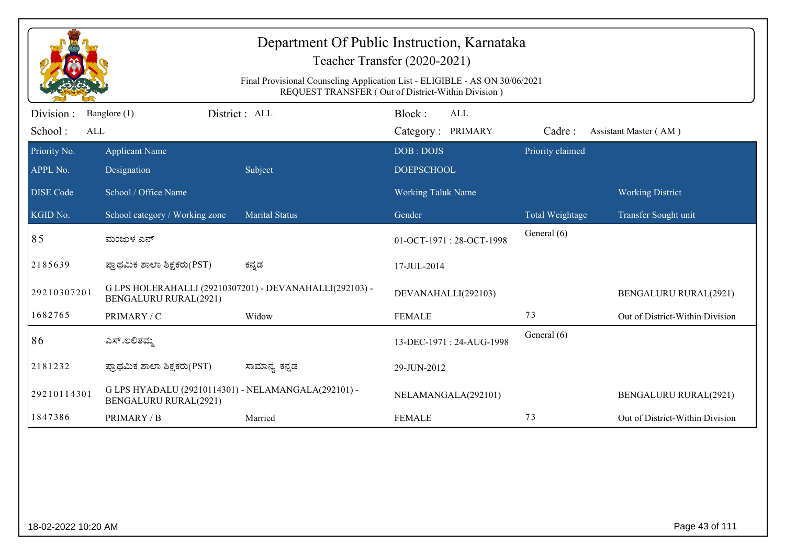| Department Of Public Instruction, Karnataka<br>Teacher Transfer (2020-2021)<br>Final Provisional Counseling Application List - ELIGIBLE - AS ON 30/06/2021<br>REQUEST TRANSFER (Out of District-Within Division) |                                                                              |                                                         |                                           |                  |                                 |  |
|------------------------------------------------------------------------------------------------------------------------------------------------------------------------------------------------------------------|------------------------------------------------------------------------------|---------------------------------------------------------|-------------------------------------------|------------------|---------------------------------|--|
| Division:<br>School:<br>ALL                                                                                                                                                                                      | Banglore (1)                                                                 | District : ALL                                          | Block:<br><b>ALL</b><br>Category: PRIMARY | Cadre:           | Assistant Master (AM)           |  |
| Priority No.<br>APPL No.                                                                                                                                                                                         | <b>Applicant Name</b><br>Designation                                         | Subject                                                 | DOB: DOJS<br><b>DOEPSCHOOL</b>            | Priority claimed |                                 |  |
| <b>DISE Code</b>                                                                                                                                                                                                 | School / Office Name                                                         |                                                         | <b>Working Taluk Name</b>                 |                  | <b>Working District</b>         |  |
| KGID No.                                                                                                                                                                                                         | School category / Working zone                                               | <b>Marital Status</b>                                   | Gender                                    | Total Weightage  | Transfer Sought unit            |  |
| 85                                                                                                                                                                                                               | ಮಂಜುಳ ಎನ್                                                                    |                                                         | 01-OCT-1971: 28-OCT-1998                  | General (6)      |                                 |  |
| 2185639                                                                                                                                                                                                          | ಪ್ರಾಥಮಿಕ ಶಾಲಾ ಶಿಕ್ಷಕರು(PST)                                                  | ಕನ್ನಡ                                                   | 17-JUL-2014                               |                  |                                 |  |
| 29210307201                                                                                                                                                                                                      | <b>BENGALURU RURAL(2921)</b>                                                 | G LPS HOLERAHALLI (29210307201) - DEVANAHALLI(292103) - | DEVANAHALLI(292103)                       |                  | <b>BENGALURU RURAL(2921)</b>    |  |
| 1682765                                                                                                                                                                                                          | PRIMARY / C                                                                  | Widow                                                   | <b>FEMALE</b>                             | 73               | Out of District-Within Division |  |
| 86                                                                                                                                                                                                               | ಎಸ್.ಲಲಿತಮ್ಮ                                                                  |                                                         | 13-DEC-1971: 24-AUG-1998                  | General (6)      |                                 |  |
| 2181232                                                                                                                                                                                                          | ಪ್ರಾಥಮಿಕ ಶಾಲಾ ಶಿಕ್ಷಕರು(PST)                                                  | ಸಾಮಾನ್ಯ_ಕನ್ನಡ                                           | 29-JUN-2012                               |                  |                                 |  |
| 29210114301                                                                                                                                                                                                      | G LPS HYADALU (29210114301) - NELAMANGALA(292101) -<br>BENGALURU RURAL(2921) |                                                         | NELAMANGALA(292101)                       |                  | <b>BENGALURU RURAL(2921)</b>    |  |
| 1847386                                                                                                                                                                                                          | PRIMARY / B                                                                  | Married                                                 | <b>FEMALE</b>                             | 73               | Out of District-Within Division |  |
|                                                                                                                                                                                                                  |                                                                              |                                                         |                                           |                  |                                 |  |
|                                                                                                                                                                                                                  | Page 43 of 111<br>18-02-2022 10:20 AM                                        |                                                         |                                           |                  |                                 |  |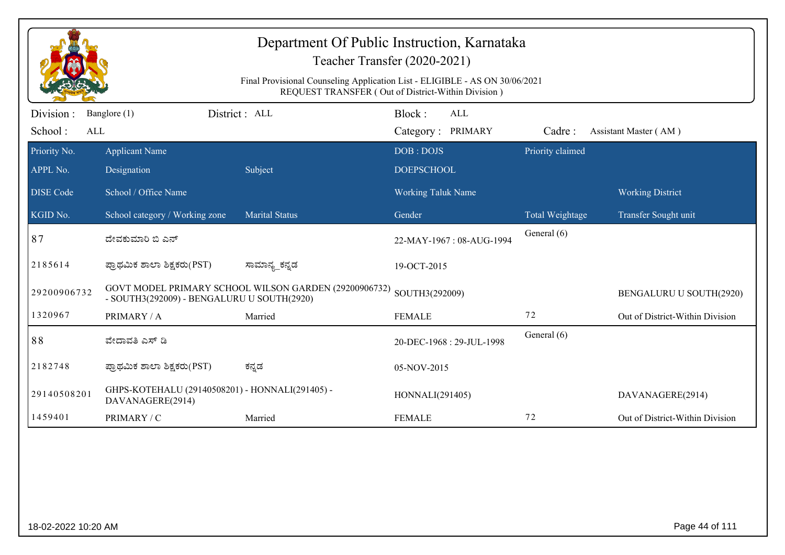| Department Of Public Instruction, Karnataka<br>Teacher Transfer (2020-2021)<br>Final Provisional Counseling Application List - ELIGIBLE - AS ON 30/06/2021<br>REQUEST TRANSFER (Out of District-Within Division) |                                                                     |                                                       |                                    |                  |                                 |  |  |
|------------------------------------------------------------------------------------------------------------------------------------------------------------------------------------------------------------------|---------------------------------------------------------------------|-------------------------------------------------------|------------------------------------|------------------|---------------------------------|--|--|
| Division :<br>School:<br>ALL                                                                                                                                                                                     | Banglore (1)                                                        | District: ALL                                         | Block:<br>ALL<br>Category: PRIMARY | Cadre:           | Assistant Master (AM)           |  |  |
| Priority No.<br>APPL No.                                                                                                                                                                                         | <b>Applicant Name</b><br>Designation                                | Subject                                               | DOB: DOJS<br><b>DOEPSCHOOL</b>     | Priority claimed |                                 |  |  |
| <b>DISE Code</b>                                                                                                                                                                                                 | School / Office Name                                                |                                                       | Working Taluk Name                 |                  | <b>Working District</b>         |  |  |
| KGID No.                                                                                                                                                                                                         | School category / Working zone                                      | <b>Marital Status</b>                                 | Gender                             | Total Weightage  | Transfer Sought unit            |  |  |
| 87                                                                                                                                                                                                               | ದೇವಕುಮಾರಿ ಬಿ ಎನ್                                                    |                                                       | 22-MAY-1967: 08-AUG-1994           | General (6)      |                                 |  |  |
| 2185614                                                                                                                                                                                                          | ಪ್ರಾಥಮಿಕ ಶಾಲಾ ಶಿಕ್ಷಕರು(PST)                                         | ಸಾಮಾನ್ಯ_ಕನ್ನಡ                                         | 19-OCT-2015                        |                  |                                 |  |  |
| 29200906732                                                                                                                                                                                                      | - SOUTH3(292009) - BENGALURU U SOUTH(2920)                          | GOVT MODEL PRIMARY SCHOOL WILSON GARDEN (29200906732) | SOUTH3(292009)                     |                  | BENGALURU U SOUTH(2920)         |  |  |
| 1320967                                                                                                                                                                                                          | PRIMARY / A                                                         | Married                                               | <b>FEMALE</b>                      | 72               | Out of District-Within Division |  |  |
| 88                                                                                                                                                                                                               | ವೇದಾವತಿ ಎಸ್ ಡಿ                                                      |                                                       | 20-DEC-1968: 29-JUL-1998           | General (6)      |                                 |  |  |
| 2182748                                                                                                                                                                                                          | ಪ್ರಾಥಮಿಕ ಶಾಲಾ ಶಿಕ್ಷಕರು(PST)                                         | ಕನ್ನಡ                                                 | 05-NOV-2015                        |                  |                                 |  |  |
| 29140508201                                                                                                                                                                                                      | GHPS-KOTEHALU (29140508201) - HONNALI(291405) -<br>DAVANAGERE(2914) |                                                       | HONNALI(291405)                    |                  | DAVANAGERE(2914)                |  |  |
| 1459401                                                                                                                                                                                                          | PRIMARY / C                                                         | Married                                               | <b>FEMALE</b>                      | 72               | Out of District-Within Division |  |  |
|                                                                                                                                                                                                                  |                                                                     |                                                       |                                    |                  |                                 |  |  |
| 18-02-2022 10:20 AM                                                                                                                                                                                              |                                                                     |                                                       |                                    |                  | Page 44 of 111                  |  |  |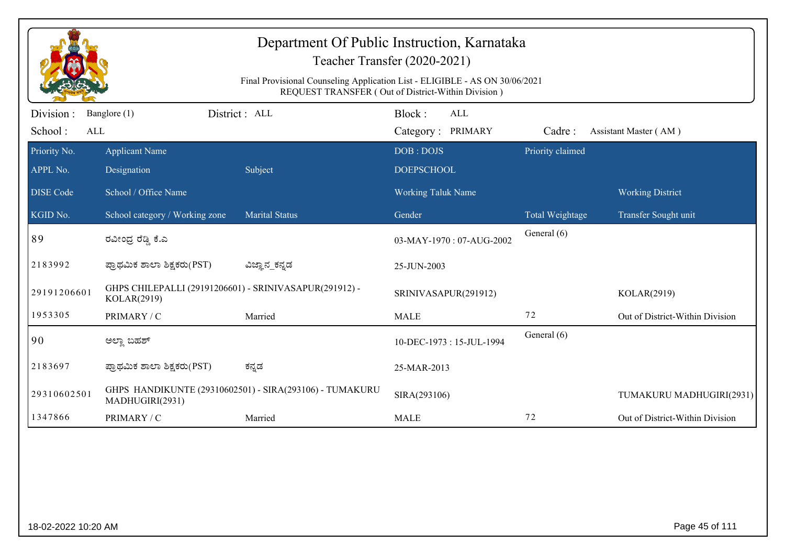|                             | Department Of Public Instruction, Karnataka<br>Teacher Transfer (2020-2021)<br>Final Provisional Counseling Application List - ELIGIBLE - AS ON 30/06/2021<br>REQUEST TRANSFER (Out of District-Within Division) |                                                         |                                           |                  |                                 |  |  |  |
|-----------------------------|------------------------------------------------------------------------------------------------------------------------------------------------------------------------------------------------------------------|---------------------------------------------------------|-------------------------------------------|------------------|---------------------------------|--|--|--|
| Division:<br>School:<br>ALL | Banglore (1)                                                                                                                                                                                                     | District : ALL                                          | Block:<br><b>ALL</b><br>Category: PRIMARY | Cadre:           | Assistant Master (AM)           |  |  |  |
| Priority No.<br>APPL No.    | <b>Applicant Name</b><br>Designation                                                                                                                                                                             | Subject                                                 | DOB: DOJS<br><b>DOEPSCHOOL</b>            | Priority claimed |                                 |  |  |  |
| <b>DISE Code</b>            | School / Office Name                                                                                                                                                                                             |                                                         | <b>Working Taluk Name</b>                 |                  | <b>Working District</b>         |  |  |  |
| KGID No.                    | School category / Working zone                                                                                                                                                                                   | <b>Marital Status</b>                                   | Gender                                    | Total Weightage  | Transfer Sought unit            |  |  |  |
| 89                          | ರವೀಂದ್ರ ರೆಡ್ಡಿ ಕೆ.ಎ                                                                                                                                                                                              |                                                         | 03-MAY-1970: 07-AUG-2002                  | General (6)      |                                 |  |  |  |
| 2183992                     | ಪ್ರಾಥಮಿಕ ಶಾಲಾ ಶಿಕ್ಷಕರು(PST)                                                                                                                                                                                      | ವಿಜ್ಞಾನ_ಕನ್ನಡ                                           | 25-JUN-2003                               |                  |                                 |  |  |  |
| 29191206601                 | GHPS CHILEPALLI (29191206601) - SRINIVASAPUR(291912) -<br>KOLAR(2919)                                                                                                                                            |                                                         | SRINIVASAPUR(291912)                      |                  | KOLAR(2919)                     |  |  |  |
| 1953305                     | PRIMARY / C                                                                                                                                                                                                      | Married                                                 | <b>MALE</b>                               | 72               | Out of District-Within Division |  |  |  |
| 90                          | ಅಲ್ಲಾ ಬಹಶ್                                                                                                                                                                                                       |                                                         | 10-DEC-1973: 15-JUL-1994                  | General (6)      |                                 |  |  |  |
| 2183697                     | ಪ್ರಾಥಮಿಕ ಶಾಲಾ ಶಿಕ್ಷಕರು(PST)                                                                                                                                                                                      | ಕನ್ನಡ                                                   | 25-MAR-2013                               |                  |                                 |  |  |  |
| 29310602501                 | MADHUGIRI(2931)                                                                                                                                                                                                  | GHPS HANDIKUNTE (29310602501) - SIRA(293106) - TUMAKURU | SIRA(293106)                              |                  | TUMAKURU MADHUGIRI(2931)        |  |  |  |
| 1347866                     | PRIMARY / C                                                                                                                                                                                                      | Married                                                 | <b>MALE</b>                               | 72               | Out of District-Within Division |  |  |  |
|                             |                                                                                                                                                                                                                  |                                                         |                                           |                  |                                 |  |  |  |
| 18-02-2022 10:20 AM         |                                                                                                                                                                                                                  |                                                         |                                           |                  | Page 45 of 111                  |  |  |  |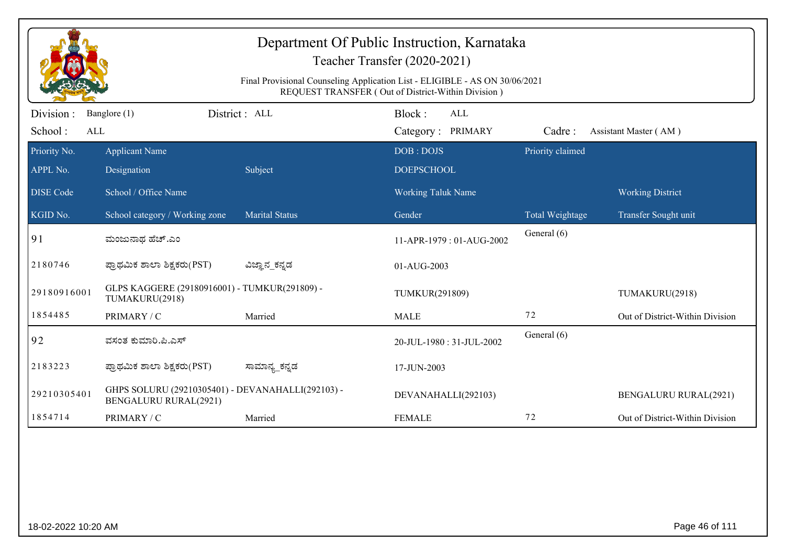| Department Of Public Instruction, Karnataka<br>Teacher Transfer (2020-2021)<br>Final Provisional Counseling Application List - ELIGIBLE - AS ON 30/06/2021<br>REQUEST TRANSFER (Out of District-Within Division) |                                                                                   |                       |                                           |                  |                                 |  |  |
|------------------------------------------------------------------------------------------------------------------------------------------------------------------------------------------------------------------|-----------------------------------------------------------------------------------|-----------------------|-------------------------------------------|------------------|---------------------------------|--|--|
| Division:<br>School:<br>ALL                                                                                                                                                                                      | Banglore (1)                                                                      | District: ALL         | Block:<br><b>ALL</b><br>Category: PRIMARY | Cadre:           | Assistant Master (AM)           |  |  |
| Priority No.<br>APPL No.                                                                                                                                                                                         | <b>Applicant Name</b><br>Designation                                              | Subject               | DOB: DOJS<br><b>DOEPSCHOOL</b>            | Priority claimed |                                 |  |  |
| <b>DISE</b> Code                                                                                                                                                                                                 | School / Office Name                                                              |                       | <b>Working Taluk Name</b>                 |                  | <b>Working District</b>         |  |  |
| KGID No.                                                                                                                                                                                                         | School category / Working zone                                                    | <b>Marital Status</b> | Gender                                    | Total Weightage  | Transfer Sought unit            |  |  |
| 91                                                                                                                                                                                                               | ಮಂಜುನಾಥ ಹೆಚ್.ಎಂ                                                                   |                       | 11-APR-1979: 01-AUG-2002                  | General (6)      |                                 |  |  |
| 2180746                                                                                                                                                                                                          | ಪ್ರಾಥಮಿಕ ಶಾಲಾ ಶಿಕ್ಷಕರು(PST)                                                       | ವಿಜ್ಞಾನ_ಕನ್ನಡ         | 01-AUG-2003                               |                  |                                 |  |  |
| 29180916001                                                                                                                                                                                                      | GLPS KAGGERE (29180916001) - TUMKUR(291809) -<br>TUMAKURU(2918)                   |                       | TUMKUR(291809)                            |                  | TUMAKURU(2918)                  |  |  |
| 1854485                                                                                                                                                                                                          | PRIMARY / C                                                                       | Married               | <b>MALE</b>                               | 72               | Out of District-Within Division |  |  |
| 92                                                                                                                                                                                                               | ವಸಂತ ಕುಮಾರಿ.ಪಿ.ಎಸ್                                                                |                       | 20-JUL-1980: 31-JUL-2002                  | General (6)      |                                 |  |  |
| 2183223                                                                                                                                                                                                          | ಪ್ರಾಥಮಿಕ ಶಾಲಾ ಶಿಕ್ಷಕರು(PST)                                                       | ಸಾಮಾನ್ಯ_ಕನ್ನಡ         | 17-JUN-2003                               |                  |                                 |  |  |
| 29210305401                                                                                                                                                                                                      | GHPS SOLURU (29210305401) - DEVANAHALLI(292103) -<br><b>BENGALURU RURAL(2921)</b> |                       | DEVANAHALLI(292103)                       |                  | <b>BENGALURU RURAL(2921)</b>    |  |  |
| 1854714                                                                                                                                                                                                          | PRIMARY / C                                                                       | Married               | <b>FEMALE</b>                             | 72               | Out of District-Within Division |  |  |
|                                                                                                                                                                                                                  |                                                                                   |                       |                                           |                  |                                 |  |  |
|                                                                                                                                                                                                                  | Page 46 of 111<br>18-02-2022 10:20 AM                                             |                       |                                           |                  |                                 |  |  |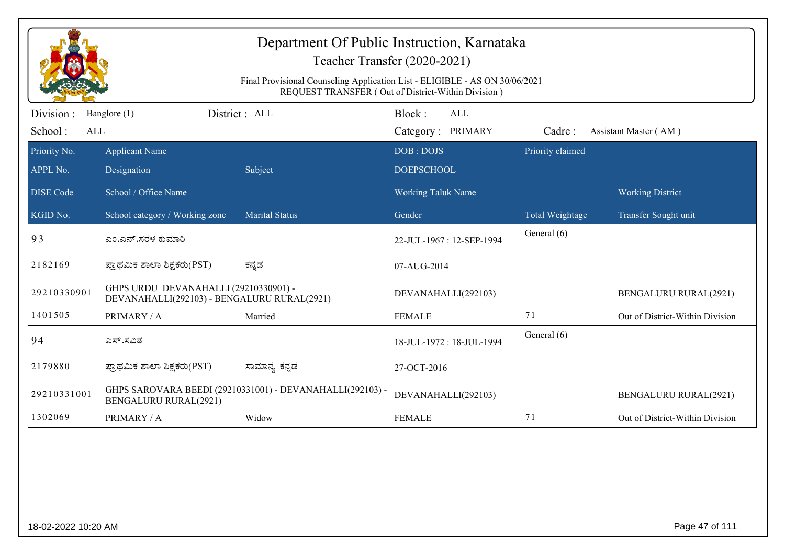| Department Of Public Instruction, Karnataka<br>Teacher Transfer (2020-2021)<br>Final Provisional Counseling Application List - ELIGIBLE - AS ON 30/06/2021<br>REQUEST TRANSFER (Out of District-Within Division) |                                                                                      |                                                           |                                           |                  |                                 |  |
|------------------------------------------------------------------------------------------------------------------------------------------------------------------------------------------------------------------|--------------------------------------------------------------------------------------|-----------------------------------------------------------|-------------------------------------------|------------------|---------------------------------|--|
| Division :<br>School:<br>ALL                                                                                                                                                                                     | Banglore (1)                                                                         | District: ALL                                             | Block:<br><b>ALL</b><br>Category: PRIMARY | Cadre:           | Assistant Master (AM)           |  |
| Priority No.<br>APPL No.                                                                                                                                                                                         | <b>Applicant Name</b><br>Designation                                                 | Subject                                                   | DOB: DOJS<br><b>DOEPSCHOOL</b>            | Priority claimed |                                 |  |
| <b>DISE</b> Code                                                                                                                                                                                                 | School / Office Name                                                                 |                                                           | <b>Working Taluk Name</b>                 |                  | <b>Working District</b>         |  |
| KGID No.                                                                                                                                                                                                         | School category / Working zone                                                       | <b>Marital Status</b>                                     | Gender                                    | Total Weightage  | Transfer Sought unit            |  |
| 93                                                                                                                                                                                                               | ಎಂ.ಎನ್.ಸರಳ ಕುಮಾರಿ                                                                    |                                                           | 22-JUL-1967: 12-SEP-1994                  | General (6)      |                                 |  |
| 2182169                                                                                                                                                                                                          | ಪ್ರಾಥಮಿಕ ಶಾಲಾ ಶಿಕ್ಷಕರು(PST)                                                          | ಕನ್ನಡ                                                     | 07-AUG-2014                               |                  |                                 |  |
| 29210330901                                                                                                                                                                                                      | GHPS URDU DEVANAHALLI (29210330901) -<br>DEVANAHALLI(292103) - BENGALURU RURAL(2921) |                                                           | DEVANAHALLI(292103)                       |                  | <b>BENGALURU RURAL(2921)</b>    |  |
| 1401505                                                                                                                                                                                                          | PRIMARY / A                                                                          | Married                                                   | <b>FEMALE</b>                             | 71               | Out of District-Within Division |  |
| 94                                                                                                                                                                                                               | ಎಸ್.ಸವಿತ                                                                             |                                                           | 18-JUL-1972: 18-JUL-1994                  | General (6)      |                                 |  |
| 2179880                                                                                                                                                                                                          | ಪ್ರಾಥಮಿಕ ಶಾಲಾ ಶಿಕ್ಷಕರು(PST)                                                          | ಸಾಮಾನ್ಯ_ಕನ್ನಡ                                             | 27-OCT-2016                               |                  |                                 |  |
| 29210331001                                                                                                                                                                                                      | <b>BENGALURU RURAL(2921)</b>                                                         | GHPS SAROVARA BEEDI (29210331001) - DEVANAHALLI(292103) - | DEVANAHALLI(292103)                       |                  | <b>BENGALURU RURAL(2921)</b>    |  |
| 1302069                                                                                                                                                                                                          | PRIMARY / A                                                                          | Widow                                                     | <b>FEMALE</b>                             | 71               | Out of District-Within Division |  |
|                                                                                                                                                                                                                  |                                                                                      |                                                           |                                           |                  |                                 |  |
|                                                                                                                                                                                                                  | Page 47 of 111<br>18-02-2022 10:20 AM                                                |                                                           |                                           |                  |                                 |  |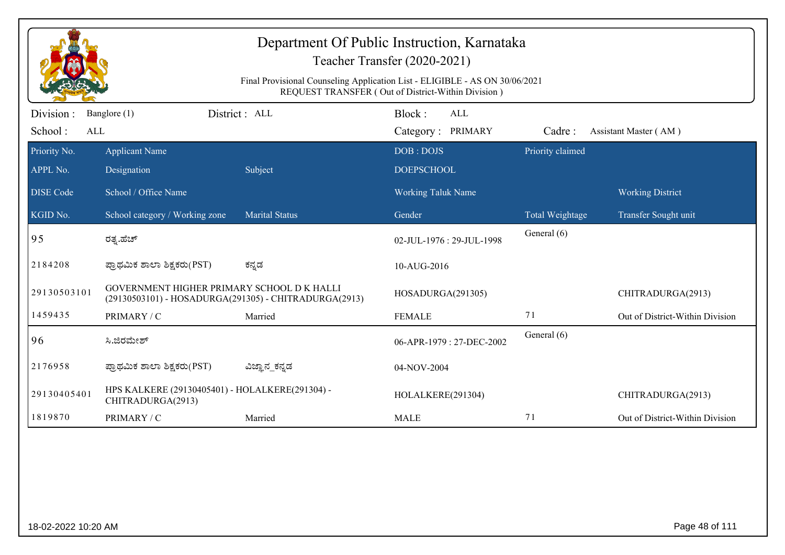| Department Of Public Instruction, Karnataka<br>Teacher Transfer (2020-2021) |                                                                                                                                   |                       |                                    |                  |                                 |  |  |  |
|-----------------------------------------------------------------------------|-----------------------------------------------------------------------------------------------------------------------------------|-----------------------|------------------------------------|------------------|---------------------------------|--|--|--|
|                                                                             | Final Provisional Counseling Application List - ELIGIBLE - AS ON 30/06/2021<br>REQUEST TRANSFER (Out of District-Within Division) |                       |                                    |                  |                                 |  |  |  |
| Division :<br>School:<br>ALL                                                | Banglore (1)                                                                                                                      | District: ALL         | Block:<br>ALL<br>Category: PRIMARY | Cadre:           | Assistant Master (AM)           |  |  |  |
| Priority No.<br>APPL No.                                                    | <b>Applicant Name</b><br>Designation                                                                                              | Subject               | DOB: DOJS<br><b>DOEPSCHOOL</b>     | Priority claimed |                                 |  |  |  |
| <b>DISE</b> Code                                                            | School / Office Name                                                                                                              |                       | <b>Working Taluk Name</b>          |                  | <b>Working District</b>         |  |  |  |
| KGID No.                                                                    | School category / Working zone                                                                                                    | <b>Marital Status</b> | Gender                             | Total Weightage  | Transfer Sought unit            |  |  |  |
| 95                                                                          | ರತ್ಯ.ಹೆಚ್                                                                                                                         |                       | 02-JUL-1976: 29-JUL-1998           | General (6)      |                                 |  |  |  |
| 2184208                                                                     | ಪ್ರಾಥಮಿಕ ಶಾಲಾ ಶಿಕ್ಷಕರು(PST)                                                                                                       | ಕನ್ನಡ                 | 10-AUG-2016                        |                  |                                 |  |  |  |
| 29130503101                                                                 | GOVERNMENT HIGHER PRIMARY SCHOOL DK HALLI<br>(29130503101) - HOSADURGA(291305) - CHITRADURGA(2913)                                |                       | HOSADURGA(291305)                  |                  | CHITRADURGA(2913)               |  |  |  |
| 1459435                                                                     | PRIMARY / C                                                                                                                       | Married               | <b>FEMALE</b>                      | 71               | Out of District-Within Division |  |  |  |
| 96                                                                          | ಸಿ.ಜಿರಮೇಶ್                                                                                                                        |                       | 06-APR-1979: 27-DEC-2002           | General (6)      |                                 |  |  |  |
| 2176958                                                                     | ಪ್ರಾಥಮಿಕ ಶಾಲಾ ಶಿಕ್ಷಕರು(PST)                                                                                                       | ವಿಜ್ಞಾನ_ಕನ್ನಡ         | 04-NOV-2004                        |                  |                                 |  |  |  |
| 29130405401                                                                 | HPS KALKERE (29130405401) - HOLALKERE(291304) -<br>CHITRADURGA(2913)                                                              |                       | HOLALKERE(291304)                  |                  | CHITRADURGA(2913)               |  |  |  |
| 1819870                                                                     | PRIMARY / C                                                                                                                       | Married               | <b>MALE</b>                        | 71               | Out of District-Within Division |  |  |  |
|                                                                             |                                                                                                                                   |                       |                                    |                  |                                 |  |  |  |
| 18-02-2022 10:20 AM                                                         |                                                                                                                                   |                       |                                    |                  | Page 48 of 111                  |  |  |  |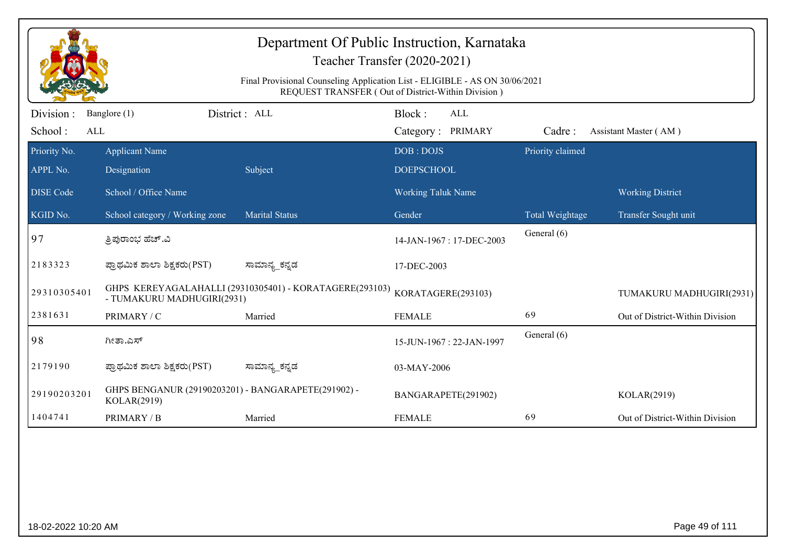| Department Of Public Instruction, Karnataka<br>Teacher Transfer (2020-2021)<br>Final Provisional Counseling Application List - ELIGIBLE - AS ON 30/06/2021<br>REQUEST TRANSFER (Out of District-Within Division) |                                                                    |                                                         |                                           |                  |                                 |  |
|------------------------------------------------------------------------------------------------------------------------------------------------------------------------------------------------------------------|--------------------------------------------------------------------|---------------------------------------------------------|-------------------------------------------|------------------|---------------------------------|--|
| Division :<br>School:<br>ALL                                                                                                                                                                                     | Banglore (1)                                                       | District : ALL                                          | Block:<br><b>ALL</b><br>Category: PRIMARY | Cadre:           | Assistant Master (AM)           |  |
| Priority No.<br>APPL No.                                                                                                                                                                                         | <b>Applicant Name</b><br>Designation                               | Subject                                                 | DOB: DOJS<br><b>DOEPSCHOOL</b>            | Priority claimed |                                 |  |
| <b>DISE Code</b>                                                                                                                                                                                                 | School / Office Name                                               |                                                         | Working Taluk Name                        |                  | <b>Working District</b>         |  |
| KGID No.                                                                                                                                                                                                         | School category / Working zone                                     | <b>Marital Status</b>                                   | Gender                                    | Total Weightage  | Transfer Sought unit            |  |
| 97                                                                                                                                                                                                               | ತ್ರಿಪುರಾಂಭ ಹೆಚ್.ವಿ                                                 |                                                         | 14-JAN-1967: 17-DEC-2003                  | General (6)      |                                 |  |
| 2183323                                                                                                                                                                                                          | ಪ್ರಾಥಮಿಕ ಶಾಲಾ ಶಿಕ್ಷಕರು(PST)                                        | ಸಾಮಾನ್ಯ_ಕನ್ನಡ                                           | 17-DEC-2003                               |                  |                                 |  |
| 29310305401                                                                                                                                                                                                      | - TUMAKURU MADHUGIRI(2931)                                         | GHPS KEREYAGALAHALLI (29310305401) - KORATAGERE(293103) | KORATAGERE(293103)                        |                  | TUMAKURU MADHUGIRI(2931)        |  |
| 2381631                                                                                                                                                                                                          | PRIMARY / C                                                        | Married                                                 | <b>FEMALE</b>                             | 69               | Out of District-Within Division |  |
| 98                                                                                                                                                                                                               | ಗೀತಾ.ಎಸ್                                                           |                                                         | 15-JUN-1967: 22-JAN-1997                  | General (6)      |                                 |  |
| 2179190                                                                                                                                                                                                          | ಪ್ರಾಥಮಿಕ ಶಾಲಾ ಶಿಕ್ಷಕರು(PST)                                        | ಸಾಮಾನ್ಯ_ಕನ್ನಡ                                           | 03-MAY-2006                               |                  |                                 |  |
| 29190203201                                                                                                                                                                                                      | GHPS BENGANUR (29190203201) - BANGARAPETE(291902) -<br>KOLAR(2919) |                                                         | BANGARAPETE(291902)                       |                  | KOLAR(2919)                     |  |
| 1404741                                                                                                                                                                                                          | PRIMARY / B                                                        | Married                                                 | <b>FEMALE</b>                             | 69               | Out of District-Within Division |  |
|                                                                                                                                                                                                                  |                                                                    |                                                         |                                           |                  |                                 |  |
| 18-02-2022 10:20 AM                                                                                                                                                                                              |                                                                    |                                                         |                                           |                  | Page 49 of 111                  |  |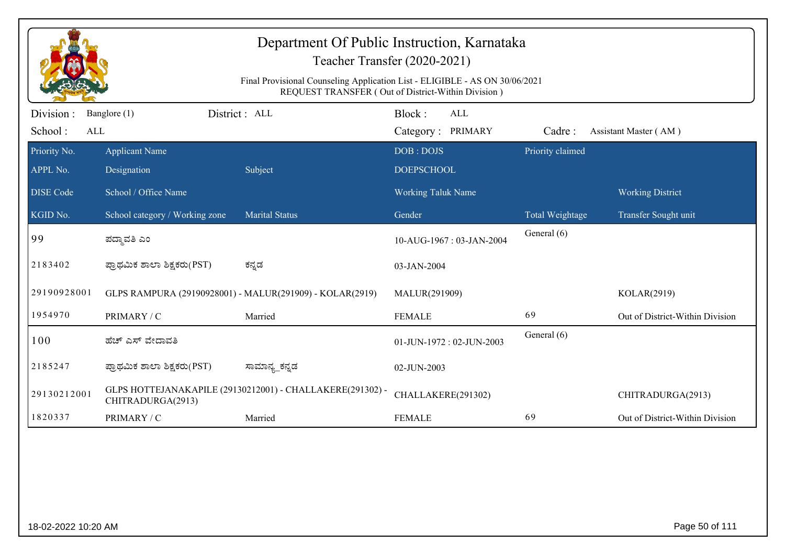| Department Of Public Instruction, Karnataka<br>Teacher Transfer (2020-2021)<br>Final Provisional Counseling Application List - ELIGIBLE - AS ON 30/06/2021<br>REQUEST TRANSFER (Out of District-Within Division) |                                       |                                                           |                                           |                  |                                 |  |
|------------------------------------------------------------------------------------------------------------------------------------------------------------------------------------------------------------------|---------------------------------------|-----------------------------------------------------------|-------------------------------------------|------------------|---------------------------------|--|
| Division:<br>School:<br>ALL                                                                                                                                                                                      | Banglore (1)                          | District: ALL                                             | Block:<br><b>ALL</b><br>Category: PRIMARY | Cadre:           | Assistant Master (AM)           |  |
| Priority No.<br>APPL No.                                                                                                                                                                                         | <b>Applicant Name</b><br>Designation  | Subject                                                   | DOB: DOJS<br><b>DOEPSCHOOL</b>            | Priority claimed |                                 |  |
| <b>DISE</b> Code                                                                                                                                                                                                 | School / Office Name                  |                                                           | <b>Working Taluk Name</b>                 |                  | <b>Working District</b>         |  |
| KGID No.                                                                                                                                                                                                         | School category / Working zone        | <b>Marital Status</b>                                     | Gender                                    | Total Weightage  | Transfer Sought unit            |  |
| 99                                                                                                                                                                                                               | ಪದ್ಮಾವತಿ ಎಂ                           |                                                           | 10-AUG-1967: 03-JAN-2004                  | General (6)      |                                 |  |
| 2183402                                                                                                                                                                                                          | ಪ್ರಾಥಮಿಕ ಶಾಲಾ ಶಿಕ್ಷಕರು(PST)           | ಕನ್ನಡ                                                     | 03-JAN-2004                               |                  |                                 |  |
| 29190928001                                                                                                                                                                                                      |                                       | GLPS RAMPURA (29190928001) - MALUR(291909) - KOLAR(2919)  | MALUR(291909)                             |                  | KOLAR(2919)                     |  |
| 1954970                                                                                                                                                                                                          | PRIMARY / C                           | Married                                                   | <b>FEMALE</b>                             | 69               | Out of District-Within Division |  |
| 100                                                                                                                                                                                                              | ಹೆಚ್ ಎಸ್ ವೇದಾವತಿ                      |                                                           | 01-JUN-1972: 02-JUN-2003                  | General (6)      |                                 |  |
| 2185247                                                                                                                                                                                                          | ಪ್ರಾಥಮಿಕ ಶಾಲಾ ಶಿಕ್ಷಕರು(PST)           | ಸಾಮಾನ್ಯ_ಕನ್ನಡ                                             | 02-JUN-2003                               |                  |                                 |  |
| 29130212001                                                                                                                                                                                                      | CHITRADURGA(2913)                     | GLPS HOTTEJANAKAPILE (29130212001) - CHALLAKERE(291302) - | CHALLAKERE(291302)                        |                  | CHITRADURGA(2913)               |  |
| 1820337                                                                                                                                                                                                          | PRIMARY / C                           | Married                                                   | <b>FEMALE</b>                             | 69               | Out of District-Within Division |  |
|                                                                                                                                                                                                                  |                                       |                                                           |                                           |                  |                                 |  |
|                                                                                                                                                                                                                  | Page 50 of 111<br>18-02-2022 10:20 AM |                                                           |                                           |                  |                                 |  |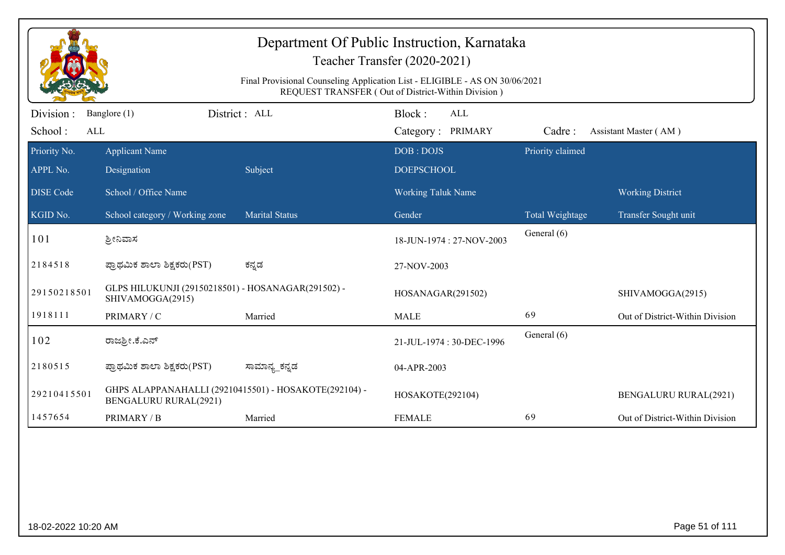| Department Of Public Instruction, Karnataka<br>Teacher Transfer (2020-2021)<br>Final Provisional Counseling Application List - ELIGIBLE - AS ON 30/06/2021<br>REQUEST TRANSFER (Out of District-Within Division) |                                                                                       |                       |                                           |                  |                                 |  |  |
|------------------------------------------------------------------------------------------------------------------------------------------------------------------------------------------------------------------|---------------------------------------------------------------------------------------|-----------------------|-------------------------------------------|------------------|---------------------------------|--|--|
| Division:<br>School:<br>ALL                                                                                                                                                                                      | Banglore (1)                                                                          | District : ALL        | Block:<br><b>ALL</b><br>Category: PRIMARY | Cadre:           | Assistant Master (AM)           |  |  |
| Priority No.<br>APPL No.                                                                                                                                                                                         | <b>Applicant Name</b><br>Designation                                                  | Subject               | DOB: DOJS<br><b>DOEPSCHOOL</b>            | Priority claimed |                                 |  |  |
| <b>DISE Code</b>                                                                                                                                                                                                 | School / Office Name                                                                  |                       | <b>Working Taluk Name</b>                 |                  | <b>Working District</b>         |  |  |
| KGID No.                                                                                                                                                                                                         | School category / Working zone                                                        | <b>Marital Status</b> | Gender                                    | Total Weightage  | Transfer Sought unit            |  |  |
| 101                                                                                                                                                                                                              | ಶ್ರೀನಿವಾಸ                                                                             |                       | 18-JUN-1974: 27-NOV-2003                  | General (6)      |                                 |  |  |
| 2184518                                                                                                                                                                                                          | ಪ್ರಾಥಮಿಕ ಶಾಲಾ ಶಿಕ್ಷಕರು(PST)                                                           | ಕನ್ನಡ                 | 27-NOV-2003                               |                  |                                 |  |  |
| 29150218501                                                                                                                                                                                                      | GLPS HILUKUNJI (29150218501) - HOSANAGAR(291502) -<br>SHIVAMOGGA(2915)                |                       | HOSANAGAR(291502)                         |                  | SHIVAMOGGA(2915)                |  |  |
| 1918111                                                                                                                                                                                                          | PRIMARY / C                                                                           | Married               | <b>MALE</b>                               | 69               | Out of District-Within Division |  |  |
| 102                                                                                                                                                                                                              | ರಾಜ್ರೀ.ಕೆ.ಎನ್                                                                         |                       | 21-JUL-1974: 30-DEC-1996                  | General (6)      |                                 |  |  |
| 2180515                                                                                                                                                                                                          | ಪ್ರಾಥಮಿಕ ಶಾಲಾ ಶಿಕ್ಷಕರು(PST)                                                           | ಸಾಮಾನ್ಯ_ಕನ್ನಡ         | 04-APR-2003                               |                  |                                 |  |  |
| 29210415501                                                                                                                                                                                                      | GHPS ALAPPANAHALLI (29210415501) - HOSAKOTE(292104) -<br><b>BENGALURU RURAL(2921)</b> |                       | HOSAKOTE(292104)                          |                  | <b>BENGALURU RURAL(2921)</b>    |  |  |
| 1457654                                                                                                                                                                                                          | PRIMARY / B                                                                           | Married               | <b>FEMALE</b>                             | 69               | Out of District-Within Division |  |  |
|                                                                                                                                                                                                                  |                                                                                       |                       |                                           |                  |                                 |  |  |
|                                                                                                                                                                                                                  | Page 51 of 111<br>18-02-2022 10:20 AM                                                 |                       |                                           |                  |                                 |  |  |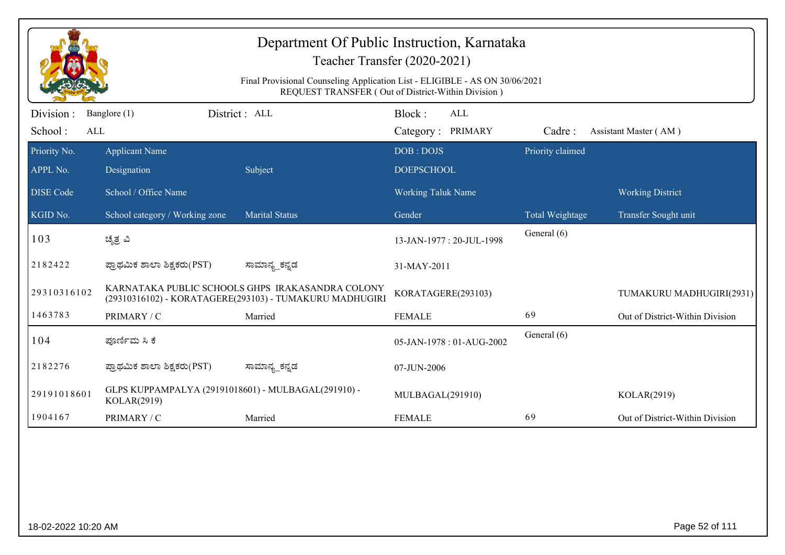| Department Of Public Instruction, Karnataka<br>Teacher Transfer (2020-2021) |                                                                    |                                                                                                             |                                                    |                  |                                 |  |
|-----------------------------------------------------------------------------|--------------------------------------------------------------------|-------------------------------------------------------------------------------------------------------------|----------------------------------------------------|------------------|---------------------------------|--|
|                                                                             |                                                                    | Final Provisional Counseling Application List - ELIGIBLE - AS ON 30/06/2021                                 | REQUEST TRANSFER (Out of District-Within Division) |                  |                                 |  |
| Division :<br>School:<br>ALL                                                | Banglore (1)                                                       | District: ALL                                                                                               | Block:<br>ALL<br>Category: PRIMARY                 | Cadre:           | Assistant Master (AM)           |  |
| Priority No.<br>APPL No.                                                    | <b>Applicant Name</b><br>Designation                               | Subject                                                                                                     | DOB: DOJS<br><b>DOEPSCHOOL</b>                     | Priority claimed |                                 |  |
| <b>DISE</b> Code                                                            | School / Office Name                                               |                                                                                                             | Working Taluk Name                                 |                  | <b>Working District</b>         |  |
| KGID No.                                                                    | School category / Working zone                                     | <b>Marital Status</b>                                                                                       | Gender                                             | Total Weightage  | Transfer Sought unit            |  |
| 103                                                                         | ಚೈತ್ರ ವಿ                                                           |                                                                                                             | 13-JAN-1977: 20-JUL-1998                           | General (6)      |                                 |  |
| 2182422                                                                     | ಪ್ರಾಥಮಿಕ ಶಾಲಾ ಶಿಕ್ಷಕರು(PST)                                        | ಸಾಮಾನ್ಯ_ಕನ್ನಡ                                                                                               | 31-MAY-2011                                        |                  |                                 |  |
| 29310316102                                                                 |                                                                    | KARNATAKA PUBLIC SCHOOLS GHPS IRAKASANDRA COLONY<br>(29310316102) - KORATAGERE(293103) - TUMAKURU MADHUGIRI | KORATAGERE(293103)                                 |                  | TUMAKURU MADHUGIRI(2931)        |  |
| 1463783                                                                     | PRIMARY / C                                                        | Married                                                                                                     | <b>FEMALE</b>                                      | 69               | Out of District-Within Division |  |
| 104                                                                         | ಪೂರ್ಣಿಮ ಸಿ ಕೆ                                                      |                                                                                                             | 05-JAN-1978: 01-AUG-2002                           | General (6)      |                                 |  |
| 2182276                                                                     | ಪ್ರಾಥಮಿಕ ಶಾಲಾ ಶಿಕ್ಷಕರು(PST)                                        | ಸಾಮಾನ್ಯ_ಕನ್ನಡ                                                                                               | 07-JUN-2006                                        |                  |                                 |  |
| 29191018601                                                                 | GLPS KUPPAMPALYA (29191018601) - MULBAGAL(291910) -<br>KOLAR(2919) |                                                                                                             | MULBAGAL(291910)                                   |                  | KOLAR(2919)                     |  |
| 1904167                                                                     | PRIMARY / C                                                        | Married                                                                                                     | <b>FEMALE</b>                                      | 69               | Out of District-Within Division |  |
|                                                                             |                                                                    |                                                                                                             |                                                    |                  |                                 |  |
| 18-02-2022 10:20 AM                                                         |                                                                    |                                                                                                             |                                                    |                  | Page 52 of 111                  |  |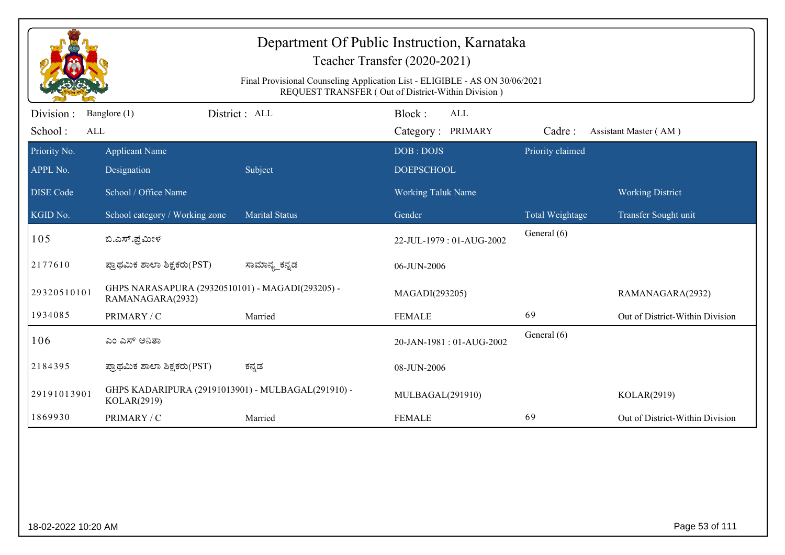| Department Of Public Instruction, Karnataka<br>Teacher Transfer (2020-2021)<br>Final Provisional Counseling Application List - ELIGIBLE - AS ON 30/06/2021<br>REQUEST TRANSFER (Out of District-Within Division) |                                                                      |                       |                                           |                  |                                 |  |  |
|------------------------------------------------------------------------------------------------------------------------------------------------------------------------------------------------------------------|----------------------------------------------------------------------|-----------------------|-------------------------------------------|------------------|---------------------------------|--|--|
| Division:<br>School:<br>ALL                                                                                                                                                                                      | Banglore (1)                                                         | District: ALL         | Block:<br><b>ALL</b><br>Category: PRIMARY | Cadre:           | Assistant Master (AM)           |  |  |
| Priority No.<br>APPL No.                                                                                                                                                                                         | <b>Applicant Name</b><br>Designation                                 | Subject               | DOB: DOJS<br><b>DOEPSCHOOL</b>            | Priority claimed |                                 |  |  |
| <b>DISE</b> Code                                                                                                                                                                                                 | School / Office Name                                                 |                       | <b>Working Taluk Name</b>                 |                  | <b>Working District</b>         |  |  |
| KGID No.                                                                                                                                                                                                         | School category / Working zone                                       | <b>Marital Status</b> | Gender                                    | Total Weightage  | Transfer Sought unit            |  |  |
| 105                                                                                                                                                                                                              | ಬಿ.ಎಸ್.ಪ್ರಮೀಳ                                                        |                       | 22-JUL-1979: 01-AUG-2002                  | General (6)      |                                 |  |  |
| 2177610                                                                                                                                                                                                          | ಪ್ರಾಥಮಿಕ ಶಾಲಾ ಶಿಕ್ಷಕರು(PST)                                          | ಸಾಮಾನ್ಯ_ಕನ್ನಡ         | 06-JUN-2006                               |                  |                                 |  |  |
| 29320510101                                                                                                                                                                                                      | GHPS NARASAPURA (29320510101) - MAGADI(293205) -<br>RAMANAGARA(2932) |                       | MAGADI(293205)                            |                  | RAMANAGARA(2932)                |  |  |
| 1934085                                                                                                                                                                                                          | PRIMARY / C                                                          | Married               | <b>FEMALE</b>                             | 69               | Out of District-Within Division |  |  |
| 106                                                                                                                                                                                                              | ಎಂ ಎಸ್ ಅನಿತಾ                                                         |                       | 20-JAN-1981: 01-AUG-2002                  | General (6)      |                                 |  |  |
| 2184395                                                                                                                                                                                                          | ಪ್ರಾಥಮಿಕ ಶಾಲಾ ಶಿಕ್ಷಕರು(PST)                                          | ಕನ್ನಡ                 | 08-JUN-2006                               |                  |                                 |  |  |
| 29191013901                                                                                                                                                                                                      | GHPS KADARIPURA (29191013901) - MULBAGAL(291910) -<br>KOLAR(2919)    |                       | MULBAGAL(291910)                          |                  | KOLAR(2919)                     |  |  |
| 1869930                                                                                                                                                                                                          | PRIMARY / C                                                          | Married               | <b>FEMALE</b>                             | 69               | Out of District-Within Division |  |  |
|                                                                                                                                                                                                                  |                                                                      |                       |                                           |                  |                                 |  |  |
|                                                                                                                                                                                                                  | Page 53 of 111<br>18-02-2022 10:20 AM                                |                       |                                           |                  |                                 |  |  |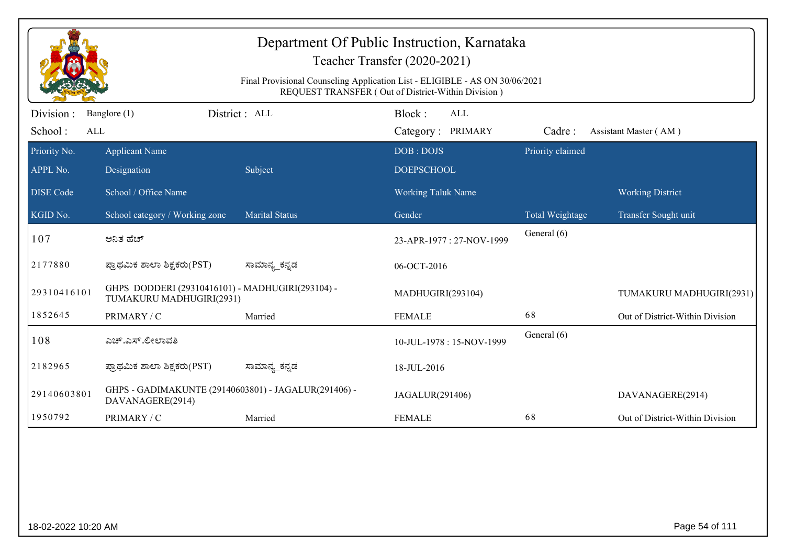| Department Of Public Instruction, Karnataka<br>Teacher Transfer (2020-2021)<br>Final Provisional Counseling Application List - ELIGIBLE - AS ON 30/06/2021<br>REQUEST TRANSFER (Out of District-Within Division) |                                                                              |                       |                                           |                  |                                 |  |  |
|------------------------------------------------------------------------------------------------------------------------------------------------------------------------------------------------------------------|------------------------------------------------------------------------------|-----------------------|-------------------------------------------|------------------|---------------------------------|--|--|
| Division :<br>School:<br>ALL                                                                                                                                                                                     | Banglore (1)                                                                 | District: ALL         | Block:<br><b>ALL</b><br>Category: PRIMARY | Cadre:           | Assistant Master (AM)           |  |  |
| Priority No.<br>APPL No.                                                                                                                                                                                         | <b>Applicant Name</b><br>Designation                                         | Subject               | DOB: DOJS<br><b>DOEPSCHOOL</b>            | Priority claimed |                                 |  |  |
| <b>DISE Code</b>                                                                                                                                                                                                 | School / Office Name                                                         |                       | <b>Working Taluk Name</b>                 |                  | <b>Working District</b>         |  |  |
| KGID No.                                                                                                                                                                                                         | School category / Working zone                                               | <b>Marital Status</b> | Gender                                    | Total Weightage  | Transfer Sought unit            |  |  |
| 107                                                                                                                                                                                                              | ಅನಿತ ಹೆಚ್                                                                    |                       | 23-APR-1977: 27-NOV-1999                  | General (6)      |                                 |  |  |
| 2177880                                                                                                                                                                                                          | ಪ್ರಾಥಮಿಕ ಶಾಲಾ ಶಿಕ್ಷಕರು(PST)                                                  | ಸಾಮಾನ್ಯ_ಕನ್ನಡ         | 06-OCT-2016                               |                  |                                 |  |  |
| 29310416101                                                                                                                                                                                                      | GHPS DODDERI (29310416101) - MADHUGIRI(293104) -<br>TUMAKURU MADHUGIRI(2931) |                       | MADHUGIRI(293104)                         |                  | TUMAKURU MADHUGIRI(2931)        |  |  |
| 1852645                                                                                                                                                                                                          | PRIMARY / C                                                                  | Married               | <b>FEMALE</b>                             | 68               | Out of District-Within Division |  |  |
| 108                                                                                                                                                                                                              | ಎಚ್.ಎಸ್.ಲೀಲಾವತಿ                                                              |                       | 10-JUL-1978: 15-NOV-1999                  | General (6)      |                                 |  |  |
| 2182965                                                                                                                                                                                                          | ಪ್ರಾಥಮಿಕ ಶಾಲಾ ಶಿಕ್ಷಕರು(PST)                                                  | ಸಾಮಾನ್ಯ_ಕನ್ನಡ         | 18-JUL-2016                               |                  |                                 |  |  |
| 29140603801                                                                                                                                                                                                      | GHPS - GADIMAKUNTE (29140603801) - JAGALUR(291406) -<br>DAVANAGERE(2914)     |                       | JAGALUR(291406)                           |                  | DAVANAGERE(2914)                |  |  |
| 1950792                                                                                                                                                                                                          | PRIMARY / C                                                                  | Married               | <b>FEMALE</b>                             | 68               | Out of District-Within Division |  |  |
|                                                                                                                                                                                                                  |                                                                              |                       |                                           |                  |                                 |  |  |
| 18-02-2022 10:20 AM                                                                                                                                                                                              |                                                                              |                       |                                           |                  | Page 54 of 111                  |  |  |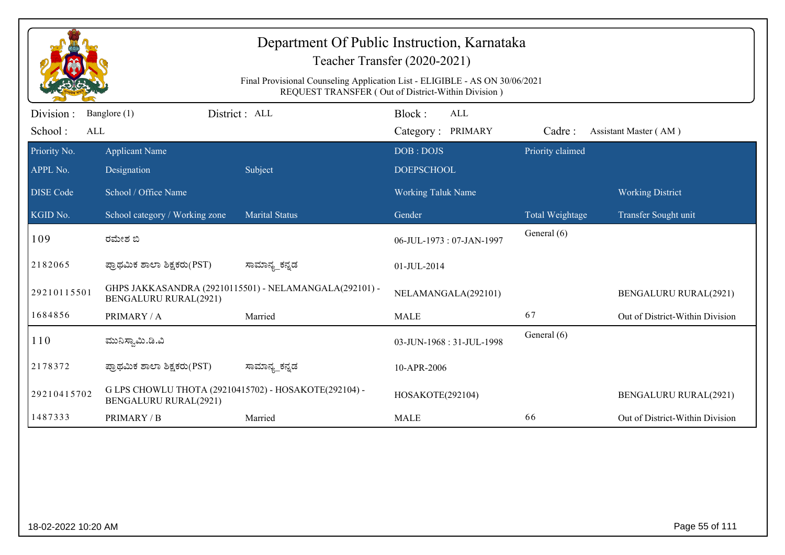| Department Of Public Instruction, Karnataka<br>Teacher Transfer (2020-2021) |                                                                                                                                   |                                                        |                                    |                  |                                 |  |  |  |
|-----------------------------------------------------------------------------|-----------------------------------------------------------------------------------------------------------------------------------|--------------------------------------------------------|------------------------------------|------------------|---------------------------------|--|--|--|
|                                                                             | Final Provisional Counseling Application List - ELIGIBLE - AS ON 30/06/2021<br>REQUEST TRANSFER (Out of District-Within Division) |                                                        |                                    |                  |                                 |  |  |  |
| Division :<br>School:<br>ALL                                                | Banglore (1)                                                                                                                      | District: ALL                                          | Block:<br>ALL<br>Category: PRIMARY | Cadre:           | Assistant Master (AM)           |  |  |  |
| Priority No.<br>APPL No.                                                    | <b>Applicant Name</b><br>Designation                                                                                              | Subject                                                | DOB: DOJS<br><b>DOEPSCHOOL</b>     | Priority claimed |                                 |  |  |  |
| <b>DISE</b> Code                                                            | School / Office Name                                                                                                              |                                                        | <b>Working Taluk Name</b>          |                  | <b>Working District</b>         |  |  |  |
| KGID No.                                                                    | School category / Working zone                                                                                                    | <b>Marital Status</b>                                  | Gender                             | Total Weightage  | Transfer Sought unit            |  |  |  |
| 109                                                                         | ರಮೇಶ ಬಿ                                                                                                                           |                                                        | 06-JUL-1973: 07-JAN-1997           | General (6)      |                                 |  |  |  |
| 2182065                                                                     | ಪ್ರಾಥಮಿಕ ಶಾಲಾ ಶಿಕ್ಷಕರು(PST)                                                                                                       | ಸಾಮಾನ್ಯ_ಕನ್ನಡ                                          | 01-JUL-2014                        |                  |                                 |  |  |  |
| 29210115501                                                                 | <b>BENGALURU RURAL(2921)</b>                                                                                                      | GHPS JAKKASANDRA (29210115501) - NELAMANGALA(292101) - | NELAMANGALA(292101)                |                  | <b>BENGALURU RURAL(2921)</b>    |  |  |  |
| 1684856                                                                     | PRIMARY / A                                                                                                                       | Married                                                | <b>MALE</b>                        | 67               | Out of District-Within Division |  |  |  |
| 110                                                                         | ಮುನಿಸ್ವಾಮಿ.ಡಿ.ವಿ                                                                                                                  |                                                        | 03-JUN-1968: 31-JUL-1998           | General (6)      |                                 |  |  |  |
| 2178372                                                                     | ಪ್ರಾಥಮಿಕ ಶಾಲಾ ಶಿಕ್ಷಕರು(PST)                                                                                                       | ಸಾಮಾನ್ಯ_ಕನ್ನಡ                                          | 10-APR-2006                        |                  |                                 |  |  |  |
| 29210415702                                                                 | G LPS CHOWLU THOTA (29210415702) - HOSAKOTE(292104) -<br><b>BENGALURU RURAL(2921)</b>                                             |                                                        | HOSAKOTE(292104)                   |                  | <b>BENGALURU RURAL(2921)</b>    |  |  |  |
| 1487333                                                                     | PRIMARY / B                                                                                                                       | Married                                                | <b>MALE</b>                        | 66               | Out of District-Within Division |  |  |  |
|                                                                             |                                                                                                                                   |                                                        |                                    |                  |                                 |  |  |  |
|                                                                             | Page 55 of 111<br>18-02-2022 10:20 AM                                                                                             |                                                        |                                    |                  |                                 |  |  |  |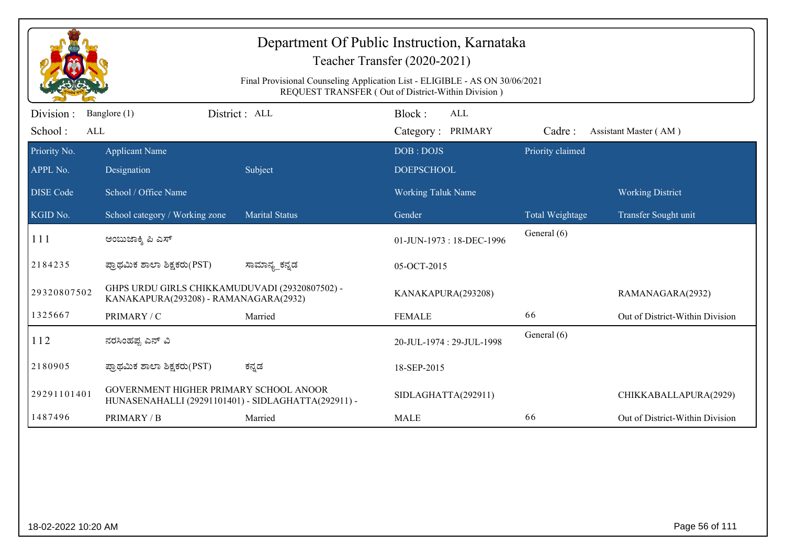| Department Of Public Instruction, Karnataka<br>Teacher Transfer (2020-2021)<br>Final Provisional Counseling Application List - ELIGIBLE - AS ON 30/06/2021<br>REQUEST TRANSFER (Out of District-Within Division) |                                                                                               |                       |                                           |                  |                                 |  |  |
|------------------------------------------------------------------------------------------------------------------------------------------------------------------------------------------------------------------|-----------------------------------------------------------------------------------------------|-----------------------|-------------------------------------------|------------------|---------------------------------|--|--|
| Division:<br>School:<br>ALL                                                                                                                                                                                      | Banglore (1)                                                                                  | District: ALL         | Block:<br><b>ALL</b><br>Category: PRIMARY | Cadre:           | Assistant Master (AM)           |  |  |
| Priority No.<br>APPL No.                                                                                                                                                                                         | <b>Applicant Name</b><br>Designation                                                          | Subject               | DOB: DOJS<br><b>DOEPSCHOOL</b>            | Priority claimed |                                 |  |  |
| <b>DISE Code</b>                                                                                                                                                                                                 | School / Office Name                                                                          |                       | <b>Working Taluk Name</b>                 |                  | <b>Working District</b>         |  |  |
| KGID No.                                                                                                                                                                                                         | School category / Working zone                                                                | <b>Marital Status</b> | Gender                                    | Total Weightage  | Transfer Sought unit            |  |  |
| 111                                                                                                                                                                                                              | ಅಂಬುಜಾಕ್ಶಿ ಪಿ ಎಸ್                                                                             |                       | 01-JUN-1973: 18-DEC-1996                  | General (6)      |                                 |  |  |
| 2184235                                                                                                                                                                                                          | ಪ್ರಾಥಮಿಕ ಶಾಲಾ ಶಿಕ್ಷಕರು(PST)                                                                   | ಸಾಮಾನ್ಯ_ಕನ್ನಡ         | 05-OCT-2015                               |                  |                                 |  |  |
| 29320807502                                                                                                                                                                                                      | GHPS URDU GIRLS CHIKKAMUDUVADI (29320807502) -<br>KANAKAPURA(293208) - RAMANAGARA(2932)       |                       | KANAKAPURA(293208)                        |                  | RAMANAGARA(2932)                |  |  |
| 1325667                                                                                                                                                                                                          | PRIMARY / C                                                                                   | Married               | <b>FEMALE</b>                             | 66               | Out of District-Within Division |  |  |
| 112                                                                                                                                                                                                              | ನರಸಿಂಹಪ್ಪ ಎನ್ ವಿ                                                                              |                       | 20-JUL-1974: 29-JUL-1998                  | General (6)      |                                 |  |  |
| 2180905                                                                                                                                                                                                          | ಪ್ರಾಥಮಿಕ ಶಾಲಾ ಶಿಕ್ಷಕರು(PST)                                                                   | ಕನ್ನಡ                 | 18-SEP-2015                               |                  |                                 |  |  |
| 29291101401                                                                                                                                                                                                      | GOVERNMENT HIGHER PRIMARY SCHOOL ANOOR<br>HUNASENAHALLI (29291101401) - SIDLAGHATTA(292911) - |                       | SIDLAGHATTA(292911)                       |                  | CHIKKABALLAPURA(2929)           |  |  |
| 1487496                                                                                                                                                                                                          | PRIMARY / B                                                                                   | Married               | <b>MALE</b>                               | 66               | Out of District-Within Division |  |  |
|                                                                                                                                                                                                                  |                                                                                               |                       |                                           |                  |                                 |  |  |
|                                                                                                                                                                                                                  | Page 56 of 111<br>18-02-2022 10:20 AM                                                         |                       |                                           |                  |                                 |  |  |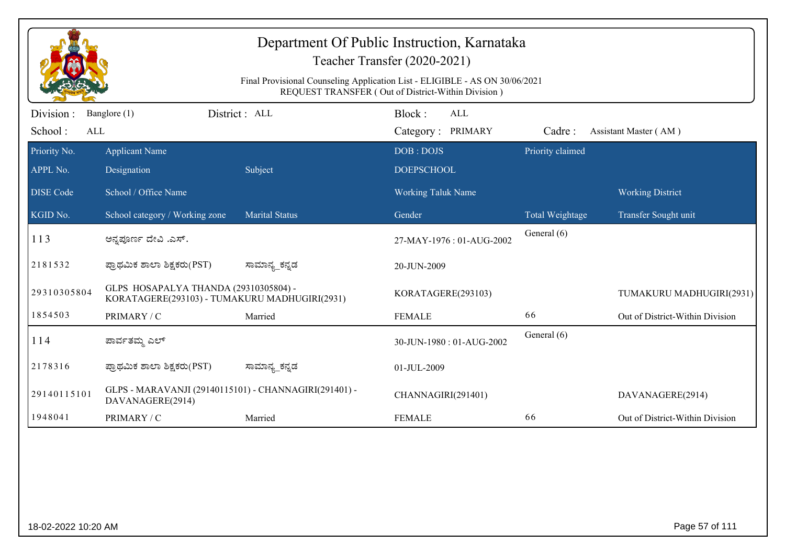| Department Of Public Instruction, Karnataka<br>Teacher Transfer (2020-2021)<br>Final Provisional Counseling Application List - ELIGIBLE - AS ON 30/06/2021<br>REQUEST TRANSFER (Out of District-Within Division) |                                                                                        |                       |                                           |                  |                                 |  |  |
|------------------------------------------------------------------------------------------------------------------------------------------------------------------------------------------------------------------|----------------------------------------------------------------------------------------|-----------------------|-------------------------------------------|------------------|---------------------------------|--|--|
| Division :<br>School:<br>ALL                                                                                                                                                                                     | Banglore (1)                                                                           | District: ALL         | Block:<br><b>ALL</b><br>Category: PRIMARY | Cadre:           | Assistant Master (AM)           |  |  |
| Priority No.<br>APPL No.                                                                                                                                                                                         | <b>Applicant Name</b><br>Designation                                                   | Subject               | DOB: DOJS<br><b>DOEPSCHOOL</b>            | Priority claimed |                                 |  |  |
| <b>DISE Code</b>                                                                                                                                                                                                 | School / Office Name                                                                   |                       | <b>Working Taluk Name</b>                 |                  | <b>Working District</b>         |  |  |
| KGID No.                                                                                                                                                                                                         | School category / Working zone                                                         | <b>Marital Status</b> | Gender                                    | Total Weightage  | Transfer Sought unit            |  |  |
| 113                                                                                                                                                                                                              | ಅನ್ನಪೂರ್ಣ ದೇವಿ .ಎಸ್.                                                                   |                       | 27-MAY-1976: 01-AUG-2002                  | General (6)      |                                 |  |  |
| 2181532                                                                                                                                                                                                          | ಪ್ರಾಥಮಿಕ ಶಾಲಾ ಶಿಕ್ಷಕರು(PST)                                                            | ಸಾಮಾನ್ಯ_ಕನ್ನಡ         | 20-JUN-2009                               |                  |                                 |  |  |
| 29310305804                                                                                                                                                                                                      | GLPS HOSAPALYA THANDA (29310305804) -<br>KORATAGERE(293103) - TUMAKURU MADHUGIRI(2931) |                       | KORATAGERE(293103)                        |                  | TUMAKURU MADHUGIRI(2931)        |  |  |
| 1854503                                                                                                                                                                                                          | PRIMARY / C                                                                            | Married               | <b>FEMALE</b>                             | 66               | Out of District-Within Division |  |  |
| 114                                                                                                                                                                                                              | ಪಾರ್ವತಮ್ಮ ಎಲ್                                                                          |                       | 30-JUN-1980: 01-AUG-2002                  | General (6)      |                                 |  |  |
| 2178316                                                                                                                                                                                                          | ಪ್ರಾಥಮಿಕ ಶಾಲಾ ಶಿಕ್ಷಕರು(PST)                                                            | ಸಾಮಾನ್ಯ_ಕನ್ನಡ         | 01-JUL-2009                               |                  |                                 |  |  |
| 29140115101                                                                                                                                                                                                      | GLPS - MARAVANJI (29140115101) - CHANNAGIRI(291401) -<br>DAVANAGERE(2914)              |                       | CHANNAGIRI(291401)                        |                  | DAVANAGERE(2914)                |  |  |
| 1948041                                                                                                                                                                                                          | PRIMARY / C                                                                            | Married               | <b>FEMALE</b>                             | 66               | Out of District-Within Division |  |  |
|                                                                                                                                                                                                                  |                                                                                        |                       |                                           |                  |                                 |  |  |
| 18-02-2022 10:20 AM                                                                                                                                                                                              |                                                                                        |                       |                                           |                  | Page 57 of 111                  |  |  |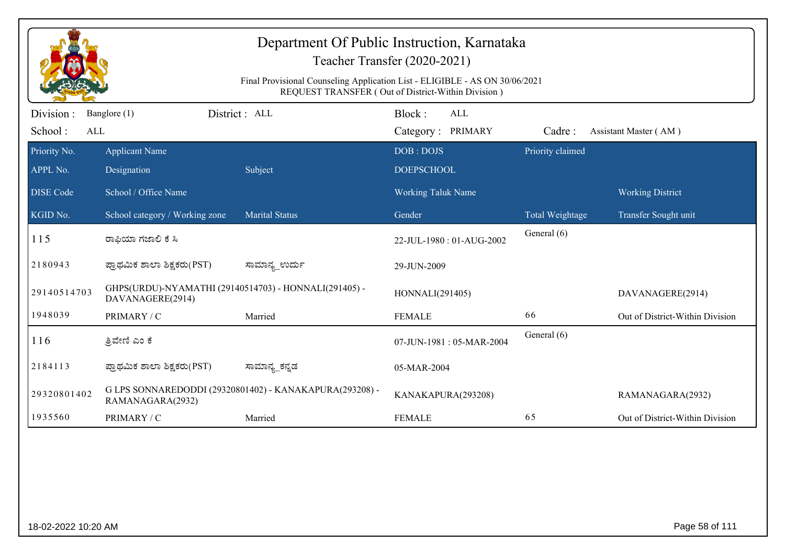| Department Of Public Instruction, Karnataka<br>Teacher Transfer (2020-2021)<br>Final Provisional Counseling Application List - ELIGIBLE - AS ON 30/06/2021<br>REQUEST TRANSFER (Out of District-Within Division) |                                                                           |                                                         |                                           |                  |                                 |  |  |
|------------------------------------------------------------------------------------------------------------------------------------------------------------------------------------------------------------------|---------------------------------------------------------------------------|---------------------------------------------------------|-------------------------------------------|------------------|---------------------------------|--|--|
| Division :<br>School:<br>ALL                                                                                                                                                                                     | Banglore (1)                                                              | District: ALL                                           | Block:<br><b>ALL</b><br>Category: PRIMARY | Cadre:           | Assistant Master (AM)           |  |  |
| Priority No.<br>APPL No.                                                                                                                                                                                         | <b>Applicant Name</b><br>Designation                                      | Subject                                                 | DOB: DOJS<br><b>DOEPSCHOOL</b>            | Priority claimed |                                 |  |  |
| <b>DISE</b> Code                                                                                                                                                                                                 | School / Office Name                                                      |                                                         | <b>Working Taluk Name</b>                 |                  | <b>Working District</b>         |  |  |
| $\overline{\text{KGID No.}}$                                                                                                                                                                                     | School category / Working zone                                            | <b>Marital Status</b>                                   | Gender                                    | Total Weightage  | Transfer Sought unit            |  |  |
| 115                                                                                                                                                                                                              | ರಾಫಿಯಾ ಗಜಾಲಿ ಕೆ ಸಿ                                                        |                                                         | 22-JUL-1980: 01-AUG-2002                  | General (6)      |                                 |  |  |
| 2180943                                                                                                                                                                                                          | ಪ್ರಾಥಮಿಕ ಶಾಲಾ ಶಿಕ್ಷಕರು(PST)                                               | ಸಾಮಾನ್ಯ_ಉರ್ದು                                           | 29-JUN-2009                               |                  |                                 |  |  |
| 29140514703                                                                                                                                                                                                      | GHPS(URDU)-NYAMATHI (29140514703) - HONNALI(291405) -<br>DAVANAGERE(2914) |                                                         | HONNALI(291405)                           |                  | DAVANAGERE(2914)                |  |  |
| 1948039                                                                                                                                                                                                          | PRIMARY / C                                                               | Married                                                 | <b>FEMALE</b>                             | 66               | Out of District-Within Division |  |  |
| 116                                                                                                                                                                                                              | ತ್ರಿವೇಣಿ ಎಂ ಕೆ                                                            |                                                         | 07-JUN-1981: 05-MAR-2004                  | General (6)      |                                 |  |  |
| 2184113                                                                                                                                                                                                          | ಪ್ರಾಥಮಿಕ ಶಾಲಾ ಶಿಕ್ಷಕರು(PST)                                               | ಸಾಮಾನ್ಯ_ಕನ್ನಡ                                           | 05-MAR-2004                               |                  |                                 |  |  |
| 29320801402                                                                                                                                                                                                      | RAMANAGARA(2932)                                                          | G LPS SONNAREDODDI (29320801402) - KANAKAPURA(293208) - | KANAKAPURA(293208)                        |                  | RAMANAGARA(2932)                |  |  |
| 1935560                                                                                                                                                                                                          | PRIMARY / C                                                               | Married                                                 | <b>FEMALE</b>                             | 65               | Out of District-Within Division |  |  |
|                                                                                                                                                                                                                  |                                                                           |                                                         |                                           |                  |                                 |  |  |
|                                                                                                                                                                                                                  | Page 58 of 111<br>18-02-2022 10:20 AM                                     |                                                         |                                           |                  |                                 |  |  |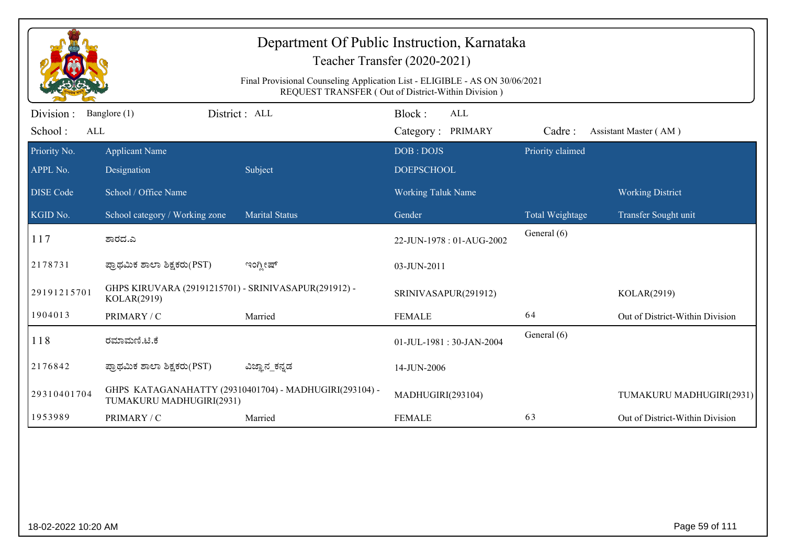| Department Of Public Instruction, Karnataka<br>Teacher Transfer (2020-2021)<br>Final Provisional Counseling Application List - ELIGIBLE - AS ON 30/06/2021<br>REQUEST TRANSFER (Out of District-Within Division) |                                                                     |                                                        |                                           |                  |                                 |  |  |
|------------------------------------------------------------------------------------------------------------------------------------------------------------------------------------------------------------------|---------------------------------------------------------------------|--------------------------------------------------------|-------------------------------------------|------------------|---------------------------------|--|--|
| Division:<br>School:<br>ALL                                                                                                                                                                                      | Banglore (1)                                                        | District: ALL                                          | Block:<br><b>ALL</b><br>Category: PRIMARY | Cadre:           | Assistant Master (AM)           |  |  |
| Priority No.<br>APPL No.                                                                                                                                                                                         | <b>Applicant Name</b><br>Designation                                | Subject                                                | DOB: DOJS<br><b>DOEPSCHOOL</b>            | Priority claimed |                                 |  |  |
| <b>DISE</b> Code                                                                                                                                                                                                 | School / Office Name                                                |                                                        | <b>Working Taluk Name</b>                 |                  | <b>Working District</b>         |  |  |
| KGID No.                                                                                                                                                                                                         | School category / Working zone                                      | <b>Marital Status</b>                                  | Gender                                    | Total Weightage  | Transfer Sought unit            |  |  |
| 117                                                                                                                                                                                                              | ಶಾರದ.ಎ                                                              |                                                        | 22-JUN-1978: 01-AUG-2002                  | General (6)      |                                 |  |  |
| 2178731                                                                                                                                                                                                          | ಪ್ರಾಥಮಿಕ ಶಾಲಾ ಶಿಕ್ಷಕರು(PST)                                         | ಇಂಗ್ಲೀಷ್                                               | 03-JUN-2011                               |                  |                                 |  |  |
| 29191215701                                                                                                                                                                                                      | GHPS KIRUVARA (29191215701) - SRINIVASAPUR(291912) -<br>KOLAR(2919) |                                                        | SRINIVASAPUR(291912)                      |                  | KOLAR(2919)                     |  |  |
| 1904013                                                                                                                                                                                                          | PRIMARY / C                                                         | Married                                                | <b>FEMALE</b>                             | 64               | Out of District-Within Division |  |  |
| 118                                                                                                                                                                                                              | ರಮಾಮಣಿ.ಟಿ.ಕೆ                                                        |                                                        | 01-JUL-1981: 30-JAN-2004                  | General (6)      |                                 |  |  |
| 2176842                                                                                                                                                                                                          | ಪ್ರಾಥಮಿಕ ಶಾಲಾ ಶಿಕ್ಷಕರು(PST)                                         | ವಿಜ್ಞಾನ_ಕನ್ನಡ                                          | 14-JUN-2006                               |                  |                                 |  |  |
| 29310401704                                                                                                                                                                                                      | TUMAKURU MADHUGIRI(2931)                                            | GHPS KATAGANAHATTY (29310401704) - MADHUGIRI(293104) - | MADHUGIRI(293104)                         |                  | TUMAKURU MADHUGIRI(2931)        |  |  |
| 1953989                                                                                                                                                                                                          | PRIMARY / C                                                         | Married                                                | <b>FEMALE</b>                             | 63               | Out of District-Within Division |  |  |
|                                                                                                                                                                                                                  |                                                                     |                                                        |                                           |                  |                                 |  |  |
| 18-02-2022 10:20 AM                                                                                                                                                                                              |                                                                     |                                                        |                                           |                  | Page 59 of 111                  |  |  |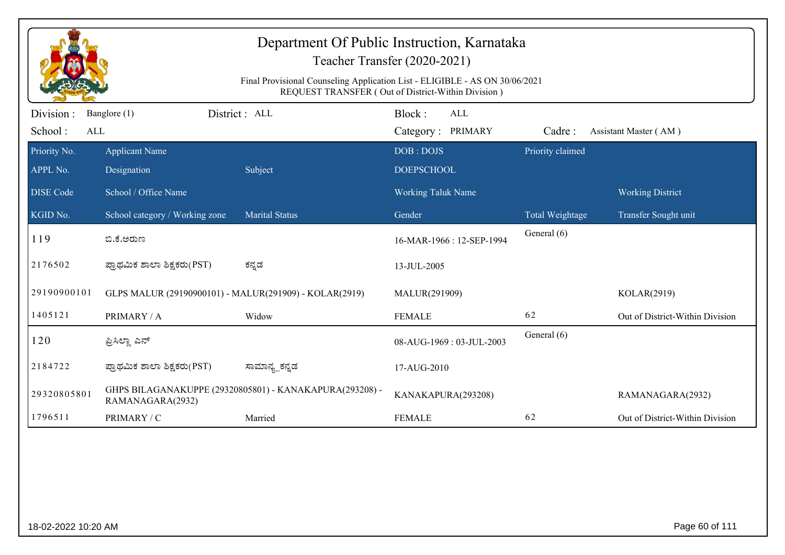| Department Of Public Instruction, Karnataka<br>Teacher Transfer (2020-2021)<br>Final Provisional Counseling Application List - ELIGIBLE - AS ON 30/06/2021<br>REQUEST TRANSFER (Out of District-Within Division) |                                                        |                                                         |                                           |                  |                                 |  |
|------------------------------------------------------------------------------------------------------------------------------------------------------------------------------------------------------------------|--------------------------------------------------------|---------------------------------------------------------|-------------------------------------------|------------------|---------------------------------|--|
| Division :<br>School:<br>ALL                                                                                                                                                                                     | Banglore (1)                                           | District : ALL                                          | Block:<br><b>ALL</b><br>Category: PRIMARY | Cadre:           | Assistant Master (AM)           |  |
| Priority No.<br>APPL No.                                                                                                                                                                                         | <b>Applicant Name</b><br>Designation                   | Subject                                                 | DOB: DOJS<br><b>DOEPSCHOOL</b>            | Priority claimed |                                 |  |
| <b>DISE Code</b>                                                                                                                                                                                                 | School / Office Name                                   |                                                         | <b>Working Taluk Name</b>                 |                  | <b>Working District</b>         |  |
| KGID No.                                                                                                                                                                                                         | School category / Working zone                         | <b>Marital Status</b>                                   | Gender                                    | Total Weightage  | Transfer Sought unit            |  |
| 119                                                                                                                                                                                                              | ಬಿ.ಕೆ.ಅರುಣ                                             |                                                         | 16-MAR-1966: 12-SEP-1994                  | General (6)      |                                 |  |
| 2176502                                                                                                                                                                                                          | ಪ್ರಾಥಮಿಕ ಶಾಲಾ ಶಿಕ್ಷಕರು(PST)                            | ಕನ್ನಡ                                                   | 13-JUL-2005                               |                  |                                 |  |
| 29190900101                                                                                                                                                                                                      | GLPS MALUR (29190900101) - MALUR(291909) - KOLAR(2919) |                                                         | MALUR(291909)                             |                  | KOLAR(2919)                     |  |
| 1405121                                                                                                                                                                                                          | PRIMARY / A                                            | Widow                                                   | <b>FEMALE</b>                             | 62               | Out of District-Within Division |  |
| 120                                                                                                                                                                                                              | ಪ್ರಿಸಿಲ್ಲಾ ಎನ್                                         |                                                         | 08-AUG-1969: 03-JUL-2003                  | General (6)      |                                 |  |
| 2184722                                                                                                                                                                                                          | ಪ್ರಾಥಮಿಕ ಶಾಲಾ ಶಿಕ್ಷಕರು(PST)                            | ಸಾಮಾನ್ಯ_ಕನ್ನಡ                                           | 17-AUG-2010                               |                  |                                 |  |
| 29320805801                                                                                                                                                                                                      | RAMANAGARA(2932)                                       | GHPS BILAGANAKUPPE (29320805801) - KANAKAPURA(293208) - | KANAKAPURA(293208)                        |                  | RAMANAGARA(2932)                |  |
| 1796511                                                                                                                                                                                                          | PRIMARY / C                                            | Married                                                 | <b>FEMALE</b>                             | 62               | Out of District-Within Division |  |
|                                                                                                                                                                                                                  |                                                        |                                                         |                                           |                  |                                 |  |
| Page 60 of 111<br>18-02-2022 10:20 AM                                                                                                                                                                            |                                                        |                                                         |                                           |                  |                                 |  |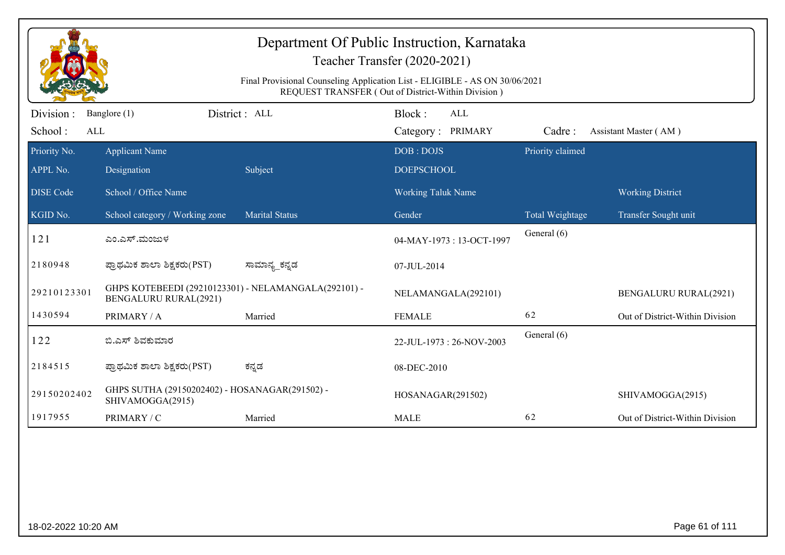|                              | Department Of Public Instruction, Karnataka<br>Teacher Transfer (2020-2021)<br>Final Provisional Counseling Application List - ELIGIBLE - AS ON 30/06/2021<br>REQUEST TRANSFER (Out of District-Within Division) |                       |                                           |                  |                                 |  |  |  |
|------------------------------|------------------------------------------------------------------------------------------------------------------------------------------------------------------------------------------------------------------|-----------------------|-------------------------------------------|------------------|---------------------------------|--|--|--|
| Division :<br>School:<br>ALL | Banglore (1)                                                                                                                                                                                                     | District : ALL        | Block:<br><b>ALL</b><br>Category: PRIMARY | Cadre:           | Assistant Master (AM)           |  |  |  |
| Priority No.<br>APPL No.     | <b>Applicant Name</b><br>Designation                                                                                                                                                                             | Subject               | DOB: DOJS<br><b>DOEPSCHOOL</b>            | Priority claimed |                                 |  |  |  |
| <b>DISE</b> Code             | School / Office Name                                                                                                                                                                                             |                       | <b>Working Taluk Name</b>                 |                  | <b>Working District</b>         |  |  |  |
| KGID No.                     | School category / Working zone                                                                                                                                                                                   | <b>Marital Status</b> | Gender                                    | Total Weightage  | Transfer Sought unit            |  |  |  |
| 121                          | ಎಂ.ಎಸ್.ಮಂಜುಳ                                                                                                                                                                                                     |                       | 04-MAY-1973: 13-OCT-1997                  | General (6)      |                                 |  |  |  |
| 2180948                      | ಪ್ರಾಥಮಿಕ ಶಾಲಾ ಶಿಕ್ಷಕರು(PST)                                                                                                                                                                                      | ಸಾಮಾನ್ಯ_ಕನ್ನಡ         | 07-JUL-2014                               |                  |                                 |  |  |  |
| 29210123301                  | GHPS KOTEBEEDI (29210123301) - NELAMANGALA(292101) -<br><b>BENGALURU RURAL(2921)</b>                                                                                                                             |                       | NELAMANGALA(292101)                       |                  | <b>BENGALURU RURAL(2921)</b>    |  |  |  |
| 1430594                      | PRIMARY / A                                                                                                                                                                                                      | Married               | <b>FEMALE</b>                             | 62               | Out of District-Within Division |  |  |  |
| 122                          | ಬಿ.ಎಸ್ ಶಿವಕುಮಾರ                                                                                                                                                                                                  |                       | 22-JUL-1973: 26-NOV-2003                  | General (6)      |                                 |  |  |  |
| 2184515                      | ಪ್ರಾಥಮಿಕ ಶಾಲಾ ಶಿಕ್ಷಕರು(PST)                                                                                                                                                                                      | ಕನ್ನಡ                 | 08-DEC-2010                               |                  |                                 |  |  |  |
| 29150202402                  | GHPS SUTHA (29150202402) - HOSANAGAR(291502) -<br>SHIVAMOGGA(2915)                                                                                                                                               |                       | HOSANAGAR(291502)                         |                  | SHIVAMOGGA(2915)                |  |  |  |
| 1917955                      | PRIMARY / C                                                                                                                                                                                                      | Married               | <b>MALE</b>                               | 62               | Out of District-Within Division |  |  |  |
|                              |                                                                                                                                                                                                                  |                       |                                           |                  |                                 |  |  |  |
| 18-02-2022 10:20 AM          |                                                                                                                                                                                                                  |                       |                                           |                  | Page 61 of 111                  |  |  |  |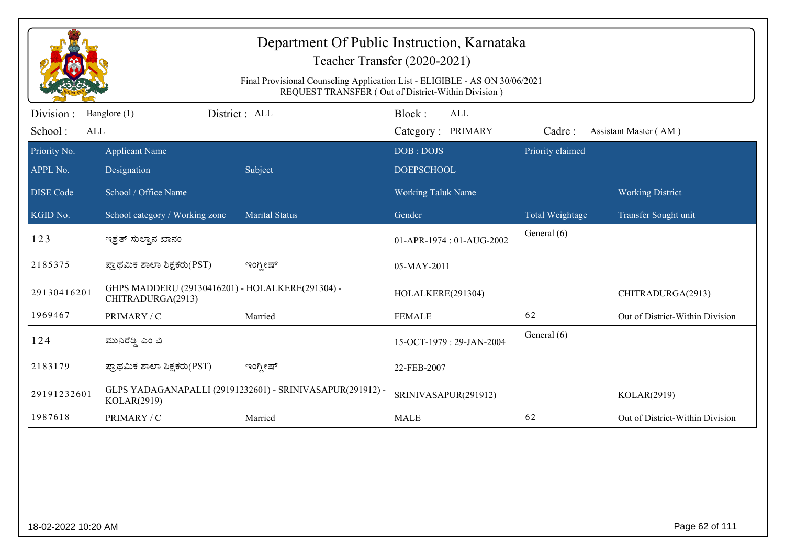|                              | Department Of Public Instruction, Karnataka<br>Teacher Transfer (2020-2021)<br>Final Provisional Counseling Application List - ELIGIBLE - AS ON 30/06/2021<br>REQUEST TRANSFER (Out of District-Within Division) |                                                           |                                           |                  |                                 |  |  |  |
|------------------------------|------------------------------------------------------------------------------------------------------------------------------------------------------------------------------------------------------------------|-----------------------------------------------------------|-------------------------------------------|------------------|---------------------------------|--|--|--|
| Division :<br>School:<br>ALL | Banglore (1)                                                                                                                                                                                                     | District : ALL                                            | Block:<br><b>ALL</b><br>Category: PRIMARY | Cadre:           | Assistant Master (AM)           |  |  |  |
| Priority No.<br>APPL No.     | <b>Applicant Name</b><br>Designation                                                                                                                                                                             | Subject                                                   | DOB: DOJS<br><b>DOEPSCHOOL</b>            | Priority claimed |                                 |  |  |  |
| <b>DISE Code</b>             | School / Office Name                                                                                                                                                                                             |                                                           | <b>Working Taluk Name</b>                 |                  | <b>Working District</b>         |  |  |  |
| KGID No.                     | School category / Working zone                                                                                                                                                                                   | <b>Marital Status</b>                                     | Gender                                    | Total Weightage  | Transfer Sought unit            |  |  |  |
| 123                          | ಇಶ್ರತ್ ಸುಲ್ತಾನ ಖಾನಂ                                                                                                                                                                                              |                                                           | 01-APR-1974: 01-AUG-2002                  | General (6)      |                                 |  |  |  |
| 2185375                      | ಪ್ರಾಥಮಿಕ ಶಾಲಾ ಶಿಕ್ಷಕರು(PST)                                                                                                                                                                                      | ಇಂಗ್ಲೀಷ್                                                  | 05-MAY-2011                               |                  |                                 |  |  |  |
| 29130416201                  | GHPS MADDERU (29130416201) - HOLALKERE(291304) -<br>CHITRADURGA(2913)                                                                                                                                            |                                                           | HOLALKERE(291304)                         |                  | CHITRADURGA(2913)               |  |  |  |
| 1969467                      | PRIMARY / C                                                                                                                                                                                                      | Married                                                   | <b>FEMALE</b>                             | 62               | Out of District-Within Division |  |  |  |
| 124                          | ಮುನಿರೆಡ್ಡಿ ಎಂ ವಿ                                                                                                                                                                                                 |                                                           | 15-OCT-1979: 29-JAN-2004                  | General (6)      |                                 |  |  |  |
| 2183179                      | ಪ್ರಾಥಮಿಕ ಶಾಲಾ ಶಿಕ್ಷಕರು(PST)                                                                                                                                                                                      | ಇಂಗ್ಲೀಷ್                                                  | 22-FEB-2007                               |                  |                                 |  |  |  |
| 29191232601                  | KOLAR(2919)                                                                                                                                                                                                      | GLPS YADAGANAPALLI (29191232601) - SRINIVASAPUR(291912) - | SRINIVASAPUR(291912)                      |                  | KOLAR(2919)                     |  |  |  |
| 1987618                      | PRIMARY / C                                                                                                                                                                                                      | Married                                                   | <b>MALE</b>                               | 62               | Out of District-Within Division |  |  |  |
|                              |                                                                                                                                                                                                                  |                                                           |                                           |                  |                                 |  |  |  |
| 18-02-2022 10:20 AM          |                                                                                                                                                                                                                  |                                                           |                                           |                  | Page 62 of 111                  |  |  |  |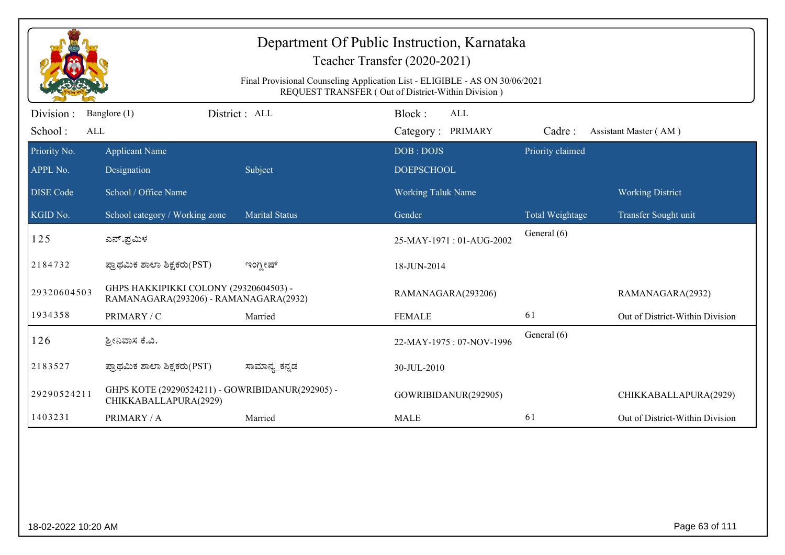|                  |                                                                                 |                       | Department Of Public Instruction, Karnataka<br>Teacher Transfer (2020-2021)                                                       |                  |                                 |
|------------------|---------------------------------------------------------------------------------|-----------------------|-----------------------------------------------------------------------------------------------------------------------------------|------------------|---------------------------------|
|                  |                                                                                 |                       | Final Provisional Counseling Application List - ELIGIBLE - AS ON 30/06/2021<br>REQUEST TRANSFER (Out of District-Within Division) |                  |                                 |
| Division:        | Banglore (1)                                                                    | District: ALL         | Block:<br>ALL                                                                                                                     |                  |                                 |
| School:<br>ALL   |                                                                                 |                       | Category: PRIMARY                                                                                                                 | Cadre:           | Assistant Master (AM)           |
| Priority No.     | <b>Applicant Name</b>                                                           |                       | DOB: DOJS                                                                                                                         | Priority claimed |                                 |
| APPL No.         | Designation                                                                     | Subject               | <b>DOEPSCHOOL</b>                                                                                                                 |                  |                                 |
| <b>DISE</b> Code | School / Office Name                                                            |                       | <b>Working Taluk Name</b>                                                                                                         |                  | <b>Working District</b>         |
| KGID No.         | School category / Working zone                                                  | <b>Marital Status</b> | Gender                                                                                                                            | Total Weightage  | Transfer Sought unit            |
| 125              | ಎನ್.ಪ್ರಮಿಳ                                                                      |                       | 25-MAY-1971: 01-AUG-2002                                                                                                          | General (6)      |                                 |
| 2184732          | ಪ್ರಾಥಮಿಕ ಶಾಲಾ ಶಿಕ್ಷಕರು(PST)                                                     | ಇಂಗ್ಲೀಷ್              | 18-JUN-2014                                                                                                                       |                  |                                 |
| 29320604503      | GHPS HAKKIPIKKI COLONY (29320604503) -<br>RAMANAGARA(293206) - RAMANAGARA(2932) |                       | RAMANAGARA(293206)                                                                                                                |                  | RAMANAGARA(2932)                |
| 1934358          | PRIMARY / C                                                                     | Married               | <b>FEMALE</b>                                                                                                                     | 61               | Out of District-Within Division |
| 126              | ಶ್ರೀನಿವಾಸ ಕೆ.ವಿ.                                                                |                       | 22-MAY-1975: 07-NOV-1996                                                                                                          | General (6)      |                                 |
| 2183527          | ಪ್ರಾಥಮಿಕ ಶಾಲಾ ಶಿಕ್ಷಕರು(PST)                                                     | ಸಾಮಾನ್ಯ_ಕನ್ನಡ         | 30-JUL-2010                                                                                                                       |                  |                                 |
| 29290524211      | GHPS KOTE (29290524211) - GOWRIBIDANUR(292905) -<br>CHIKKABALLAPURA(2929)       |                       | GOWRIBIDANUR(292905)                                                                                                              |                  | CHIKKABALLAPURA(2929)           |
| 1403231          | PRIMARY / A                                                                     | Married               | <b>MALE</b>                                                                                                                       | 61               | Out of District-Within Division |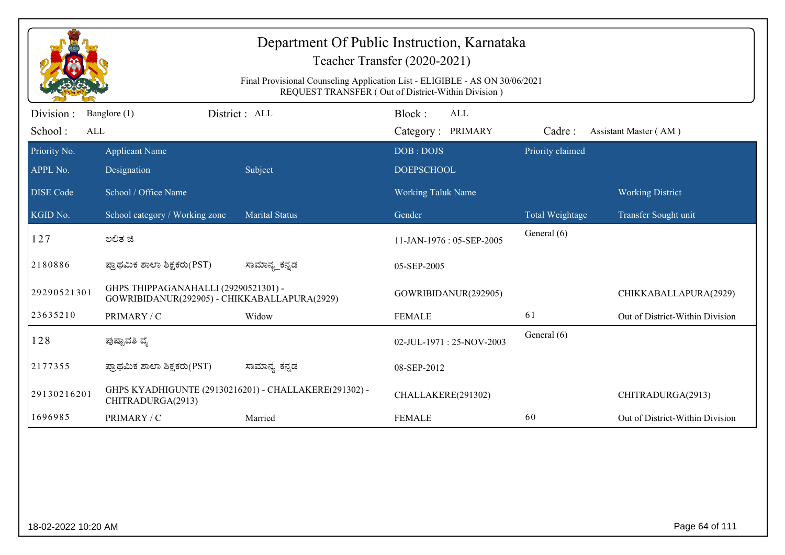|                              | Department Of Public Instruction, Karnataka<br>Teacher Transfer (2020-2021)<br>Final Provisional Counseling Application List - ELIGIBLE - AS ON 30/06/2021<br>REQUEST TRANSFER (Out of District-Within Division) |                                                       |                                           |                  |                                                 |  |  |
|------------------------------|------------------------------------------------------------------------------------------------------------------------------------------------------------------------------------------------------------------|-------------------------------------------------------|-------------------------------------------|------------------|-------------------------------------------------|--|--|
| Division :<br>School:<br>ALL | Banglore (1)                                                                                                                                                                                                     | District : ALL                                        | Block:<br><b>ALL</b><br>Category: PRIMARY | Cadre:           | Assistant Master (AM)                           |  |  |
| Priority No.<br>APPL No.     | <b>Applicant Name</b><br>Designation                                                                                                                                                                             | Subject                                               | DOB: DOJS<br><b>DOEPSCHOOL</b>            | Priority claimed |                                                 |  |  |
| <b>DISE</b> Code<br>KGID No. | School / Office Name<br>School category / Working zone                                                                                                                                                           | <b>Marital Status</b>                                 | <b>Working Taluk Name</b><br>Gender       | Total Weightage  | <b>Working District</b><br>Transfer Sought unit |  |  |
| 127                          | ಲಲಿತ ಜಿ                                                                                                                                                                                                          |                                                       | 11-JAN-1976: 05-SEP-2005                  | General (6)      |                                                 |  |  |
| 2180886                      | ಪ್ರಾಥಮಿಕ ಶಾಲಾ ಶಿಕ್ಷಕರು(PST)                                                                                                                                                                                      | ಸಾಮಾನ್ಯ_ಕನ್ನಡ                                         | 05-SEP-2005                               |                  |                                                 |  |  |
| 29290521301                  | GHPS THIPPAGANAHALLI (29290521301) -<br>GOWRIBIDANUR(292905) - CHIKKABALLAPURA(2929)                                                                                                                             |                                                       | GOWRIBIDANUR(292905)                      |                  | CHIKKABALLAPURA(2929)                           |  |  |
| 23635210                     | PRIMARY / C                                                                                                                                                                                                      | Widow                                                 | <b>FEMALE</b>                             | 61               | Out of District-Within Division                 |  |  |
| 128                          | ಪುಷ್ಪಾವತಿ ವೈ                                                                                                                                                                                                     |                                                       | 02-JUL-1971: 25-NOV-2003                  | General (6)      |                                                 |  |  |
| 2177355                      | ಪ್ರಾಥಮಿಕ ಶಾಲಾ ಶಿಕ್ಷಕರು(PST)                                                                                                                                                                                      | ಸಾಮಾನ್ಯ_ಕನ್ನಡ                                         | 08-SEP-2012                               |                  |                                                 |  |  |
| 29130216201                  | CHITRADURGA(2913)                                                                                                                                                                                                | GHPS KYADHIGUNTE (29130216201) - CHALLAKERE(291302) - | CHALLAKERE(291302)                        |                  | CHITRADURGA(2913)                               |  |  |
| 1696985                      | PRIMARY / C                                                                                                                                                                                                      | Married                                               | <b>FEMALE</b>                             | 60               | Out of District-Within Division                 |  |  |
|                              |                                                                                                                                                                                                                  |                                                       |                                           |                  |                                                 |  |  |
| 18-02-2022 10:20 AM          |                                                                                                                                                                                                                  |                                                       |                                           |                  | Page 64 of 111                                  |  |  |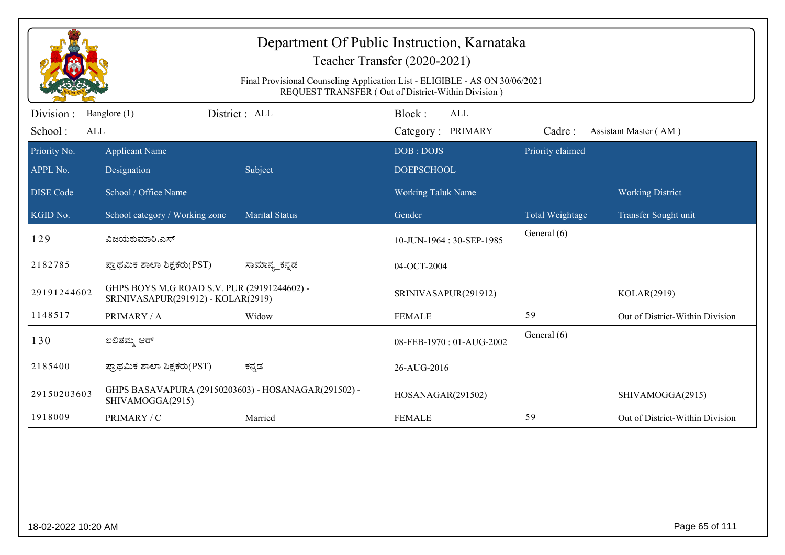|                             | Department Of Public Instruction, Karnataka<br>Teacher Transfer (2020-2021)<br>Final Provisional Counseling Application List - ELIGIBLE - AS ON 30/06/2021 |                       |                                                                                          |                  |                                 |  |  |  |
|-----------------------------|------------------------------------------------------------------------------------------------------------------------------------------------------------|-----------------------|------------------------------------------------------------------------------------------|------------------|---------------------------------|--|--|--|
| Division:<br>School:<br>ALL | Banglore (1)                                                                                                                                               | District : ALL        | REQUEST TRANSFER (Out of District-Within Division)<br>Block:<br>ALL<br>Category: PRIMARY | Cadre:           | Assistant Master (AM)           |  |  |  |
| Priority No.                | <b>Applicant Name</b>                                                                                                                                      |                       | DOB: DOJS                                                                                | Priority claimed |                                 |  |  |  |
| APPL No.                    | Designation                                                                                                                                                | Subject               | <b>DOEPSCHOOL</b>                                                                        |                  |                                 |  |  |  |
| <b>DISE Code</b>            | School / Office Name                                                                                                                                       |                       | Working Taluk Name                                                                       |                  | <b>Working District</b>         |  |  |  |
| KGID No.                    | School category / Working zone                                                                                                                             | <b>Marital Status</b> | Gender                                                                                   | Total Weightage  | Transfer Sought unit            |  |  |  |
| 129                         | ವಿಜಯಕುಮಾರಿ.ಎಸ್                                                                                                                                             |                       | 10-JUN-1964: 30-SEP-1985                                                                 | General (6)      |                                 |  |  |  |
| 2182785                     | ಪ್ರಾಥಮಿಕ ಶಾಲಾ ಶಿಕ್ಷಕರು(PST)                                                                                                                                | ಸಾಮಾನ್ಯ_ಕನ್ನಡ         | 04-OCT-2004                                                                              |                  |                                 |  |  |  |
| 29191244602                 | GHPS BOYS M.G ROAD S.V. PUR (29191244602) -<br>SRINIVASAPUR(291912) - KOLAR(2919)                                                                          |                       | SRINIVASAPUR(291912)                                                                     |                  | KOLAR(2919)                     |  |  |  |
| 1148517                     | PRIMARY / A                                                                                                                                                | Widow                 | <b>FEMALE</b>                                                                            | 59               | Out of District-Within Division |  |  |  |
| 130                         | ಲಲಿತಮ್ಮ ಆರ್                                                                                                                                                |                       | 08-FEB-1970: 01-AUG-2002                                                                 | General (6)      |                                 |  |  |  |
| 2185400                     | ಪ್ರಾಥಮಿಕ ಶಾಲಾ ಶಿಕ್ಷಕರು(PST)                                                                                                                                | ಕನ್ನಡ                 | 26-AUG-2016                                                                              |                  |                                 |  |  |  |
| 29150203603                 | GHPS BASAVAPURA (29150203603) - HOSANAGAR(291502) -<br>SHIVAMOGGA(2915)                                                                                    |                       | HOSANAGAR(291502)                                                                        |                  | SHIVAMOGGA(2915)                |  |  |  |
| 1918009                     | PRIMARY / C                                                                                                                                                | Married               | <b>FEMALE</b>                                                                            | 59               | Out of District-Within Division |  |  |  |
|                             |                                                                                                                                                            |                       |                                                                                          |                  |                                 |  |  |  |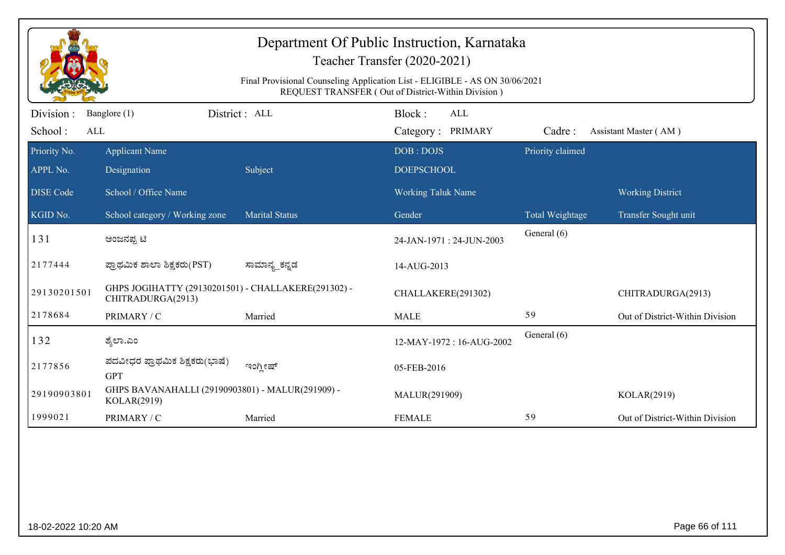|                         | Teacher Transfer (2020-2021)                                             |                       |                                                                                                                                   |                  |                                 |  |
|-------------------------|--------------------------------------------------------------------------|-----------------------|-----------------------------------------------------------------------------------------------------------------------------------|------------------|---------------------------------|--|
|                         |                                                                          |                       | Final Provisional Counseling Application List - ELIGIBLE - AS ON 30/06/2021<br>REQUEST TRANSFER (Out of District-Within Division) |                  |                                 |  |
| Division :              | Banglore (1)                                                             | District: ALL         | Block:<br>ALL                                                                                                                     |                  |                                 |  |
| School:<br>$\mbox{ALL}$ |                                                                          |                       | Category: PRIMARY                                                                                                                 | Cadre:           | Assistant Master (AM)           |  |
| Priority No.            | <b>Applicant Name</b>                                                    |                       | DOB: DOJS                                                                                                                         | Priority claimed |                                 |  |
| APPL No.                | Designation                                                              | Subject               | <b>DOEPSCHOOL</b>                                                                                                                 |                  |                                 |  |
| <b>DISE</b> Code        | School / Office Name                                                     |                       | Working Taluk Name                                                                                                                |                  | <b>Working District</b>         |  |
| KGID No.                | School category / Working zone                                           | <b>Marital Status</b> | Gender                                                                                                                            | Total Weightage  | Transfer Sought unit            |  |
| 131                     | ಅಂಜನಪ್ಪ ಟಿ                                                               |                       | 24-JAN-1971: 24-JUN-2003                                                                                                          | General (6)      |                                 |  |
| 2177444                 | ಪ್ರಾಥಮಿಕ ಶಾಲಾ ಶಿಕ್ಷಕರು(PST)                                              | ಸಾಮಾನ್ಯ_ಕನ್ನಡ         | 14-AUG-2013                                                                                                                       |                  |                                 |  |
| 29130201501             | GHPS JOGIHATTY (29130201501) - CHALLAKERE(291302) -<br>CHITRADURGA(2913) |                       | CHALLAKERE(291302)                                                                                                                |                  | CHITRADURGA(2913)               |  |
| 2178684                 | PRIMARY / C                                                              | Married               | <b>MALE</b>                                                                                                                       | 59               | Out of District-Within Division |  |
| 132                     | ಶ್ಮೆಲಾ.ಎಂ                                                                |                       | 12-MAY-1972: 16-AUG-2002                                                                                                          | General (6)      |                                 |  |
| 2177856                 | ಪದವೀಧರ ಪ್ರಾಥಮಿಕ ಶಿಕ್ಷಕರು(ಭಾಷೆ)<br><b>GPT</b>                             | ಇಂಗ್ಲೀಷ್              | 05-FEB-2016                                                                                                                       |                  |                                 |  |
| 29190903801             | GHPS BAVANAHALLI (29190903801) - MALUR(291909) -<br>KOLAR(2919)          |                       | MALUR(291909)                                                                                                                     |                  | KOLAR(2919)                     |  |
| 1999021                 | PRIMARY / C                                                              | Married               | <b>FEMALE</b>                                                                                                                     | 59               | Out of District-Within Division |  |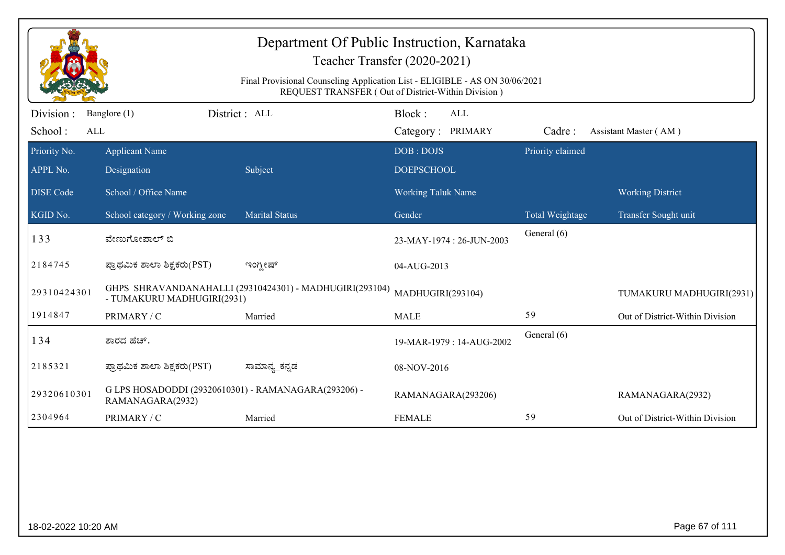|                             |                                                                          | Final Provisional Counseling Application List - ELIGIBLE - AS ON 30/06/2021 | Department Of Public Instruction, Karnataka<br>Teacher Transfer (2020-2021) |                  |                                 |
|-----------------------------|--------------------------------------------------------------------------|-----------------------------------------------------------------------------|-----------------------------------------------------------------------------|------------------|---------------------------------|
|                             |                                                                          |                                                                             | REQUEST TRANSFER (Out of District-Within Division)                          |                  |                                 |
| Division:<br>School:<br>ALL | Banglore (1)                                                             | District: ALL                                                               | Block:<br>ALL<br>Category: PRIMARY                                          | Cadre:           | Assistant Master (AM)           |
| Priority No.                | <b>Applicant Name</b>                                                    |                                                                             | DOB: DOJS                                                                   | Priority claimed |                                 |
| APPL No.                    | Designation                                                              | Subject                                                                     | <b>DOEPSCHOOL</b>                                                           |                  |                                 |
| <b>DISE</b> Code            | School / Office Name                                                     |                                                                             | <b>Working Taluk Name</b>                                                   |                  | <b>Working District</b>         |
| KGID No.                    | School category / Working zone                                           | <b>Marital Status</b>                                                       | Gender                                                                      | Total Weightage  | Transfer Sought unit            |
| 133                         | ವೇಣುಗೋಪಾಲ್ ಬಿ                                                            |                                                                             | 23-MAY-1974: 26-JUN-2003                                                    | General (6)      |                                 |
| 2184745                     | ಪ್ರಾಥಮಿಕ ಶಾಲಾ ಶಿಕ್ಷಕರು(PST)                                              | ಇಂಗ್ಲೀಷ್                                                                    | 04-AUG-2013                                                                 |                  |                                 |
| 29310424301                 | - TUMAKURU MADHUGIRI(2931)                                               | GHPS SHRAVANDANAHALLI (29310424301) - MADHUGIRI(293104)                     | MADHUGIRI(293104)                                                           |                  | TUMAKURU MADHUGIRI(2931)        |
| 1914847                     | PRIMARY / C                                                              | Married                                                                     | <b>MALE</b>                                                                 | 59               | Out of District-Within Division |
| 134                         | ಶಾರದ ಹೆಚ್.                                                               |                                                                             | 19-MAR-1979: 14-AUG-2002                                                    | General (6)      |                                 |
| 2185321                     | ಪ್ರಾಥಮಿಕ ಶಾಲಾ ಶಿಕ್ಷಕರು(PST)                                              | ಸಾಮಾನ್ಯ_ಕನ್ನಡ                                                               | 08-NOV-2016                                                                 |                  |                                 |
| 29320610301                 | G LPS HOSADODDI (29320610301) - RAMANAGARA(293206) -<br>RAMANAGARA(2932) |                                                                             | RAMANAGARA(293206)                                                          |                  | RAMANAGARA(2932)                |
| 2304964                     | PRIMARY / C                                                              | Married                                                                     | <b>FEMALE</b>                                                               | 59               | Out of District-Within Division |
|                             |                                                                          |                                                                             |                                                                             |                  |                                 |
| 18-02-2022 10:20 AM         |                                                                          |                                                                             |                                                                             |                  | Page 67 of 111                  |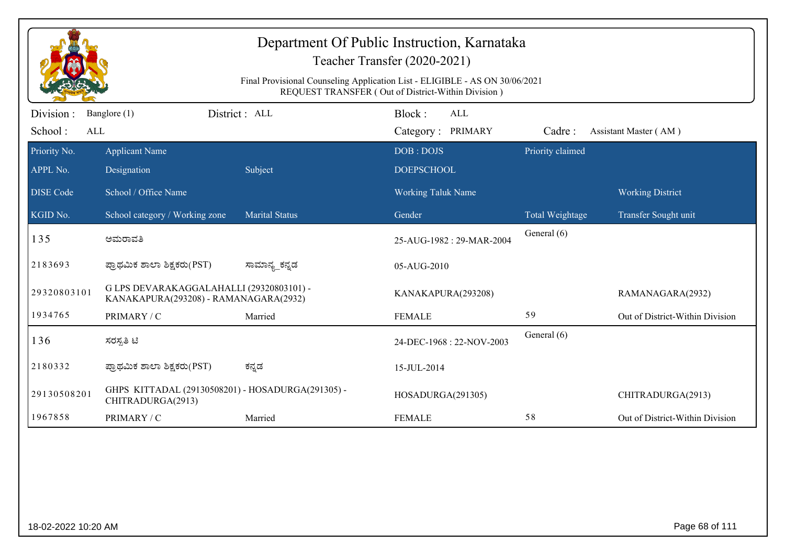|                             | Department Of Public Instruction, Karnataka<br>Teacher Transfer (2020-2021)<br>Final Provisional Counseling Application List - ELIGIBLE - AS ON 30/06/2021<br>REQUEST TRANSFER (Out of District-Within Division) |                       |                                    |                  |                                 |  |  |  |
|-----------------------------|------------------------------------------------------------------------------------------------------------------------------------------------------------------------------------------------------------------|-----------------------|------------------------------------|------------------|---------------------------------|--|--|--|
| Division:<br>School:<br>ALL | Banglore (1)                                                                                                                                                                                                     | District : ALL        | Block:<br>ALL<br>Category: PRIMARY | Cadre:           | Assistant Master (AM)           |  |  |  |
| Priority No.<br>APPL No.    | <b>Applicant Name</b><br>Designation                                                                                                                                                                             | Subject               | DOB: DOJS<br><b>DOEPSCHOOL</b>     | Priority claimed |                                 |  |  |  |
| <b>DISE Code</b>            | School / Office Name                                                                                                                                                                                             |                       | <b>Working Taluk Name</b>          |                  | <b>Working District</b>         |  |  |  |
| KGID No.                    | School category / Working zone                                                                                                                                                                                   | <b>Marital Status</b> | Gender                             | Total Weightage  | Transfer Sought unit            |  |  |  |
| 135                         | ಅಮರಾವತಿ                                                                                                                                                                                                          |                       | 25-AUG-1982: 29-MAR-2004           | General (6)      |                                 |  |  |  |
| 2183693                     | ಪ್ರಾಥಮಿಕ ಶಾಲಾ ಶಿಕ್ಷಕರು(PST)                                                                                                                                                                                      | ಸಾಮಾನ್ಯ_ಕನ್ನಡ         | 05-AUG-2010                        |                  |                                 |  |  |  |
| 29320803101                 | G LPS DEVARAKAGGALAHALLI (29320803101) -<br>KANAKAPURA(293208) - RAMANAGARA(2932)                                                                                                                                |                       | KANAKAPURA(293208)                 |                  | RAMANAGARA(2932)                |  |  |  |
| 1934765                     | PRIMARY / C                                                                                                                                                                                                      | Married               | <b>FEMALE</b>                      | 59               | Out of District-Within Division |  |  |  |
| 136                         | ಸರಸ್ಪತಿ ಟಿ                                                                                                                                                                                                       |                       | 24-DEC-1968: 22-NOV-2003           | General (6)      |                                 |  |  |  |
| 2180332                     | ಪ್ರಾಥಮಿಕ ಶಾಲಾ ಶಿಕ್ಷಕರು(PST)                                                                                                                                                                                      | ಕನ್ನಡ                 | 15-JUL-2014                        |                  |                                 |  |  |  |
| 29130508201                 | GHPS KITTADAL (29130508201) - HOSADURGA(291305) -<br>CHITRADURGA(2913)                                                                                                                                           |                       | HOSADURGA(291305)                  |                  | CHITRADURGA(2913)               |  |  |  |
| 1967858                     | PRIMARY / C                                                                                                                                                                                                      | Married               | <b>FEMALE</b>                      | 58               | Out of District-Within Division |  |  |  |
|                             |                                                                                                                                                                                                                  |                       |                                    |                  |                                 |  |  |  |
| 18-02-2022 10:20 AM         |                                                                                                                                                                                                                  |                       |                                    |                  | Page 68 of 111                  |  |  |  |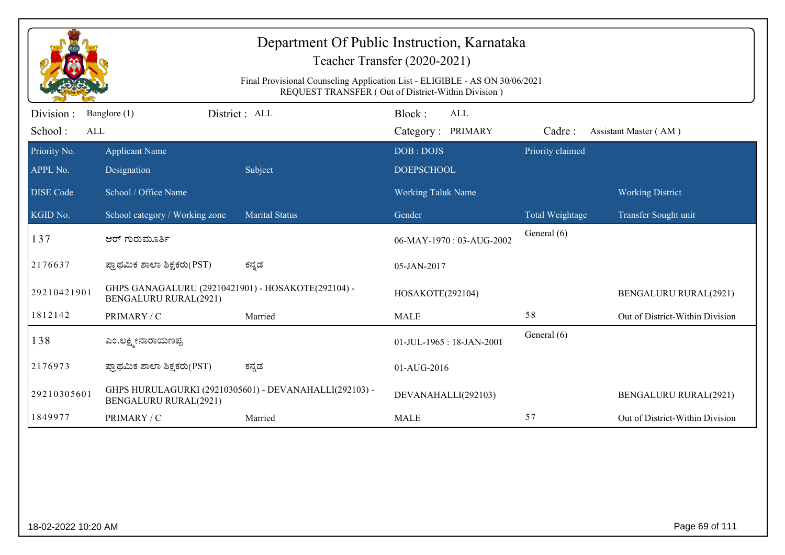|                             | Department Of Public Instruction, Karnataka<br>Teacher Transfer (2020-2021)<br>Final Provisional Counseling Application List - ELIGIBLE - AS ON 30/06/2021<br>REQUEST TRANSFER (Out of District-Within Division) |                                                        |                                           |                  |                                 |  |  |  |
|-----------------------------|------------------------------------------------------------------------------------------------------------------------------------------------------------------------------------------------------------------|--------------------------------------------------------|-------------------------------------------|------------------|---------------------------------|--|--|--|
| Division:<br>School:<br>ALL | Banglore (1)                                                                                                                                                                                                     | District : ALL                                         | Block:<br><b>ALL</b><br>Category: PRIMARY | Cadre:           | Assistant Master (AM)           |  |  |  |
| Priority No.<br>APPL No.    | <b>Applicant Name</b><br>Designation                                                                                                                                                                             | Subject                                                | DOB: DOJS<br><b>DOEPSCHOOL</b>            | Priority claimed |                                 |  |  |  |
| <b>DISE Code</b>            | School / Office Name                                                                                                                                                                                             |                                                        | <b>Working Taluk Name</b>                 |                  | <b>Working District</b>         |  |  |  |
| KGID No.                    | School category / Working zone                                                                                                                                                                                   | <b>Marital Status</b>                                  | Gender                                    | Total Weightage  | Transfer Sought unit            |  |  |  |
| 137                         | ಆರ್ ಗುರುಮೂರ್ತಿ                                                                                                                                                                                                   |                                                        | 06-MAY-1970: 03-AUG-2002                  | General (6)      |                                 |  |  |  |
| 2176637                     | ಪ್ರಾಥಮಿಕ ಶಾಲಾ ಶಿಕ್ಷಕರು(PST)                                                                                                                                                                                      | ಕನ್ನಡ                                                  | 05-JAN-2017                               |                  |                                 |  |  |  |
| 29210421901                 | GHPS GANAGALURU (29210421901) - HOSAKOTE(292104) -<br><b>BENGALURU RURAL(2921)</b>                                                                                                                               |                                                        | HOSAKOTE(292104)                          |                  | <b>BENGALURU RURAL(2921)</b>    |  |  |  |
| 1812142                     | PRIMARY / C                                                                                                                                                                                                      | Married                                                | <b>MALE</b>                               | 58               | Out of District-Within Division |  |  |  |
| 138                         | ಎಂ.ಲಕ್ಷ್ಮೀನಾರಾಯಣಪ್ಪ                                                                                                                                                                                              |                                                        | 01-JUL-1965: 18-JAN-2001                  | General (6)      |                                 |  |  |  |
| 2176973                     | ಪ್ರಾಥಮಿಕ ಶಾಲಾ ಶಿಕ್ಷಕರು(PST)                                                                                                                                                                                      | ಕನ್ನಡ                                                  | 01-AUG-2016                               |                  |                                 |  |  |  |
| 29210305601                 | <b>BENGALURU RURAL(2921)</b>                                                                                                                                                                                     | GHPS HURULAGURKI (29210305601) - DEVANAHALLI(292103) - | DEVANAHALLI(292103)                       |                  | <b>BENGALURU RURAL(2921)</b>    |  |  |  |
| 1849977                     | PRIMARY / C                                                                                                                                                                                                      | Married                                                | <b>MALE</b>                               | 57               | Out of District-Within Division |  |  |  |
|                             |                                                                                                                                                                                                                  |                                                        |                                           |                  |                                 |  |  |  |
| 18-02-2022 10:20 AM         |                                                                                                                                                                                                                  |                                                        |                                           |                  | Page 69 of 111                  |  |  |  |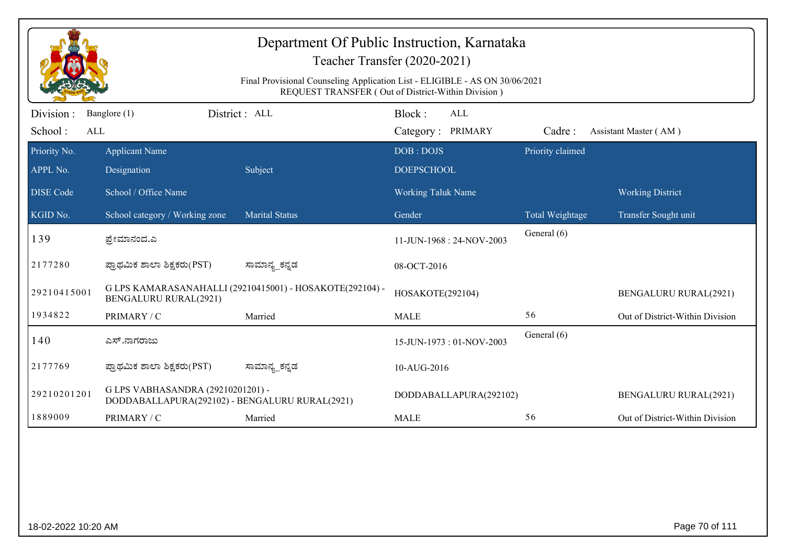|                              | Department Of Public Instruction, Karnataka<br>Teacher Transfer (2020-2021)<br>Final Provisional Counseling Application List - ELIGIBLE - AS ON 30/06/2021<br>REQUEST TRANSFER (Out of District-Within Division) |                                                          |                                           |                  |                                 |  |  |  |
|------------------------------|------------------------------------------------------------------------------------------------------------------------------------------------------------------------------------------------------------------|----------------------------------------------------------|-------------------------------------------|------------------|---------------------------------|--|--|--|
| Division :<br>School:<br>ALL | Banglore (1)                                                                                                                                                                                                     | District: ALL                                            | Block:<br><b>ALL</b><br>Category: PRIMARY | Cadre:           | Assistant Master (AM)           |  |  |  |
| Priority No.<br>APPL No.     | <b>Applicant Name</b><br>Designation                                                                                                                                                                             | Subject                                                  | DOB: DOJS<br><b>DOEPSCHOOL</b>            | Priority claimed |                                 |  |  |  |
| <b>DISE</b> Code             | School / Office Name                                                                                                                                                                                             |                                                          | <b>Working Taluk Name</b>                 |                  | <b>Working District</b>         |  |  |  |
| KGID No.                     | School category / Working zone                                                                                                                                                                                   | <b>Marital Status</b>                                    | Gender                                    | Total Weightage  | Transfer Sought unit            |  |  |  |
| 139                          | ಪ್ರೇಮಾನಂದ.ಎ                                                                                                                                                                                                      |                                                          | 11-JUN-1968: 24-NOV-2003                  | General (6)      |                                 |  |  |  |
| 2177280                      | ಪ್ರಾಥಮಿಕ ಶಾಲಾ ಶಿಕ್ಷಕರು(PST)                                                                                                                                                                                      | ಸಾಮಾನ್ಯ_ಕನ್ನಡ                                            | 08-OCT-2016                               |                  |                                 |  |  |  |
| 29210415001                  | <b>BENGALURU RURAL(2921)</b>                                                                                                                                                                                     | G LPS KAMARASANAHALLI (29210415001) - HOSAKOTE(292104) - | HOSAKOTE(292104)                          |                  | <b>BENGALURU RURAL(2921)</b>    |  |  |  |
| 1934822                      | PRIMARY / C                                                                                                                                                                                                      | Married                                                  | <b>MALE</b>                               | 56               | Out of District-Within Division |  |  |  |
| 140                          | ಎಸ್.ನಾಗರಾಜು                                                                                                                                                                                                      |                                                          | 15-JUN-1973: 01-NOV-2003                  | General (6)      |                                 |  |  |  |
| 2177769                      | ಪ್ರಾಥಮಿಕ ಶಾಲಾ ಶಿಕ್ಷಕರು(PST)                                                                                                                                                                                      | ಸಾಮಾನ್ಯ_ಕನ್ನಡ                                            | 10-AUG-2016                               |                  |                                 |  |  |  |
| 29210201201                  | G LPS VABHASANDRA (29210201201) -<br>DODDABALLAPURA(292102) - BENGALURU RURAL(2921)                                                                                                                              |                                                          | DODDABALLAPURA(292102)                    |                  | <b>BENGALURU RURAL(2921)</b>    |  |  |  |
| 1889009                      | PRIMARY / C                                                                                                                                                                                                      | Married                                                  | <b>MALE</b>                               | 56               | Out of District-Within Division |  |  |  |
|                              |                                                                                                                                                                                                                  |                                                          |                                           |                  |                                 |  |  |  |
| 18-02-2022 10:20 AM          |                                                                                                                                                                                                                  |                                                          |                                           |                  | Page 70 of 111                  |  |  |  |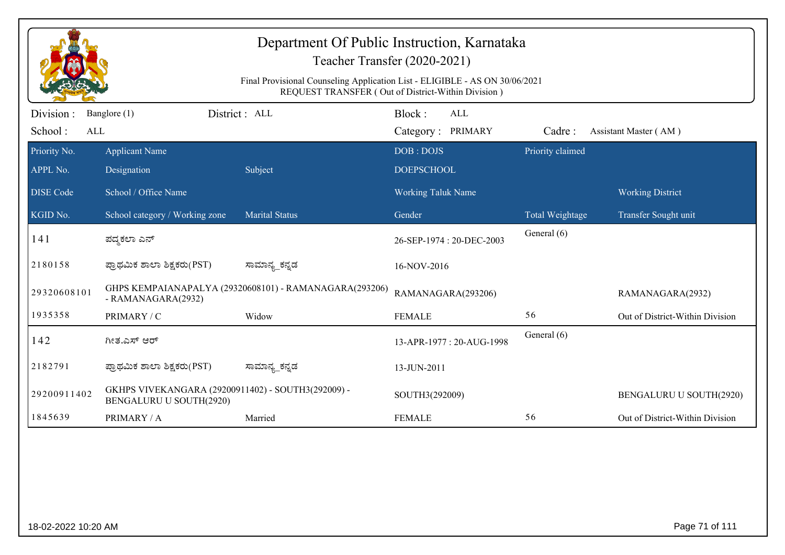|                             |                                                                               | Department Of Public Instruction, Karnataka<br>Final Provisional Counseling Application List - ELIGIBLE - AS ON 30/06/2021 | Teacher Transfer (2020-2021)                       |                  |                                 |
|-----------------------------|-------------------------------------------------------------------------------|----------------------------------------------------------------------------------------------------------------------------|----------------------------------------------------|------------------|---------------------------------|
|                             |                                                                               |                                                                                                                            | REQUEST TRANSFER (Out of District-Within Division) |                  |                                 |
| Division:<br>School:<br>ALL | Banglore (1)                                                                  | District: ALL                                                                                                              | Block:<br>ALL<br>Category: PRIMARY                 | Cadre:           | Assistant Master (AM)           |
| Priority No.                | <b>Applicant Name</b>                                                         |                                                                                                                            | DOB: DOJS                                          | Priority claimed |                                 |
| APPL No.                    | Designation                                                                   | Subject                                                                                                                    | <b>DOEPSCHOOL</b>                                  |                  |                                 |
| <b>DISE</b> Code            | School / Office Name                                                          |                                                                                                                            | <b>Working Taluk Name</b>                          |                  | <b>Working District</b>         |
| KGID No.                    | School category / Working zone                                                | <b>Marital Status</b>                                                                                                      | Gender                                             | Total Weightage  | Transfer Sought unit            |
| 141                         | ಪದ್ಮಕಲಾ ಎನ್                                                                   |                                                                                                                            | 26-SEP-1974 : 20-DEC-2003                          | General (6)      |                                 |
| 2180158                     | ಪ್ರಾಥಮಿಕ ಶಾಲಾ ಶಿಕ್ಷಕರು(PST)                                                   | ಸಾಮಾನ್ಯ_ಕನ್ನಡ                                                                                                              | 16-NOV-2016                                        |                  |                                 |
| 29320608101                 | - RAMANAGARA(2932)                                                            | GHPS KEMPAIANAPALYA (29320608101) - RAMANAGARA(293206)                                                                     | RAMANAGARA(293206)                                 |                  | RAMANAGARA(2932)                |
| 1935358                     | PRIMARY / C                                                                   | Widow                                                                                                                      | <b>FEMALE</b>                                      | 56               | Out of District-Within Division |
| 142                         | ಗೀತ.ಎಸ್ ಆರ್                                                                   |                                                                                                                            | 13-APR-1977: 20-AUG-1998                           | General (6)      |                                 |
| 2182791                     | ಪ್ರಾಥಮಿಕ ಶಾಲಾ ಶಿಕ್ಷಕರು(PST)                                                   | ಸಾಮಾನ್ಯ_ಕನ್ನಡ                                                                                                              | 13-JUN-2011                                        |                  |                                 |
| 29200911402                 | GKHPS VIVEKANGARA (29200911402) - SOUTH3(292009) -<br>BENGALURU U SOUTH(2920) |                                                                                                                            | SOUTH3(292009)                                     |                  | BENGALURU U SOUTH(2920)         |
| 1845639                     | PRIMARY / A                                                                   | Married                                                                                                                    | <b>FEMALE</b>                                      | 56               | Out of District-Within Division |
|                             |                                                                               |                                                                                                                            |                                                    |                  |                                 |
| 18-02-2022 10:20 AM         |                                                                               |                                                                                                                            |                                                    |                  | Page 71 of 111                  |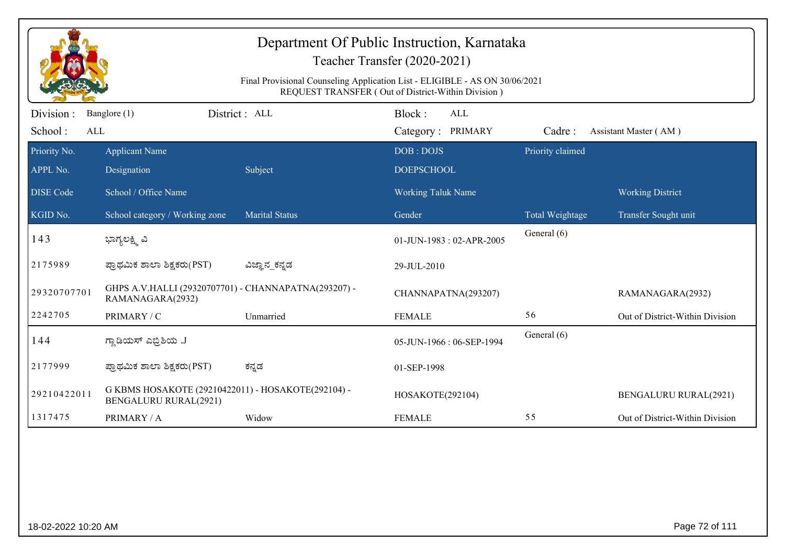| Department Of Public Instruction, Karnataka<br>Teacher Transfer (2020-2021) |                                                                                                                                   |                       |                                    |                  |                                 |  |  |  |
|-----------------------------------------------------------------------------|-----------------------------------------------------------------------------------------------------------------------------------|-----------------------|------------------------------------|------------------|---------------------------------|--|--|--|
|                                                                             | Final Provisional Counseling Application List - ELIGIBLE - AS ON 30/06/2021<br>REQUEST TRANSFER (Out of District-Within Division) |                       |                                    |                  |                                 |  |  |  |
| Division:<br>School:<br>ALL                                                 | Banglore (1)                                                                                                                      | District : ALL        | Block:<br>ALL<br>Category: PRIMARY | Cadre:           | Assistant Master (AM)           |  |  |  |
| Priority No.<br>APPL No.                                                    | <b>Applicant Name</b><br>Designation                                                                                              | Subject               | DOB: DOJS<br><b>DOEPSCHOOL</b>     | Priority claimed |                                 |  |  |  |
| <b>DISE Code</b>                                                            | School / Office Name                                                                                                              |                       | <b>Working Taluk Name</b>          |                  | <b>Working District</b>         |  |  |  |
| KGID No.                                                                    | School category / Working zone                                                                                                    | <b>Marital Status</b> | Gender                             | Total Weightage  | Transfer Sought unit            |  |  |  |
| 143                                                                         | ಭಾಗ್ಯಲಕ್ಷ್ಮಿ ವಿ                                                                                                                   |                       | 01-JUN-1983: 02-APR-2005           | General (6)      |                                 |  |  |  |
| 2175989                                                                     | ಪ್ರಾಥಮಿಕ ಶಾಲಾ ಶಿಕ್ಷಕರು(PST)                                                                                                       | ವಿಜ್ಞಾನ_ಕನ್ನಡ         | 29-JUL-2010                        |                  |                                 |  |  |  |
| 29320707701                                                                 | GHPS A.V.HALLI (29320707701) - CHANNAPATNA(293207) -<br>RAMANAGARA(2932)                                                          |                       | CHANNAPATNA(293207)                |                  | RAMANAGARA(2932)                |  |  |  |
| 2242705                                                                     | PRIMARY / C                                                                                                                       | Unmarried             | <b>FEMALE</b>                      | 56               | Out of District-Within Division |  |  |  |
| 144                                                                         | ಗ್ಲಾಡಿಯಸ್ ಎಬ್ರಿಶಿಯ .J                                                                                                             |                       | 05-JUN-1966: 06-SEP-1994           | General (6)      |                                 |  |  |  |
| 2177999                                                                     | ಪ್ರಾಥಮಿಕ ಶಾಲಾ ಶಿಕ್ಷಕರು(PST)                                                                                                       | ಕನ್ನಡ                 | 01-SEP-1998                        |                  |                                 |  |  |  |
| 29210422011                                                                 | G KBMS HOSAKOTE (29210422011) - HOSAKOTE (292104) -<br><b>BENGALURU RURAL(2921)</b>                                               |                       | HOSAKOTE(292104)                   |                  | <b>BENGALURU RURAL(2921)</b>    |  |  |  |
| 1317475                                                                     | PRIMARY / A                                                                                                                       | Widow                 | <b>FEMALE</b>                      | 55               | Out of District-Within Division |  |  |  |
|                                                                             |                                                                                                                                   |                       |                                    |                  |                                 |  |  |  |
| 18-02-2022 10:20 AM                                                         |                                                                                                                                   |                       |                                    |                  | Page 72 of 111                  |  |  |  |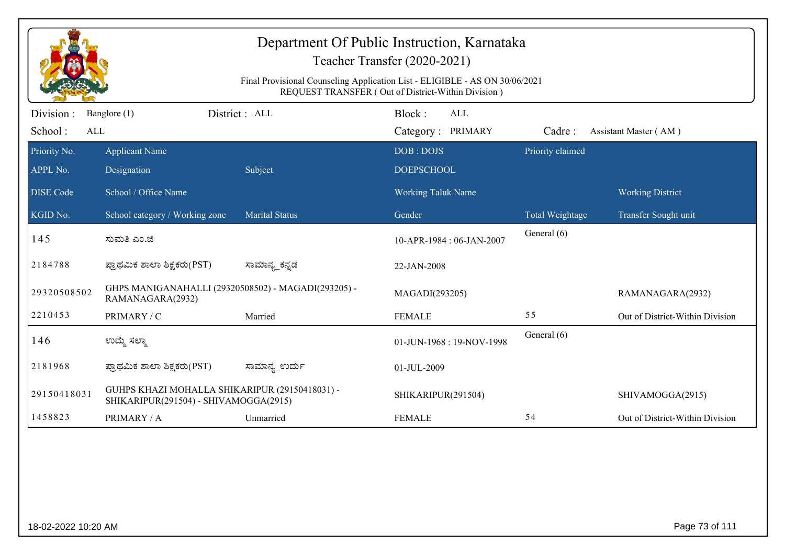| Department Of Public Instruction, Karnataka<br>Teacher Transfer (2020-2021)<br>Final Provisional Counseling Application List - ELIGIBLE - AS ON 30/06/2021<br>REQUEST TRANSFER (Out of District-Within Division) |                                                                                         |                       |                                           |                  |                                 |  |  |
|------------------------------------------------------------------------------------------------------------------------------------------------------------------------------------------------------------------|-----------------------------------------------------------------------------------------|-----------------------|-------------------------------------------|------------------|---------------------------------|--|--|
| Division:<br>School:<br>ALL                                                                                                                                                                                      | Banglore (1)                                                                            | District: ALL         | Block:<br><b>ALL</b><br>Category: PRIMARY | Cadre:           | Assistant Master (AM)           |  |  |
| Priority No.<br>APPL No.                                                                                                                                                                                         | <b>Applicant Name</b><br>Designation                                                    | Subject               | DOB: DOJS<br><b>DOEPSCHOOL</b>            | Priority claimed |                                 |  |  |
| <b>DISE</b> Code                                                                                                                                                                                                 | School / Office Name                                                                    |                       | <b>Working Taluk Name</b>                 |                  | <b>Working District</b>         |  |  |
| KGID No.                                                                                                                                                                                                         | School category / Working zone                                                          | <b>Marital Status</b> | Gender                                    | Total Weightage  | Transfer Sought unit            |  |  |
| 145                                                                                                                                                                                                              | ಸುಮತಿ ಎಂ.ಜಿ                                                                             |                       | 10-APR-1984: 06-JAN-2007                  | General (6)      |                                 |  |  |
| 2184788                                                                                                                                                                                                          | ಪ್ರಾಥಮಿಕ ಶಾಲಾ ಶಿಕ್ಷಕರು(PST)                                                             | ಸಾಮಾನ್ಯ_ಕನ್ನಡ         | 22-JAN-2008                               |                  |                                 |  |  |
| 29320508502                                                                                                                                                                                                      | GHPS MANIGANAHALLI (29320508502) - MAGADI(293205) -<br>RAMANAGARA(2932)                 |                       | MAGADI(293205)                            |                  | RAMANAGARA(2932)                |  |  |
| 2210453                                                                                                                                                                                                          | PRIMARY / C                                                                             | Married               | <b>FEMALE</b>                             | 55               | Out of District-Within Division |  |  |
| 146                                                                                                                                                                                                              | ಉಮ್ಮೆ ಸಲ್ಮಾ                                                                             |                       | 01-JUN-1968: 19-NOV-1998                  | General (6)      |                                 |  |  |
| 2181968                                                                                                                                                                                                          | ಪ್ರಾಥಮಿಕ ಶಾಲಾ ಶಿಕ್ಷಕರು(PST)                                                             | ಸಾಮಾನ್ಯ_ಉರ್ದು         | 01-JUL-2009                               |                  |                                 |  |  |
| 29150418031                                                                                                                                                                                                      | GUHPS KHAZI MOHALLA SHIKARIPUR (29150418031) -<br>SHIKARIPUR(291504) - SHIVAMOGGA(2915) |                       | SHIKARIPUR(291504)                        |                  | SHIVAMOGGA(2915)                |  |  |
| 1458823                                                                                                                                                                                                          | PRIMARY / A                                                                             | Unmarried             | <b>FEMALE</b>                             | 54               | Out of District-Within Division |  |  |
|                                                                                                                                                                                                                  |                                                                                         |                       |                                           |                  |                                 |  |  |
|                                                                                                                                                                                                                  | Page 73 of 111<br>18-02-2022 10:20 AM                                                   |                       |                                           |                  |                                 |  |  |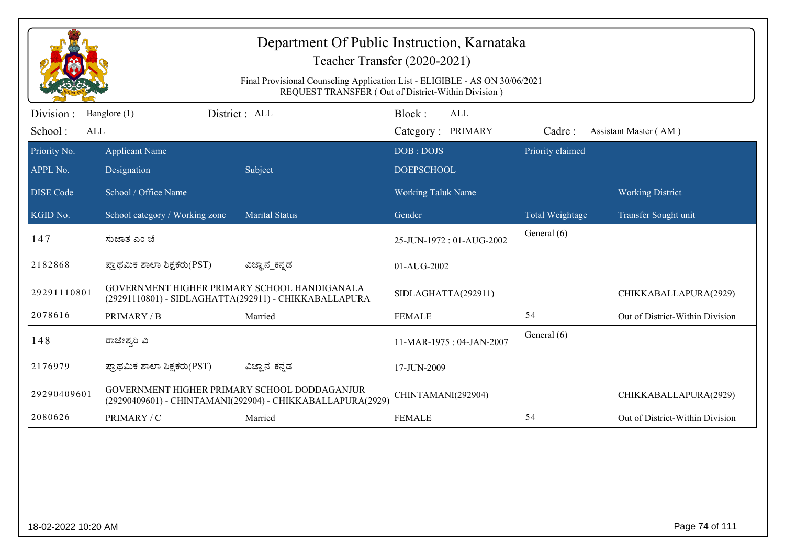| Department Of Public Instruction, Karnataka<br>Teacher Transfer (2020-2021)<br>Final Provisional Counseling Application List - ELIGIBLE - AS ON 30/06/2021 |                                                                                                             |                                                            |                                |                  |                                 |  |  |  |
|------------------------------------------------------------------------------------------------------------------------------------------------------------|-------------------------------------------------------------------------------------------------------------|------------------------------------------------------------|--------------------------------|------------------|---------------------------------|--|--|--|
| Division :                                                                                                                                                 | REQUEST TRANSFER (Out of District-Within Division)<br>District: ALL<br>Block:<br><b>ALL</b><br>Banglore (1) |                                                            |                                |                  |                                 |  |  |  |
| School:<br>ALL                                                                                                                                             |                                                                                                             |                                                            | Category: PRIMARY              | Cadre:           | Assistant Master (AM)           |  |  |  |
| Priority No.<br>APPL No.                                                                                                                                   | <b>Applicant Name</b><br>Designation                                                                        | Subject                                                    | DOB: DOJS<br><b>DOEPSCHOOL</b> | Priority claimed |                                 |  |  |  |
| <b>DISE</b> Code                                                                                                                                           | School / Office Name                                                                                        |                                                            | <b>Working Taluk Name</b>      |                  | <b>Working District</b>         |  |  |  |
| KGID No.                                                                                                                                                   | School category / Working zone                                                                              | <b>Marital Status</b>                                      | Gender                         | Total Weightage  | Transfer Sought unit            |  |  |  |
| 147                                                                                                                                                        | ಸುಜಾತ ಎಂ ಜೆ                                                                                                 |                                                            | 25-JUN-1972: 01-AUG-2002       | General (6)      |                                 |  |  |  |
| 2182868                                                                                                                                                    | ಪ್ರಾಥಮಿಕ ಶಾಲಾ ಶಿಕ್ಷಕರು(PST)                                                                                 | ವಿಜ್ಞಾನ_ಕನ್ನಡ                                              | 01-AUG-2002                    |                  |                                 |  |  |  |
| 29291110801                                                                                                                                                | GOVERNMENT HIGHER PRIMARY SCHOOL HANDIGANALA<br>(29291110801) - SIDLAGHATTA(292911) - CHIKKABALLAPURA       |                                                            | SIDLAGHATTA(292911)            |                  | CHIKKABALLAPURA(2929)           |  |  |  |
| 2078616                                                                                                                                                    | PRIMARY / B                                                                                                 | Married                                                    | <b>FEMALE</b>                  | 54               | Out of District-Within Division |  |  |  |
| 148                                                                                                                                                        | ರಾಜೇಶ್ವರಿ ವಿ                                                                                                |                                                            | 11-MAR-1975: 04-JAN-2007       | General (6)      |                                 |  |  |  |
| 2176979                                                                                                                                                    | ಪ್ರಾಥಮಿಕ ಶಾಲಾ ಶಿಕ್ಷಕರು(PST)                                                                                 | ವಿಜ್ಞಾನ_ಕನ್ನಡ                                              | 17-JUN-2009                    |                  |                                 |  |  |  |
| 29290409601                                                                                                                                                | GOVERNMENT HIGHER PRIMARY SCHOOL DODDAGANJUR                                                                | (29290409601) - CHINTAMANI(292904) - CHIKKABALLAPURA(2929) | CHINTAMANI(292904)             |                  | CHIKKABALLAPURA(2929)           |  |  |  |
| 2080626                                                                                                                                                    | PRIMARY / C                                                                                                 | Married                                                    | <b>FEMALE</b>                  | 54               | Out of District-Within Division |  |  |  |
|                                                                                                                                                            |                                                                                                             |                                                            |                                |                  |                                 |  |  |  |
|                                                                                                                                                            | Page 74 of 111<br>18-02-2022 10:20 AM                                                                       |                                                            |                                |                  |                                 |  |  |  |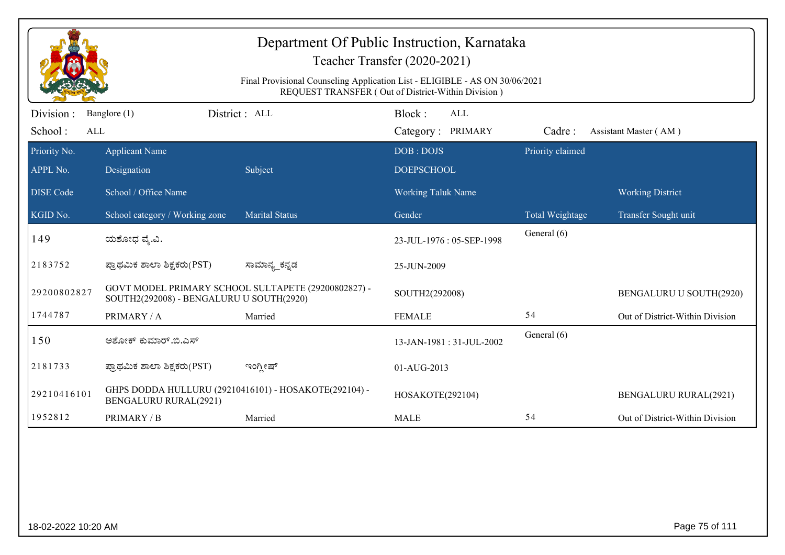| Department Of Public Instruction, Karnataka<br>Teacher Transfer (2020-2021) |                                                                                                                                   |                                                       |                                           |                  |                                 |  |  |  |
|-----------------------------------------------------------------------------|-----------------------------------------------------------------------------------------------------------------------------------|-------------------------------------------------------|-------------------------------------------|------------------|---------------------------------|--|--|--|
|                                                                             | Final Provisional Counseling Application List - ELIGIBLE - AS ON 30/06/2021<br>REQUEST TRANSFER (Out of District-Within Division) |                                                       |                                           |                  |                                 |  |  |  |
| Division :<br>School:<br>ALL                                                | Banglore (1)                                                                                                                      | District: ALL                                         | Block:<br><b>ALL</b><br>Category: PRIMARY | Cadre:           | Assistant Master (AM)           |  |  |  |
| Priority No.<br>APPL No.                                                    | <b>Applicant Name</b><br>Designation                                                                                              | Subject                                               | DOB: DOJS<br><b>DOEPSCHOOL</b>            | Priority claimed |                                 |  |  |  |
| <b>DISE</b> Code                                                            | School / Office Name                                                                                                              |                                                       | <b>Working Taluk Name</b>                 |                  | <b>Working District</b>         |  |  |  |
| KGID No.                                                                    | School category / Working zone                                                                                                    | <b>Marital Status</b>                                 | Gender                                    | Total Weightage  | Transfer Sought unit            |  |  |  |
| 149                                                                         | ಯಶೋಧ ವ್ಯೆ.ವಿ.                                                                                                                     |                                                       | 23-JUL-1976: 05-SEP-1998                  | General (6)      |                                 |  |  |  |
| 2183752                                                                     | ಪ್ರಾಥಮಿಕ ಶಾಲಾ ಶಿಕ್ಷಕರು(PST)                                                                                                       | ಸಾಮಾನ್ಯ_ಕನ್ನಡ                                         | 25-JUN-2009                               |                  |                                 |  |  |  |
| 29200802827                                                                 | SOUTH2(292008) - BENGALURU U SOUTH(2920)                                                                                          | GOVT MODEL PRIMARY SCHOOL SULTAPETE (29200802827) -   | SOUTH2(292008)                            |                  | BENGALURU U SOUTH(2920)         |  |  |  |
| 1744787                                                                     | PRIMARY / A                                                                                                                       | Married                                               | <b>FEMALE</b>                             | 54               | Out of District-Within Division |  |  |  |
| 150                                                                         | ಅಶೋಕ್ ಕುಮಾರ್.ಬಿ.ಎಸ್                                                                                                               |                                                       | 13-JAN-1981: 31-JUL-2002                  | General (6)      |                                 |  |  |  |
| 2181733                                                                     | ಪ್ರಾಥಮಿಕ ಶಾಲಾ ಶಿಕ್ಷಕರು(PST)                                                                                                       | ಇಂಗ್ಲೀಷ್                                              | 01-AUG-2013                               |                  |                                 |  |  |  |
| 29210416101                                                                 | <b>BENGALURU RURAL(2921)</b>                                                                                                      | GHPS DODDA HULLURU (29210416101) - HOSAKOTE(292104) - | HOSAKOTE(292104)                          |                  | <b>BENGALURU RURAL(2921)</b>    |  |  |  |
| 1952812                                                                     | PRIMARY / B                                                                                                                       | Married                                               | <b>MALE</b>                               | 54               | Out of District-Within Division |  |  |  |
|                                                                             |                                                                                                                                   |                                                       |                                           |                  |                                 |  |  |  |
|                                                                             | Page 75 of 111<br>18-02-2022 10:20 AM                                                                                             |                                                       |                                           |                  |                                 |  |  |  |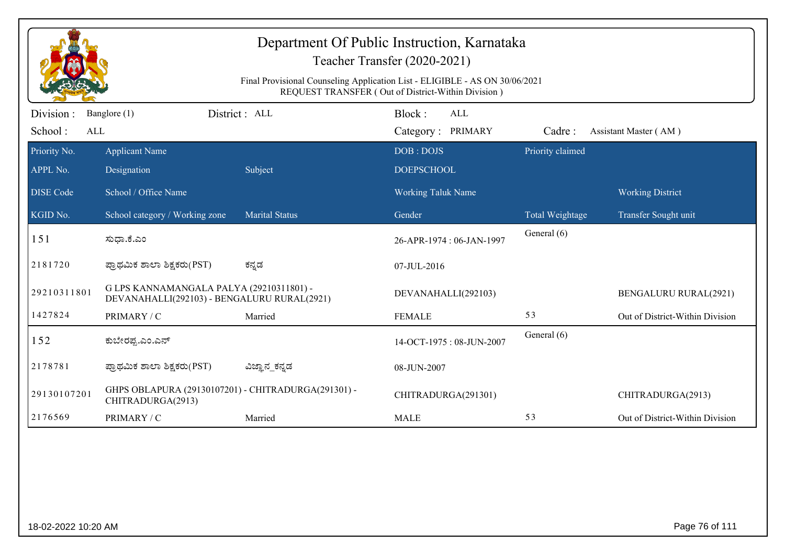| Department Of Public Instruction, Karnataka<br>Teacher Transfer (2020-2021)<br>Final Provisional Counseling Application List - ELIGIBLE - AS ON 30/06/2021<br>REQUEST TRANSFER (Out of District-Within Division) |                                                                                         |                       |                                           |                  |                                 |  |  |
|------------------------------------------------------------------------------------------------------------------------------------------------------------------------------------------------------------------|-----------------------------------------------------------------------------------------|-----------------------|-------------------------------------------|------------------|---------------------------------|--|--|
| Division :<br>School:<br>ALL                                                                                                                                                                                     | Banglore (1)                                                                            | District: ALL         | Block:<br><b>ALL</b><br>Category: PRIMARY | Cadre:           | Assistant Master (AM)           |  |  |
| Priority No.<br>APPL No.                                                                                                                                                                                         | <b>Applicant Name</b><br>Designation                                                    | Subject               | DOB: DOJS<br><b>DOEPSCHOOL</b>            | Priority claimed |                                 |  |  |
| <b>DISE</b> Code                                                                                                                                                                                                 | School / Office Name                                                                    |                       | <b>Working Taluk Name</b>                 |                  | <b>Working District</b>         |  |  |
| $\overline{\text{KGID No.}}$                                                                                                                                                                                     | School category / Working zone                                                          | <b>Marital Status</b> | Gender                                    | Total Weightage  | Transfer Sought unit            |  |  |
| 151                                                                                                                                                                                                              | ಸುಧಾ.ಕೆ.ಎಂ                                                                              |                       | 26-APR-1974: 06-JAN-1997                  | General (6)      |                                 |  |  |
| 2181720                                                                                                                                                                                                          | ಪ್ರಾಥಮಿಕ ಶಾಲಾ ಶಿಕ್ಷಕರು(PST)                                                             | ಕನ್ನಡ                 | 07-JUL-2016                               |                  |                                 |  |  |
| 29210311801                                                                                                                                                                                                      | G LPS KANNAMANGALA PALYA (29210311801) -<br>DEVANAHALLI(292103) - BENGALURU RURAL(2921) |                       | DEVANAHALLI(292103)                       |                  | <b>BENGALURU RURAL(2921)</b>    |  |  |
| 1427824                                                                                                                                                                                                          | PRIMARY / C                                                                             | Married               | <b>FEMALE</b>                             | 53               | Out of District-Within Division |  |  |
| 152                                                                                                                                                                                                              | ಕುಬೇರಪ್ಪ.ಎಂ.ಎನ್                                                                         |                       | 14-OCT-1975: 08-JUN-2007                  | General (6)      |                                 |  |  |
| 2178781                                                                                                                                                                                                          | ಪ್ರಾಥಮಿಕ ಶಾಲಾ ಶಿಕ್ಷಕರು(PST)                                                             | ವಿಜ್ಞಾನ_ಕನ್ನಡ         | 08-JUN-2007                               |                  |                                 |  |  |
| 29130107201                                                                                                                                                                                                      | GHPS OBLAPURA (29130107201) - CHITRADURGA(291301) -<br>CHITRADURGA(2913)                |                       | CHITRADURGA(291301)                       |                  | CHITRADURGA(2913)               |  |  |
| 2176569                                                                                                                                                                                                          | PRIMARY / C                                                                             | Married               | <b>MALE</b>                               | 53               | Out of District-Within Division |  |  |
|                                                                                                                                                                                                                  |                                                                                         |                       |                                           |                  |                                 |  |  |
|                                                                                                                                                                                                                  | Page 76 of 111<br>18-02-2022 10:20 AM                                                   |                       |                                           |                  |                                 |  |  |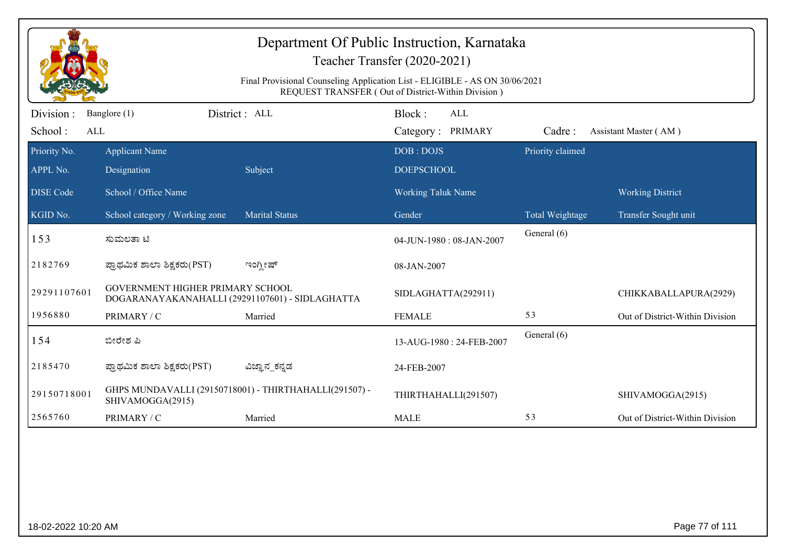| Department Of Public Instruction, Karnataka<br>Teacher Transfer (2020-2021)<br>Final Provisional Counseling Application List - ELIGIBLE - AS ON 30/06/2021<br>REQUEST TRANSFER (Out of District-Within Division) |                                                                                     |                                                        |                                           |                  |                                 |  |  |
|------------------------------------------------------------------------------------------------------------------------------------------------------------------------------------------------------------------|-------------------------------------------------------------------------------------|--------------------------------------------------------|-------------------------------------------|------------------|---------------------------------|--|--|
| Division:<br>School:<br>ALL                                                                                                                                                                                      | Banglore (1)                                                                        | District: ALL                                          | Block:<br><b>ALL</b><br>Category: PRIMARY | Cadre:           | Assistant Master (AM)           |  |  |
| Priority No.<br>APPL No.                                                                                                                                                                                         | <b>Applicant Name</b><br>Designation                                                | Subject                                                | DOB: DOJS<br><b>DOEPSCHOOL</b>            | Priority claimed |                                 |  |  |
| <b>DISE</b> Code                                                                                                                                                                                                 | School / Office Name                                                                |                                                        | <b>Working Taluk Name</b>                 |                  | <b>Working District</b>         |  |  |
| KGID No.                                                                                                                                                                                                         | School category / Working zone                                                      | <b>Marital Status</b>                                  | Gender                                    | Total Weightage  | Transfer Sought unit            |  |  |
| 153                                                                                                                                                                                                              | ಸುಮಲತಾ ಟಿ                                                                           |                                                        | 04-JUN-1980: 08-JAN-2007                  | General (6)      |                                 |  |  |
| 2182769                                                                                                                                                                                                          | ಪ್ರಾಥಮಿಕ ಶಾಲಾ ಶಿಕ್ಷಕರು(PST)                                                         | ಇಂಗ್ಲೀಷ್                                               | 08-JAN-2007                               |                  |                                 |  |  |
| 29291107601                                                                                                                                                                                                      | GOVERNMENT HIGHER PRIMARY SCHOOL<br>DOGARANAYAKANAHALLI (29291107601) - SIDLAGHATTA |                                                        | SIDLAGHATTA(292911)                       |                  | CHIKKABALLAPURA(2929)           |  |  |
| 1956880                                                                                                                                                                                                          | PRIMARY / C                                                                         | Married                                                | <b>FEMALE</b>                             | 53               | Out of District-Within Division |  |  |
| 154                                                                                                                                                                                                              | ಬೀರೇಶ ಪಿ                                                                            |                                                        | 13-AUG-1980: 24-FEB-2007                  | General (6)      |                                 |  |  |
| 2185470                                                                                                                                                                                                          | ಪ್ರಾಥಮಿಕ ಶಾಲಾ ಶಿಕ್ಷಕರು(PST)                                                         | ವಿಜ್ಞಾನ_ಕನ್ನಡ                                          | 24-FEB-2007                               |                  |                                 |  |  |
| 29150718001                                                                                                                                                                                                      | SHIVAMOGGA(2915)                                                                    | GHPS MUNDAVALLI (29150718001) - THIRTHAHALLI(291507) - | THIRTHAHALLI(291507)                      |                  | SHIVAMOGGA(2915)                |  |  |
| 2565760                                                                                                                                                                                                          | PRIMARY / C                                                                         | Married                                                | <b>MALE</b>                               | 53               | Out of District-Within Division |  |  |
|                                                                                                                                                                                                                  |                                                                                     |                                                        |                                           |                  |                                 |  |  |
|                                                                                                                                                                                                                  | Page 77 of 111<br>18-02-2022 10:20 AM                                               |                                                        |                                           |                  |                                 |  |  |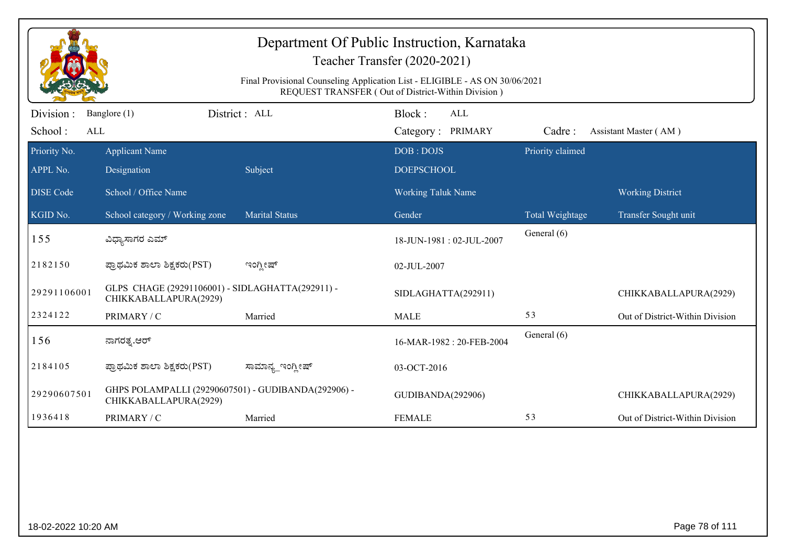| Department Of Public Instruction, Karnataka<br>Teacher Transfer (2020-2021)<br>Final Provisional Counseling Application List - ELIGIBLE - AS ON 30/06/2021<br>REQUEST TRANSFER (Out of District-Within Division) |                                                                              |                       |                           |                  |                                 |  |  |
|------------------------------------------------------------------------------------------------------------------------------------------------------------------------------------------------------------------|------------------------------------------------------------------------------|-----------------------|---------------------------|------------------|---------------------------------|--|--|
| Division :                                                                                                                                                                                                       | Banglore (1)                                                                 | District: ALL         | Block:<br>ALL             |                  |                                 |  |  |
| School:<br>ALL                                                                                                                                                                                                   |                                                                              |                       | Category: PRIMARY         | Cadre:           | Assistant Master (AM)           |  |  |
| Priority No.                                                                                                                                                                                                     | <b>Applicant Name</b>                                                        |                       | DOB: DOJS                 | Priority claimed |                                 |  |  |
| APPL No.                                                                                                                                                                                                         | Designation                                                                  | Subject               | <b>DOEPSCHOOL</b>         |                  |                                 |  |  |
| <b>DISE Code</b>                                                                                                                                                                                                 | School / Office Name                                                         |                       | <b>Working Taluk Name</b> |                  | <b>Working District</b>         |  |  |
| KGID No.                                                                                                                                                                                                         | School category / Working zone                                               | <b>Marital Status</b> | Gender                    | Total Weightage  | Transfer Sought unit            |  |  |
| 155                                                                                                                                                                                                              | ವಿಧ್ಯಾಸಾಗರ ಎಮ್                                                               |                       | 18-JUN-1981: 02-JUL-2007  | General (6)      |                                 |  |  |
| 2182150                                                                                                                                                                                                          | ಪ್ರಾಥಮಿಕ ಶಾಲಾ ಶಿಕ್ಷಕರು(PST)                                                  | ಇಂಗ್ಲೀಷ್              | 02-JUL-2007               |                  |                                 |  |  |
| 29291106001                                                                                                                                                                                                      | GLPS CHAGE (29291106001) - SIDLAGHATTA(292911) -<br>CHIKKABALLAPURA(2929)    |                       | SIDLAGHATTA(292911)       |                  | CHIKKABALLAPURA(2929)           |  |  |
| 2324122                                                                                                                                                                                                          | PRIMARY / C                                                                  | Married               | <b>MALE</b>               | 53               | Out of District-Within Division |  |  |
| 156                                                                                                                                                                                                              | ನಾಗರತ್ತ.ಆರ್                                                                  |                       | 16-MAR-1982: 20-FEB-2004  | General (6)      |                                 |  |  |
| 2184105                                                                                                                                                                                                          | ಪ್ರಾಥಮಿಕ ಶಾಲಾ ಶಿಕ್ಷಕರು(PST)                                                  | ಸಾಮಾನ್ಯ_ಇಂಗ್ಲೀಷ್      | 03-OCT-2016               |                  |                                 |  |  |
| 29290607501                                                                                                                                                                                                      | GHPS POLAMPALLI (29290607501) - GUDIBANDA(292906) -<br>CHIKKABALLAPURA(2929) |                       | GUDIBANDA(292906)         |                  | CHIKKABALLAPURA(2929)           |  |  |
| 1936418                                                                                                                                                                                                          | PRIMARY / C                                                                  | Married               | <b>FEMALE</b>             | 53               | Out of District-Within Division |  |  |
|                                                                                                                                                                                                                  |                                                                              |                       |                           |                  |                                 |  |  |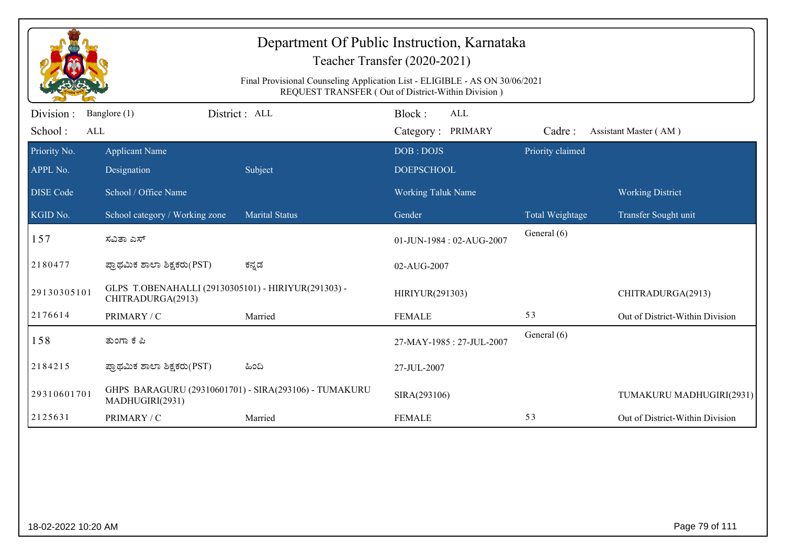| Department Of Public Instruction, Karnataka<br>Teacher Transfer (2020-2021)<br>Final Provisional Counseling Application List - ELIGIBLE - AS ON 30/06/2021<br>REQUEST TRANSFER (Out of District-Within Division) |                                                                          |                                                       |                                           |                  |                                 |  |  |
|------------------------------------------------------------------------------------------------------------------------------------------------------------------------------------------------------------------|--------------------------------------------------------------------------|-------------------------------------------------------|-------------------------------------------|------------------|---------------------------------|--|--|
| Division:<br>School:<br>ALL                                                                                                                                                                                      | Banglore (1)                                                             | District: ALL                                         | Block:<br><b>ALL</b><br>Category: PRIMARY | Cadre:           | Assistant Master (AM)           |  |  |
| Priority No.<br>APPL No.                                                                                                                                                                                         | <b>Applicant Name</b><br>Designation                                     | Subject                                               | DOB: DOJS<br><b>DOEPSCHOOL</b>            | Priority claimed |                                 |  |  |
| <b>DISE Code</b>                                                                                                                                                                                                 | School / Office Name                                                     |                                                       | Working Taluk Name                        |                  | <b>Working District</b>         |  |  |
| KGID No.                                                                                                                                                                                                         | School category / Working zone                                           | Marital Status                                        | Gender                                    | Total Weightage  | Transfer Sought unit            |  |  |
| 157                                                                                                                                                                                                              | ಸವಿತಾ ಎಸ್                                                                |                                                       | 01-JUN-1984: 02-AUG-2007                  | General (6)      |                                 |  |  |
| 2180477                                                                                                                                                                                                          | ಪ್ರಾಥಮಿಕ ಶಾಲಾ ಶಿಕ್ಷಕರು(PST)                                              | ಕನ್ನಡ                                                 | 02-AUG-2007                               |                  |                                 |  |  |
| 29130305101                                                                                                                                                                                                      | GLPS T.OBENAHALLI (29130305101) - HIRIYUR(291303) -<br>CHITRADURGA(2913) |                                                       | HIRIYUR(291303)                           |                  | CHITRADURGA(2913)               |  |  |
| 2176614                                                                                                                                                                                                          | PRIMARY / C                                                              | Married                                               | <b>FEMALE</b>                             | 53               | Out of District-Within Division |  |  |
| 158                                                                                                                                                                                                              | ತುಂಗಾ ಕೆ ಪಿ                                                              |                                                       | 27-MAY-1985: 27-JUL-2007                  | General (6)      |                                 |  |  |
| 2184215                                                                                                                                                                                                          | ಪ್ರಾಥಮಿಕ ಶಾಲಾ ಶಿಕ್ಷಕರು(PST)                                              | ಹಿಂದಿ                                                 | 27-JUL-2007                               |                  |                                 |  |  |
| 29310601701                                                                                                                                                                                                      | MADHUGIRI(2931)                                                          | GHPS BARAGURU (29310601701) - SIRA(293106) - TUMAKURU | SIRA(293106)                              |                  | TUMAKURU MADHUGIRI(2931)        |  |  |
| 2125631                                                                                                                                                                                                          | PRIMARY / C                                                              | Married                                               | <b>FEMALE</b>                             | 53               | Out of District-Within Division |  |  |
|                                                                                                                                                                                                                  |                                                                          |                                                       |                                           |                  |                                 |  |  |
| 18-02-2022 10:20 AM                                                                                                                                                                                              |                                                                          |                                                       |                                           |                  | Page 79 of 111                  |  |  |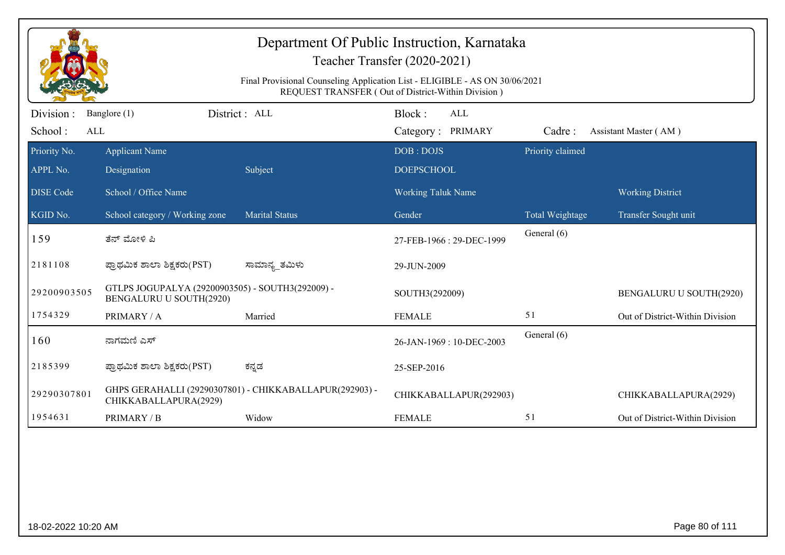| Department Of Public Instruction, Karnataka<br>Teacher Transfer (2020-2021)<br>Final Provisional Counseling Application List - ELIGIBLE - AS ON 30/06/2021<br>REQUEST TRANSFER (Out of District-Within Division) |                                                                             |                                                         |                                           |                  |                                 |  |  |
|------------------------------------------------------------------------------------------------------------------------------------------------------------------------------------------------------------------|-----------------------------------------------------------------------------|---------------------------------------------------------|-------------------------------------------|------------------|---------------------------------|--|--|
| Division:<br>School:<br>ALL                                                                                                                                                                                      | Banglore (1)                                                                | District: ALL                                           | Block:<br><b>ALL</b><br>Category: PRIMARY | Cadre:           | Assistant Master (AM)           |  |  |
| Priority No.                                                                                                                                                                                                     | <b>Applicant Name</b>                                                       |                                                         | DOB: DOJS                                 | Priority claimed |                                 |  |  |
| APPL No.                                                                                                                                                                                                         | Designation                                                                 | Subject                                                 | <b>DOEPSCHOOL</b>                         |                  |                                 |  |  |
| <b>DISE</b> Code                                                                                                                                                                                                 | School / Office Name                                                        |                                                         | <b>Working Taluk Name</b>                 |                  | <b>Working District</b>         |  |  |
| KGID No.                                                                                                                                                                                                         | School category / Working zone                                              | <b>Marital Status</b>                                   | Gender                                    | Total Weightage  | Transfer Sought unit            |  |  |
| 159                                                                                                                                                                                                              | ತೆನ್ ಮೋಳಿ ಪಿ                                                                |                                                         | 27-FEB-1966: 29-DEC-1999                  | General (6)      |                                 |  |  |
| 2181108                                                                                                                                                                                                          | ಪ್ರಾಥಮಿಕ ಶಾಲಾ ಶಿಕ್ಷಕರು(PST)                                                 | ಸಾಮಾನ್ಯ_ತಮಿಳು                                           | 29-JUN-2009                               |                  |                                 |  |  |
| 29200903505                                                                                                                                                                                                      | GTLPS JOGUPALYA (29200903505) - SOUTH3(292009) -<br>BENGALURU U SOUTH(2920) |                                                         | SOUTH3(292009)                            |                  | BENGALURU U SOUTH(2920)         |  |  |
| 1754329                                                                                                                                                                                                          | PRIMARY / A                                                                 | Married                                                 | <b>FEMALE</b>                             | 51               | Out of District-Within Division |  |  |
| 160                                                                                                                                                                                                              | ನಾಗಮಣಿ ಎಸ್                                                                  |                                                         | 26-JAN-1969: 10-DEC-2003                  | General (6)      |                                 |  |  |
| 2185399                                                                                                                                                                                                          | ಪ್ರಾಥಮಿಕ ಶಾಲಾ ಶಿಕ್ಷಕರು(PST)                                                 | ಕನ್ನಡ                                                   | 25-SEP-2016                               |                  |                                 |  |  |
| 29290307801                                                                                                                                                                                                      | CHIKKABALLAPURA(2929)                                                       | GHPS GERAHALLI (29290307801) - CHIKKABALLAPUR(292903) - | CHIKKABALLAPUR(292903)                    |                  | CHIKKABALLAPURA(2929)           |  |  |
| 1954631                                                                                                                                                                                                          | PRIMARY / B                                                                 | Widow                                                   | <b>FEMALE</b>                             | 51               | Out of District-Within Division |  |  |
|                                                                                                                                                                                                                  |                                                                             |                                                         |                                           |                  |                                 |  |  |
| Page 80 of 111<br>18-02-2022 10:20 AM                                                                                                                                                                            |                                                                             |                                                         |                                           |                  |                                 |  |  |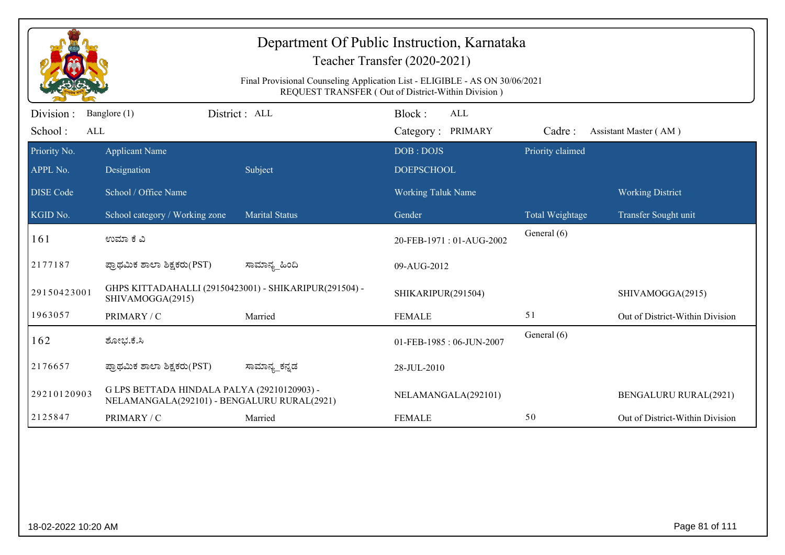| Department Of Public Instruction, Karnataka<br>Teacher Transfer (2020-2021)<br>Final Provisional Counseling Application List - ELIGIBLE - AS ON 30/06/2021<br>REQUEST TRANSFER (Out of District-Within Division) |                                                                                            |                       |                                           |                  |                                 |  |  |
|------------------------------------------------------------------------------------------------------------------------------------------------------------------------------------------------------------------|--------------------------------------------------------------------------------------------|-----------------------|-------------------------------------------|------------------|---------------------------------|--|--|
| Division:<br>School:<br>ALL                                                                                                                                                                                      | Banglore (1)                                                                               | District: ALL         | Block:<br><b>ALL</b><br>Category: PRIMARY | Cadre:           | Assistant Master (AM)           |  |  |
| Priority No.<br>APPL No.                                                                                                                                                                                         | <b>Applicant Name</b><br>Designation                                                       | Subject               | DOB: DOJS<br><b>DOEPSCHOOL</b>            | Priority claimed |                                 |  |  |
| DISE Code                                                                                                                                                                                                        | School / Office Name                                                                       |                       | <b>Working Taluk Name</b>                 |                  | <b>Working District</b>         |  |  |
| KGID No.                                                                                                                                                                                                         | School category / Working zone                                                             | <b>Marital Status</b> | Gender                                    | Total Weightage  | Transfer Sought unit            |  |  |
| 161                                                                                                                                                                                                              | ಉಮಾ ಕೆ ವಿ                                                                                  |                       | 20-FEB-1971: 01-AUG-2002                  | General (6)      |                                 |  |  |
| 2177187                                                                                                                                                                                                          | ಪ್ರಾಥಮಿಕ ಶಾಲಾ ಶಿಕ್ಷಕರು(PST)                                                                | ಸಾಮಾನ್ಯ_ಹಿಂದಿ         | 09-AUG-2012                               |                  |                                 |  |  |
| 29150423001                                                                                                                                                                                                      | GHPS KITTADAHALLI (29150423001) - SHIKARIPUR(291504) -<br>SHIVAMOGGA(2915)                 |                       | SHIKARIPUR(291504)                        |                  | SHIVAMOGGA(2915)                |  |  |
| 1963057                                                                                                                                                                                                          | PRIMARY / C                                                                                | Married               | <b>FEMALE</b>                             | 51               | Out of District-Within Division |  |  |
| 162                                                                                                                                                                                                              | ಶೋಭ.ಕೆ.ಸಿ                                                                                  |                       | 01-FEB-1985: 06-JUN-2007                  | General (6)      |                                 |  |  |
| 2176657                                                                                                                                                                                                          | ಪ್ರಾಥಮಿಕ ಶಾಲಾ ಶಿಕ್ಷಕರು(PST)                                                                | ಸಾಮಾನ್ಯ_ಕನ್ನಡ         | 28-JUL-2010                               |                  |                                 |  |  |
| 29210120903                                                                                                                                                                                                      | G LPS BETTADA HINDALA PALYA (29210120903) -<br>NELAMANGALA(292101) - BENGALURU RURAL(2921) |                       | NELAMANGALA(292101)                       |                  | <b>BENGALURU RURAL(2921)</b>    |  |  |
| 2125847                                                                                                                                                                                                          | PRIMARY / C                                                                                | Married               | <b>FEMALE</b>                             | 50               | Out of District-Within Division |  |  |
|                                                                                                                                                                                                                  |                                                                                            |                       |                                           |                  |                                 |  |  |
|                                                                                                                                                                                                                  | Page 81 of 111<br>18-02-2022 10:20 AM                                                      |                       |                                           |                  |                                 |  |  |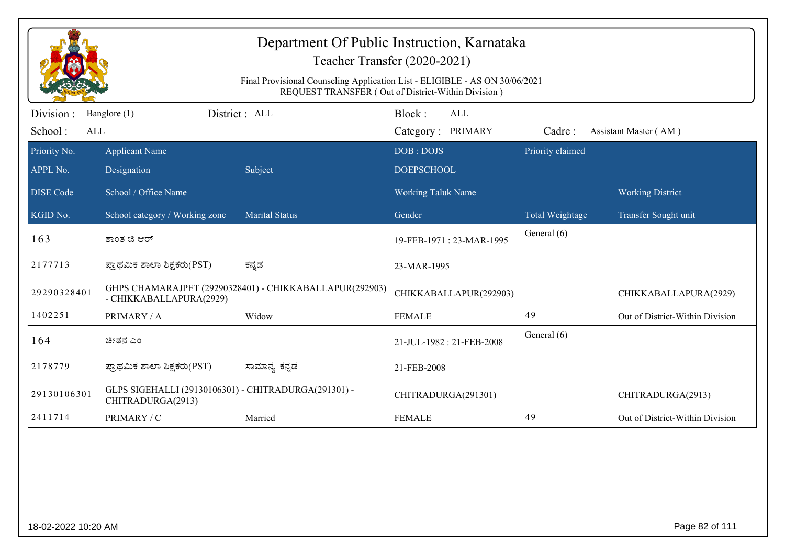| Department Of Public Instruction, Karnataka<br>Teacher Transfer (2020-2021)<br>Final Provisional Counseling Application List - ELIGIBLE - AS ON 30/06/2021<br>REQUEST TRANSFER (Out of District-Within Division) |                                                                           |                                                         |                                           |                  |                                 |  |  |
|------------------------------------------------------------------------------------------------------------------------------------------------------------------------------------------------------------------|---------------------------------------------------------------------------|---------------------------------------------------------|-------------------------------------------|------------------|---------------------------------|--|--|
| Division:<br>School:<br>ALL                                                                                                                                                                                      | Banglore (1)                                                              | District: ALL                                           | Block:<br><b>ALL</b><br>Category: PRIMARY | Cadre:           | Assistant Master (AM)           |  |  |
| Priority No.<br>APPL No.                                                                                                                                                                                         | <b>Applicant Name</b><br>Designation                                      | Subject                                                 | DOB: DOJS<br><b>DOEPSCHOOL</b>            | Priority claimed |                                 |  |  |
| <b>DISE</b> Code                                                                                                                                                                                                 | School / Office Name                                                      |                                                         | <b>Working Taluk Name</b>                 |                  | <b>Working District</b>         |  |  |
| KGID No.                                                                                                                                                                                                         | School category / Working zone                                            | <b>Marital Status</b>                                   | Gender                                    | Total Weightage  | Transfer Sought unit            |  |  |
| 163                                                                                                                                                                                                              | ಶಾಂತ ಜಿ ಆರ್                                                               |                                                         | 19-FEB-1971: 23-MAR-1995                  | General (6)      |                                 |  |  |
| 2177713                                                                                                                                                                                                          | ಪ್ರಾಥಮಿಕ ಶಾಲಾ ಶಿಕ್ಷಕರು(PST)                                               | ಕನ್ನಡ                                                   | 23-MAR-1995                               |                  |                                 |  |  |
| 29290328401                                                                                                                                                                                                      | - CHIKKABALLAPURA(2929)                                                   | GHPS CHAMARAJPET (29290328401) - CHIKKABALLAPUR(292903) | CHIKKABALLAPUR(292903)                    |                  | CHIKKABALLAPURA(2929)           |  |  |
| 1402251                                                                                                                                                                                                          | PRIMARY / A                                                               | Widow                                                   | <b>FEMALE</b>                             | 49               | Out of District-Within Division |  |  |
| 164                                                                                                                                                                                                              | ಚೇತನ ಎಂ                                                                   |                                                         | 21-JUL-1982: 21-FEB-2008                  | General (6)      |                                 |  |  |
| 2178779                                                                                                                                                                                                          | ಪ್ರಾಥಮಿಕ ಶಾಲಾ ಶಿಕ್ಷಕರು(PST)                                               | ಸಾಮಾನ್ಯ_ಕನ್ನಡ                                           | 21-FEB-2008                               |                  |                                 |  |  |
| 29130106301                                                                                                                                                                                                      | GLPS SIGEHALLI (29130106301) - CHITRADURGA(291301) -<br>CHITRADURGA(2913) |                                                         | CHITRADURGA(291301)                       |                  | CHITRADURGA(2913)               |  |  |
| 2411714                                                                                                                                                                                                          | PRIMARY / C                                                               | Married                                                 | <b>FEMALE</b>                             | 49               | Out of District-Within Division |  |  |
|                                                                                                                                                                                                                  |                                                                           |                                                         |                                           |                  |                                 |  |  |
| Page 82 of 111<br>18-02-2022 10:20 AM                                                                                                                                                                            |                                                                           |                                                         |                                           |                  |                                 |  |  |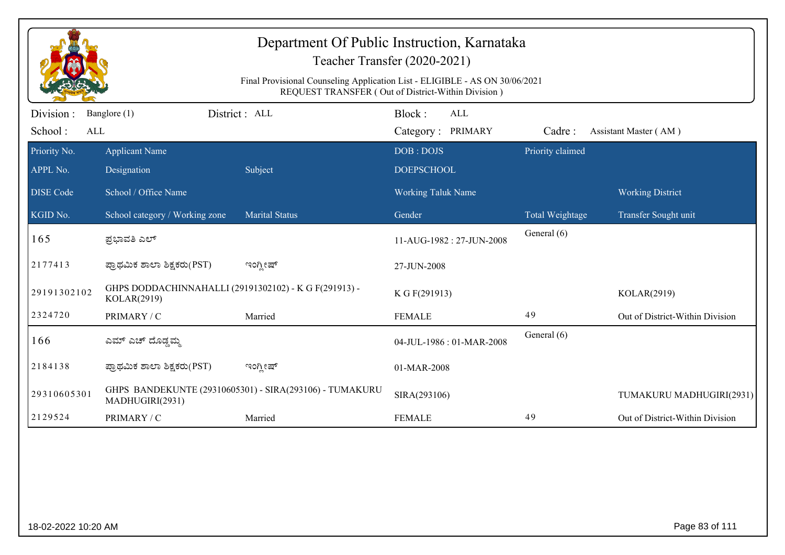| Department Of Public Instruction, Karnataka<br>Teacher Transfer (2020-2021)<br>Final Provisional Counseling Application List - ELIGIBLE - AS ON 30/06/2021 |                                                                      |                                                         |                                    |                  |                                 |  |  |  |
|------------------------------------------------------------------------------------------------------------------------------------------------------------|----------------------------------------------------------------------|---------------------------------------------------------|------------------------------------|------------------|---------------------------------|--|--|--|
|                                                                                                                                                            | REQUEST TRANSFER (Out of District-Within Division)                   |                                                         |                                    |                  |                                 |  |  |  |
| Division:<br>School:<br>ALL                                                                                                                                | Banglore (1)                                                         | District: ALL                                           | Block:<br>ALL<br>Category: PRIMARY | Cadre:           | Assistant Master (AM)           |  |  |  |
| Priority No.                                                                                                                                               | <b>Applicant Name</b>                                                |                                                         | DOB: DOJS                          | Priority claimed |                                 |  |  |  |
| APPL No.                                                                                                                                                   | Designation                                                          | Subject                                                 | <b>DOEPSCHOOL</b>                  |                  |                                 |  |  |  |
| <b>DISE Code</b>                                                                                                                                           | School / Office Name                                                 |                                                         | Working Taluk Name                 |                  | <b>Working District</b>         |  |  |  |
| KGID No.                                                                                                                                                   | School category / Working zone                                       | <b>Marital Status</b>                                   | Gender                             | Total Weightage  | Transfer Sought unit            |  |  |  |
| 165                                                                                                                                                        | ಪ್ರಭಾವತಿ ಎಲ್                                                         |                                                         | 11-AUG-1982: 27-JUN-2008           | General (6)      |                                 |  |  |  |
| 2177413                                                                                                                                                    | ಪ್ರಾಥಮಿಕ ಶಾಲಾ ಶಿಕ್ಷಕರು(PST)                                          | ಇಂಗ್ಲೀಷ್                                                | 27-JUN-2008                        |                  |                                 |  |  |  |
| 29191302102                                                                                                                                                | GHPS DODDACHINNAHALLI (29191302102) - K G F(291913) -<br>KOLAR(2919) |                                                         | K G F(291913)                      |                  | KOLAR(2919)                     |  |  |  |
| 2324720                                                                                                                                                    | PRIMARY / C                                                          | Married                                                 | <b>FEMALE</b>                      | 49               | Out of District-Within Division |  |  |  |
| 166                                                                                                                                                        | ಎಮ್ ಎಚ್ ದೊಡ್ಡಮ್ಮ                                                     |                                                         | 04-JUL-1986: 01-MAR-2008           | General (6)      |                                 |  |  |  |
| 2184138                                                                                                                                                    | ಪ್ರಾಥಮಿಕ ಶಾಲಾ ಶಿಕ್ಷಕರು(PST)                                          | ಇಂಗ್ಲೀಷ್                                                | 01-MAR-2008                        |                  |                                 |  |  |  |
| 29310605301                                                                                                                                                | MADHUGIRI(2931)                                                      | GHPS BANDEKUNTE (29310605301) - SIRA(293106) - TUMAKURU | SIRA(293106)                       |                  | TUMAKURU MADHUGIRI(2931)        |  |  |  |
| 2129524                                                                                                                                                    | PRIMARY / C                                                          | Married                                                 | <b>FEMALE</b>                      | 49               | Out of District-Within Division |  |  |  |
|                                                                                                                                                            |                                                                      |                                                         |                                    |                  |                                 |  |  |  |
| 18-02-2022 10:20 AM                                                                                                                                        |                                                                      |                                                         |                                    |                  | Page 83 of 111                  |  |  |  |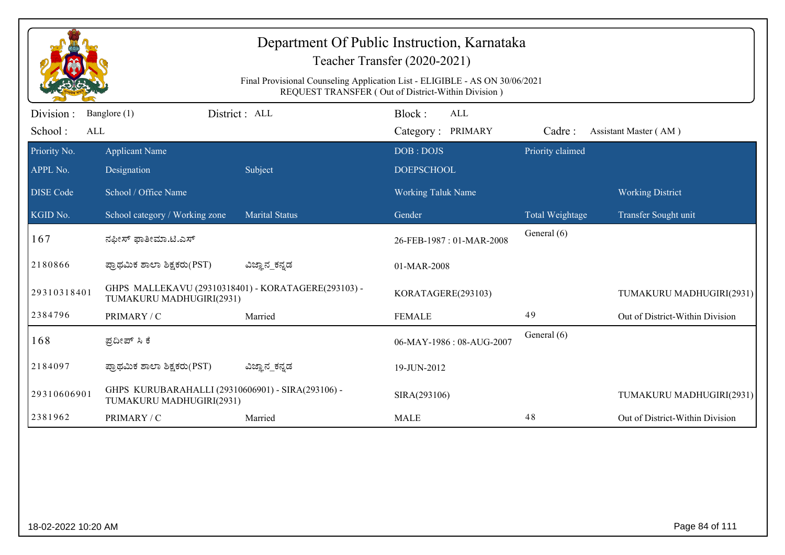| Department Of Public Instruction, Karnataka<br>Teacher Transfer (2020-2021) |                                                                                                                                   |                       |                                    |                  |                                 |  |  |  |
|-----------------------------------------------------------------------------|-----------------------------------------------------------------------------------------------------------------------------------|-----------------------|------------------------------------|------------------|---------------------------------|--|--|--|
|                                                                             | Final Provisional Counseling Application List - ELIGIBLE - AS ON 30/06/2021<br>REQUEST TRANSFER (Out of District-Within Division) |                       |                                    |                  |                                 |  |  |  |
| Division:<br>School:<br>ALL                                                 | Banglore (1)                                                                                                                      | District: ALL         | Block:<br>ALL<br>Category: PRIMARY | Cadre:           | Assistant Master (AM)           |  |  |  |
| Priority No.<br>APPL No.                                                    | <b>Applicant Name</b><br>Designation                                                                                              | Subject               | DOB: DOJS<br><b>DOEPSCHOOL</b>     | Priority claimed |                                 |  |  |  |
| <b>DISE</b> Code                                                            | School / Office Name                                                                                                              |                       | <b>Working Taluk Name</b>          |                  | <b>Working District</b>         |  |  |  |
| KGID No.                                                                    | School category / Working zone                                                                                                    | <b>Marital Status</b> | Gender                             | Total Weightage  | Transfer Sought unit            |  |  |  |
| 167                                                                         | ನಫೀಸ್ ಫಾತೀಮಾ.ಟಿ.ಎಸ್                                                                                                               |                       | 26-FEB-1987: 01-MAR-2008           | General (6)      |                                 |  |  |  |
| 2180866                                                                     | ಪ್ರಾಥಮಿಕ ಶಾಲಾ ಶಿಕ್ಷಕರು(PST)                                                                                                       | ವಿಜ್ಞಾನ_ಕನ್ನಡ         | 01-MAR-2008                        |                  |                                 |  |  |  |
| 29310318401                                                                 | GHPS MALLEKAVU (29310318401) - KORATAGERE(293103) -<br>TUMAKURU MADHUGIRI(2931)                                                   |                       | KORATAGERE(293103)                 |                  | TUMAKURU MADHUGIRI(2931)        |  |  |  |
| 2384796                                                                     | PRIMARY / C                                                                                                                       | Married               | <b>FEMALE</b>                      | 49               | Out of District-Within Division |  |  |  |
| 168                                                                         | ಪ್ರದೀಪ್ ಸಿ ಕೆ                                                                                                                     |                       | 06-MAY-1986: 08-AUG-2007           | General (6)      |                                 |  |  |  |
| 2184097                                                                     | ಪ್ರಾಥಮಿಕ ಶಾಲಾ ಶಿಕ್ಷಕರು(PST)                                                                                                       | ವಿಜ್ಞಾನ_ಕನ್ನಡ         | 19-JUN-2012                        |                  |                                 |  |  |  |
| 29310606901                                                                 | GHPS KURUBARAHALLI (29310606901) - SIRA(293106) -<br>TUMAKURU MADHUGIRI(2931)                                                     |                       | SIRA(293106)                       |                  | TUMAKURU MADHUGIRI(2931)        |  |  |  |
| 2381962                                                                     | PRIMARY / C                                                                                                                       | Married               | <b>MALE</b>                        | 48               | Out of District-Within Division |  |  |  |
|                                                                             |                                                                                                                                   |                       |                                    |                  |                                 |  |  |  |
| 18-02-2022 10:20 AM                                                         |                                                                                                                                   |                       |                                    |                  | Page 84 of 111                  |  |  |  |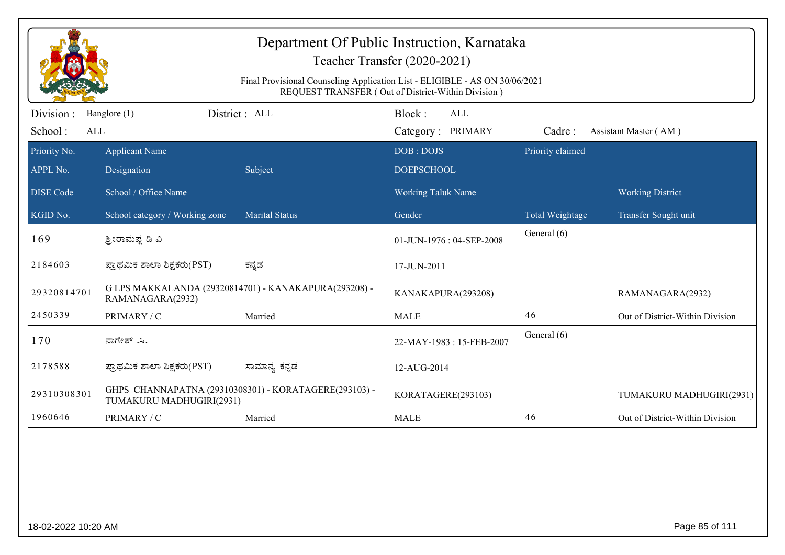| Department Of Public Instruction, Karnataka<br>Teacher Transfer (2020-2021) |                                                                                                                                   |                                                       |                                    |                  |                                 |  |  |  |  |
|-----------------------------------------------------------------------------|-----------------------------------------------------------------------------------------------------------------------------------|-------------------------------------------------------|------------------------------------|------------------|---------------------------------|--|--|--|--|
|                                                                             | Final Provisional Counseling Application List - ELIGIBLE - AS ON 30/06/2021<br>REQUEST TRANSFER (Out of District-Within Division) |                                                       |                                    |                  |                                 |  |  |  |  |
| Division :<br>School:<br>ALL                                                | Banglore (1)                                                                                                                      | District : ALL                                        | Block:<br>ALL<br>Category: PRIMARY | Cadre:           | Assistant Master (AM)           |  |  |  |  |
| Priority No.<br>APPL No.                                                    | <b>Applicant Name</b><br>Designation                                                                                              | Subject                                               | DOB: DOJS<br><b>DOEPSCHOOL</b>     | Priority claimed |                                 |  |  |  |  |
| <b>DISE</b> Code                                                            | School / Office Name                                                                                                              |                                                       | <b>Working Taluk Name</b>          |                  | <b>Working District</b>         |  |  |  |  |
| KGID No.                                                                    | School category / Working zone                                                                                                    | <b>Marital Status</b>                                 | Gender                             | Total Weightage  | Transfer Sought unit            |  |  |  |  |
| 169                                                                         | ಶ್ರೀರಾಮಪ್ಪ ಡಿ ವಿ                                                                                                                  |                                                       | 01-JUN-1976: 04-SEP-2008           | General (6)      |                                 |  |  |  |  |
| 2184603                                                                     | ಪ್ರಾಥಮಿಕ ಶಾಲಾ ಶಿಕ್ಷಕರು(PST)                                                                                                       | ಕನ್ನಡ                                                 | 17-JUN-2011                        |                  |                                 |  |  |  |  |
| 29320814701                                                                 | RAMANAGARA(2932)                                                                                                                  | G LPS MAKKALANDA (29320814701) - KANAKAPURA(293208) - | KANAKAPURA(293208)                 |                  | RAMANAGARA(2932)                |  |  |  |  |
| 2450339                                                                     | PRIMARY / C                                                                                                                       | Married                                               | <b>MALE</b>                        | 46               | Out of District-Within Division |  |  |  |  |
| 170                                                                         | ನಾಗೇಶ್ .ಸಿ.                                                                                                                       |                                                       | 22-MAY-1983: 15-FEB-2007           | General (6)      |                                 |  |  |  |  |
| 2178588                                                                     | ಪ್ರಾಥಮಿಕ ಶಾಲಾ ಶಿಕ್ಷಕರು(PST)                                                                                                       | ಸಾಮಾನ್ಯ_ಕನ್ನಡ                                         | 12-AUG-2014                        |                  |                                 |  |  |  |  |
| 29310308301                                                                 | TUMAKURU MADHUGIRI(2931)                                                                                                          | GHPS CHANNAPATNA (29310308301) - KORATAGERE(293103) - | KORATAGERE(293103)                 |                  | TUMAKURU MADHUGIRI(2931)        |  |  |  |  |
| 1960646                                                                     | PRIMARY / C                                                                                                                       | Married                                               | <b>MALE</b>                        | 46               | Out of District-Within Division |  |  |  |  |
|                                                                             |                                                                                                                                   |                                                       |                                    |                  |                                 |  |  |  |  |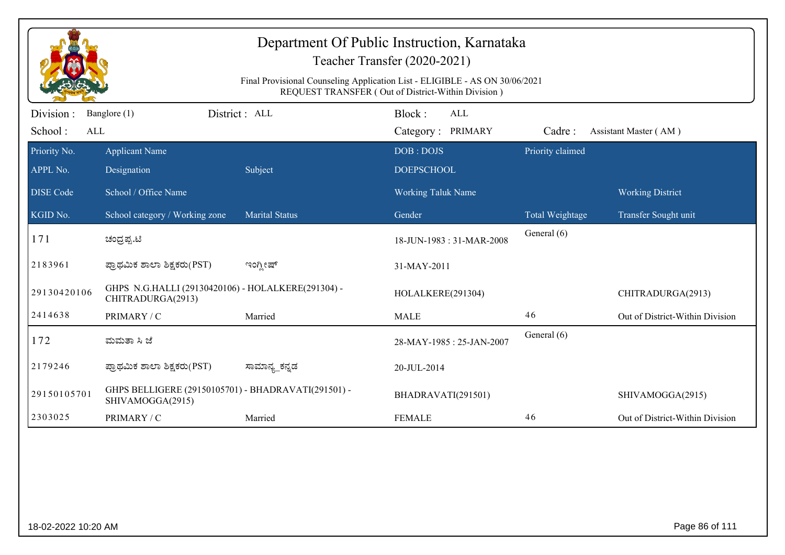| Department Of Public Instruction, Karnataka<br>Teacher Transfer (2020-2021)<br>Final Provisional Counseling Application List - ELIGIBLE - AS ON 30/06/2021<br>REQUEST TRANSFER (Out of District-Within Division) |                                                                         |                       |                                           |                  |                                 |  |  |
|------------------------------------------------------------------------------------------------------------------------------------------------------------------------------------------------------------------|-------------------------------------------------------------------------|-----------------------|-------------------------------------------|------------------|---------------------------------|--|--|
| Division:<br>School:<br>ALL                                                                                                                                                                                      | Banglore (1)                                                            | District: ALL         | Block:<br><b>ALL</b><br>Category: PRIMARY | Cadre:           | Assistant Master (AM)           |  |  |
| Priority No.<br>APPL No.                                                                                                                                                                                         | <b>Applicant Name</b><br>Designation                                    | Subject               | DOB: DOJS<br><b>DOEPSCHOOL</b>            | Priority claimed |                                 |  |  |
| <b>DISE Code</b>                                                                                                                                                                                                 | School / Office Name                                                    |                       | <b>Working Taluk Name</b>                 |                  | <b>Working District</b>         |  |  |
| KGID No.                                                                                                                                                                                                         | School category / Working zone                                          | <b>Marital Status</b> | Gender                                    | Total Weightage  | Transfer Sought unit            |  |  |
| 171                                                                                                                                                                                                              | ಚಂದ್ರಪ್ಪ.ಟಿ                                                             |                       | 18-JUN-1983: 31-MAR-2008                  | General (6)      |                                 |  |  |
| 2183961                                                                                                                                                                                                          | ಪ್ರಾಥಮಿಕ ಶಾಲಾ ಶಿಕ್ಷಕರು(PST)                                             | ಇಂಗ್ಲೀಷ್              | 31-MAY-2011                               |                  |                                 |  |  |
| 29130420106                                                                                                                                                                                                      | GHPS N.G.HALLI (29130420106) - HOLALKERE(291304) -<br>CHITRADURGA(2913) |                       | HOLALKERE(291304)                         |                  | CHITRADURGA(2913)               |  |  |
| 2414638                                                                                                                                                                                                          | PRIMARY / C                                                             | Married               | <b>MALE</b>                               | 46               | Out of District-Within Division |  |  |
| 172                                                                                                                                                                                                              | ಮಮತಾ ಸಿ ಜೆ                                                              |                       | 28-MAY-1985: 25-JAN-2007                  | General (6)      |                                 |  |  |
| 2179246                                                                                                                                                                                                          | ಪ್ರಾಥಮಿಕ ಶಾಲಾ ಶಿಕ್ಷಕರು(PST)                                             | ಸಾಮಾನ್ಯ_ಕನ್ನಡ         | 20-JUL-2014                               |                  |                                 |  |  |
| 29150105701                                                                                                                                                                                                      | GHPS BELLIGERE (29150105701) - BHADRAVATI(291501) -<br>SHIVAMOGGA(2915) |                       | BHADRAVATI(291501)                        |                  | SHIVAMOGGA(2915)                |  |  |
| 2303025                                                                                                                                                                                                          | PRIMARY / C                                                             | Married               | <b>FEMALE</b>                             | 46               | Out of District-Within Division |  |  |
|                                                                                                                                                                                                                  |                                                                         |                       |                                           |                  |                                 |  |  |
| 18-02-2022 10:20 AM                                                                                                                                                                                              |                                                                         |                       |                                           |                  | Page 86 of 111                  |  |  |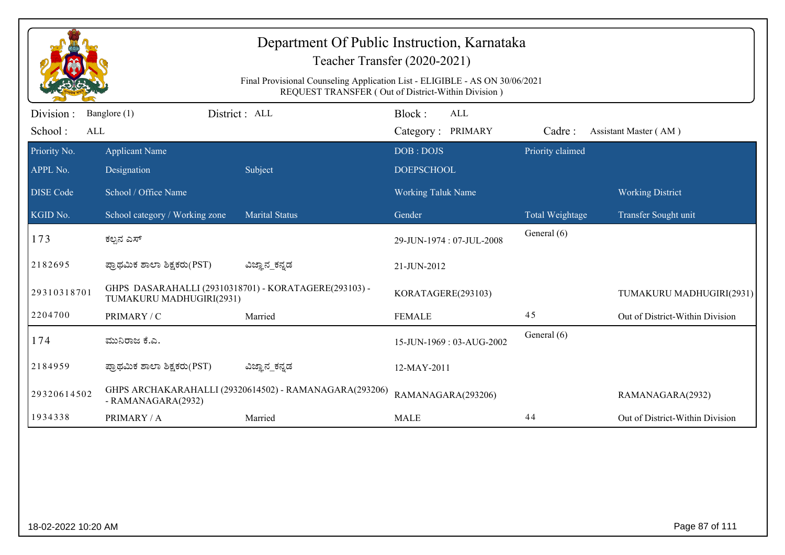|                              | Department Of Public Instruction, Karnataka<br>Teacher Transfer (2020-2021)                                                       |                                                        |                                    |                  |                                 |  |  |  |
|------------------------------|-----------------------------------------------------------------------------------------------------------------------------------|--------------------------------------------------------|------------------------------------|------------------|---------------------------------|--|--|--|
|                              | Final Provisional Counseling Application List - ELIGIBLE - AS ON 30/06/2021<br>REQUEST TRANSFER (Out of District-Within Division) |                                                        |                                    |                  |                                 |  |  |  |
| Division :<br>School:<br>ALL | Banglore (1)                                                                                                                      | District : ALL                                         | Block:<br>ALL<br>Category: PRIMARY | Cadre:           | Assistant Master (AM)           |  |  |  |
| Priority No.<br>APPL No.     | <b>Applicant Name</b><br>Designation                                                                                              | Subject                                                | DOB: DOJS<br><b>DOEPSCHOOL</b>     | Priority claimed |                                 |  |  |  |
| <b>DISE Code</b>             | School / Office Name                                                                                                              |                                                        | Working Taluk Name                 |                  | <b>Working District</b>         |  |  |  |
| KGID No.                     | School category / Working zone                                                                                                    | <b>Marital Status</b>                                  | Gender                             | Total Weightage  | Transfer Sought unit            |  |  |  |
| 173                          | ಕಲ್ಪನ ಎಸ್                                                                                                                         |                                                        | 29-JUN-1974: 07-JUL-2008           | General (6)      |                                 |  |  |  |
| 2182695                      | ಪ್ರಾಥಮಿಕ ಶಾಲಾ ಶಿಕ್ಷಕರು(PST)                                                                                                       | ವಿಜ್ಞಾನ_ಕನ್ನಡ                                          | 21-JUN-2012                        |                  |                                 |  |  |  |
| 29310318701                  | TUMAKURU MADHUGIRI(2931)                                                                                                          | GHPS DASARAHALLI (29310318701) - KORATAGERE(293103) -  | KORATAGERE(293103)                 |                  | TUMAKURU MADHUGIRI(2931)        |  |  |  |
| 2204700                      | PRIMARY / C                                                                                                                       | Married                                                | <b>FEMALE</b>                      | 45               | Out of District-Within Division |  |  |  |
| 174                          | ಮುನಿರಾಜ ಕೆ.ಎ.                                                                                                                     |                                                        | 15-JUN-1969: 03-AUG-2002           | General (6)      |                                 |  |  |  |
| 2184959                      | ಪ್ರಾಥಮಿಕ ಶಾಲಾ ಶಿಕ್ಷಕರು(PST)                                                                                                       | ವಿಜ್ಞಾನ_ಕನ್ನಡ                                          | 12-MAY-2011                        |                  |                                 |  |  |  |
| 29320614502                  | - RAMANAGARA(2932)                                                                                                                | GHPS ARCHAKARAHALLI (29320614502) - RAMANAGARA(293206) | RAMANAGARA(293206)                 |                  | RAMANAGARA(2932)                |  |  |  |
| 1934338                      | PRIMARY / A                                                                                                                       | Married                                                | <b>MALE</b>                        | 44               | Out of District-Within Division |  |  |  |
|                              |                                                                                                                                   |                                                        |                                    |                  |                                 |  |  |  |
| 18-02-2022 10:20 AM          |                                                                                                                                   |                                                        |                                    |                  | Page 87 of 111                  |  |  |  |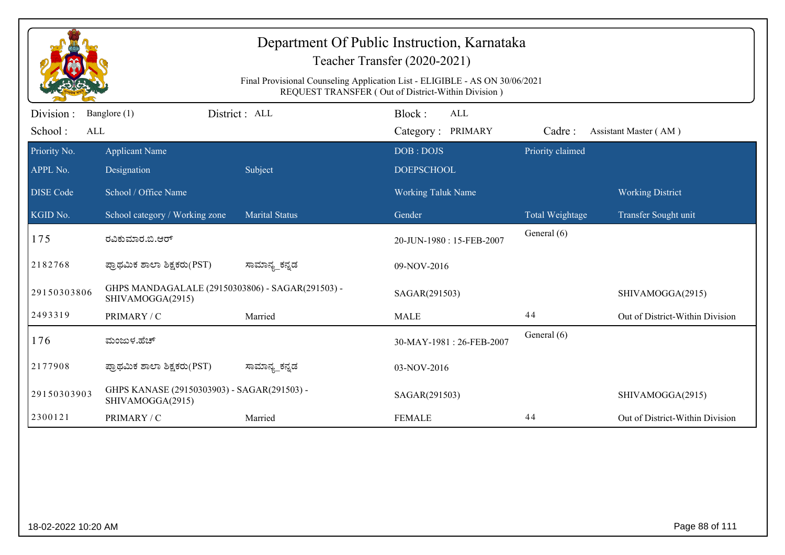| Final Provisional Counseling Application List - ELIGIBLE - AS ON 30/06/2021<br>REQUEST TRANSFER (Out of District-Within Division) |                                                                      |                       |                          |                  |                                 |  |  |  |
|-----------------------------------------------------------------------------------------------------------------------------------|----------------------------------------------------------------------|-----------------------|--------------------------|------------------|---------------------------------|--|--|--|
| Division:                                                                                                                         | Banglore (1)                                                         | District : ALL        | Block:<br><b>ALL</b>     |                  |                                 |  |  |  |
| School:<br>ALL                                                                                                                    |                                                                      |                       | Category: PRIMARY        | Cadre:           | Assistant Master (AM)           |  |  |  |
| Priority No.                                                                                                                      | <b>Applicant Name</b>                                                |                       | DOB: DOJS                | Priority claimed |                                 |  |  |  |
| APPL No.                                                                                                                          | Designation                                                          | Subject               | <b>DOEPSCHOOL</b>        |                  |                                 |  |  |  |
| <b>DISE</b> Code                                                                                                                  | School / Office Name                                                 |                       | Working Taluk Name       |                  | <b>Working District</b>         |  |  |  |
| KGID No.                                                                                                                          | School category / Working zone                                       | <b>Marital Status</b> | Gender                   | Total Weightage  | Transfer Sought unit            |  |  |  |
| 175                                                                                                                               | ರವಿಕುಮಾರ.ಬಿ.ಆರ್                                                      |                       | 20-JUN-1980: 15-FEB-2007 | General (6)      |                                 |  |  |  |
| 2182768                                                                                                                           | ಪ್ರಾಥಮಿಕ ಶಾಲಾ ಶಿಕ್ಷಕರು(PST)                                          | ಸಾಮಾನ್ಯ_ಕನ್ನಡ         | 09-NOV-2016              |                  |                                 |  |  |  |
| 29150303806                                                                                                                       | GHPS MANDAGALALE (29150303806) - SAGAR(291503) -<br>SHIVAMOGGA(2915) |                       | SAGAR(291503)            |                  | SHIVAMOGGA(2915)                |  |  |  |
| 2493319                                                                                                                           | PRIMARY / C                                                          | Married               | <b>MALE</b>              | 44               | Out of District-Within Division |  |  |  |
| 176                                                                                                                               | ಮಂಜುಳ.ಹೆಚ್                                                           |                       | 30-MAY-1981: 26-FEB-2007 | General (6)      |                                 |  |  |  |
| 2177908                                                                                                                           | ಪ್ರಾಥಮಿಕ ಶಾಲಾ ಶಿಕ್ಷಕರು(PST)                                          | ಸಾಮಾನ್ಯ_ಕನ್ನಡ         | 03-NOV-2016              |                  |                                 |  |  |  |
| 29150303903                                                                                                                       | GHPS KANASE (29150303903) - SAGAR(291503) -<br>SHIVAMOGGA(2915)      |                       | SAGAR(291503)            |                  | SHIVAMOGGA(2915)                |  |  |  |
| 2300121                                                                                                                           | PRIMARY / C                                                          | Married               | <b>FEMALE</b>            | 44               | Out of District-Within Division |  |  |  |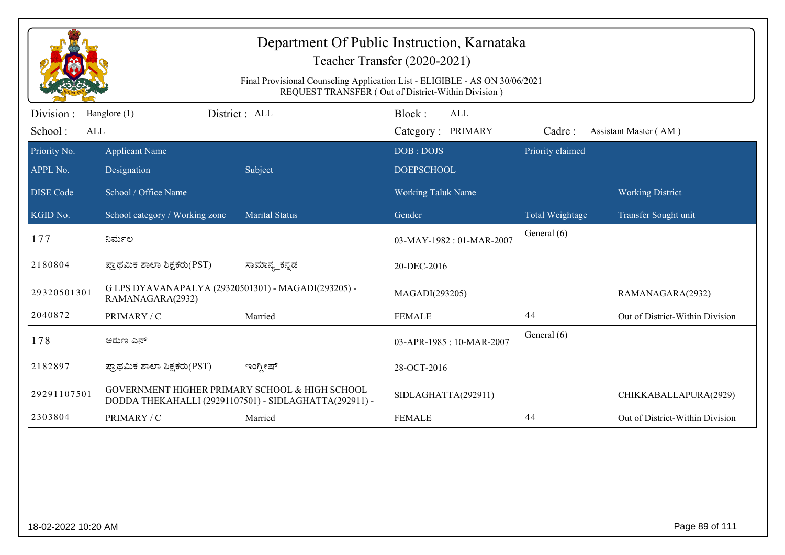|                             | Department Of Public Instruction, Karnataka<br>Teacher Transfer (2020-2021)<br>Final Provisional Counseling Application List - ELIGIBLE - AS ON 30/06/2021<br>REQUEST TRANSFER (Out of District-Within Division) |                                                        |                                           |                  |                                 |  |  |  |
|-----------------------------|------------------------------------------------------------------------------------------------------------------------------------------------------------------------------------------------------------------|--------------------------------------------------------|-------------------------------------------|------------------|---------------------------------|--|--|--|
| Division:<br>School:<br>ALL | Banglore (1)                                                                                                                                                                                                     | District: ALL                                          | Block:<br><b>ALL</b><br>Category: PRIMARY | Cadre:           | Assistant Master (AM)           |  |  |  |
| Priority No.<br>APPL No.    | <b>Applicant Name</b><br>Designation                                                                                                                                                                             | Subject                                                | DOB: DOJS<br><b>DOEPSCHOOL</b>            | Priority claimed |                                 |  |  |  |
| <b>DISE Code</b>            | School / Office Name                                                                                                                                                                                             |                                                        | <b>Working Taluk Name</b>                 |                  | <b>Working District</b>         |  |  |  |
| KGID No.                    | School category / Working zone                                                                                                                                                                                   | <b>Marital Status</b>                                  | Gender                                    | Total Weightage  | Transfer Sought unit            |  |  |  |
| 177                         | ನಿರ್ಮಲ                                                                                                                                                                                                           |                                                        | 03-MAY-1982: 01-MAR-2007                  | General (6)      |                                 |  |  |  |
| 2180804                     | ಪ್ರಾಥಮಿಕ ಶಾಲಾ ಶಿಕ್ಷಕರು(PST)                                                                                                                                                                                      | ಸಾಮಾನ್ಯ_ಕನ್ನಡ                                          | 20-DEC-2016                               |                  |                                 |  |  |  |
| 29320501301                 | G LPS DYAVANAPALYA (29320501301) - MAGADI(293205) -<br>RAMANAGARA(2932)                                                                                                                                          |                                                        | MAGADI(293205)                            |                  | RAMANAGARA(2932)                |  |  |  |
| 2040872                     | PRIMARY / C                                                                                                                                                                                                      | Married                                                | <b>FEMALE</b>                             | 44               | Out of District-Within Division |  |  |  |
| 178                         | ಅರುಣ ಎನ್                                                                                                                                                                                                         |                                                        | 03-APR-1985: 10-MAR-2007                  | General (6)      |                                 |  |  |  |
| 2182897                     | ಪ್ರಾಥಮಿಕ ಶಾಲಾ ಶಿಕ್ಷಕರು(PST)                                                                                                                                                                                      | ಇಂಗ್ಲೀಷ್                                               | 28-OCT-2016                               |                  |                                 |  |  |  |
| 29291107501                 | GOVERNMENT HIGHER PRIMARY SCHOOL & HIGH SCHOOL                                                                                                                                                                   | DODDA THEKAHALLI (29291107501) - SIDLAGHATTA(292911) - | SIDLAGHATTA(292911)                       |                  | CHIKKABALLAPURA(2929)           |  |  |  |
| 2303804                     | PRIMARY / C                                                                                                                                                                                                      | Married                                                | <b>FEMALE</b>                             | 44               | Out of District-Within Division |  |  |  |
|                             |                                                                                                                                                                                                                  |                                                        |                                           |                  |                                 |  |  |  |
| 18-02-2022 10:20 AM         |                                                                                                                                                                                                                  |                                                        |                                           |                  | Page 89 of 111                  |  |  |  |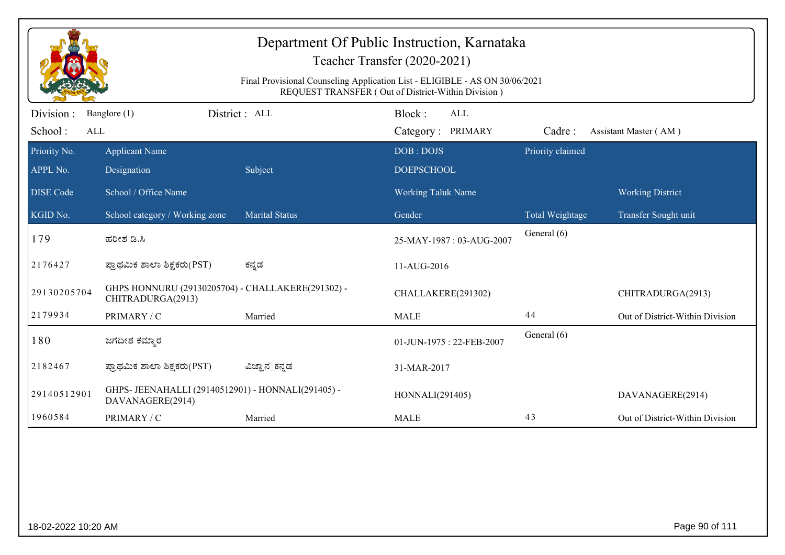|                              | Department Of Public Instruction, Karnataka<br>Teacher Transfer (2020-2021)<br>Final Provisional Counseling Application List - ELIGIBLE - AS ON 30/06/2021<br>REQUEST TRANSFER (Out of District-Within Division) |                       |                                           |                  |                                 |  |  |  |
|------------------------------|------------------------------------------------------------------------------------------------------------------------------------------------------------------------------------------------------------------|-----------------------|-------------------------------------------|------------------|---------------------------------|--|--|--|
| Division :<br>School:<br>ALL | Banglore (1)                                                                                                                                                                                                     | District : ALL        | Block:<br><b>ALL</b><br>Category: PRIMARY | Cadre:           | Assistant Master (AM)           |  |  |  |
| Priority No.<br>APPL No.     | <b>Applicant Name</b><br>Designation                                                                                                                                                                             | Subject               | DOB: DOJS<br><b>DOEPSCHOOL</b>            | Priority claimed |                                 |  |  |  |
| <b>DISE Code</b>             | School / Office Name                                                                                                                                                                                             |                       | <b>Working Taluk Name</b>                 |                  | <b>Working District</b>         |  |  |  |
| KGID No.                     | School category / Working zone                                                                                                                                                                                   | <b>Marital Status</b> | Gender                                    | Total Weightage  | Transfer Sought unit            |  |  |  |
| 179                          | ಹರೀಶ ಡಿ.ಸಿ                                                                                                                                                                                                       |                       | 25-MAY-1987: 03-AUG-2007                  | General (6)      |                                 |  |  |  |
| 2176427                      | ಪ್ರಾಥಮಿಕ ಶಾಲಾ ಶಿಕ್ಷಕರು(PST)                                                                                                                                                                                      | ಕನ್ನಡ                 | 11-AUG-2016                               |                  |                                 |  |  |  |
| 29130205704                  | GHPS HONNURU (29130205704) - CHALLAKERE(291302) -<br>CHITRADURGA(2913)                                                                                                                                           |                       | CHALLAKERE(291302)                        |                  | CHITRADURGA(2913)               |  |  |  |
| 2179934                      | PRIMARY / C                                                                                                                                                                                                      | Married               | <b>MALE</b>                               | 44               | Out of District-Within Division |  |  |  |
| 180                          | ಜಗದೀಶ ಕಮ್ಮಾರ                                                                                                                                                                                                     |                       | 01-JUN-1975: 22-FEB-2007                  | General (6)      |                                 |  |  |  |
| 2182467                      | ಪ್ರಾಥಮಿಕ ಶಾಲಾ ಶಿಕ್ಷಕರು(PST)                                                                                                                                                                                      | ವಿಜ್ಞಾನ_ಕನ್ನಡ         | 31-MAR-2017                               |                  |                                 |  |  |  |
| 29140512901                  | GHPS- JEENAHALLI (29140512901) - HONNALI(291405) -<br>DAVANAGERE(2914)                                                                                                                                           |                       | HONNALI(291405)                           |                  | DAVANAGERE(2914)                |  |  |  |
| 1960584                      | PRIMARY / C                                                                                                                                                                                                      | Married               | <b>MALE</b>                               | 43               | Out of District-Within Division |  |  |  |
|                              |                                                                                                                                                                                                                  |                       |                                           |                  |                                 |  |  |  |
| 18-02-2022 10:20 AM          |                                                                                                                                                                                                                  |                       |                                           |                  | Page 90 of 111                  |  |  |  |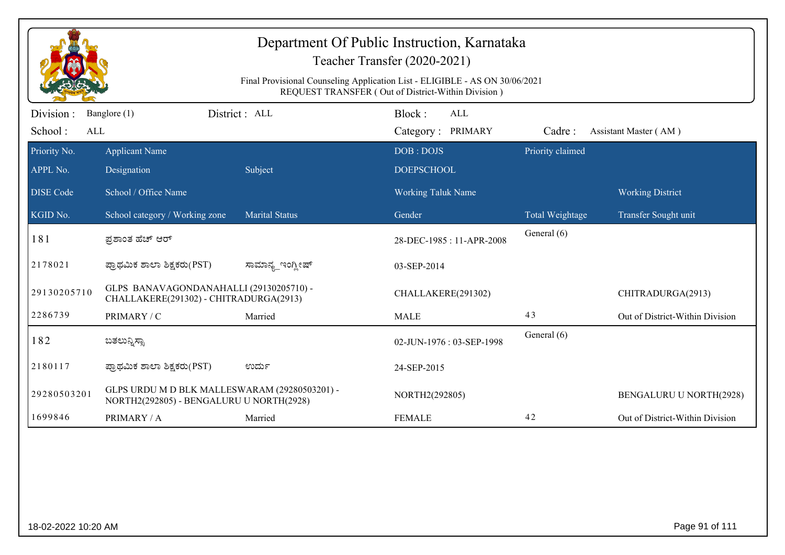|                          | Department Of Public Instruction, Karnataka<br>Teacher Transfer (2020-2021)<br>Final Provisional Counseling Application List - ELIGIBLE - AS ON 30/06/2021<br>REQUEST TRANSFER (Out of District-Within Division) |                       |                                |                  |                                 |  |  |
|--------------------------|------------------------------------------------------------------------------------------------------------------------------------------------------------------------------------------------------------------|-----------------------|--------------------------------|------------------|---------------------------------|--|--|
| Division:                | Banglore (1)                                                                                                                                                                                                     | District: ALL         | Block:<br><b>ALL</b>           |                  |                                 |  |  |
| School:<br><b>ALL</b>    |                                                                                                                                                                                                                  |                       | Category: PRIMARY              | Cadre:           | Assistant Master (AM)           |  |  |
| Priority No.<br>APPL No. | <b>Applicant Name</b><br>Designation                                                                                                                                                                             | Subject               | DOB: DOJS<br><b>DOEPSCHOOL</b> | Priority claimed |                                 |  |  |
| <b>DISE Code</b>         | School / Office Name                                                                                                                                                                                             |                       | <b>Working Taluk Name</b>      |                  | <b>Working District</b>         |  |  |
| KGID No.                 | School category / Working zone                                                                                                                                                                                   | <b>Marital Status</b> | Gender                         | Total Weightage  | Transfer Sought unit            |  |  |
| 181                      | ಪ್ರಶಾಂತ ಹೆಚ್ ಆರ್                                                                                                                                                                                                 |                       | 28-DEC-1985: 11-APR-2008       | General (6)      |                                 |  |  |
| 2178021                  | ಪ್ರಾಥಮಿಕ ಶಾಲಾ ಶಿಕ್ಷಕರು(PST)                                                                                                                                                                                      | ಸಾಮಾನ್ಯ ಇಂಗ್ತೀಷ್      | 03-SEP-2014                    |                  |                                 |  |  |
| 29130205710              | GLPS BANAVAGONDANAHALLI (29130205710) -<br>CHALLAKERE(291302) - CHITRADURGA(2913)                                                                                                                                |                       | CHALLAKERE(291302)             |                  | CHITRADURGA(2913)               |  |  |
| 2286739                  | PRIMARY / C                                                                                                                                                                                                      | Married               | <b>MALE</b>                    | 43               | Out of District-Within Division |  |  |
| 182                      | ಬತಲುನ್ನಿಸ್ಸಾ                                                                                                                                                                                                     |                       | 02-JUN-1976: 03-SEP-1998       | General (6)      |                                 |  |  |
| 2180117                  | ಪ್ರಾಥಮಿಕ ಶಾಲಾ ಶಿಕ್ಷಕರು(PST)                                                                                                                                                                                      | ಉರ್ದು                 | 24-SEP-2015                    |                  |                                 |  |  |
| 29280503201              | GLPS URDU M D BLK MALLESWARAM (29280503201) -<br>NORTH2(292805) - BENGALURU U NORTH(2928)                                                                                                                        |                       | NORTH2(292805)                 |                  | BENGALURU U NORTH(2928)         |  |  |
| 1699846                  | PRIMARY / A                                                                                                                                                                                                      | Married               | <b>FEMALE</b>                  | 42               | Out of District-Within Division |  |  |
|                          |                                                                                                                                                                                                                  |                       |                                |                  |                                 |  |  |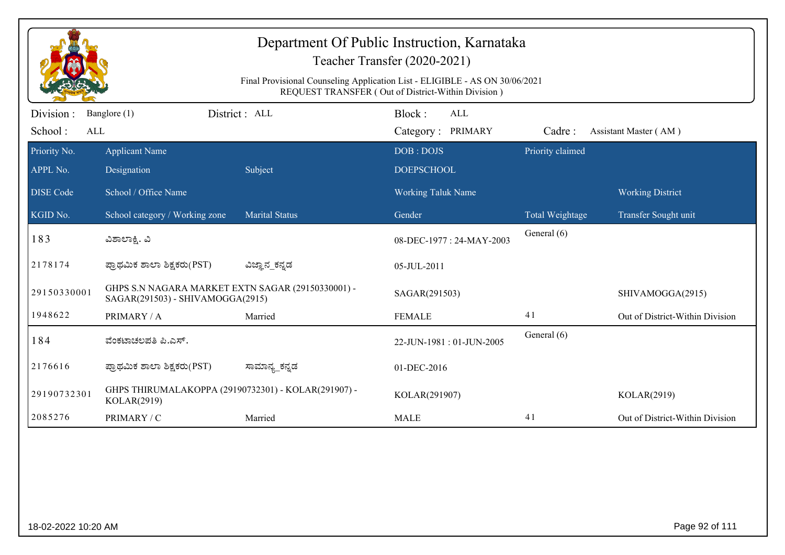| REQUEST TRANSFER (Out of District-Within Division)<br>District: ALL<br>Block:<br><b>ALL</b><br>Division :<br>Banglore (1)<br>School:<br>ALL<br>Category: PRIMARY<br>Cadre:<br>Assistant Master (AM)<br>Priority claimed<br>Priority No.<br><b>Applicant Name</b><br>DOB: DOJS<br>Subject<br><b>DOEPSCHOOL</b><br>Designation<br>School / Office Name<br><b>Working Taluk Name</b><br><b>Working District</b><br>School category / Working zone<br><b>Marital Status</b><br>Gender<br>Total Weightage<br>Transfer Sought unit<br>General (6)<br>183<br>ವಿಶಾಲಾಕ್ಷಿ. ವಿ<br>08-DEC-1977: 24-MAY-2003<br>ಪ್ರಾಥಮಿಕ ಶಾಲಾ ಶಿಕ್ಷಕರು(PST)<br>ವಿಜ್ಞಾನ_ಕನ್ನಡ<br>05-JUL-2011<br>GHPS S.N NAGARA MARKET EXTN SAGAR (29150330001) -<br>29150330001<br>SAGAR(291503)<br>SHIVAMOGGA(2915)<br>SAGAR(291503) - SHIVAMOGGA(2915)<br>1948622<br>41<br>PRIMARY / A<br><b>FEMALE</b><br>Married<br>General (6)<br>184<br>ವೆಂಕಟಾಚಲಪತಿ ಪಿ.ಎಸ್.<br>22-JUN-1981: 01-JUN-2005<br>ಪ್ರಾಥಮಿಕ ಶಾಲಾ ಶಿಕ್ಷಕರು(PST)<br>ಸಾಮಾನ್ಯ_ಕನ್ನಡ<br>01-DEC-2016<br>GHPS THIRUMALAKOPPA (29190732301) - KOLAR(291907) -<br>29190732301<br>KOLAR(291907)<br>KOLAR(2919) | Department Of Public Instruction, Karnataka<br>Teacher Transfer (2020-2021) |             |  |  |  |                                 |  |  |  |
|------------------------------------------------------------------------------------------------------------------------------------------------------------------------------------------------------------------------------------------------------------------------------------------------------------------------------------------------------------------------------------------------------------------------------------------------------------------------------------------------------------------------------------------------------------------------------------------------------------------------------------------------------------------------------------------------------------------------------------------------------------------------------------------------------------------------------------------------------------------------------------------------------------------------------------------------------------------------------------------------------------------------------------------------------------------------------------------------------------------------|-----------------------------------------------------------------------------|-------------|--|--|--|---------------------------------|--|--|--|
|                                                                                                                                                                                                                                                                                                                                                                                                                                                                                                                                                                                                                                                                                                                                                                                                                                                                                                                                                                                                                                                                                                                        | Final Provisional Counseling Application List - ELIGIBLE - AS ON 30/06/2021 |             |  |  |  |                                 |  |  |  |
|                                                                                                                                                                                                                                                                                                                                                                                                                                                                                                                                                                                                                                                                                                                                                                                                                                                                                                                                                                                                                                                                                                                        |                                                                             |             |  |  |  |                                 |  |  |  |
|                                                                                                                                                                                                                                                                                                                                                                                                                                                                                                                                                                                                                                                                                                                                                                                                                                                                                                                                                                                                                                                                                                                        |                                                                             |             |  |  |  |                                 |  |  |  |
| <b>DISE Code</b><br>KGID No.<br>2178174<br>2176616                                                                                                                                                                                                                                                                                                                                                                                                                                                                                                                                                                                                                                                                                                                                                                                                                                                                                                                                                                                                                                                                     | APPL No.                                                                    |             |  |  |  |                                 |  |  |  |
|                                                                                                                                                                                                                                                                                                                                                                                                                                                                                                                                                                                                                                                                                                                                                                                                                                                                                                                                                                                                                                                                                                                        |                                                                             |             |  |  |  |                                 |  |  |  |
|                                                                                                                                                                                                                                                                                                                                                                                                                                                                                                                                                                                                                                                                                                                                                                                                                                                                                                                                                                                                                                                                                                                        |                                                                             |             |  |  |  |                                 |  |  |  |
|                                                                                                                                                                                                                                                                                                                                                                                                                                                                                                                                                                                                                                                                                                                                                                                                                                                                                                                                                                                                                                                                                                                        |                                                                             |             |  |  |  |                                 |  |  |  |
|                                                                                                                                                                                                                                                                                                                                                                                                                                                                                                                                                                                                                                                                                                                                                                                                                                                                                                                                                                                                                                                                                                                        |                                                                             |             |  |  |  |                                 |  |  |  |
|                                                                                                                                                                                                                                                                                                                                                                                                                                                                                                                                                                                                                                                                                                                                                                                                                                                                                                                                                                                                                                                                                                                        |                                                                             |             |  |  |  |                                 |  |  |  |
|                                                                                                                                                                                                                                                                                                                                                                                                                                                                                                                                                                                                                                                                                                                                                                                                                                                                                                                                                                                                                                                                                                                        |                                                                             |             |  |  |  | Out of District-Within Division |  |  |  |
|                                                                                                                                                                                                                                                                                                                                                                                                                                                                                                                                                                                                                                                                                                                                                                                                                                                                                                                                                                                                                                                                                                                        |                                                                             |             |  |  |  |                                 |  |  |  |
|                                                                                                                                                                                                                                                                                                                                                                                                                                                                                                                                                                                                                                                                                                                                                                                                                                                                                                                                                                                                                                                                                                                        |                                                                             |             |  |  |  |                                 |  |  |  |
|                                                                                                                                                                                                                                                                                                                                                                                                                                                                                                                                                                                                                                                                                                                                                                                                                                                                                                                                                                                                                                                                                                                        |                                                                             | KOLAR(2919) |  |  |  |                                 |  |  |  |
| 2085276<br>41<br>PRIMARY / C<br>Married<br><b>MALE</b>                                                                                                                                                                                                                                                                                                                                                                                                                                                                                                                                                                                                                                                                                                                                                                                                                                                                                                                                                                                                                                                                 |                                                                             |             |  |  |  | Out of District-Within Division |  |  |  |

er and the set of the set of the set of the set of the set of the set of the set of the set of the set of the set of the set of the set of the set of the set of the set of the set of the set of the set of the set of the se

18-02-2022 10:20 AM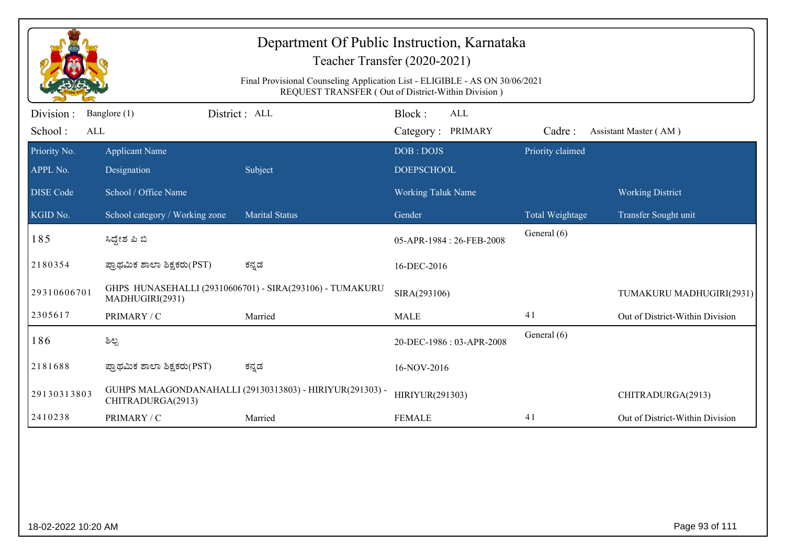|                              | Department Of Public Instruction, Karnataka<br>Teacher Transfer (2020-2021)                                                       |                                                          |                                    |                  |                                 |  |  |  |  |
|------------------------------|-----------------------------------------------------------------------------------------------------------------------------------|----------------------------------------------------------|------------------------------------|------------------|---------------------------------|--|--|--|--|
|                              | Final Provisional Counseling Application List - ELIGIBLE - AS ON 30/06/2021<br>REQUEST TRANSFER (Out of District-Within Division) |                                                          |                                    |                  |                                 |  |  |  |  |
| Division :<br>School:<br>ALL | Banglore (1)                                                                                                                      | District : ALL                                           | Block:<br>ALL<br>Category: PRIMARY | Cadre:           | Assistant Master (AM)           |  |  |  |  |
| Priority No.<br>APPL No.     | <b>Applicant Name</b><br>Designation                                                                                              | Subject                                                  | DOB: DOJS<br><b>DOEPSCHOOL</b>     | Priority claimed |                                 |  |  |  |  |
| <b>DISE</b> Code             | School / Office Name                                                                                                              |                                                          | <b>Working Taluk Name</b>          |                  | <b>Working District</b>         |  |  |  |  |
| KGID No.                     | School category / Working zone                                                                                                    | <b>Marital Status</b>                                    | Gender                             | Total Weightage  | Transfer Sought unit            |  |  |  |  |
| 185                          | ಸಿದ್ದೇಶ ಪಿ ಬಿ                                                                                                                     |                                                          | 05-APR-1984: 26-FEB-2008           | General (6)      |                                 |  |  |  |  |
| 2180354                      | ಪ್ರಾಥಮಿಕ ಶಾಲಾ ಶಿಕ್ಷಕರು(PST)                                                                                                       | ಕನ್ನಡ                                                    | 16-DEC-2016                        |                  |                                 |  |  |  |  |
| 29310606701                  | MADHUGIRI(2931)                                                                                                                   | GHPS HUNASEHALLI (29310606701) - SIRA(293106) - TUMAKURU | SIRA(293106)                       |                  | TUMAKURU MADHUGIRI(2931)        |  |  |  |  |
| 2305617                      | PRIMARY / C                                                                                                                       | Married                                                  | <b>MALE</b>                        | 41               | Out of District-Within Division |  |  |  |  |
| 186                          | ಶಿಲ್ಪ                                                                                                                             |                                                          | 20-DEC-1986: 03-APR-2008           | General (6)      |                                 |  |  |  |  |
| 2181688                      | ಪ್ರಾಥಮಿಕ ಶಾಲಾ ಶಿಕ್ಷಕರು(PST)                                                                                                       | ಕನ್ನಡ                                                    | 16-NOV-2016                        |                  |                                 |  |  |  |  |
| 29130313803                  | CHITRADURGA(2913)                                                                                                                 | GUHPS MALAGONDANAHALLI (29130313803) - HIRIYUR(291303) - | HIRIYUR(291303)                    |                  | CHITRADURGA(2913)               |  |  |  |  |
| 2410238                      | PRIMARY / C                                                                                                                       | Married                                                  | <b>FEMALE</b>                      | 41               | Out of District-Within Division |  |  |  |  |
|                              |                                                                                                                                   |                                                          |                                    |                  |                                 |  |  |  |  |
| 18-02-2022 10:20 AM          |                                                                                                                                   |                                                          |                                    |                  | Page 93 of 111                  |  |  |  |  |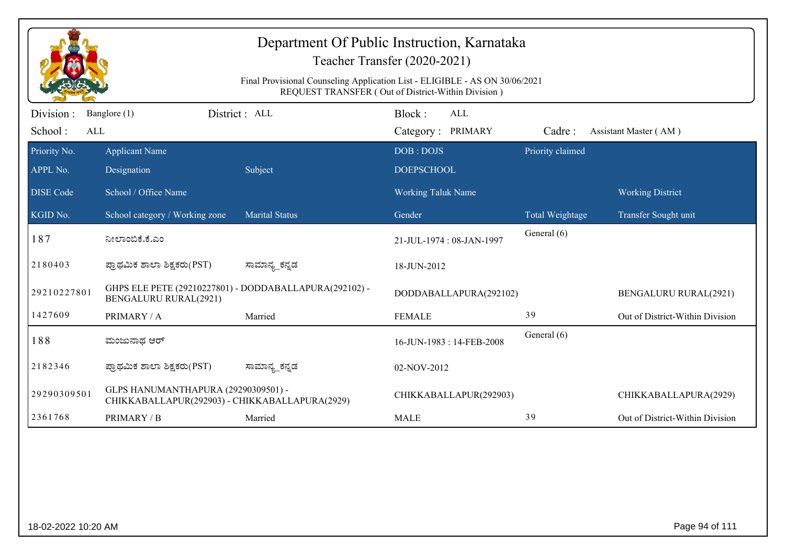|                             | Department Of Public Instruction, Karnataka<br>Teacher Transfer (2020-2021)<br>Final Provisional Counseling Application List - ELIGIBLE - AS ON 30/06/2021<br>REQUEST TRANSFER (Out of District-Within Division) |                                                        |                                           |                  |                                 |  |  |  |
|-----------------------------|------------------------------------------------------------------------------------------------------------------------------------------------------------------------------------------------------------------|--------------------------------------------------------|-------------------------------------------|------------------|---------------------------------|--|--|--|
| Division:<br>School:<br>ALL | Banglore (1)                                                                                                                                                                                                     | District : ALL                                         | Block:<br><b>ALL</b><br>Category: PRIMARY | Cadre:           | Assistant Master (AM)           |  |  |  |
| Priority No.<br>APPL No.    | <b>Applicant Name</b><br>Designation                                                                                                                                                                             | Subject                                                | DOB: DOJS<br><b>DOEPSCHOOL</b>            | Priority claimed |                                 |  |  |  |
| <b>DISE</b> Code            | School / Office Name                                                                                                                                                                                             |                                                        | <b>Working Taluk Name</b>                 |                  | <b>Working District</b>         |  |  |  |
| KGID No.                    | School category / Working zone                                                                                                                                                                                   | <b>Marital Status</b>                                  | Gender                                    | Total Weightage  | Transfer Sought unit            |  |  |  |
| 187                         | ನೀಲಾಂಬಿಕೆ.ಕೆ.ಎಂ                                                                                                                                                                                                  |                                                        | 21-JUL-1974: 08-JAN-1997                  | General (6)      |                                 |  |  |  |
| 2180403                     | ಪ್ರಾಥಮಿಕ ಶಾಲಾ ಶಿಕ್ಷಕರು(PST)                                                                                                                                                                                      | ಸಾಮಾನ್ಯ_ಕನ್ನಡ                                          | 18-JUN-2012                               |                  |                                 |  |  |  |
| 29210227801                 | <b>BENGALURU RURAL(2921)</b>                                                                                                                                                                                     | GHPS ELE PETE (29210227801) - DODDABALLAPURA(292102) - | DODDABALLAPURA(292102)                    |                  | <b>BENGALURU RURAL(2921)</b>    |  |  |  |
| 1427609                     | PRIMARY / A                                                                                                                                                                                                      | Married                                                | <b>FEMALE</b>                             | 39               | Out of District-Within Division |  |  |  |
| 188                         | ಮಂಜುನಾಥ ಆರ್                                                                                                                                                                                                      |                                                        | 16-JUN-1983: 14-FEB-2008                  | General (6)      |                                 |  |  |  |
| 2182346                     | ಪ್ರಾಥಮಿಕ ಶಾಲಾ ಶಿಕ್ಷಕರು(PST)                                                                                                                                                                                      | ಸಾಮಾನ್ಯ_ಕನ್ನಡ                                          | 02-NOV-2012                               |                  |                                 |  |  |  |
| 29290309501                 | GLPS HANUMANTHAPURA (29290309501) -<br>CHIKKABALLAPUR(292903) - CHIKKABALLAPURA(2929)                                                                                                                            |                                                        | CHIKKABALLAPUR(292903)                    |                  | CHIKKABALLAPURA(2929)           |  |  |  |
| 2361768                     | PRIMARY / B                                                                                                                                                                                                      | Married                                                | <b>MALE</b>                               | 39               | Out of District-Within Division |  |  |  |
|                             |                                                                                                                                                                                                                  |                                                        |                                           |                  |                                 |  |  |  |
| 18-02-2022 10:20 AM         |                                                                                                                                                                                                                  |                                                        |                                           |                  | Page 94 of 111                  |  |  |  |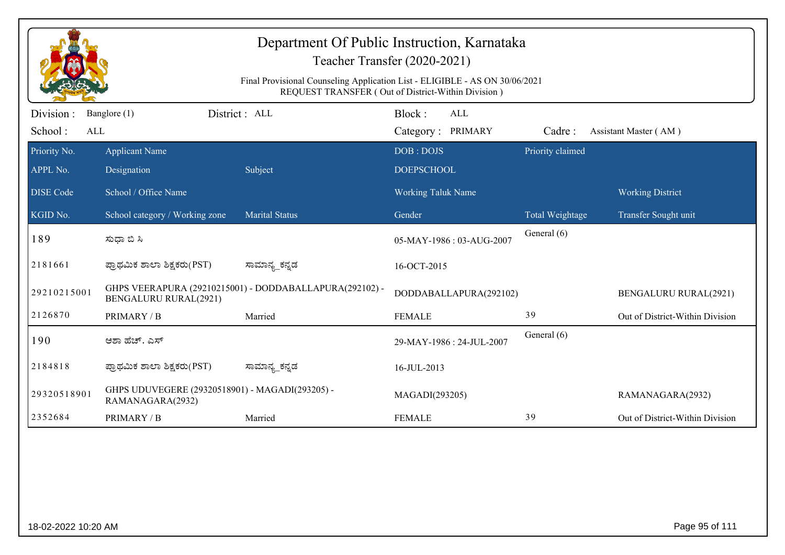|                              | Department Of Public Instruction, Karnataka<br>Teacher Transfer (2020-2021)<br>Final Provisional Counseling Application List - ELIGIBLE - AS ON 30/06/2021<br>REQUEST TRANSFER (Out of District-Within Division) |                                                         |                                    |                  |                                 |  |  |
|------------------------------|------------------------------------------------------------------------------------------------------------------------------------------------------------------------------------------------------------------|---------------------------------------------------------|------------------------------------|------------------|---------------------------------|--|--|
| Division :<br>School:<br>ALL | Banglore (1)                                                                                                                                                                                                     | District : ALL                                          | Block:<br>ALL<br>Category: PRIMARY | Cadre:           | Assistant Master (AM)           |  |  |
| Priority No.<br>APPL No.     | <b>Applicant Name</b><br>Designation                                                                                                                                                                             | Subject                                                 | DOB: DOJS<br><b>DOEPSCHOOL</b>     | Priority claimed |                                 |  |  |
| <b>DISE Code</b>             | School / Office Name                                                                                                                                                                                             |                                                         | Working Taluk Name                 |                  | <b>Working District</b>         |  |  |
| KGID No.                     | School category / Working zone                                                                                                                                                                                   | <b>Marital Status</b>                                   | Gender                             | Total Weightage  | Transfer Sought unit            |  |  |
| 189                          | ಸುಧಾ ಬಿ ಸಿ                                                                                                                                                                                                       |                                                         | 05-MAY-1986: 03-AUG-2007           | General (6)      |                                 |  |  |
| 2181661                      | ಪ್ರಾಥಮಿಕ ಶಾಲಾ ಶಿಕ್ಷಕರು(PST)                                                                                                                                                                                      | ಸಾಮಾನ್ಯ_ಕನ್ನಡ                                           | 16-OCT-2015                        |                  |                                 |  |  |
| 29210215001                  | <b>BENGALURU RURAL(2921)</b>                                                                                                                                                                                     | GHPS VEERAPURA (29210215001) - DODDABALLAPURA(292102) - | DODDABALLAPURA(292102)             |                  | <b>BENGALURU RURAL(2921)</b>    |  |  |
| 2126870                      | PRIMARY / B                                                                                                                                                                                                      | Married                                                 | <b>FEMALE</b>                      | 39               | Out of District-Within Division |  |  |
| 190                          | ಆಶಾ ಹೆಚ್. ಎಸ್                                                                                                                                                                                                    |                                                         | 29-MAY-1986 : 24-JUL-2007          | General (6)      |                                 |  |  |
| 2184818                      | ಪ್ರಾಥಮಿಕ ಶಾಲಾ ಶಿಕ್ಷಕರು(PST)                                                                                                                                                                                      | ಸಾಮಾನ್ಯ_ಕನ್ನಡ                                           | 16-JUL-2013                        |                  |                                 |  |  |
| 29320518901                  | GHPS UDUVEGERE (29320518901) - MAGADI(293205) -<br>RAMANAGARA(2932)                                                                                                                                              |                                                         | MAGADI(293205)                     |                  | RAMANAGARA(2932)                |  |  |
| 2352684                      | PRIMARY / B                                                                                                                                                                                                      | Married                                                 | <b>FEMALE</b>                      | 39               | Out of District-Within Division |  |  |
|                              |                                                                                                                                                                                                                  |                                                         |                                    |                  |                                 |  |  |
| 18-02-2022 10:20 AM          |                                                                                                                                                                                                                  |                                                         |                                    |                  | Page 95 of 111                  |  |  |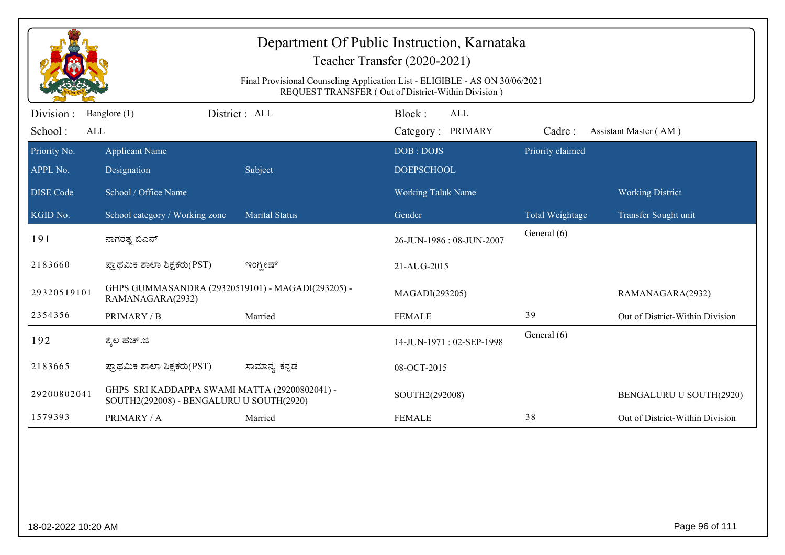|                              | Department Of Public Instruction, Karnataka<br>Teacher Transfer (2020-2021)<br>Final Provisional Counseling Application List - ELIGIBLE - AS ON 30/06/2021<br>REQUEST TRANSFER (Out of District-Within Division) |                       |                                    |                  |                                 |  |  |  |
|------------------------------|------------------------------------------------------------------------------------------------------------------------------------------------------------------------------------------------------------------|-----------------------|------------------------------------|------------------|---------------------------------|--|--|--|
| Division :<br>School:<br>ALL | Banglore (1)                                                                                                                                                                                                     | District: ALL         | Block:<br>ALL<br>Category: PRIMARY | Cadre:           | Assistant Master (AM)           |  |  |  |
| Priority No.<br>APPL No.     | <b>Applicant Name</b><br>Designation                                                                                                                                                                             | Subject               | DOB: DOJS<br><b>DOEPSCHOOL</b>     | Priority claimed |                                 |  |  |  |
| <b>DISE Code</b>             | School / Office Name                                                                                                                                                                                             |                       | <b>Working Taluk Name</b>          |                  | <b>Working District</b>         |  |  |  |
| KGID No.                     | School category / Working zone                                                                                                                                                                                   | <b>Marital Status</b> | Gender                             | Total Weightage  | Transfer Sought unit            |  |  |  |
| 191                          | ನಾಗರತ್ತ ಬಿಎನ್                                                                                                                                                                                                    |                       | 26-JUN-1986: 08-JUN-2007           | General (6)      |                                 |  |  |  |
| 2183660                      | ಪ್ರಾಥಮಿಕ ಶಾಲಾ ಶಿಕ್ಷಕರು(PST)                                                                                                                                                                                      | ಇಂಗ್ಲೀಷ್              | 21-AUG-2015                        |                  |                                 |  |  |  |
| 29320519101                  | GHPS GUMMASANDRA (29320519101) - MAGADI(293205) -<br>RAMANAGARA(2932)                                                                                                                                            |                       | MAGADI(293205)                     |                  | RAMANAGARA(2932)                |  |  |  |
| 2354356                      | PRIMARY / B                                                                                                                                                                                                      | Married               | <b>FEMALE</b>                      | 39               | Out of District-Within Division |  |  |  |
| 192                          | ಶ್ಮೆಲ ಹೆಚ್.ಜಿ                                                                                                                                                                                                    |                       | 14-JUN-1971: 02-SEP-1998           | General (6)      |                                 |  |  |  |
| 2183665                      | ಪ್ರಾಥಮಿಕ ಶಾಲಾ ಶಿಕ್ಷಕರು(PST)                                                                                                                                                                                      | ಸಾಮಾನ್ಯ_ಕನ್ನಡ         | 08-OCT-2015                        |                  |                                 |  |  |  |
| 29200802041                  | GHPS SRI KADDAPPA SWAMI MATTA (29200802041) -<br>SOUTH2(292008) - BENGALURU U SOUTH(2920)                                                                                                                        |                       | SOUTH2(292008)                     |                  | BENGALURU U SOUTH(2920)         |  |  |  |
| 1579393                      | PRIMARY / A                                                                                                                                                                                                      | Married               | <b>FEMALE</b>                      | 38               | Out of District-Within Division |  |  |  |
|                              |                                                                                                                                                                                                                  |                       |                                    |                  |                                 |  |  |  |
| 18-02-2022 10:20 AM          |                                                                                                                                                                                                                  |                       |                                    |                  | Page 96 of 111                  |  |  |  |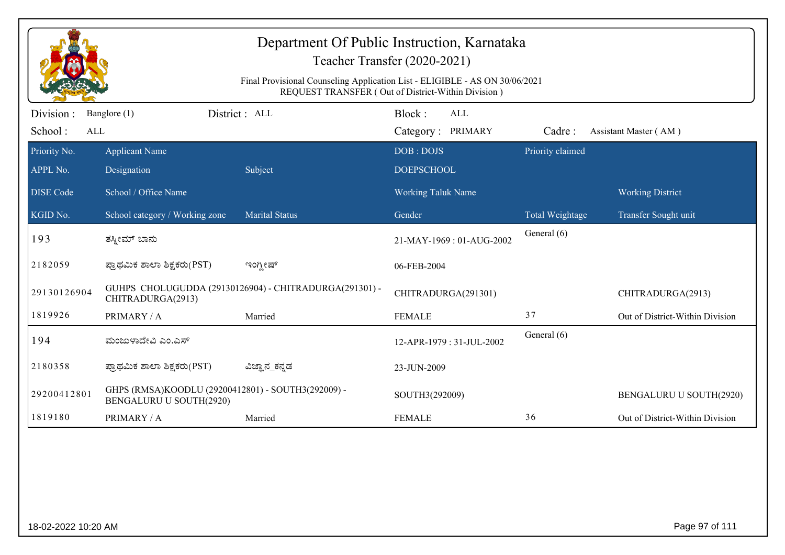| Department Of Public Instruction, Karnataka<br>Teacher Transfer (2020-2021) |                                                                                                                                   |                                                        |                                    |                        |                                 |  |  |  |
|-----------------------------------------------------------------------------|-----------------------------------------------------------------------------------------------------------------------------------|--------------------------------------------------------|------------------------------------|------------------------|---------------------------------|--|--|--|
|                                                                             | Final Provisional Counseling Application List - ELIGIBLE - AS ON 30/06/2021<br>REQUEST TRANSFER (Out of District-Within Division) |                                                        |                                    |                        |                                 |  |  |  |
| Division:<br>School:<br>ALL                                                 | Banglore (1)                                                                                                                      | District : ALL                                         | Block:<br>ALL<br>Category: PRIMARY | Cadre:                 | Assistant Master (AM)           |  |  |  |
| Priority No.                                                                | <b>Applicant Name</b>                                                                                                             |                                                        | DOB: DOJS                          | Priority claimed       |                                 |  |  |  |
| APPL No.                                                                    | Designation                                                                                                                       | Subject                                                | <b>DOEPSCHOOL</b>                  |                        |                                 |  |  |  |
| <b>DISE</b> Code                                                            | School / Office Name                                                                                                              |                                                        | <b>Working Taluk Name</b>          |                        | <b>Working District</b>         |  |  |  |
| KGID No.                                                                    | School category / Working zone                                                                                                    | <b>Marital Status</b>                                  | Gender                             | <b>Total Weightage</b> | Transfer Sought unit            |  |  |  |
| 193                                                                         | ತಸ್ನೀಮ್ ಬಾನು                                                                                                                      |                                                        | 21-MAY-1969: 01-AUG-2002           | General (6)            |                                 |  |  |  |
| 2182059                                                                     | ಪ್ರಾಥಮಿಕ ಶಾಲಾ ಶಿಕ್ಷಕರು(PST)                                                                                                       | ಇಂಗ್ಲೀಷ್                                               | 06-FEB-2004                        |                        |                                 |  |  |  |
| 29130126904                                                                 | CHITRADURGA(2913)                                                                                                                 | GUHPS CHOLUGUDDA (29130126904) - CHITRADURGA(291301) - | CHITRADURGA(291301)                |                        | CHITRADURGA(2913)               |  |  |  |
| 1819926                                                                     | PRIMARY / A                                                                                                                       | Married                                                | <b>FEMALE</b>                      | 37                     | Out of District-Within Division |  |  |  |
| 194                                                                         | ಮಂಜುಳಾದೇವಿ ಎಂ.ಎಸ್                                                                                                                 |                                                        | 12-APR-1979: 31-JUL-2002           | General (6)            |                                 |  |  |  |
| 2180358                                                                     | ಪ್ರಾಥಮಿಕ ಶಾಲಾ ಶಿಕ್ಷಕರು(PST)                                                                                                       | ವಿಜ್ಞಾನ_ಕನ್ನಡ                                          | 23-JUN-2009                        |                        |                                 |  |  |  |
| 29200412801                                                                 | GHPS (RMSA)KOODLU (29200412801) - SOUTH3(292009) -<br>BENGALURU U SOUTH(2920)                                                     |                                                        | SOUTH3(292009)                     |                        | BENGALURU U SOUTH(2920)         |  |  |  |
| 1819180                                                                     | PRIMARY / A                                                                                                                       | Married                                                | <b>FEMALE</b>                      | 36                     | Out of District-Within Division |  |  |  |
|                                                                             |                                                                                                                                   |                                                        |                                    |                        |                                 |  |  |  |
|                                                                             |                                                                                                                                   |                                                        |                                    |                        |                                 |  |  |  |
|                                                                             |                                                                                                                                   |                                                        |                                    |                        |                                 |  |  |  |
|                                                                             |                                                                                                                                   |                                                        |                                    |                        |                                 |  |  |  |

18-02-2022 10:20 AM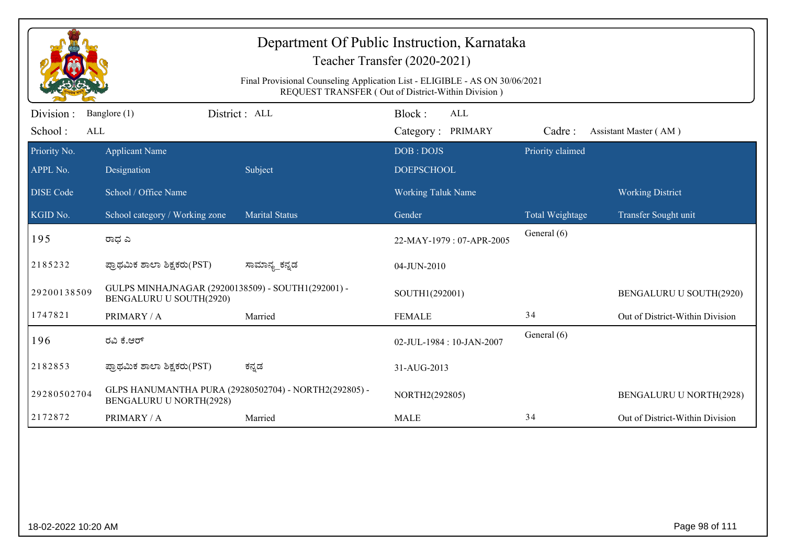|                                                    | Department Of Public Instruction, Karnataka<br>Teacher Transfer (2020-2021)<br>Final Provisional Counseling Application List - ELIGIBLE - AS ON 30/06/2021 |                                                       |                           |                  |                                 |  |  |  |
|----------------------------------------------------|------------------------------------------------------------------------------------------------------------------------------------------------------------|-------------------------------------------------------|---------------------------|------------------|---------------------------------|--|--|--|
| REQUEST TRANSFER (Out of District-Within Division) |                                                                                                                                                            |                                                       |                           |                  |                                 |  |  |  |
| Division :                                         | Banglore (1)                                                                                                                                               | District : ALL                                        | Block:<br>ALL             |                  |                                 |  |  |  |
| School:<br>ALL                                     |                                                                                                                                                            |                                                       | Category: PRIMARY         | Cadre:           | Assistant Master (AM)           |  |  |  |
| Priority No.                                       | <b>Applicant Name</b>                                                                                                                                      |                                                       | DOB: DOJS                 | Priority claimed |                                 |  |  |  |
| APPL No.                                           | Designation                                                                                                                                                | Subject                                               | <b>DOEPSCHOOL</b>         |                  |                                 |  |  |  |
| <b>DISE</b> Code                                   | School / Office Name                                                                                                                                       |                                                       | <b>Working Taluk Name</b> |                  | <b>Working District</b>         |  |  |  |
| KGID No.                                           | School category / Working zone                                                                                                                             | <b>Marital Status</b>                                 | Gender                    | Total Weightage  | Transfer Sought unit            |  |  |  |
| 195                                                | ರಾಧ ಎ                                                                                                                                                      |                                                       | 22-MAY-1979: 07-APR-2005  | General (6)      |                                 |  |  |  |
| 2185232                                            | ಪ್ರಾಥಮಿಕ ಶಾಲಾ ಶಿಕ್ಷಕರು(PST)                                                                                                                                | ಸಾಮಾನ್ಯ_ಕನ್ನಡ                                         | 04-JUN-2010               |                  |                                 |  |  |  |
| 29200138509                                        | GULPS MINHAJNAGAR (29200138509) - SOUTH1(292001) -<br>BENGALURU U SOUTH(2920)                                                                              |                                                       | SOUTH1(292001)            |                  | BENGALURU U SOUTH(2920)         |  |  |  |
| 1747821                                            | PRIMARY / A                                                                                                                                                | Married                                               | <b>FEMALE</b>             | 34               | Out of District-Within Division |  |  |  |
| 196                                                | ರವಿ ಕೆ.ಆರ್                                                                                                                                                 |                                                       | 02-JUL-1984: 10-JAN-2007  | General (6)      |                                 |  |  |  |
| 2182853                                            | ಪ್ರಾಥಮಿಕ ಶಾಲಾ ಶಿಕ್ಷಕರು(PST)                                                                                                                                | ಕನ್ನಡ                                                 | 31-AUG-2013               |                  |                                 |  |  |  |
| 29280502704                                        | <b>BENGALURU U NORTH(2928)</b>                                                                                                                             | GLPS HANUMANTHA PURA (29280502704) - NORTH2(292805) - | NORTH2(292805)            |                  | BENGALURU U NORTH(2928)         |  |  |  |
| 2172872                                            | PRIMARY / A                                                                                                                                                | Married                                               | <b>MALE</b>               | 34               | Out of District-Within Division |  |  |  |
|                                                    |                                                                                                                                                            |                                                       |                           |                  |                                 |  |  |  |
| 18-02-2022 10:20 AM                                |                                                                                                                                                            |                                                       |                           |                  | Page 98 of 111                  |  |  |  |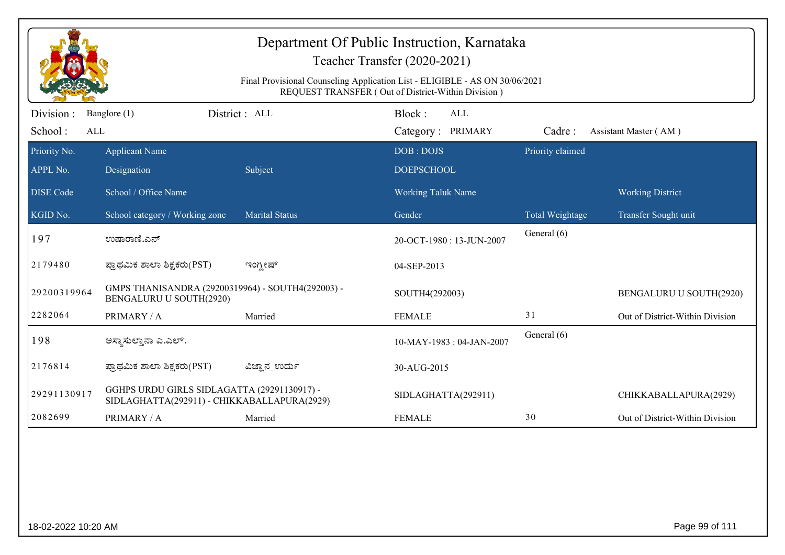|                                     |                                                                                            |                       | Department Of Public Instruction, Karnataka<br>Teacher Transfer (2020-2021)<br>Final Provisional Counseling Application List - ELIGIBLE - AS ON 30/06/2021<br>REQUEST TRANSFER (Out of District-Within Division) |                        |                                                 |
|-------------------------------------|--------------------------------------------------------------------------------------------|-----------------------|------------------------------------------------------------------------------------------------------------------------------------------------------------------------------------------------------------------|------------------------|-------------------------------------------------|
| Division :<br>School:<br><b>ALL</b> | Banglore (1)                                                                               | District : ALL        | Block:<br>ALL<br>Category: PRIMARY                                                                                                                                                                               | Cadre:                 | Assistant Master (AM)                           |
| Priority No.<br>APPL No.            | <b>Applicant Name</b><br>Designation                                                       | Subject               | DOB: DOJS<br><b>DOEPSCHOOL</b>                                                                                                                                                                                   | Priority claimed       |                                                 |
| <b>DISE</b> Code<br>KGID No.        | School / Office Name<br>School category / Working zone                                     | <b>Marital Status</b> | Working Taluk Name<br>Gender                                                                                                                                                                                     | <b>Total Weightage</b> | <b>Working District</b><br>Transfer Sought unit |
| 197                                 | ಉಷಾರಾಣಿ.ಎನ್                                                                                |                       | 20-OCT-1980: 13-JUN-2007                                                                                                                                                                                         | General (6)            |                                                 |
| 2179480                             | ಪ್ರಾಥಮಿಕ ಶಾಲಾ ಶಿಕ್ಷಕರು(PST)                                                                | ಇಂಗ್ಲೀಷ್              | 04-SEP-2013                                                                                                                                                                                                      |                        |                                                 |
| 29200319964                         | GMPS THANISANDRA (29200319964) - SOUTH4(292003) -<br>BENGALURU U SOUTH(2920)               |                       | SOUTH4(292003)                                                                                                                                                                                                   |                        | BENGALURU U SOUTH(2920)                         |
| 2282064                             | PRIMARY / A                                                                                | Married               | <b>FEMALE</b>                                                                                                                                                                                                    | 31                     | Out of District-Within Division                 |
| 198                                 | ಅಸ್ಥಾಸುಲ್ತಾನಾ ಎ.ಎಲ್.                                                                       |                       | 10-MAY-1983: 04-JAN-2007                                                                                                                                                                                         | General (6)            |                                                 |
| 2176814                             | ಪ್ರಾಥಮಿಕ ಶಾಲಾ ಶಿಕ್ಷಕರು(PST)                                                                | ವಿಜ್ಞಾನ_ಉರ್ದು         | 30-AUG-2015                                                                                                                                                                                                      |                        |                                                 |
| 29291130917                         | GGHPS URDU GIRLS SIDLAGATTA (29291130917) -<br>SIDLAGHATTA(292911) - CHIKKABALLAPURA(2929) |                       | SIDLAGHATTA(292911)                                                                                                                                                                                              |                        | CHIKKABALLAPURA(2929)                           |
| 2082699                             | PRIMARY / A                                                                                | Married               | <b>FEMALE</b>                                                                                                                                                                                                    | 30                     | Out of District-Within Division                 |
|                                     |                                                                                            |                       |                                                                                                                                                                                                                  |                        |                                                 |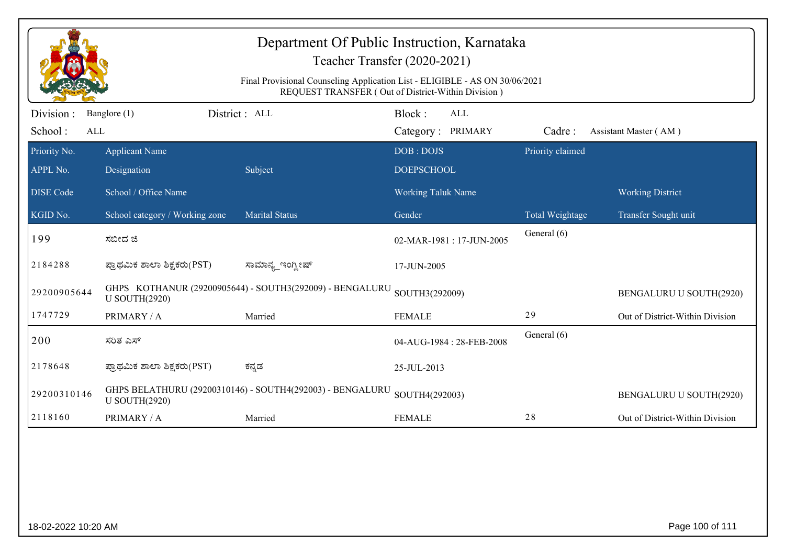|                              | Department Of Public Instruction, Karnataka<br>Teacher Transfer (2020-2021)<br>Final Provisional Counseling Application List - ELIGIBLE - AS ON 30/06/2021<br>REQUEST TRANSFER (Out of District-Within Division) |                                                           |                                           |                  |                                 |  |  |  |
|------------------------------|------------------------------------------------------------------------------------------------------------------------------------------------------------------------------------------------------------------|-----------------------------------------------------------|-------------------------------------------|------------------|---------------------------------|--|--|--|
| Division :<br>School:<br>ALL | Banglore (1)                                                                                                                                                                                                     | District: ALL                                             | Block:<br><b>ALL</b><br>Category: PRIMARY | Cadre:           | Assistant Master (AM)           |  |  |  |
| Priority No.<br>APPL No.     | <b>Applicant Name</b><br>Designation                                                                                                                                                                             | Subject                                                   | DOB: DOJS<br><b>DOEPSCHOOL</b>            | Priority claimed |                                 |  |  |  |
| <b>DISE</b> Code             | School / Office Name                                                                                                                                                                                             |                                                           | <b>Working Taluk Name</b>                 |                  | <b>Working District</b>         |  |  |  |
| KGID No.                     | School category / Working zone                                                                                                                                                                                   | <b>Marital Status</b>                                     | Gender                                    | Total Weightage  | Transfer Sought unit            |  |  |  |
| 199                          | ಸಬೀದ ಜಿ                                                                                                                                                                                                          |                                                           | 02-MAR-1981: 17-JUN-2005                  | General (6)      |                                 |  |  |  |
| 2184288                      | ಪ್ರಾಥಮಿಕ ಶಾಲಾ ಶಿಕ್ಷಕರು(PST)                                                                                                                                                                                      | ಸಾಮಾನ್ಯ_ಇಂಗ್ಲೀಷ್                                          | 17-JUN-2005                               |                  |                                 |  |  |  |
| 29200905644                  | <b>U SOUTH(2920)</b>                                                                                                                                                                                             | GHPS KOTHANUR (29200905644) - SOUTH3(292009) - BENGALURU  | SOUTH3(292009)                            |                  | BENGALURU U SOUTH(2920)         |  |  |  |
| 1747729                      | PRIMARY / A                                                                                                                                                                                                      | Married                                                   | <b>FEMALE</b>                             | 29               | Out of District-Within Division |  |  |  |
| 200                          | ಸರಿತ ಎಸ್                                                                                                                                                                                                         |                                                           | 04-AUG-1984: 28-FEB-2008                  | General (6)      |                                 |  |  |  |
| 2178648                      | ಪ್ರಾಥಮಿಕ ಶಾಲಾ ಶಿಕ್ಷಕರು(PST)                                                                                                                                                                                      | ಕನ್ನಡ                                                     | 25-JUL-2013                               |                  |                                 |  |  |  |
| 29200310146                  | <b>U SOUTH(2920)</b>                                                                                                                                                                                             | GHPS BELATHURU (29200310146) - SOUTH4(292003) - BENGALURU | SOUTH4(292003)                            |                  | BENGALURU U SOUTH(2920)         |  |  |  |
| 2118160                      | PRIMARY / A                                                                                                                                                                                                      | Married                                                   | <b>FEMALE</b>                             | 28               | Out of District-Within Division |  |  |  |
|                              |                                                                                                                                                                                                                  |                                                           |                                           |                  |                                 |  |  |  |
| 18-02-2022 10:20 AM          |                                                                                                                                                                                                                  |                                                           |                                           |                  | Page 100 of 111                 |  |  |  |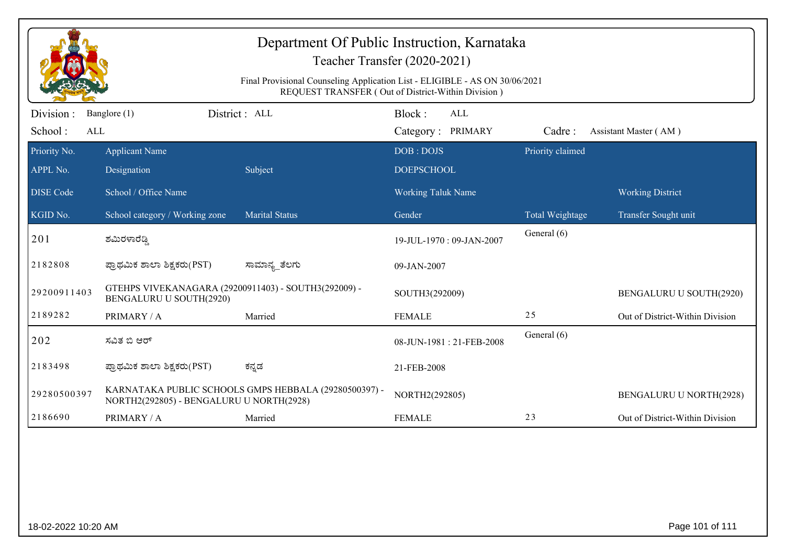| Department Of Public Instruction, Karnataka<br>Teacher Transfer (2020-2021)<br>Final Provisional Counseling Application List - ELIGIBLE - AS ON 30/06/2021<br>REQUEST TRANSFER (Out of District-Within Division) |                                                                                 |                                                       |                                           |                  |                                 |  |  |
|------------------------------------------------------------------------------------------------------------------------------------------------------------------------------------------------------------------|---------------------------------------------------------------------------------|-------------------------------------------------------|-------------------------------------------|------------------|---------------------------------|--|--|
| Division :<br>School:<br>ALL                                                                                                                                                                                     | Banglore (1)                                                                    | District : ALL                                        | Block:<br><b>ALL</b><br>Category: PRIMARY | Cadre:           | Assistant Master (AM)           |  |  |
| Priority No.<br>APPL No.                                                                                                                                                                                         | <b>Applicant Name</b><br>Designation                                            | Subject                                               | DOB: DOJS<br><b>DOEPSCHOOL</b>            | Priority claimed |                                 |  |  |
| <b>DISE</b> Code                                                                                                                                                                                                 | School / Office Name                                                            |                                                       | <b>Working Taluk Name</b>                 |                  | <b>Working District</b>         |  |  |
| KGID No.                                                                                                                                                                                                         | School category / Working zone                                                  | <b>Marital Status</b>                                 | Gender                                    | Total Weightage  | Transfer Sought unit            |  |  |
| 201                                                                                                                                                                                                              | ಶಮಿರಳಾರೆಡ್ಡಿ                                                                    |                                                       | 19-JUL-1970: 09-JAN-2007                  | General (6)      |                                 |  |  |
| 2182808                                                                                                                                                                                                          | ಪ್ರಾಥಮಿಕ ಶಾಲಾ ಶಿಕ್ಷಕರು(PST)                                                     | ಸಾಮಾನ್ಯ_ತೆಲಗು                                         | 09-JAN-2007                               |                  |                                 |  |  |
| 29200911403                                                                                                                                                                                                      | GTEHPS VIVEKANAGARA (29200911403) - SOUTH3(292009) -<br>BENGALURU U SOUTH(2920) |                                                       | SOUTH3(292009)                            |                  | BENGALURU U SOUTH(2920)         |  |  |
| 2189282                                                                                                                                                                                                          | PRIMARY / A                                                                     | Married                                               | <b>FEMALE</b>                             | 25               | Out of District-Within Division |  |  |
| 202                                                                                                                                                                                                              | ಸವಿತ ಬಿ ಆರ್                                                                     |                                                       | 08-JUN-1981: 21-FEB-2008                  | General (6)      |                                 |  |  |
| 2183498                                                                                                                                                                                                          | ಪ್ರಾಥಮಿಕ ಶಾಲಾ ಶಿಕ್ಷಕರು(PST)                                                     | ಕನ್ನಡ                                                 | 21-FEB-2008                               |                  |                                 |  |  |
| 29280500397                                                                                                                                                                                                      | NORTH2(292805) - BENGALURU U NORTH(2928)                                        | KARNATAKA PUBLIC SCHOOLS GMPS HEBBALA (29280500397) - | NORTH2(292805)                            |                  | <b>BENGALURU U NORTH(2928)</b>  |  |  |
| 2186690                                                                                                                                                                                                          | PRIMARY / A                                                                     | Married                                               | <b>FEMALE</b>                             | 23               | Out of District-Within Division |  |  |
|                                                                                                                                                                                                                  |                                                                                 |                                                       |                                           |                  |                                 |  |  |
| 18-02-2022 10:20 AM                                                                                                                                                                                              |                                                                                 |                                                       |                                           |                  | Page 101 of 111                 |  |  |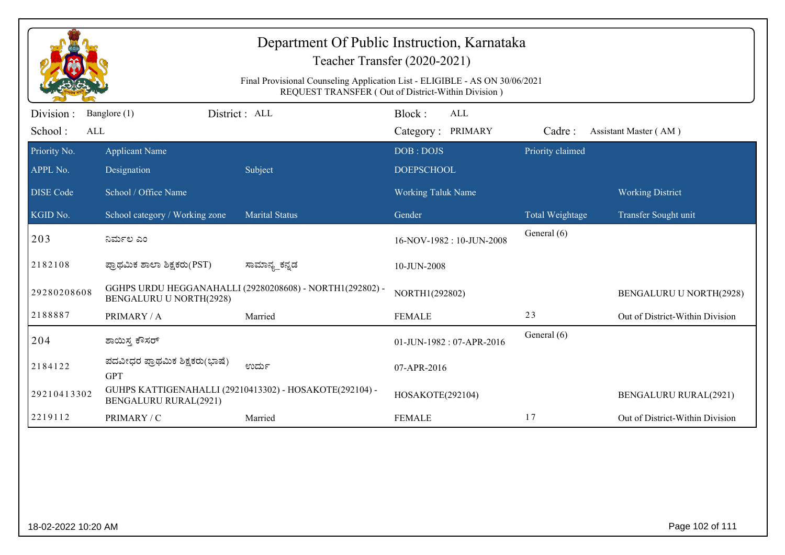| Department Of Public Instruction, Karnataka<br>Teacher Transfer (2020-2021) |                                                                                                                                   |                                                          |                                           |                  |                                 |  |  |  |
|-----------------------------------------------------------------------------|-----------------------------------------------------------------------------------------------------------------------------------|----------------------------------------------------------|-------------------------------------------|------------------|---------------------------------|--|--|--|
|                                                                             | Final Provisional Counseling Application List - ELIGIBLE - AS ON 30/06/2021<br>REQUEST TRANSFER (Out of District-Within Division) |                                                          |                                           |                  |                                 |  |  |  |
| Division:<br>School:<br>ALL                                                 | Banglore (1)                                                                                                                      | District : ALL                                           | Block:<br><b>ALL</b><br>Category: PRIMARY | Cadre:           | Assistant Master (AM)           |  |  |  |
| Priority No.<br>APPL No.                                                    | <b>Applicant Name</b><br>Designation                                                                                              | Subject                                                  | DOB: DOJS<br><b>DOEPSCHOOL</b>            | Priority claimed |                                 |  |  |  |
| <b>DISE</b> Code                                                            | School / Office Name                                                                                                              |                                                          | <b>Working Taluk Name</b>                 |                  | <b>Working District</b>         |  |  |  |
| KGID No.                                                                    | School category / Working zone                                                                                                    | <b>Marital Status</b>                                    | Gender                                    | Total Weightage  | Transfer Sought unit            |  |  |  |
| 203                                                                         | ನಿರ್ಮಲ ಎಂ                                                                                                                         |                                                          | 16-NOV-1982: 10-JUN-2008                  | General (6)      |                                 |  |  |  |
| 2182108                                                                     | ಪ್ರಾಥಮಿಕ ಶಾಲಾ ಶಿಕ್ಷಕರು(PST)                                                                                                       | ಸಾಮಾನ್ಯ_ಕನ್ನಡ                                            | 10-JUN-2008                               |                  |                                 |  |  |  |
| 29280208608                                                                 | <b>BENGALURU U NORTH(2928)</b>                                                                                                    | GGHPS URDU HEGGANAHALLI (29280208608) - NORTH1(292802) - | NORTH1(292802)                            |                  | <b>BENGALURU U NORTH(2928)</b>  |  |  |  |
| 2188887                                                                     | PRIMARY / A                                                                                                                       | Married                                                  | <b>FEMALE</b>                             | 23               | Out of District-Within Division |  |  |  |
| 204                                                                         | ಶಾಯಿಸ್ತ ಕೌಸರ್                                                                                                                     |                                                          | 01-JUN-1982: 07-APR-2016                  | General (6)      |                                 |  |  |  |
| 2184122                                                                     | ಪದವೀಧರ ಪ್ರಾಥಮಿಕ ಶಿಕ್ಷಕರು(ಭಾಷೆ)<br><b>GPT</b>                                                                                      | ಉರ್ದು                                                    | 07-APR-2016                               |                  |                                 |  |  |  |
| 29210413302                                                                 | <b>BENGALURU RURAL(2921)</b>                                                                                                      | GUHPS KATTIGENAHALLI (29210413302) - HOSAKOTE(292104) -  | HOSAKOTE(292104)                          |                  | <b>BENGALURU RURAL(2921)</b>    |  |  |  |
| 2219112                                                                     | PRIMARY / C                                                                                                                       | Married                                                  | <b>FEMALE</b>                             | 17               | Out of District-Within Division |  |  |  |
|                                                                             |                                                                                                                                   |                                                          |                                           |                  |                                 |  |  |  |
| 18-02-2022 10:20 AM                                                         |                                                                                                                                   |                                                          |                                           |                  | Page 102 of 111                 |  |  |  |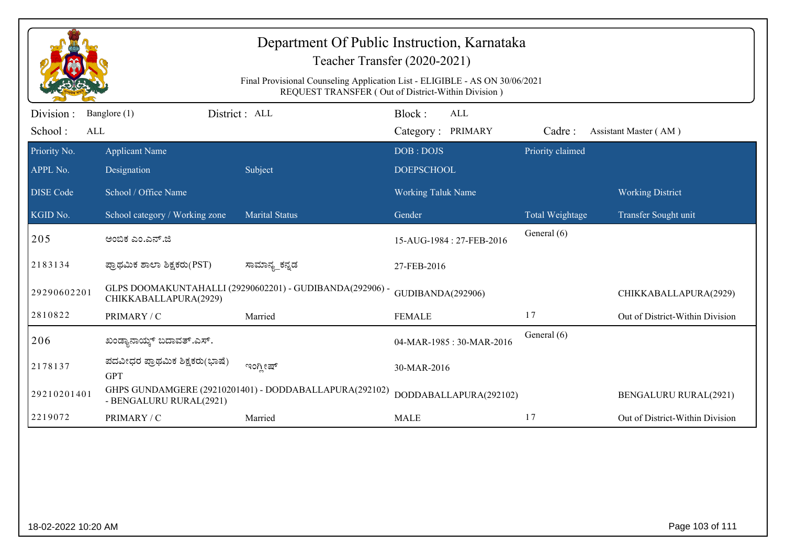| Department Of Public Instruction, Karnataka<br>Teacher Transfer (2020-2021) |                                                                                                                                   |                                                          |                                           |                  |                                 |  |  |  |
|-----------------------------------------------------------------------------|-----------------------------------------------------------------------------------------------------------------------------------|----------------------------------------------------------|-------------------------------------------|------------------|---------------------------------|--|--|--|
|                                                                             | Final Provisional Counseling Application List - ELIGIBLE - AS ON 30/06/2021<br>REQUEST TRANSFER (Out of District-Within Division) |                                                          |                                           |                  |                                 |  |  |  |
| Division :<br>School:<br>ALL                                                | Banglore (1)                                                                                                                      | District: ALL                                            | Block:<br><b>ALL</b><br>Category: PRIMARY | Cadre:           | Assistant Master (AM)           |  |  |  |
| Priority No.<br>APPL No.                                                    | <b>Applicant Name</b><br>Designation                                                                                              | Subject                                                  | DOB: DOJS<br><b>DOEPSCHOOL</b>            | Priority claimed |                                 |  |  |  |
| <b>DISE Code</b>                                                            | School / Office Name                                                                                                              |                                                          | <b>Working Taluk Name</b>                 |                  | <b>Working District</b>         |  |  |  |
| KGID No.                                                                    | School category / Working zone                                                                                                    | <b>Marital Status</b>                                    | Gender                                    | Total Weightage  | Transfer Sought unit            |  |  |  |
| 205                                                                         | ಅಂಬಿಕ ಎಂ.ಎನ್.ಜಿ                                                                                                                   |                                                          | 15-AUG-1984: 27-FEB-2016                  | General (6)      |                                 |  |  |  |
| 2183134                                                                     | ಪ್ರಾಥಮಿಕ ಶಾಲಾ ಶಿಕ್ಷಕರು(PST)                                                                                                       | ಸಾಮಾನ್ಯ_ಕನ್ನಡ                                            | 27-FEB-2016                               |                  |                                 |  |  |  |
| 29290602201                                                                 | CHIKKABALLAPURA(2929)                                                                                                             | GLPS DOOMAKUNTAHALLI (29290602201) - GUDIBANDA(292906) - | GUDIBANDA(292906)                         |                  | CHIKKABALLAPURA(2929)           |  |  |  |
| 2810822                                                                     | PRIMARY / C                                                                                                                       | Married                                                  | <b>FEMALE</b>                             | 17               | Out of District-Within Division |  |  |  |
| 206                                                                         | ಖಂಡ್ಯಾನಾಯ್ಕ್ ಬದಾವತ್.ಎಸ್.                                                                                                          |                                                          | 04-MAR-1985: 30-MAR-2016                  | General (6)      |                                 |  |  |  |
| 2178137                                                                     | ಪದವೀಧರ ಪ್ರಾಥಮಿಕ ಶಿಕ್ಷಕರು(ಭಾಷೆ)<br><b>GPT</b>                                                                                      | ಇಂಗ್ಲೀಷ್                                                 | 30-MAR-2016                               |                  |                                 |  |  |  |
| 29210201401                                                                 | - BENGALURU RURAL(2921)                                                                                                           | GHPS GUNDAMGERE (29210201401) - DODDABALLAPURA(292102)   | DODDABALLAPURA(292102)                    |                  | <b>BENGALURU RURAL(2921)</b>    |  |  |  |
| 2219072                                                                     | PRIMARY / C                                                                                                                       | Married                                                  | <b>MALE</b>                               | 17               | Out of District-Within Division |  |  |  |
|                                                                             |                                                                                                                                   |                                                          |                                           |                  |                                 |  |  |  |
| 18-02-2022 10:20 AM                                                         |                                                                                                                                   |                                                          |                                           |                  | Page 103 of 111                 |  |  |  |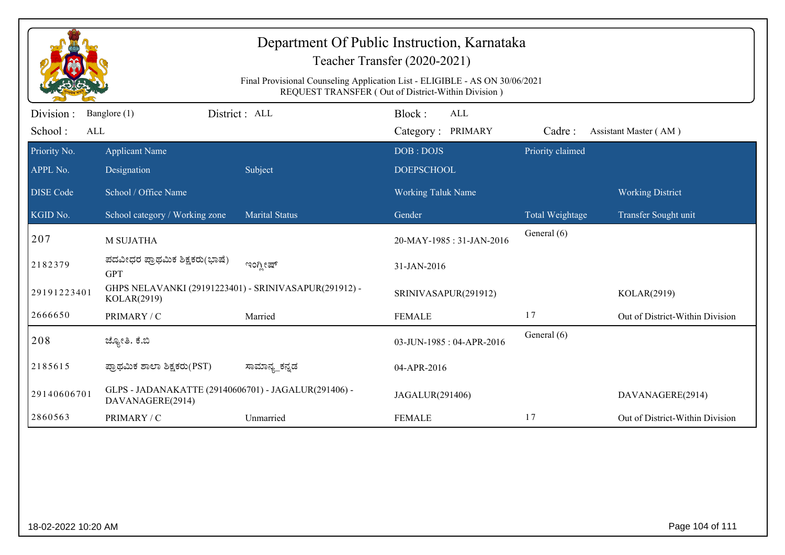|                                                                                                                                   | Teacher Transfer (2020-2021)                                             |                       |                           |                  |                                 |  |  |  |
|-----------------------------------------------------------------------------------------------------------------------------------|--------------------------------------------------------------------------|-----------------------|---------------------------|------------------|---------------------------------|--|--|--|
| Final Provisional Counseling Application List - ELIGIBLE - AS ON 30/06/2021<br>REQUEST TRANSFER (Out of District-Within Division) |                                                                          |                       |                           |                  |                                 |  |  |  |
| Division:                                                                                                                         | Banglore (1)                                                             | District : ALL        | Block:<br>ALL             |                  |                                 |  |  |  |
| School:<br>ALL                                                                                                                    |                                                                          |                       | Category: PRIMARY         | Cadre:           | Assistant Master (AM)           |  |  |  |
| Priority No.                                                                                                                      | <b>Applicant Name</b>                                                    |                       | DOB: DOJS                 | Priority claimed |                                 |  |  |  |
| APPL No.                                                                                                                          | Designation                                                              | Subject               | <b>DOEPSCHOOL</b>         |                  |                                 |  |  |  |
| <b>DISE Code</b>                                                                                                                  | School / Office Name                                                     |                       | <b>Working Taluk Name</b> |                  | <b>Working District</b>         |  |  |  |
| KGID No.                                                                                                                          | School category / Working zone                                           | <b>Marital Status</b> | Gender                    | Total Weightage  | Transfer Sought unit            |  |  |  |
| 207                                                                                                                               | <b>M SUJATHA</b>                                                         |                       | 20-MAY-1985: 31-JAN-2016  | General (6)      |                                 |  |  |  |
| 2182379                                                                                                                           | ಪದವೀಧರ ಪ್ರಾಥಮಿಕ ಶಿಕ್ಷಕರು(ಭಾಷೆ)<br><b>GPT</b>                             | ಇಂಗ್ಲೀಷ್              | 31-JAN-2016               |                  |                                 |  |  |  |
| 29191223401                                                                                                                       | GHPS NELAVANKI (29191223401) - SRINIVASAPUR(291912) -<br>KOLAR(2919)     |                       | SRINIVASAPUR(291912)      |                  | KOLAR(2919)                     |  |  |  |
| 2666650                                                                                                                           | PRIMARY / C                                                              | Married               | <b>FEMALE</b>             | 17               | Out of District-Within Division |  |  |  |
| 208                                                                                                                               | ಜ್ಯೋತಿ. ಕೆ.ಬಿ                                                            |                       | 03-JUN-1985: 04-APR-2016  | General (6)      |                                 |  |  |  |
| 2185615                                                                                                                           | ಪ್ರಾಥಮಿಕ ಶಾಲಾ ಶಿಕ್ಷಕರು(PST)                                              | ಸಾಮಾನ್ಯ_ಕನ್ನಡ         | 04-APR-2016               |                  |                                 |  |  |  |
| 29140606701                                                                                                                       | GLPS - JADANAKATTE (29140606701) - JAGALUR(291406) -<br>DAVANAGERE(2914) |                       | JAGALUR(291406)           |                  | DAVANAGERE(2914)                |  |  |  |
| 2860563                                                                                                                           | PRIMARY / C                                                              | Unmarried             | <b>FEMALE</b>             | 17               | Out of District-Within Division |  |  |  |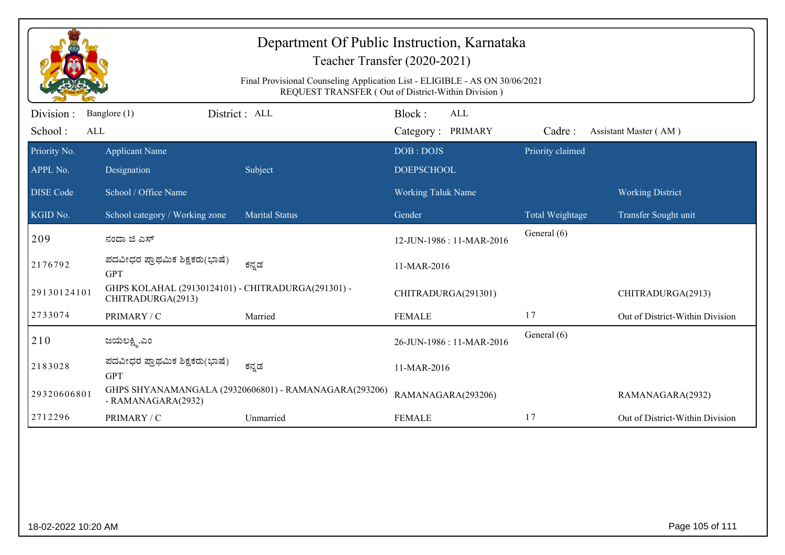|                                                                                                                                   |                                                                         | Department Of Public Instruction, Karnataka           | Teacher Transfer (2020-2021)       |                  |                                 |  |  |
|-----------------------------------------------------------------------------------------------------------------------------------|-------------------------------------------------------------------------|-------------------------------------------------------|------------------------------------|------------------|---------------------------------|--|--|
| Final Provisional Counseling Application List - ELIGIBLE - AS ON 30/06/2021<br>REQUEST TRANSFER (Out of District-Within Division) |                                                                         |                                                       |                                    |                  |                                 |  |  |
| Division :<br>School:<br>ALL                                                                                                      | Banglore (1)                                                            | District : ALL                                        | Block:<br>ALL<br>Category: PRIMARY | Cadre:           | Assistant Master (AM)           |  |  |
| Priority No.                                                                                                                      | <b>Applicant Name</b>                                                   |                                                       | DOB: DOJS                          | Priority claimed |                                 |  |  |
| APPL No.                                                                                                                          | Designation                                                             | Subject                                               | <b>DOEPSCHOOL</b>                  |                  |                                 |  |  |
| <b>DISE Code</b>                                                                                                                  | School / Office Name                                                    |                                                       | <b>Working Taluk Name</b>          |                  | <b>Working District</b>         |  |  |
| KGID No.                                                                                                                          | School category / Working zone                                          | <b>Marital Status</b>                                 | Gender                             | Total Weightage  | Transfer Sought unit            |  |  |
| 209                                                                                                                               | ನಂದಾ ಜಿ ಎಸ್                                                             |                                                       | 12-JUN-1986: 11-MAR-2016           | General (6)      |                                 |  |  |
| 2176792                                                                                                                           | ಪದವೀಧರ ಪ್ರಾಥಮಿಕ ಶಿಕ್ಷಕರು(ಭಾಷೆ)<br><b>GPT</b>                            | ಕನ್ನಡ                                                 | 11-MAR-2016                        |                  |                                 |  |  |
| 29130124101                                                                                                                       | GHPS KOLAHAL (29130124101) - CHITRADURGA(291301) -<br>CHITRADURGA(2913) |                                                       | CHITRADURGA(291301)                |                  | CHITRADURGA(2913)               |  |  |
| 2733074                                                                                                                           | PRIMARY / C                                                             | Married                                               | <b>FEMALE</b>                      | 17               | Out of District-Within Division |  |  |
| 210                                                                                                                               | ಜಯಲಕ್ಷ್ಮಿ.ಎಂ                                                            |                                                       | 26-JUN-1986 : 11-MAR-2016          | General (6)      |                                 |  |  |
| 2183028                                                                                                                           | ಪದವೀಧರ ಪ್ರಾಥಮಿಕ ಶಿಕ್ಷಕರು(ಭಾಷೆ)<br><b>GPT</b>                            | ಕನ್ನಡ                                                 | 11-MAR-2016                        |                  |                                 |  |  |
| 29320606801                                                                                                                       | - RAMANAGARA(2932)                                                      | GHPS SHYANAMANGALA (29320606801) - RAMANAGARA(293206) | RAMANAGARA(293206)                 |                  | RAMANAGARA(2932)                |  |  |
| 2712296                                                                                                                           | PRIMARY / C                                                             | Unmarried                                             | <b>FEMALE</b>                      | 17               | Out of District-Within Division |  |  |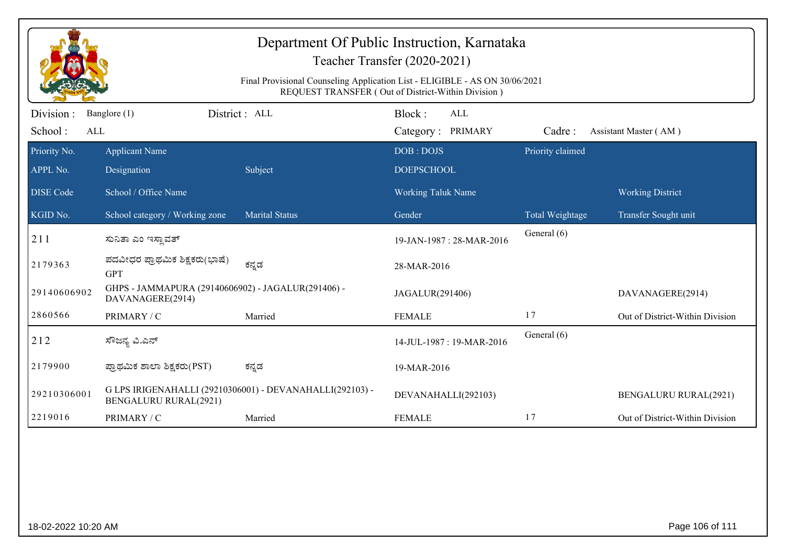|                                                                                                                                   | Department Of Public Instruction, Karnataka<br>Teacher Transfer (2020-2021) |                                                          |                                           |                  |                                 |  |  |
|-----------------------------------------------------------------------------------------------------------------------------------|-----------------------------------------------------------------------------|----------------------------------------------------------|-------------------------------------------|------------------|---------------------------------|--|--|
| Final Provisional Counseling Application List - ELIGIBLE - AS ON 30/06/2021<br>REQUEST TRANSFER (Out of District-Within Division) |                                                                             |                                                          |                                           |                  |                                 |  |  |
| Division:<br>School:<br>ALL                                                                                                       | Banglore (1)                                                                | District: ALL                                            | Block:<br><b>ALL</b><br>Category: PRIMARY | Cadre:           | Assistant Master (AM)           |  |  |
| Priority No.<br>APPL No.                                                                                                          | <b>Applicant Name</b><br>Designation                                        | Subject                                                  | DOB: DOJS<br><b>DOEPSCHOOL</b>            | Priority claimed |                                 |  |  |
| <b>DISE Code</b>                                                                                                                  | School / Office Name                                                        |                                                          | Working Taluk Name                        |                  | <b>Working District</b>         |  |  |
| KGID No.                                                                                                                          | School category / Working zone                                              | <b>Marital Status</b>                                    | Gender                                    | Total Weightage  | Transfer Sought unit            |  |  |
| 211                                                                                                                               | ಸುನಿತಾ ಎಂ ಇಸ್ಲಾವತ್                                                          |                                                          | 19-JAN-1987: 28-MAR-2016                  | General (6)      |                                 |  |  |
| 2179363                                                                                                                           | ಪದವೀಧರ ಪ್ರಾಥಮಿಕ ಶಿಕ್ಷಕರು(ಭಾಷೆ)<br><b>GPT</b>                                | ಕನ್ನಡ                                                    | 28-MAR-2016                               |                  |                                 |  |  |
| 29140606902                                                                                                                       | GHPS - JAMMAPURA (29140606902) - JAGALUR(291406) -<br>DAVANAGERE(2914)      |                                                          | JAGALUR(291406)                           |                  | DAVANAGERE(2914)                |  |  |
| 2860566                                                                                                                           | PRIMARY / C                                                                 | Married                                                  | <b>FEMALE</b>                             | 17               | Out of District-Within Division |  |  |
| 212                                                                                                                               | ಸೌಜನ್ಯ ವಿ.ಎನ್                                                               |                                                          | 14-JUL-1987: 19-MAR-2016                  | General (6)      |                                 |  |  |
| 2179900                                                                                                                           | ಪ್ರಾಥಮಿಕ ಶಾಲಾ ಶಿಕ್ಷಕರು(PST)                                                 | ಕನ್ನಡ                                                    | 19-MAR-2016                               |                  |                                 |  |  |
| 29210306001                                                                                                                       | <b>BENGALURU RURAL(2921)</b>                                                | G LPS IRIGENAHALLI (29210306001) - DEVANAHALLI(292103) - | DEVANAHALLI(292103)                       |                  | <b>BENGALURU RURAL(2921)</b>    |  |  |
|                                                                                                                                   | PRIMARY / C                                                                 | Married                                                  | <b>FEMALE</b>                             | 17               | Out of District-Within Division |  |  |
| 2219016                                                                                                                           |                                                                             |                                                          |                                           |                  |                                 |  |  |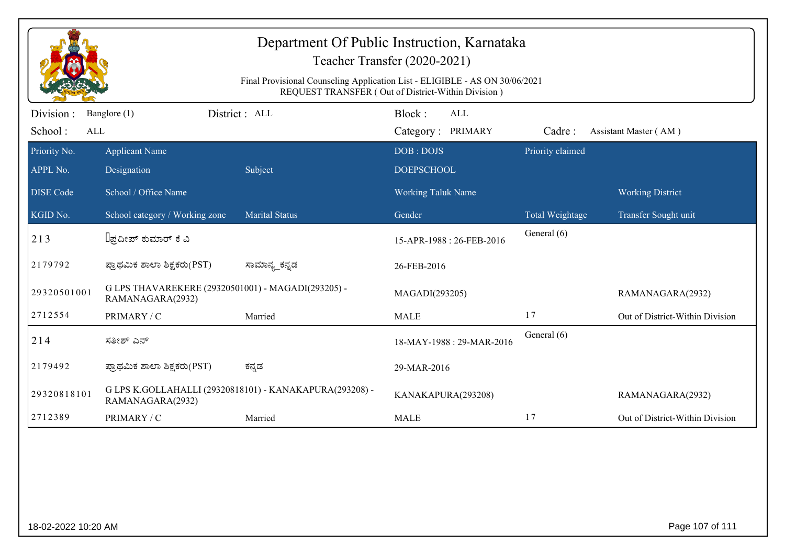| Department Of Public Instruction, Karnataka<br>Teacher Transfer (2020-2021)<br>Final Provisional Counseling Application List - ELIGIBLE - AS ON 30/06/2021<br>REQUEST TRANSFER (Out of District-Within Division) |                                                                        |                                                         |                                           |                  |                                 |  |  |
|------------------------------------------------------------------------------------------------------------------------------------------------------------------------------------------------------------------|------------------------------------------------------------------------|---------------------------------------------------------|-------------------------------------------|------------------|---------------------------------|--|--|
| Division:<br>School:<br>ALL                                                                                                                                                                                      | Banglore (1)                                                           | District : ALL                                          | Block:<br><b>ALL</b><br>Category: PRIMARY | Cadre:           | Assistant Master (AM)           |  |  |
| Priority No.<br>APPL No.                                                                                                                                                                                         | <b>Applicant Name</b><br>Designation                                   | Subject                                                 | DOB: DOJS<br><b>DOEPSCHOOL</b>            | Priority claimed |                                 |  |  |
| <b>DISE</b> Code                                                                                                                                                                                                 | School / Office Name                                                   |                                                         | <b>Working Taluk Name</b>                 |                  | <b>Working District</b>         |  |  |
| KGID No.                                                                                                                                                                                                         | School category / Working zone                                         | <b>Marital Status</b>                                   | Gender                                    | Total Weightage  | Transfer Sought unit            |  |  |
| 213                                                                                                                                                                                                              | ∐ಪ್ರದೀಪ್ ಕುಮಾರ್ ಕೆ ವಿ                                                  |                                                         | 15-APR-1988: 26-FEB-2016                  | General (6)      |                                 |  |  |
| 2179792                                                                                                                                                                                                          | ಪ್ರಾಥಮಿಕ ಶಾಲಾ ಶಿಕ್ಷಕರು(PST)                                            | ಸಾಮಾನ್ಯ_ಕನ್ನಡ                                           | 26-FEB-2016                               |                  |                                 |  |  |
| 29320501001                                                                                                                                                                                                      | G LPS THAVAREKERE (29320501001) - MAGADI(293205) -<br>RAMANAGARA(2932) |                                                         | MAGADI(293205)                            |                  | RAMANAGARA(2932)                |  |  |
| 2712554                                                                                                                                                                                                          | PRIMARY / C                                                            | Married                                                 | <b>MALE</b>                               | 17               | Out of District-Within Division |  |  |
| 214                                                                                                                                                                                                              | ಸತೀಶ್ ಎನ್                                                              |                                                         | 18-MAY-1988: 29-MAR-2016                  | General (6)      |                                 |  |  |
| 2179492                                                                                                                                                                                                          | ಪ್ರಾಥಮಿಕ ಶಾಲಾ ಶಿಕ್ಷಕರು(PST)                                            | ಕನ್ನಡ                                                   | 29-MAR-2016                               |                  |                                 |  |  |
| 29320818101                                                                                                                                                                                                      | RAMANAGARA(2932)                                                       | G LPS K.GOLLAHALLI (29320818101) - KANAKAPURA(293208) - | KANAKAPURA(293208)                        |                  | RAMANAGARA(2932)                |  |  |
| 2712389                                                                                                                                                                                                          | PRIMARY / C                                                            | Married                                                 | <b>MALE</b>                               | 17               | Out of District-Within Division |  |  |
|                                                                                                                                                                                                                  |                                                                        |                                                         |                                           |                  |                                 |  |  |
| 18-02-2022 10:20 AM                                                                                                                                                                                              |                                                                        |                                                         |                                           |                  | Page 107 of 111                 |  |  |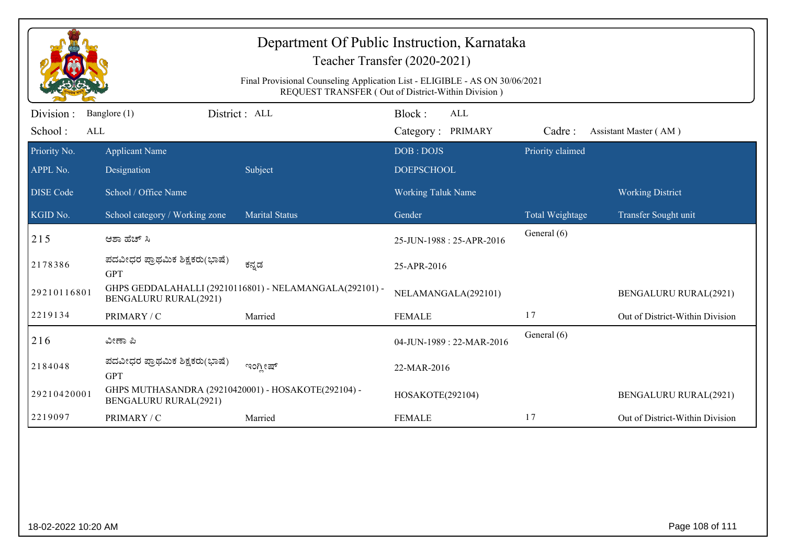| Department Of Public Instruction, Karnataka<br>Teacher Transfer (2020-2021)<br>Final Provisional Counseling Application List - ELIGIBLE - AS ON 30/06/2021<br>REQUEST TRANSFER (Out of District-Within Division) |                                                                                     |                                                         |                                           |                  |                                 |  |  |
|------------------------------------------------------------------------------------------------------------------------------------------------------------------------------------------------------------------|-------------------------------------------------------------------------------------|---------------------------------------------------------|-------------------------------------------|------------------|---------------------------------|--|--|
| Division:<br>School:<br>ALL                                                                                                                                                                                      | Banglore (1)                                                                        | District: ALL                                           | Block:<br><b>ALL</b><br>Category: PRIMARY | Cadre:           | Assistant Master (AM)           |  |  |
| Priority No.<br>APPL No.                                                                                                                                                                                         | <b>Applicant Name</b><br>Designation                                                | Subject                                                 | DOB: DOJS<br><b>DOEPSCHOOL</b>            | Priority claimed |                                 |  |  |
| <b>DISE</b> Code                                                                                                                                                                                                 | School / Office Name                                                                |                                                         | Working Taluk Name                        |                  | <b>Working District</b>         |  |  |
| KGID No.                                                                                                                                                                                                         | School category / Working zone                                                      | <b>Marital Status</b>                                   | Gender                                    | Total Weightage  | Transfer Sought unit            |  |  |
| 215                                                                                                                                                                                                              | ಆಶಾ ಹೆಚ್ ಸಿ                                                                         |                                                         | 25-JUN-1988: 25-APR-2016                  | General (6)      |                                 |  |  |
| 2178386                                                                                                                                                                                                          | ಪದವೀಧರ ಪ್ರಾಥಮಿಕ ಶಿಕ್ಷಕರು(ಭಾಷೆ)<br><b>GPT</b>                                        | ಕನ್ನಡ                                                   | 25-APR-2016                               |                  |                                 |  |  |
| 29210116801                                                                                                                                                                                                      | <b>BENGALURU RURAL(2921)</b>                                                        | GHPS GEDDALAHALLI (29210116801) - NELAMANGALA(292101) - | NELAMANGALA(292101)                       |                  | <b>BENGALURU RURAL(2921)</b>    |  |  |
| 2219134                                                                                                                                                                                                          | PRIMARY / C                                                                         | Married                                                 | <b>FEMALE</b>                             | 17               | Out of District-Within Division |  |  |
| 216                                                                                                                                                                                                              | ವೀಣಾ ಪಿ                                                                             |                                                         | 04-JUN-1989: 22-MAR-2016                  | General (6)      |                                 |  |  |
| 2184048                                                                                                                                                                                                          | ಪದವೀಧರ ಪ್ರಾಥಮಿಕ ಶಿಕ್ಷಕರು(ಭಾಷೆ)<br><b>GPT</b>                                        | ಇಂಗ್ಲೀಷ್                                                | 22-MAR-2016                               |                  |                                 |  |  |
| 29210420001                                                                                                                                                                                                      | GHPS MUTHASANDRA (29210420001) - HOSAKOTE(292104) -<br><b>BENGALURU RURAL(2921)</b> |                                                         | HOSAKOTE(292104)                          |                  | <b>BENGALURU RURAL(2921)</b>    |  |  |
| 2219097                                                                                                                                                                                                          | PRIMARY / C                                                                         | Married                                                 | <b>FEMALE</b>                             | 17               | Out of District-Within Division |  |  |
|                                                                                                                                                                                                                  |                                                                                     |                                                         |                                           |                  |                                 |  |  |
| 18-02-2022 10:20 AM                                                                                                                                                                                              |                                                                                     |                                                         |                                           |                  | Page 108 of 111                 |  |  |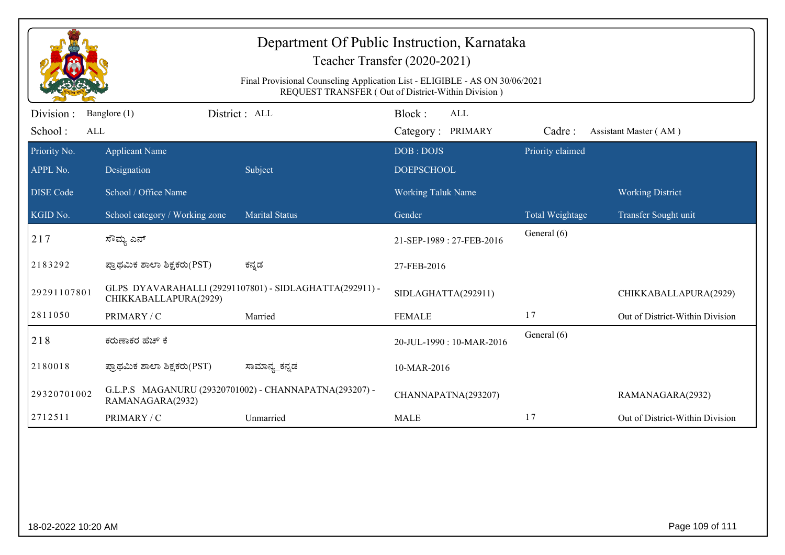| Department Of Public Instruction, Karnataka<br>Teacher Transfer (2020-2021)                                                       |                                                                                  |                                                        |                                 |                  |                                 |  |  |  |
|-----------------------------------------------------------------------------------------------------------------------------------|----------------------------------------------------------------------------------|--------------------------------------------------------|---------------------------------|------------------|---------------------------------|--|--|--|
| Final Provisional Counseling Application List - ELIGIBLE - AS ON 30/06/2021<br>REQUEST TRANSFER (Out of District-Within Division) |                                                                                  |                                                        |                                 |                  |                                 |  |  |  |
| Division :<br>District : ALL<br>Banglore (1)<br>School:<br>ALL                                                                    |                                                                                  | Block:<br>ALL<br>Category: PRIMARY                     | Cadre:<br>Assistant Master (AM) |                  |                                 |  |  |  |
| Priority No.<br>APPL No.                                                                                                          | <b>Applicant Name</b><br>Designation                                             | Subject                                                | DOB: DOJS<br><b>DOEPSCHOOL</b>  | Priority claimed |                                 |  |  |  |
| <b>DISE</b> Code                                                                                                                  | School / Office Name                                                             |                                                        | <b>Working Taluk Name</b>       |                  | <b>Working District</b>         |  |  |  |
| KGID No.                                                                                                                          | School category / Working zone                                                   | <b>Marital Status</b>                                  | Gender                          | Total Weightage  | Transfer Sought unit            |  |  |  |
| 217                                                                                                                               | ಸೌಮ್ಯ ಎನ್                                                                        |                                                        | 21-SEP-1989: 27-FEB-2016        | General (6)      |                                 |  |  |  |
| 2183292                                                                                                                           | ಪ್ರಾಥಮಿಕ ಶಾಲಾ ಶಿಕ್ಷಕರು(PST)                                                      | ಕನ್ನಡ                                                  | 27-FEB-2016                     |                  |                                 |  |  |  |
| 29291107801                                                                                                                       | GLPS DYAVARAHALLI (29291107801) - SIDLAGHATTA(292911) -<br>CHIKKABALLAPURA(2929) |                                                        | SIDLAGHATTA(292911)             |                  | CHIKKABALLAPURA(2929)           |  |  |  |
| 2811050                                                                                                                           | PRIMARY / C                                                                      | Married                                                | <b>FEMALE</b>                   | 17               | Out of District-Within Division |  |  |  |
| 218                                                                                                                               | ಕರುಣಾಕರ ಹೆಚ್ ಕೆ                                                                  |                                                        | 20-JUL-1990: 10-MAR-2016        | General (6)      |                                 |  |  |  |
| 2180018                                                                                                                           | ಪ್ರಾಥಮಿಕ ಶಾಲಾ ಶಿಕ್ಷಕರು(PST)                                                      | ಸಾಮಾನ್ಯ_ಕನ್ನಡ                                          | 10-MAR-2016                     |                  |                                 |  |  |  |
| 29320701002                                                                                                                       | RAMANAGARA(2932)                                                                 | G.L.P.S MAGANURU (29320701002) - CHANNAPATNA(293207) - | CHANNAPATNA(293207)             |                  | RAMANAGARA(2932)                |  |  |  |
| 2712511                                                                                                                           | PRIMARY / C                                                                      | Unmarried                                              | <b>MALE</b>                     | 17               | Out of District-Within Division |  |  |  |
|                                                                                                                                   |                                                                                  |                                                        |                                 |                  |                                 |  |  |  |
| 18-02-2022 10:20 AM                                                                                                               |                                                                                  |                                                        |                                 |                  | Page 109 of 111                 |  |  |  |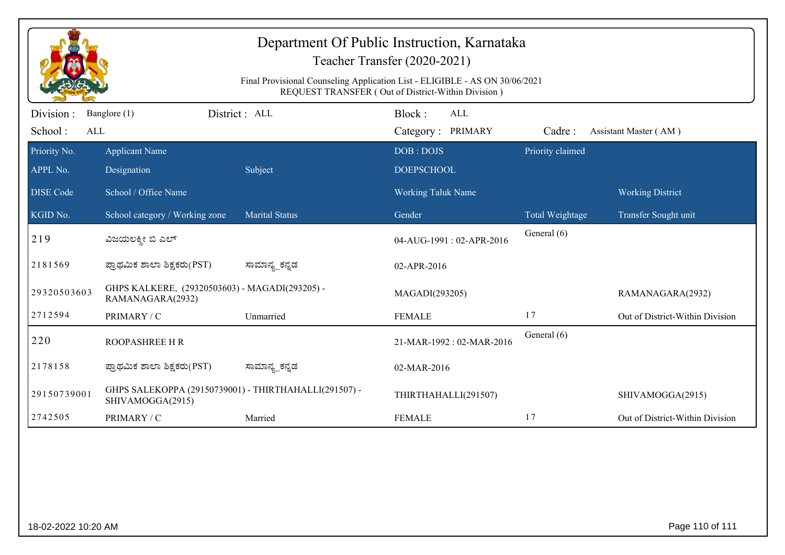| Department Of Public Instruction, Karnataka<br>Teacher Transfer (2020-2021)<br>Final Provisional Counseling Application List - ELIGIBLE - AS ON 30/06/2021<br>REQUEST TRANSFER (Out of District-Within Division) |                                                                           |                       |                                           |                  |                                 |  |  |
|------------------------------------------------------------------------------------------------------------------------------------------------------------------------------------------------------------------|---------------------------------------------------------------------------|-----------------------|-------------------------------------------|------------------|---------------------------------|--|--|
| Division:<br>School:<br>ALL                                                                                                                                                                                      | Banglore (1)                                                              | District: ALL         | Block:<br><b>ALL</b><br>Category: PRIMARY | Cadre:           | Assistant Master (AM)           |  |  |
| Priority No.<br>APPL No.                                                                                                                                                                                         | <b>Applicant Name</b><br>Designation                                      | Subject               | DOB: DOJS<br><b>DOEPSCHOOL</b>            | Priority claimed |                                 |  |  |
| <b>DISE Code</b>                                                                                                                                                                                                 | School / Office Name                                                      |                       | <b>Working Taluk Name</b>                 |                  | <b>Working District</b>         |  |  |
| KGID No.                                                                                                                                                                                                         | School category / Working zone                                            | <b>Marital Status</b> | Gender                                    | Total Weightage  | Transfer Sought unit            |  |  |
| 219                                                                                                                                                                                                              | ವಿಜಯಲಕ್ಕೀ ಬಿ ಎಲ್                                                          |                       | 04-AUG-1991: 02-APR-2016                  | General (6)      |                                 |  |  |
| 2181569                                                                                                                                                                                                          | ಪ್ರಾಥಮಿಕ ಶಾಲಾ ಶಿಕ್ಷಕರು(PST)                                               | ಸಾಮಾನ್ಯ_ಕನ್ನಡ         | 02-APR-2016                               |                  |                                 |  |  |
| 29320503603                                                                                                                                                                                                      | GHPS KALKERE, (29320503603) - MAGADI(293205) -<br>RAMANAGARA(2932)        |                       | MAGADI(293205)                            |                  | RAMANAGARA(2932)                |  |  |
| 2712594                                                                                                                                                                                                          | PRIMARY / C                                                               | Unmarried             | <b>FEMALE</b>                             | 17               | Out of District-Within Division |  |  |
| 220                                                                                                                                                                                                              | <b>ROOPASHREE H R</b>                                                     |                       | 21-MAR-1992: 02-MAR-2016                  | General (6)      |                                 |  |  |
| 2178158                                                                                                                                                                                                          | ಪ್ರಾಥಮಿಕ ಶಾಲಾ ಶಿಕ್ಷಕರು(PST)                                               | ಸಾಮಾನ್ಯ_ಕನ್ನಡ         | 02-MAR-2016                               |                  |                                 |  |  |
| 29150739001                                                                                                                                                                                                      | GHPS SALEKOPPA (29150739001) - THIRTHAHALLI(291507) -<br>SHIVAMOGGA(2915) |                       | THIRTHAHALLI(291507)                      |                  | SHIVAMOGGA(2915)                |  |  |
| 2742505                                                                                                                                                                                                          | PRIMARY / C                                                               | Married               | <b>FEMALE</b>                             | 17               | Out of District-Within Division |  |  |
|                                                                                                                                                                                                                  |                                                                           |                       |                                           |                  |                                 |  |  |
| 18-02-2022 10:20 AM                                                                                                                                                                                              |                                                                           |                       |                                           |                  | Page 110 of 111                 |  |  |